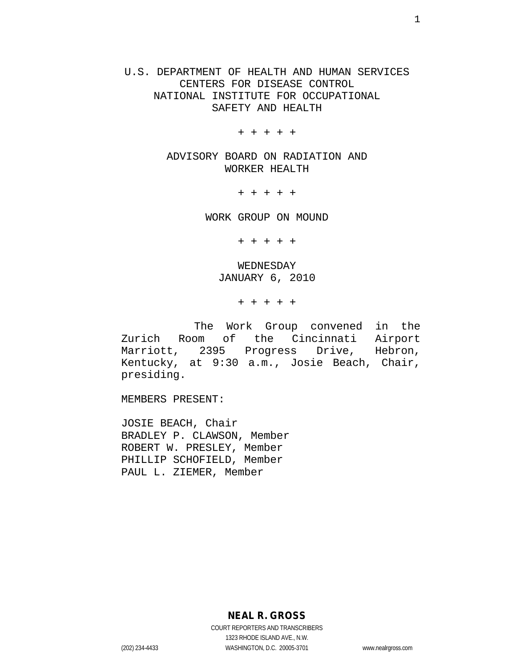U.S. DEPARTMENT OF HEALTH AND HUMAN SERVICES CENTERS FOR DISEASE CONTROL NATIONAL INSTITUTE FOR OCCUPATIONAL SAFETY AND HEALTH

+ + + + +

ADVISORY BOARD ON RADIATION AND WORKER HEALTH

+ + + + +

WORK GROUP ON MOUND

+ + + + +

WEDNESDAY JANUARY 6, 2010

+ + + + +

The Work Group convened in the Zurich Room of the Cincinnati Airport<br>Marriott, 2395 Progress Drive, Hebron, Marriott, 2395 Progress Kentucky, at 9:30 a.m., Josie Beach, Chair, presiding.

MEMBERS PRESENT:

JOSIE BEACH, Chair BRADLEY P. CLAWSON, Member ROBERT W. PRESLEY, Member PHILLIP SCHOFIELD, Member PAUL L. ZIEMER, Member

**NEAL R. GROSS**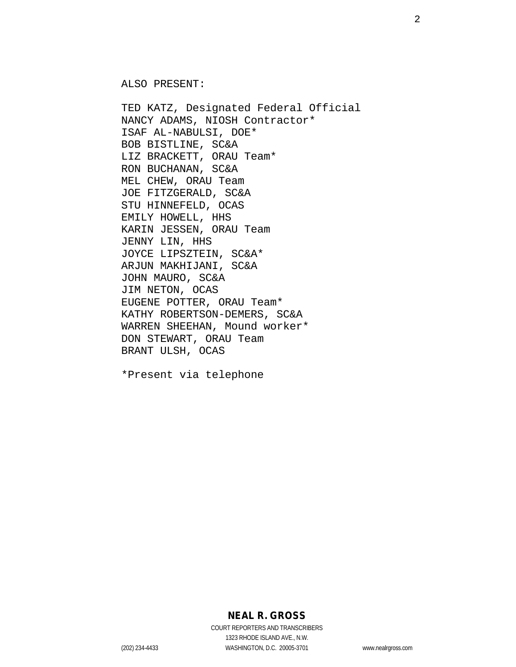ALSO PRESENT:

TED KATZ, Designated Federal Official NANCY ADAMS, NIOSH Contractor\* ISAF AL-NABULSI, DOE\* BOB BISTLINE, SC&A LIZ BRACKETT, ORAU Team\* RON BUCHANAN, SC&A MEL CHEW, ORAU Team JOE FITZGERALD, SC&A STU HINNEFELD, OCAS EMILY HOWELL, HHS KARIN JESSEN, ORAU Team JENNY LIN, HHS JOYCE LIPSZTEIN, SC&A\* ARJUN MAKHIJANI, SC&A JOHN MAURO, SC&A JIM NETON, OCAS EUGENE POTTER, ORAU Team\* KATHY ROBERTSON-DEMERS, SC&A WARREN SHEEHAN, Mound worker\* DON STEWART, ORAU Team BRANT ULSH, OCAS

\*Present via telephone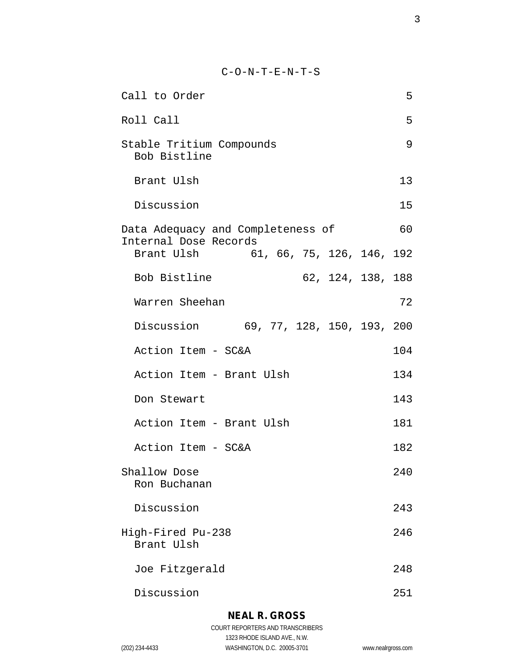C-O-N-T-E-N-T-S

| Call to Order                                                    | 5   |  |  |
|------------------------------------------------------------------|-----|--|--|
| Roll Call                                                        | 5   |  |  |
| Stable Tritium Compounds<br>Bob Bistline                         | 9   |  |  |
| Brant Ulsh                                                       | 13  |  |  |
| Discussion                                                       | 15  |  |  |
| 60<br>Data Adequacy and Completeness of<br>Internal Dose Records |     |  |  |
| Brant Ulsh 61, 66, 75, 126, 146, 192                             |     |  |  |
| Bob Bistline<br>62, 124, 138, 188                                |     |  |  |
| Warren Sheehan                                                   | 72  |  |  |
| Discussion 69, 77, 128, 150, 193, 200                            |     |  |  |
| Action Item - SC&A                                               | 104 |  |  |
| Action Item - Brant Ulsh                                         | 134 |  |  |
| Don Stewart                                                      | 143 |  |  |
| Action Item - Brant Ulsh                                         | 181 |  |  |
| Action Item - SC&A                                               | 182 |  |  |
| Shallow Dose<br>Ron Buchanan                                     | 240 |  |  |
| Discussion                                                       | 243 |  |  |
| High-Fired Pu-238<br>Brant Ulsh                                  | 246 |  |  |
| Joe Fitzgerald                                                   | 248 |  |  |
| Discussion                                                       | 251 |  |  |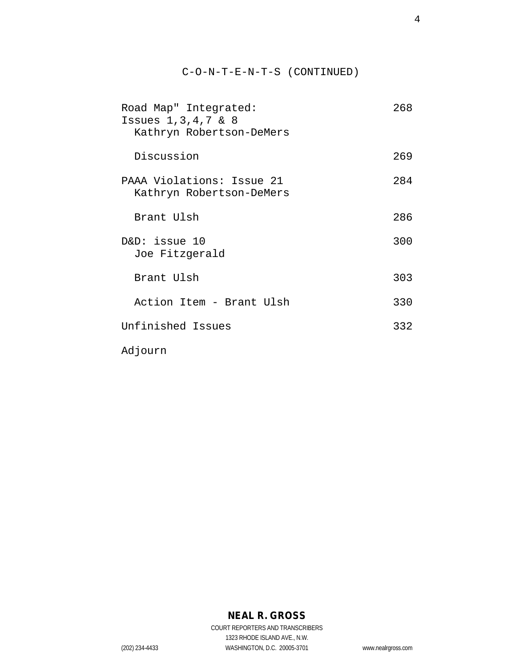### C-O-N-T-E-N-T-S (CONTINUED)

| Road Map" Integrated:<br>Issues $1, 3, 4, 7$ & 8<br>Kathryn Robertson-DeMers | 268 |
|------------------------------------------------------------------------------|-----|
| Discussion                                                                   | 269 |
| PAAA Violations: Issue 21<br>Kathryn Robertson-DeMers                        | 284 |
| Brant Ulsh                                                                   | 286 |
| $D&D:$ issue 10<br>Joe Fitzgerald                                            | 300 |
| Brant Ulsh                                                                   | 303 |
| Action Item - Brant Ulsh                                                     | 330 |
| Unfinished Issues                                                            | 332 |
| Adjourn                                                                      |     |

# **NEAL R. GROSS**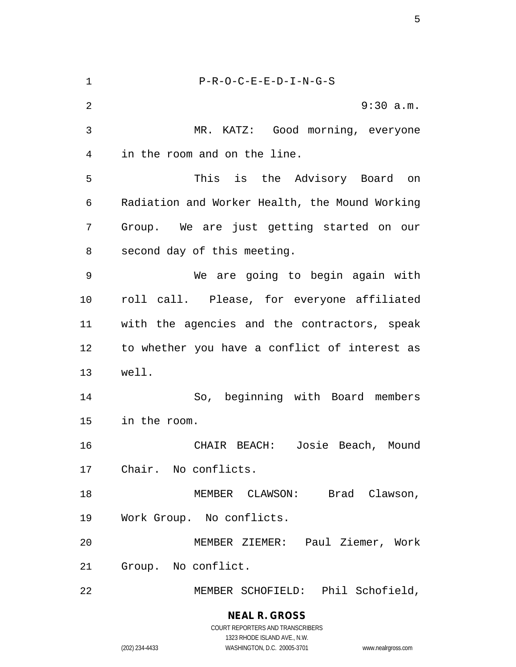P-R-O-C-E-E-D-I-N-G-S 9:30 a.m. MR. KATZ: Good morning, everyone in the room and on the line. This is the Advisory Board on Radiation and Worker Health, the Mound Working Group. We are just getting started on our second day of this meeting. We are going to begin again with roll call. Please, for everyone affiliated with the agencies and the contractors, speak to whether you have a conflict of interest as well. So, beginning with Board members in the room. CHAIR BEACH: Josie Beach, Mound Chair. No conflicts. 18 MEMBER CLAWSON: Brad Clawson, Work Group. No conflicts. MEMBER ZIEMER: Paul Ziemer, Work Group. No conflict. MEMBER SCHOFIELD: Phil Schofield,

#### **NEAL R. GROSS** COURT REPORTERS AND TRANSCRIBERS

1323 RHODE ISLAND AVE., N.W. (202) 234-4433 WASHINGTON, D.C. 20005-3701 www.nealrgross.com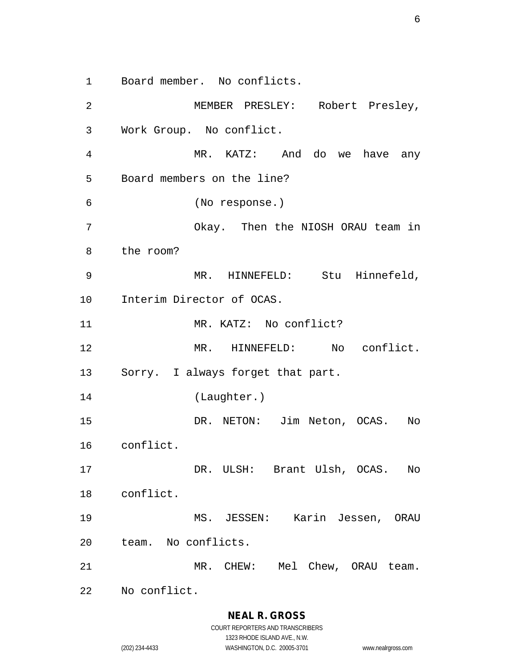Board member. No conflicts.

 MEMBER PRESLEY: Robert Presley, Work Group. No conflict. MR. KATZ: And do we have any Board members on the line? (No response.) Okay. Then the NIOSH ORAU team in the room? MR. HINNEFELD: Stu Hinnefeld, Interim Director of OCAS. 11 MR. KATZ: No conflict? MR. HINNEFELD: No conflict. Sorry. I always forget that part. (Laughter.) DR. NETON: Jim Neton, OCAS. No conflict. DR. ULSH: Brant Ulsh, OCAS. No conflict. MS. JESSEN: Karin Jessen, ORAU team. No conflicts. MR. CHEW: Mel Chew, ORAU team. No conflict.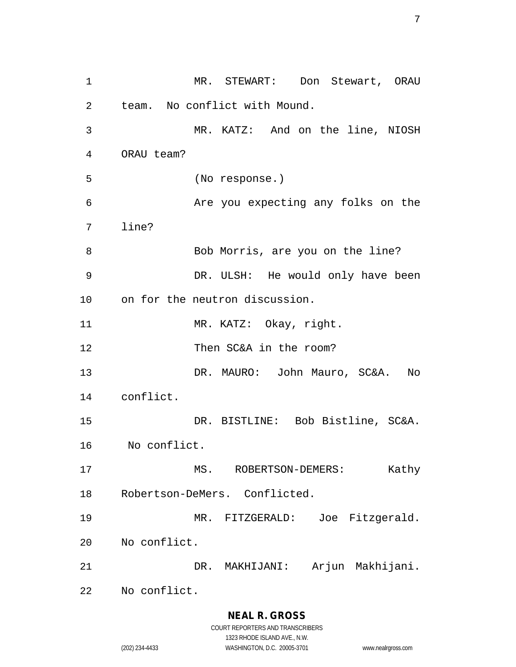MR. STEWART: Don Stewart, ORAU team. No conflict with Mound. MR. KATZ: And on the line, NIOSH ORAU team? (No response.) Are you expecting any folks on the line? 8 Bob Morris, are you on the line? DR. ULSH: He would only have been on for the neutron discussion. 11 MR. KATZ: Okay, right. Then SC&A in the room? DR. MAURO: John Mauro, SC&A. No conflict. DR. BISTLINE: Bob Bistline, SC&A. No conflict. 17 MS. ROBERTSON-DEMERS: Kathy Robertson-DeMers. Conflicted. MR. FITZGERALD: Joe Fitzgerald. No conflict. DR. MAKHIJANI: Arjun Makhijani. No conflict.

> **NEAL R. GROSS** COURT REPORTERS AND TRANSCRIBERS

1323 RHODE ISLAND AVE., N.W. (202) 234-4433 WASHINGTON, D.C. 20005-3701 www.nealrgross.com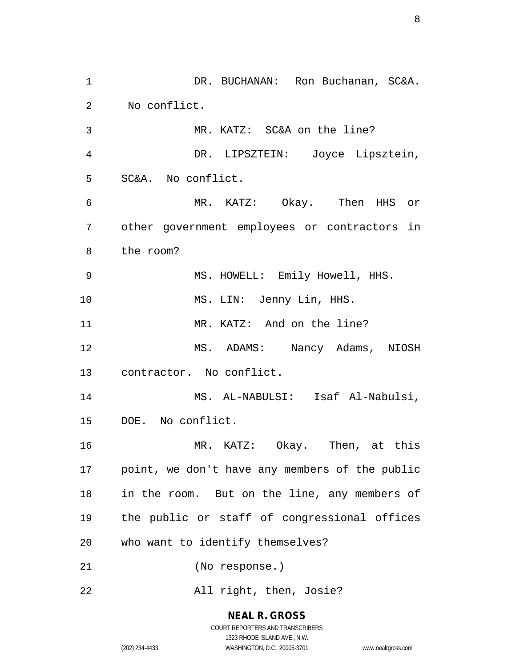DR. BUCHANAN: Ron Buchanan, SC&A. No conflict. MR. KATZ: SC&A on the line? DR. LIPSZTEIN: Joyce Lipsztein, SC&A. No conflict. MR. KATZ: Okay. Then HHS or other government employees or contractors in the room? MS. HOWELL: Emily Howell, HHS. 10 MS. LIN: Jenny Lin, HHS. 11 MR. KATZ: And on the line? MS. ADAMS: Nancy Adams, NIOSH contractor. No conflict. MS. AL-NABULSI: Isaf Al-Nabulsi, DOE. No conflict. MR. KATZ: Okay. Then, at this point, we don't have any members of the public in the room. But on the line, any members of the public or staff of congressional offices who want to identify themselves? (No response.) All right, then, Josie?

### **NEAL R. GROSS**

COURT REPORTERS AND TRANSCRIBERS 1323 RHODE ISLAND AVE., N.W. (202) 234-4433 WASHINGTON, D.C. 20005-3701 www.nealrgross.com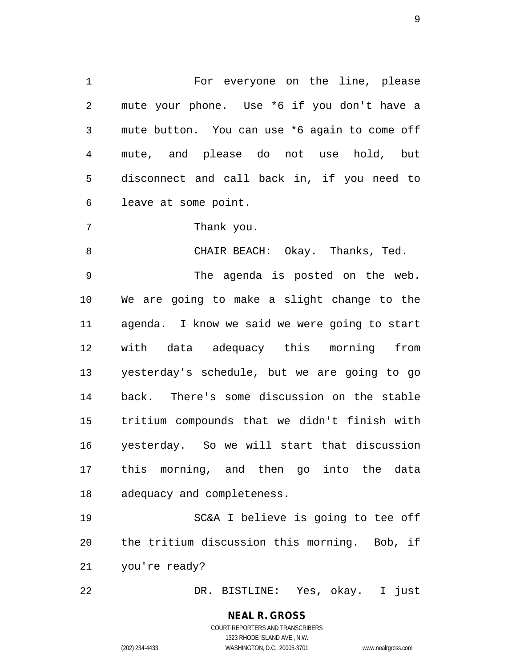For everyone on the line, please mute your phone. Use \*6 if you don't have a mute button. You can use \*6 again to come off mute, and please do not use hold, but disconnect and call back in, if you need to leave at some point.

Thank you.

 CHAIR BEACH: Okay. Thanks, Ted. The agenda is posted on the web. We are going to make a slight change to the agenda. I know we said we were going to start with data adequacy this morning from yesterday's schedule, but we are going to go back. There's some discussion on the stable tritium compounds that we didn't finish with yesterday. So we will start that discussion this morning, and then go into the data adequacy and completeness.

 SC&A I believe is going to tee off the tritium discussion this morning. Bob, if you're ready?

DR. BISTLINE: Yes, okay. I just

**NEAL R. GROSS** COURT REPORTERS AND TRANSCRIBERS 1323 RHODE ISLAND AVE., N.W. (202) 234-4433 WASHINGTON, D.C. 20005-3701 www.nealrgross.com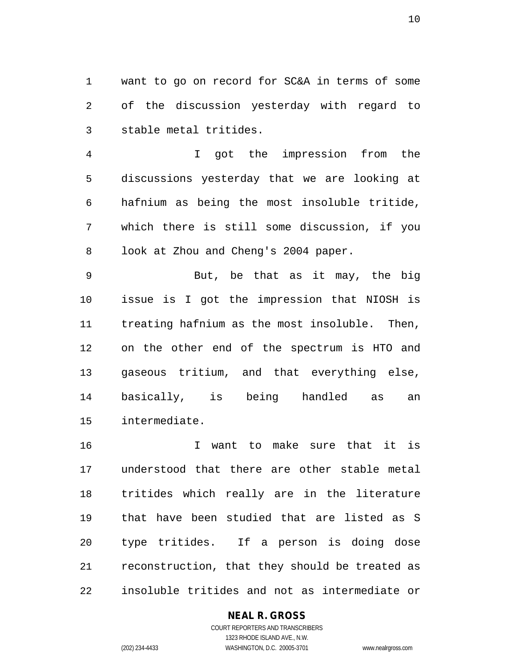want to go on record for SC&A in terms of some of the discussion yesterday with regard to stable metal tritides.

 I got the impression from the discussions yesterday that we are looking at hafnium as being the most insoluble tritide, which there is still some discussion, if you look at Zhou and Cheng's 2004 paper.

 But, be that as it may, the big issue is I got the impression that NIOSH is 11 treating hafnium as the most insoluble. Then, on the other end of the spectrum is HTO and gaseous tritium, and that everything else, basically, is being handled as an intermediate.

 I want to make sure that it is understood that there are other stable metal tritides which really are in the literature that have been studied that are listed as S type tritides. If a person is doing dose reconstruction, that they should be treated as insoluble tritides and not as intermediate or

### **NEAL R. GROSS**

COURT REPORTERS AND TRANSCRIBERS 1323 RHODE ISLAND AVE., N.W. (202) 234-4433 WASHINGTON, D.C. 20005-3701 www.nealrgross.com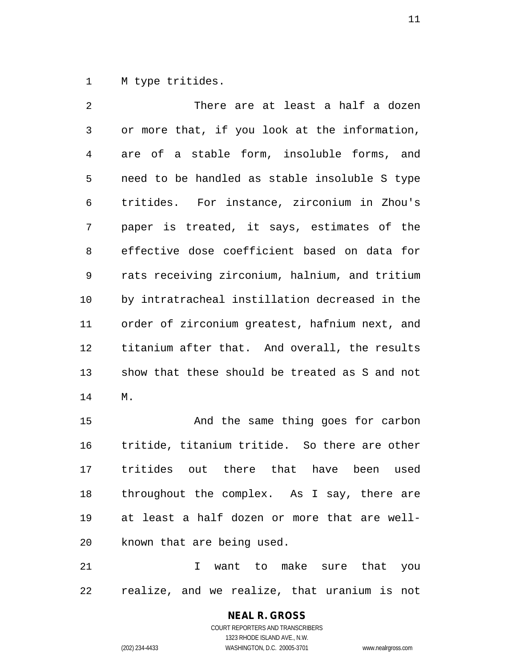M type tritides.

 There are at least a half a dozen or more that, if you look at the information, are of a stable form, insoluble forms, and need to be handled as stable insoluble S type tritides. For instance, zirconium in Zhou's paper is treated, it says, estimates of the effective dose coefficient based on data for rats receiving zirconium, halnium, and tritium by intratracheal instillation decreased in the order of zirconium greatest, hafnium next, and titanium after that. And overall, the results show that these should be treated as S and not M.

 And the same thing goes for carbon tritide, titanium tritide. So there are other tritides out there that have been used throughout the complex. As I say, there are at least a half dozen or more that are well-known that are being used.

 I want to make sure that you realize, and we realize, that uranium is not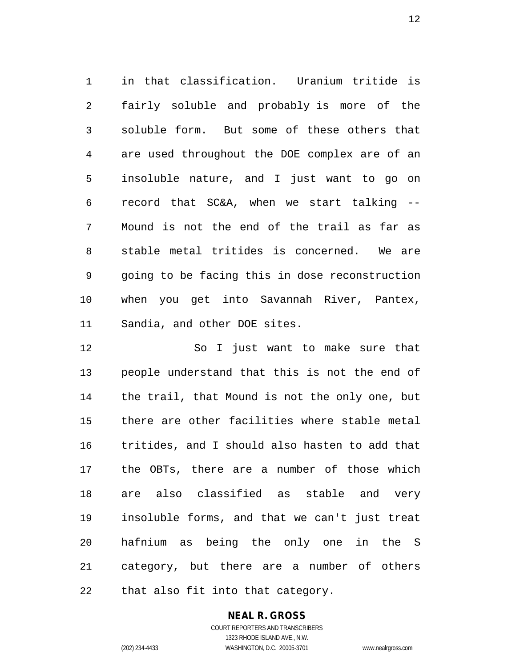in that classification. Uranium tritide is fairly soluble and probably is more of the soluble form. But some of these others that are used throughout the DOE complex are of an insoluble nature, and I just want to go on record that SC&A, when we start talking -- Mound is not the end of the trail as far as stable metal tritides is concerned. We are going to be facing this in dose reconstruction when you get into Savannah River, Pantex, Sandia, and other DOE sites.

 So I just want to make sure that people understand that this is not the end of the trail, that Mound is not the only one, but there are other facilities where stable metal tritides, and I should also hasten to add that the OBTs, there are a number of those which are also classified as stable and very insoluble forms, and that we can't just treat hafnium as being the only one in the S category, but there are a number of others that also fit into that category.

### **NEAL R. GROSS**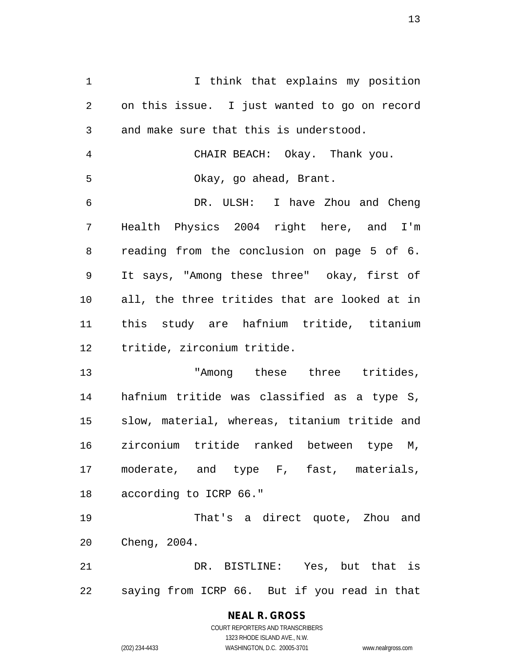1 1 I think that explains my position on this issue. I just wanted to go on record and make sure that this is understood. CHAIR BEACH: Okay. Thank you. Okay, go ahead, Brant. DR. ULSH: I have Zhou and Cheng Health Physics 2004 right here, and I'm reading from the conclusion on page 5 of 6. It says, "Among these three" okay, first of all, the three tritides that are looked at in this study are hafnium tritide, titanium tritide, zirconium tritide. "Among these three tritides, hafnium tritide was classified as a type S, slow, material, whereas, titanium tritide and zirconium tritide ranked between type M, moderate, and type F, fast, materials, according to ICRP 66." That's a direct quote, Zhou and

 DR. BISTLINE: Yes, but that is saying from ICRP 66. But if you read in that

#### **NEAL R. GROSS** COURT REPORTERS AND TRANSCRIBERS 1323 RHODE ISLAND AVE., N.W. (202) 234-4433 WASHINGTON, D.C. 20005-3701 www.nealrgross.com

Cheng, 2004.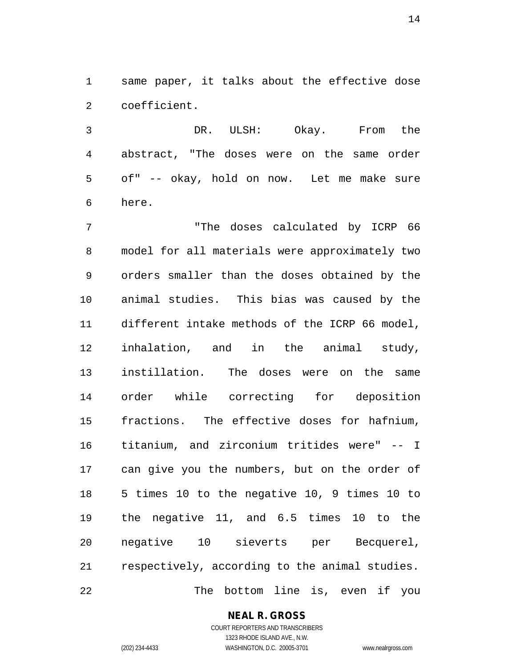same paper, it talks about the effective dose coefficient.

 DR. ULSH: Okay. From the abstract, "The doses were on the same order of" -- okay, hold on now. Let me make sure here.

 "The doses calculated by ICRP 66 model for all materials were approximately two orders smaller than the doses obtained by the animal studies. This bias was caused by the different intake methods of the ICRP 66 model, inhalation, and in the animal study, instillation. The doses were on the same order while correcting for deposition fractions. The effective doses for hafnium, titanium, and zirconium tritides were" -- I can give you the numbers, but on the order of 5 times 10 to the negative 10, 9 times 10 to the negative 11, and 6.5 times 10 to the negative 10 sieverts per Becquerel, respectively, according to the animal studies. The bottom line is, even if you

**NEAL R. GROSS**

COURT REPORTERS AND TRANSCRIBERS 1323 RHODE ISLAND AVE., N.W. (202) 234-4433 WASHINGTON, D.C. 20005-3701 www.nealrgross.com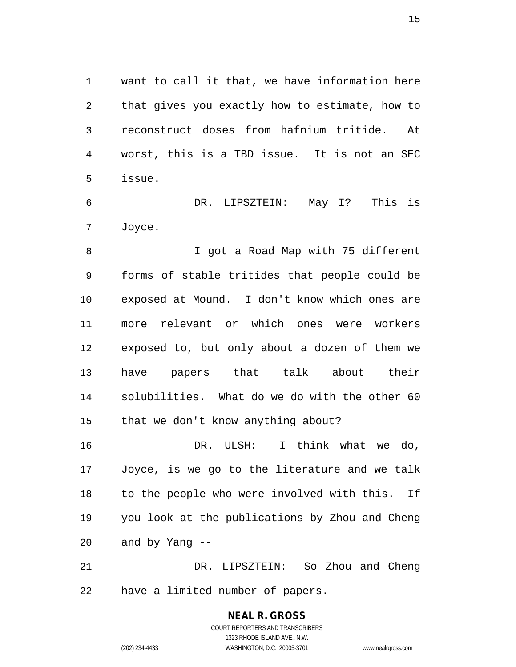want to call it that, we have information here that gives you exactly how to estimate, how to reconstruct doses from hafnium tritide. At worst, this is a TBD issue. It is not an SEC issue.

 DR. LIPSZTEIN: May I? This is Joyce.

 I got a Road Map with 75 different forms of stable tritides that people could be exposed at Mound. I don't know which ones are more relevant or which ones were workers exposed to, but only about a dozen of them we have papers that talk about their solubilities. What do we do with the other 60 that we don't know anything about?

 DR. ULSH: I think what we do, Joyce, is we go to the literature and we talk to the people who were involved with this. If you look at the publications by Zhou and Cheng and by Yang --

 DR. LIPSZTEIN: So Zhou and Cheng have a limited number of papers.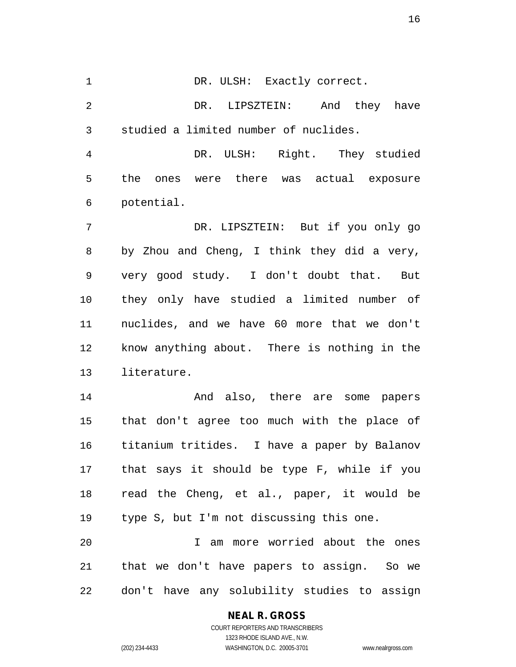1 DR. ULSH: Exactly correct.

 DR. LIPSZTEIN: And they have studied a limited number of nuclides.

 DR. ULSH: Right. They studied the ones were there was actual exposure potential.

 DR. LIPSZTEIN: But if you only go by Zhou and Cheng, I think they did a very, very good study. I don't doubt that. But they only have studied a limited number of nuclides, and we have 60 more that we don't know anything about. There is nothing in the literature.

**And also, there are some papers**  that don't agree too much with the place of titanium tritides. I have a paper by Balanov that says it should be type F, while if you read the Cheng, et al., paper, it would be type S, but I'm not discussing this one.

 I am more worried about the ones that we don't have papers to assign. So we don't have any solubility studies to assign

### **NEAL R. GROSS**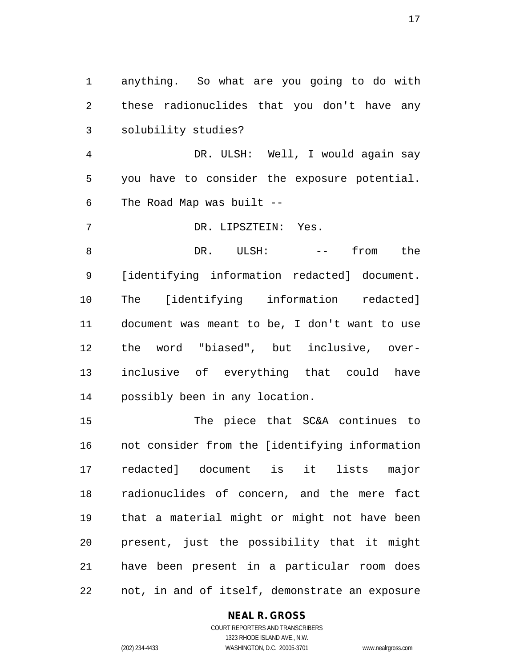anything. So what are you going to do with these radionuclides that you don't have any solubility studies?

 DR. ULSH: Well, I would again say you have to consider the exposure potential. The Road Map was built --

DR. LIPSZTEIN: Yes.

8 DR. ULSH:  $--$  from the [identifying information redacted] document. The [identifying information redacted] document was meant to be, I don't want to use the word "biased", but inclusive, over- inclusive of everything that could have possibly been in any location.

 The piece that SC&A continues to not consider from the [identifying information redacted] document is it lists major radionuclides of concern, and the mere fact that a material might or might not have been present, just the possibility that it might have been present in a particular room does not, in and of itself, demonstrate an exposure

### **NEAL R. GROSS**

COURT REPORTERS AND TRANSCRIBERS 1323 RHODE ISLAND AVE., N.W. (202) 234-4433 WASHINGTON, D.C. 20005-3701 www.nealrgross.com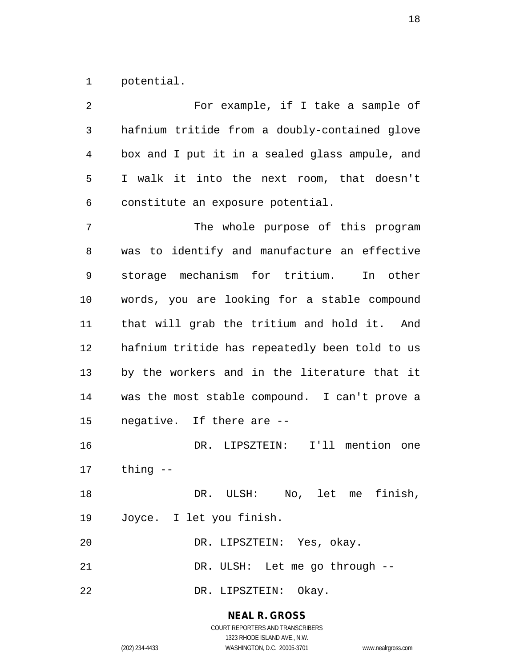potential.

| 2  | For example, if I take a sample of             |
|----|------------------------------------------------|
| 3  | hafnium tritide from a doubly-contained glove  |
| 4  | box and I put it in a sealed glass ampule, and |
| 5  | I walk it into the next room, that doesn't     |
| 6  | constitute an exposure potential.              |
| 7  | The whole purpose of this program              |
| 8  | was to identify and manufacture an effective   |
| 9  | storage mechanism for tritium. In other        |
| 10 | words, you are looking for a stable compound   |
| 11 | that will grab the tritium and hold it. And    |
| 12 | hafnium tritide has repeatedly been told to us |
| 13 | by the workers and in the literature that it   |
| 14 | was the most stable compound. I can't prove a  |
| 15 | negative. If there are --                      |
| 16 | DR. LIPSZTEIN: I'll mention one                |
| 17 | thing --                                       |
| 18 | DR. ULSH: No, let me finish,                   |
| 19 | Joyce. I let you finish.                       |
| 20 | DR. LIPSZTEIN: Yes, okay.                      |
| 21 | DR. ULSH: Let me go through --                 |
| 22 | DR. LIPSZTEIN: Okay.                           |

**NEAL R. GROSS** COURT REPORTERS AND TRANSCRIBERS

1323 RHODE ISLAND AVE., N.W. (202) 234-4433 WASHINGTON, D.C. 20005-3701 www.nealrgross.com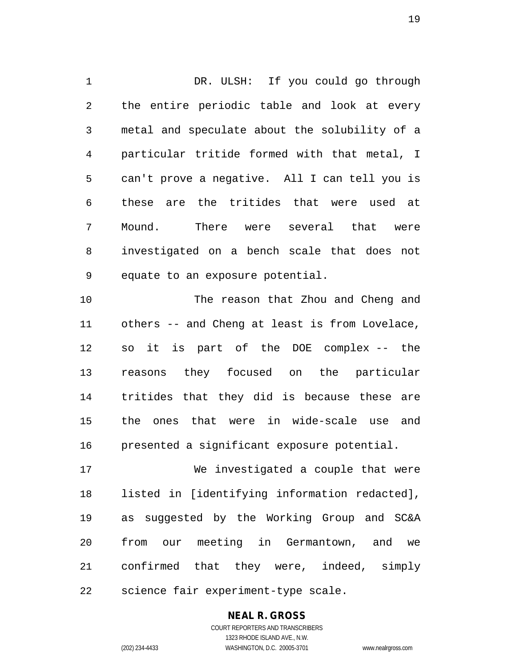DR. ULSH: If you could go through the entire periodic table and look at every metal and speculate about the solubility of a particular tritide formed with that metal, I can't prove a negative. All I can tell you is these are the tritides that were used at Mound. There were several that were investigated on a bench scale that does not equate to an exposure potential.

 The reason that Zhou and Cheng and others -- and Cheng at least is from Lovelace, so it is part of the DOE complex -- the reasons they focused on the particular tritides that they did is because these are the ones that were in wide-scale use and presented a significant exposure potential.

 We investigated a couple that were listed in [identifying information redacted], as suggested by the Working Group and SC&A from our meeting in Germantown, and we confirmed that they were, indeed, simply science fair experiment-type scale.

**NEAL R. GROSS**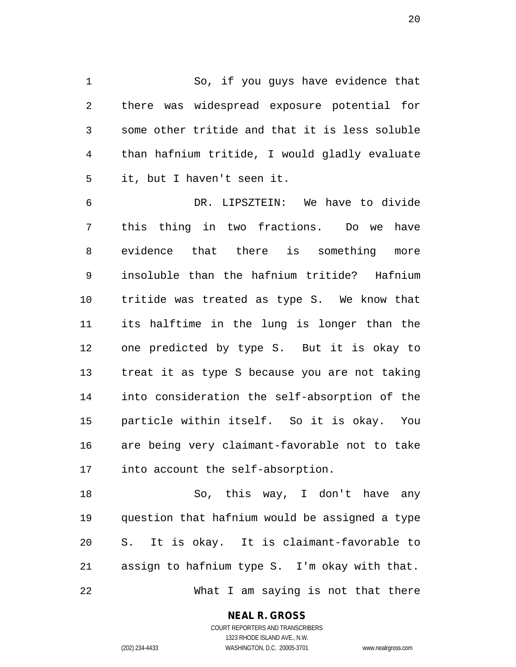So, if you guys have evidence that there was widespread exposure potential for some other tritide and that it is less soluble than hafnium tritide, I would gladly evaluate it, but I haven't seen it.

 DR. LIPSZTEIN: We have to divide this thing in two fractions. Do we have evidence that there is something more insoluble than the hafnium tritide? Hafnium tritide was treated as type S. We know that its halftime in the lung is longer than the one predicted by type S. But it is okay to treat it as type S because you are not taking into consideration the self-absorption of the particle within itself. So it is okay. You are being very claimant-favorable not to take into account the self-absorption.

 So, this way, I don't have any question that hafnium would be assigned a type S. It is okay. It is claimant-favorable to assign to hafnium type S. I'm okay with that. What I am saying is not that there

**NEAL R. GROSS**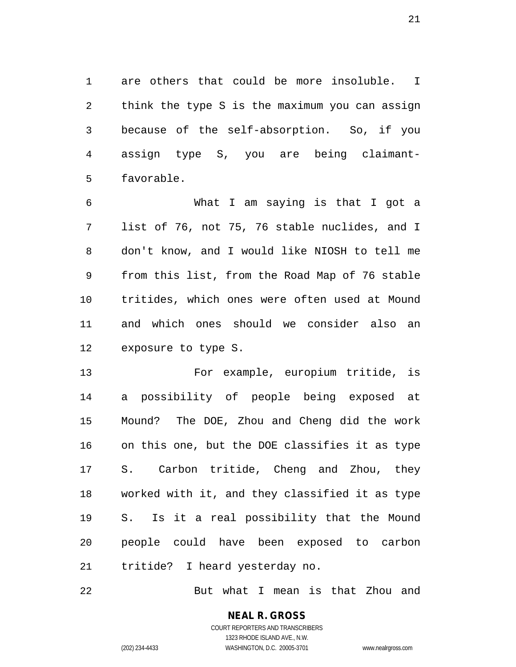are others that could be more insoluble. I think the type S is the maximum you can assign because of the self-absorption. So, if you assign type S, you are being claimant-favorable.

 What I am saying is that I got a list of 76, not 75, 76 stable nuclides, and I don't know, and I would like NIOSH to tell me from this list, from the Road Map of 76 stable tritides, which ones were often used at Mound and which ones should we consider also an exposure to type S.

 For example, europium tritide, is a possibility of people being exposed at Mound? The DOE, Zhou and Cheng did the work on this one, but the DOE classifies it as type S. Carbon tritide, Cheng and Zhou, they worked with it, and they classified it as type S. Is it a real possibility that the Mound people could have been exposed to carbon tritide? I heard yesterday no.

But what I mean is that Zhou and

**NEAL R. GROSS** COURT REPORTERS AND TRANSCRIBERS

1323 RHODE ISLAND AVE., N.W.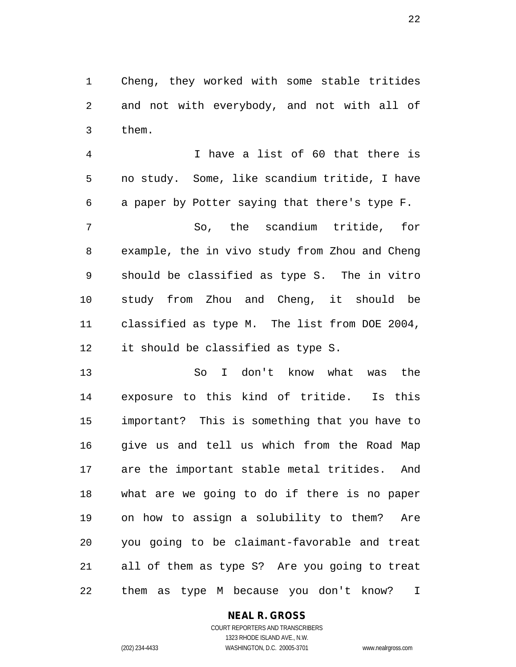Cheng, they worked with some stable tritides and not with everybody, and not with all of them.

 I have a list of 60 that there is no study. Some, like scandium tritide, I have a paper by Potter saying that there's type F.

 So, the scandium tritide, for example, the in vivo study from Zhou and Cheng should be classified as type S. The in vitro study from Zhou and Cheng, it should be classified as type M. The list from DOE 2004, it should be classified as type S.

 So I don't know what was the exposure to this kind of tritide. Is this important? This is something that you have to give us and tell us which from the Road Map are the important stable metal tritides. And what are we going to do if there is no paper on how to assign a solubility to them? Are you going to be claimant-favorable and treat all of them as type S? Are you going to treat them as type M because you don't know? I

### **NEAL R. GROSS**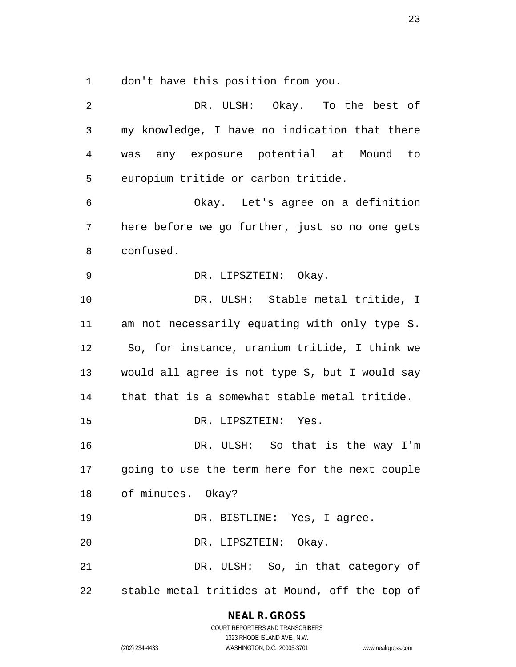don't have this position from you.

| 2              | DR. ULSH: Okay. To the best of                 |
|----------------|------------------------------------------------|
| $\mathfrak{Z}$ | my knowledge, I have no indication that there  |
| 4              | was any exposure potential at Mound to         |
| 5              | europium tritide or carbon tritide.            |
| 6              | Okay. Let's agree on a definition              |
| 7              | here before we go further, just so no one gets |
| 8              | confused.                                      |
| 9              | DR. LIPSZTEIN: Okay.                           |
| 10             | DR. ULSH: Stable metal tritide, I              |
| 11             | am not necessarily equating with only type S.  |
| 12             | So, for instance, uranium tritide, I think we  |
| 13             | would all agree is not type S, but I would say |
| 14             | that that is a somewhat stable metal tritide.  |
| 15             | DR. LIPSZTEIN: Yes.                            |
| 16             | DR. ULSH: So that is the way I'm               |
| 17             | going to use the term here for the next couple |
|                | 18 of minutes. Okay?                           |
| 19             | DR. BISTLINE: Yes, I agree.                    |
| 20             | DR. LIPSZTEIN: Okay.                           |
| 21             | DR. ULSH: So, in that category of              |
| 22             | stable metal tritides at Mound, off the top of |

**NEAL R. GROSS**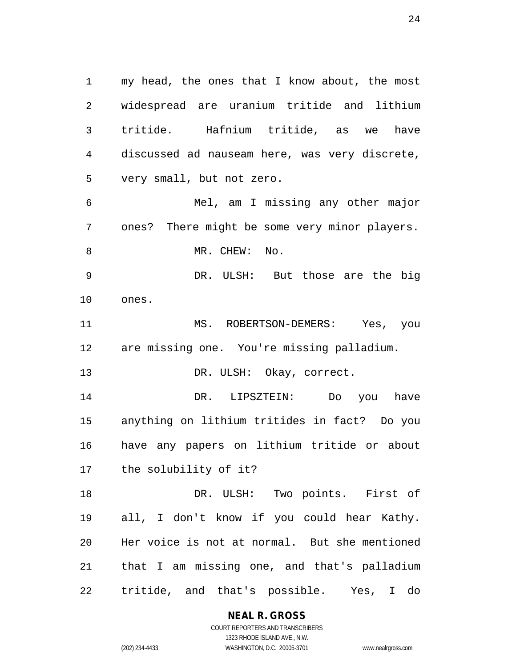my head, the ones that I know about, the most widespread are uranium tritide and lithium tritide. Hafnium tritide, as we have discussed ad nauseam here, was very discrete, very small, but not zero. Mel, am I missing any other major ones? There might be some very minor players. 8 MR. CHEW: No. DR. ULSH: But those are the big ones. MS. ROBERTSON-DEMERS: Yes, you are missing one. You're missing palladium. 13 DR. ULSH: Okay, correct. DR. LIPSZTEIN: Do you have anything on lithium tritides in fact? Do you have any papers on lithium tritide or about the solubility of it? DR. ULSH: Two points. First of all, I don't know if you could hear Kathy. Her voice is not at normal. But she mentioned that I am missing one, and that's palladium tritide, and that's possible. Yes, I do

> **NEAL R. GROSS** COURT REPORTERS AND TRANSCRIBERS

1323 RHODE ISLAND AVE., N.W. (202) 234-4433 WASHINGTON, D.C. 20005-3701 www.nealrgross.com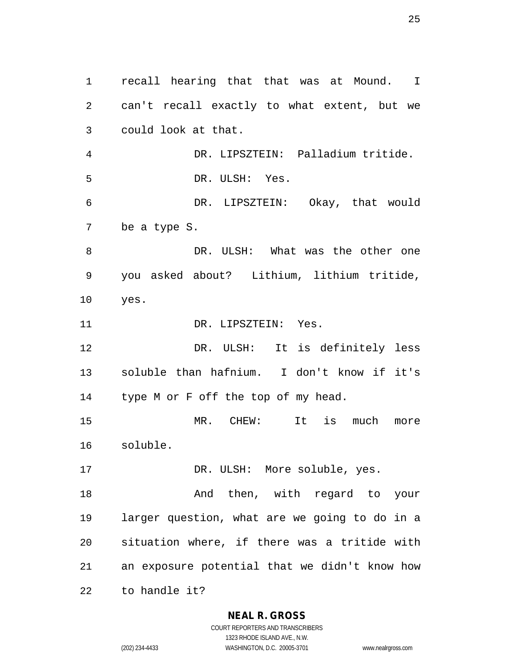recall hearing that that was at Mound. I can't recall exactly to what extent, but we could look at that. DR. LIPSZTEIN: Palladium tritide. DR. ULSH: Yes. DR. LIPSZTEIN: Okay, that would be a type S. DR. ULSH: What was the other one you asked about? Lithium, lithium tritide, yes. 11 DR. LIPSZTEIN: Yes. DR. ULSH: It is definitely less soluble than hafnium. I don't know if it's type M or F off the top of my head. MR. CHEW: It is much more soluble. 17 DR. ULSH: More soluble, yes. 18 And then, with regard to your larger question, what are we going to do in a situation where, if there was a tritide with an exposure potential that we didn't know how to handle it?

**NEAL R. GROSS**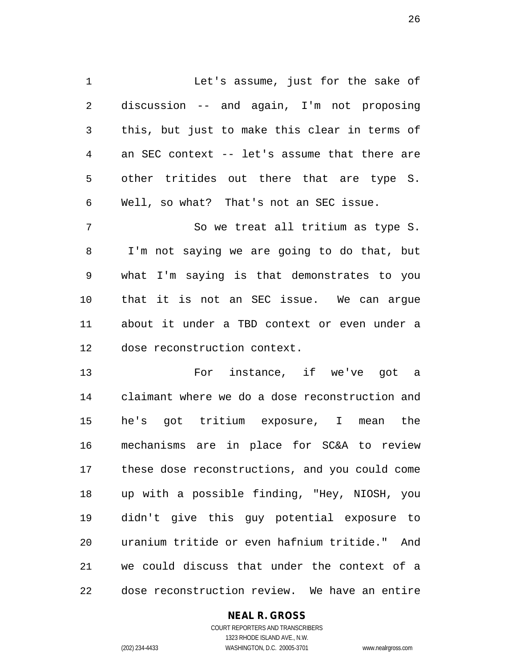1 Let's assume, just for the sake of discussion -- and again, I'm not proposing this, but just to make this clear in terms of an SEC context -- let's assume that there are other tritides out there that are type S. Well, so what? That's not an SEC issue.

 So we treat all tritium as type S. I'm not saying we are going to do that, but what I'm saying is that demonstrates to you that it is not an SEC issue. We can argue about it under a TBD context or even under a dose reconstruction context.

 For instance, if we've got a claimant where we do a dose reconstruction and he's got tritium exposure, I mean the mechanisms are in place for SC&A to review these dose reconstructions, and you could come up with a possible finding, "Hey, NIOSH, you didn't give this guy potential exposure to uranium tritide or even hafnium tritide." And we could discuss that under the context of a dose reconstruction review. We have an entire

### **NEAL R. GROSS**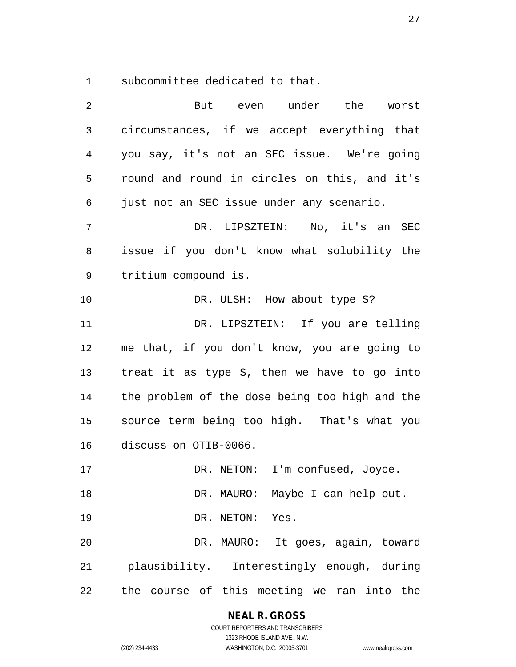subcommittee dedicated to that.

| 2              | But even under the worst                       |
|----------------|------------------------------------------------|
| 3              | circumstances, if we accept everything that    |
| $\overline{4}$ | you say, it's not an SEC issue. We're going    |
| 5              | round and round in circles on this, and it's   |
| 6              | just not an SEC issue under any scenario.      |
| 7              | DR. LIPSZTEIN: No, it's an SEC                 |
| 8              | issue if you don't know what solubility the    |
| 9              | tritium compound is.                           |
| 10             | DR. ULSH: How about type S?                    |
| 11             | DR. LIPSZTEIN: If you are telling              |
| 12             | me that, if you don't know, you are going to   |
| 13             | treat it as type S, then we have to go into    |
| 14             | the problem of the dose being too high and the |
| 15             | source term being too high. That's what you    |
| 16             | discuss on OTIB-0066.                          |
| 17             | DR. NETON: I'm confused, Joyce.                |
| 18             | DR. MAURO: Maybe I can help out.               |
| 19             | DR. NETON: Yes.                                |
| 20             | DR. MAURO: It goes, again, toward              |
| 21             | plausibility. Interestingly enough, during     |
| 22             | the course of this meeting we ran into the     |

**NEAL R. GROSS**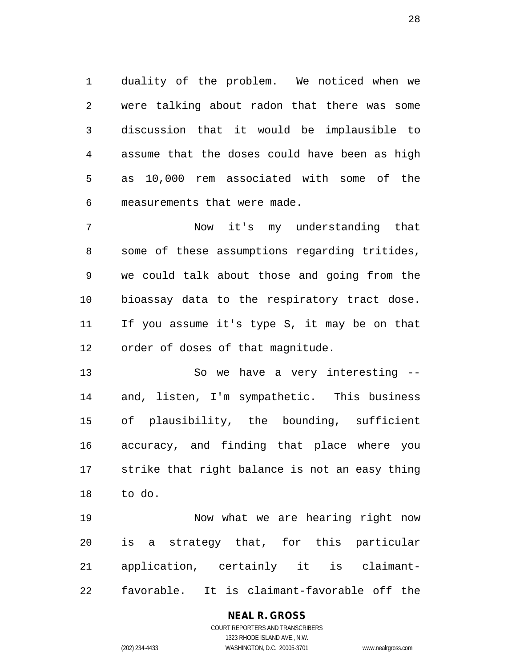duality of the problem. We noticed when we were talking about radon that there was some discussion that it would be implausible to assume that the doses could have been as high as 10,000 rem associated with some of the measurements that were made.

 Now it's my understanding that some of these assumptions regarding tritides, we could talk about those and going from the bioassay data to the respiratory tract dose. If you assume it's type S, it may be on that order of doses of that magnitude.

 So we have a very interesting -- and, listen, I'm sympathetic. This business of plausibility, the bounding, sufficient accuracy, and finding that place where you strike that right balance is not an easy thing to do.

 Now what we are hearing right now is a strategy that, for this particular application, certainly it is claimant-favorable. It is claimant-favorable off the

# **NEAL R. GROSS**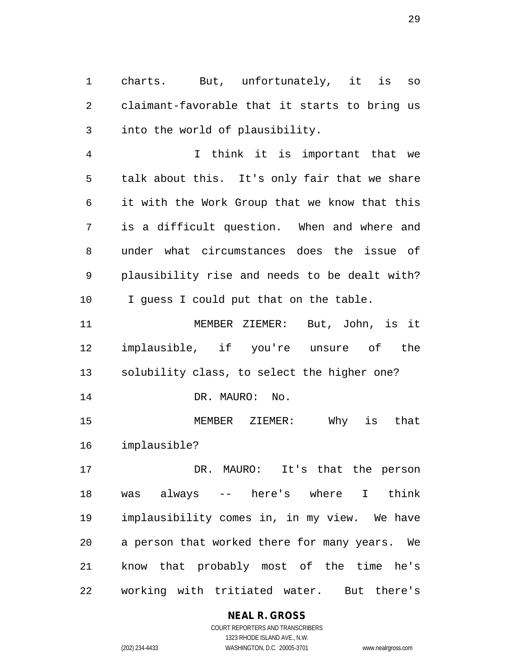charts. But, unfortunately, it is so claimant-favorable that it starts to bring us into the world of plausibility.

 I think it is important that we talk about this. It's only fair that we share it with the Work Group that we know that this is a difficult question. When and where and under what circumstances does the issue of plausibility rise and needs to be dealt with? I guess I could put that on the table.

 MEMBER ZIEMER: But, John, is it implausible, if you're unsure of the solubility class, to select the higher one? 14 DR. MAURO: No.

 MEMBER ZIEMER: Why is that implausible?

 DR. MAURO: It's that the person was always -- here's where I think implausibility comes in, in my view. We have a person that worked there for many years. We know that probably most of the time he's working with tritiated water. But there's

# **NEAL R. GROSS**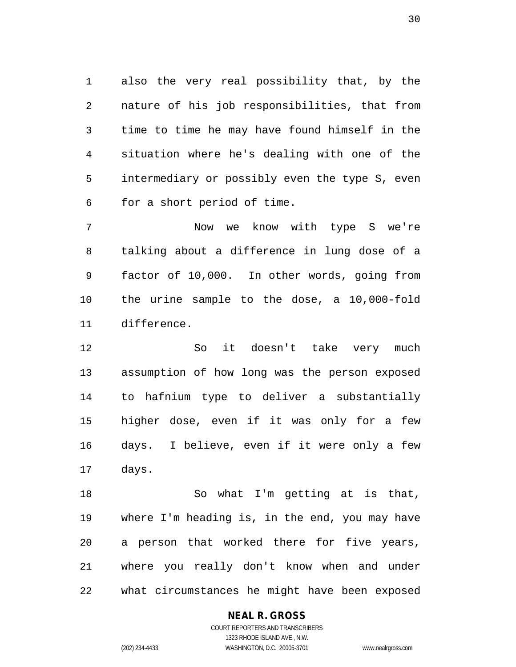also the very real possibility that, by the nature of his job responsibilities, that from time to time he may have found himself in the situation where he's dealing with one of the intermediary or possibly even the type S, even for a short period of time.

 Now we know with type S we're talking about a difference in lung dose of a factor of 10,000. In other words, going from the urine sample to the dose, a 10,000-fold difference.

 So it doesn't take very much assumption of how long was the person exposed to hafnium type to deliver a substantially higher dose, even if it was only for a few days. I believe, even if it were only a few days.

 So what I'm getting at is that, where I'm heading is, in the end, you may have a person that worked there for five years, where you really don't know when and under what circumstances he might have been exposed

#### **NEAL R. GROSS** COURT REPORTERS AND TRANSCRIBERS

1323 RHODE ISLAND AVE., N.W.

(202) 234-4433 WASHINGTON, D.C. 20005-3701 www.nealrgross.com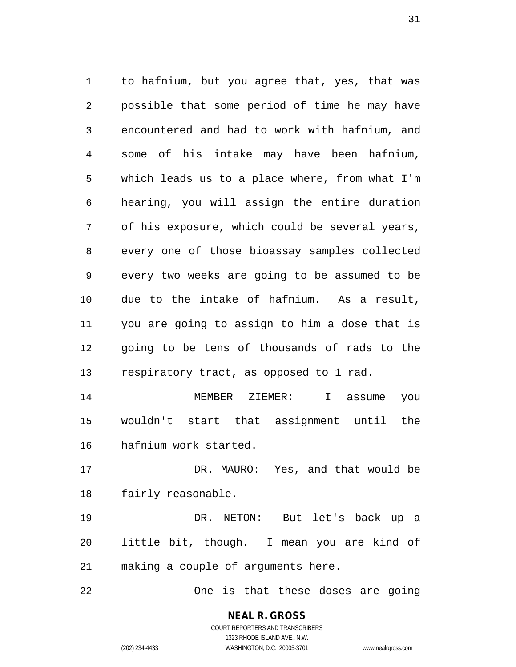to hafnium, but you agree that, yes, that was possible that some period of time he may have encountered and had to work with hafnium, and some of his intake may have been hafnium, which leads us to a place where, from what I'm hearing, you will assign the entire duration of his exposure, which could be several years, every one of those bioassay samples collected every two weeks are going to be assumed to be due to the intake of hafnium. As a result, you are going to assign to him a dose that is going to be tens of thousands of rads to the respiratory tract, as opposed to 1 rad. MEMBER ZIEMER: I assume you

 wouldn't start that assignment until the hafnium work started.

 DR. MAURO: Yes, and that would be fairly reasonable.

 DR. NETON: But let's back up a little bit, though. I mean you are kind of making a couple of arguments here.

One is that these doses are going

**NEAL R. GROSS** COURT REPORTERS AND TRANSCRIBERS 1323 RHODE ISLAND AVE., N.W.

(202) 234-4433 WASHINGTON, D.C. 20005-3701 www.nealrgross.com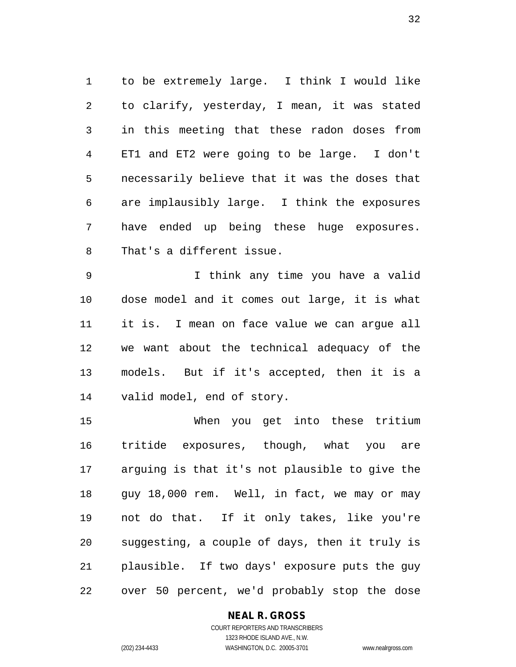to be extremely large. I think I would like to clarify, yesterday, I mean, it was stated in this meeting that these radon doses from ET1 and ET2 were going to be large. I don't necessarily believe that it was the doses that are implausibly large. I think the exposures have ended up being these huge exposures. That's a different issue.

 I think any time you have a valid dose model and it comes out large, it is what it is. I mean on face value we can argue all we want about the technical adequacy of the models. But if it's accepted, then it is a valid model, end of story.

 When you get into these tritium tritide exposures, though, what you are arguing is that it's not plausible to give the guy 18,000 rem. Well, in fact, we may or may not do that. If it only takes, like you're suggesting, a couple of days, then it truly is plausible. If two days' exposure puts the guy over 50 percent, we'd probably stop the dose

### **NEAL R. GROSS**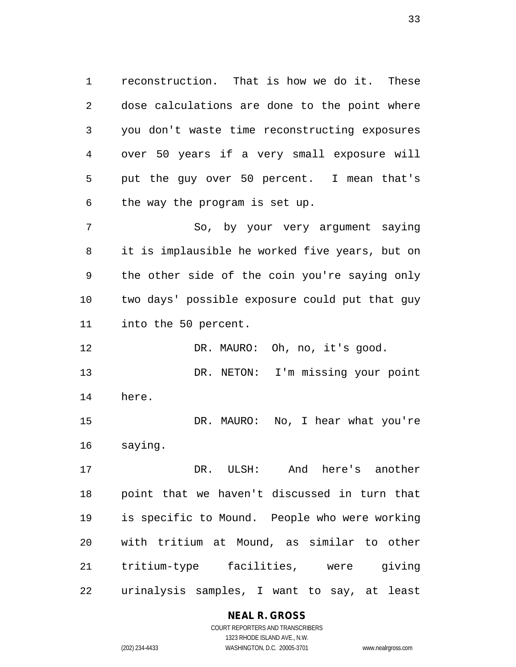reconstruction. That is how we do it. These dose calculations are done to the point where you don't waste time reconstructing exposures over 50 years if a very small exposure will put the guy over 50 percent. I mean that's the way the program is set up.

 So, by your very argument saying it is implausible he worked five years, but on the other side of the coin you're saying only two days' possible exposure could put that guy into the 50 percent.

12 DR. MAURO: Oh, no, it's good.

 DR. NETON: I'm missing your point here.

 DR. MAURO: No, I hear what you're saying.

 DR. ULSH: And here's another point that we haven't discussed in turn that is specific to Mound. People who were working with tritium at Mound, as similar to other tritium-type facilities, were giving urinalysis samples, I want to say, at least

# **NEAL R. GROSS**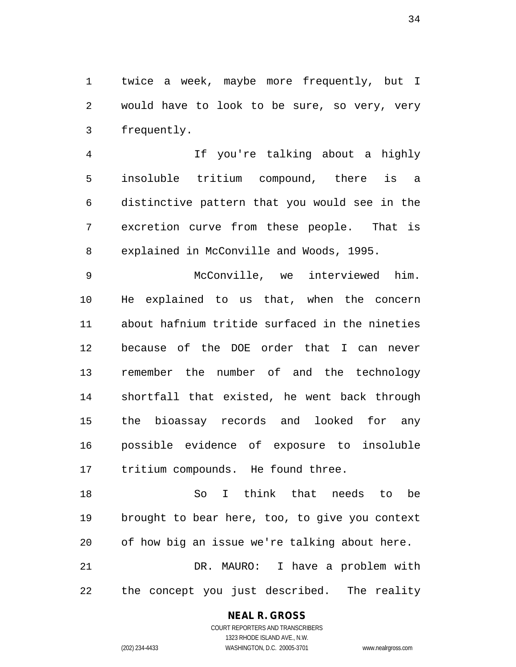twice a week, maybe more frequently, but I would have to look to be sure, so very, very frequently.

 If you're talking about a highly insoluble tritium compound, there is a distinctive pattern that you would see in the excretion curve from these people. That is explained in McConville and Woods, 1995.

 McConville, we interviewed him. He explained to us that, when the concern about hafnium tritide surfaced in the nineties because of the DOE order that I can never remember the number of and the technology shortfall that existed, he went back through the bioassay records and looked for any possible evidence of exposure to insoluble tritium compounds. He found three.

 So I think that needs to be brought to bear here, too, to give you context of how big an issue we're talking about here. DR. MAURO: I have a problem with

the concept you just described. The reality

### **NEAL R. GROSS**

COURT REPORTERS AND TRANSCRIBERS 1323 RHODE ISLAND AVE., N.W. (202) 234-4433 WASHINGTON, D.C. 20005-3701 www.nealrgross.com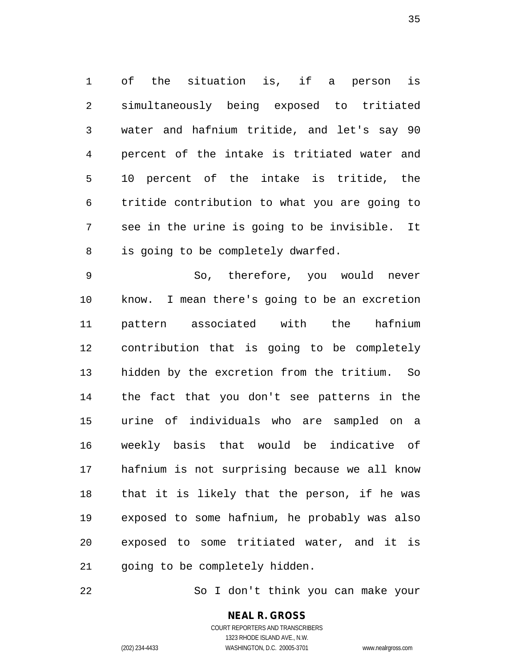of the situation is, if a person is simultaneously being exposed to tritiated water and hafnium tritide, and let's say 90 percent of the intake is tritiated water and 10 percent of the intake is tritide, the tritide contribution to what you are going to see in the urine is going to be invisible. It is going to be completely dwarfed.

 So, therefore, you would never know. I mean there's going to be an excretion pattern associated with the hafnium contribution that is going to be completely hidden by the excretion from the tritium. So the fact that you don't see patterns in the urine of individuals who are sampled on a weekly basis that would be indicative of hafnium is not surprising because we all know that it is likely that the person, if he was exposed to some hafnium, he probably was also exposed to some tritiated water, and it is 21 going to be completely hidden.

So I don't think you can make your

**NEAL R. GROSS** COURT REPORTERS AND TRANSCRIBERS

1323 RHODE ISLAND AVE., N.W.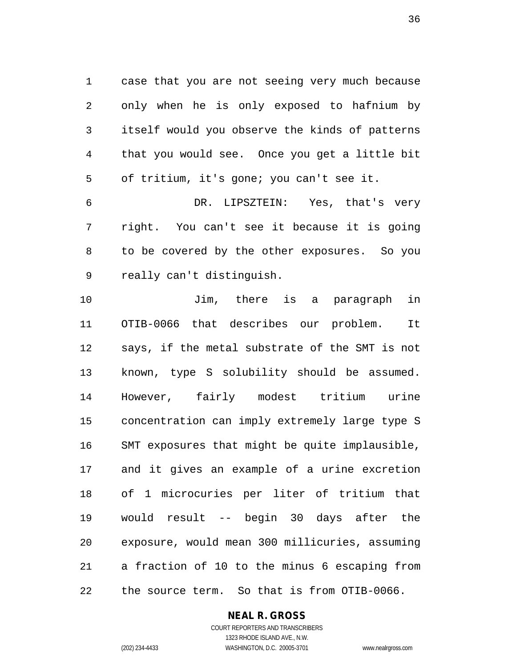case that you are not seeing very much because only when he is only exposed to hafnium by itself would you observe the kinds of patterns that you would see. Once you get a little bit of tritium, it's gone; you can't see it.

 DR. LIPSZTEIN: Yes, that's very right. You can't see it because it is going to be covered by the other exposures. So you really can't distinguish.

 Jim, there is a paragraph in OTIB-0066 that describes our problem. It says, if the metal substrate of the SMT is not known, type S solubility should be assumed. However, fairly modest tritium urine concentration can imply extremely large type S SMT exposures that might be quite implausible, and it gives an example of a urine excretion of 1 microcuries per liter of tritium that would result -- begin 30 days after the exposure, would mean 300 millicuries, assuming a fraction of 10 to the minus 6 escaping from the source term. So that is from OTIB-0066.

### **NEAL R. GROSS**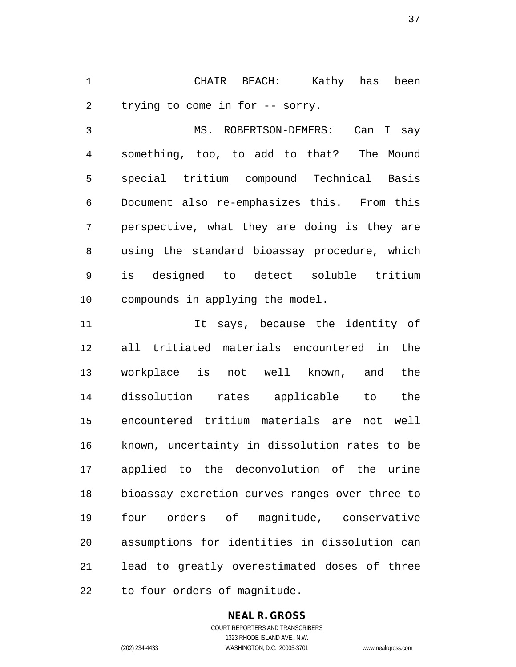CHAIR BEACH: Kathy has been trying to come in for -- sorry.

 MS. ROBERTSON-DEMERS: Can I say something, too, to add to that? The Mound special tritium compound Technical Basis Document also re-emphasizes this. From this perspective, what they are doing is they are using the standard bioassay procedure, which is designed to detect soluble tritium compounds in applying the model.

11 11 It says, because the identity of all tritiated materials encountered in the workplace is not well known, and the dissolution rates applicable to the encountered tritium materials are not well known, uncertainty in dissolution rates to be applied to the deconvolution of the urine bioassay excretion curves ranges over three to four orders of magnitude, conservative assumptions for identities in dissolution can lead to greatly overestimated doses of three to four orders of magnitude.

## **NEAL R. GROSS**

COURT REPORTERS AND TRANSCRIBERS 1323 RHODE ISLAND AVE., N.W. (202) 234-4433 WASHINGTON, D.C. 20005-3701 www.nealrgross.com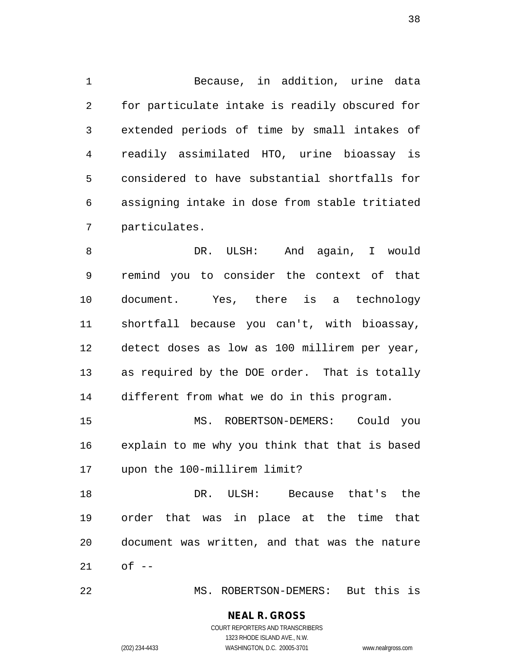Because, in addition, urine data for particulate intake is readily obscured for extended periods of time by small intakes of readily assimilated HTO, urine bioassay is considered to have substantial shortfalls for assigning intake in dose from stable tritiated particulates.

 DR. ULSH: And again, I would remind you to consider the context of that document. Yes, there is a technology shortfall because you can't, with bioassay, detect doses as low as 100 millirem per year, as required by the DOE order. That is totally different from what we do in this program.

 MS. ROBERTSON-DEMERS: Could you explain to me why you think that that is based upon the 100-millirem limit?

 DR. ULSH: Because that's the order that was in place at the time that document was written, and that was the nature of --

MS. ROBERTSON-DEMERS: But this is

#### **NEAL R. GROSS** COURT REPORTERS AND TRANSCRIBERS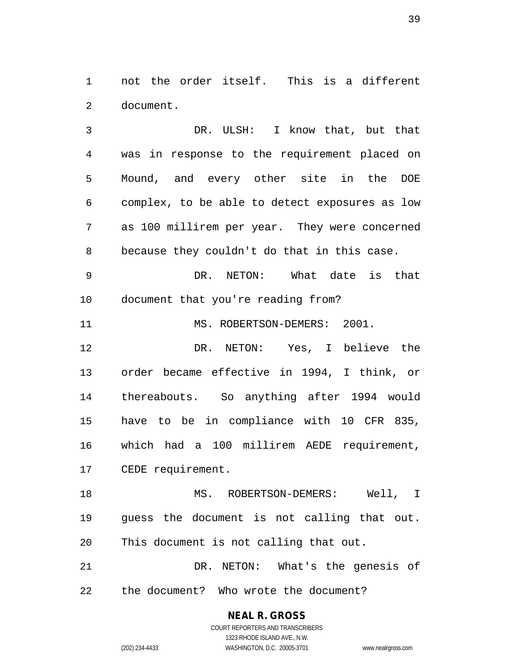not the order itself. This is a different document.

 DR. ULSH: I know that, but that was in response to the requirement placed on Mound, and every other site in the DOE complex, to be able to detect exposures as low as 100 millirem per year. They were concerned because they couldn't do that in this case. DR. NETON: What date is that document that you're reading from? 11 MS. ROBERTSON-DEMERS: 2001. DR. NETON: Yes, I believe the order became effective in 1994, I think, or thereabouts. So anything after 1994 would have to be in compliance with 10 CFR 835, which had a 100 millirem AEDE requirement, CEDE requirement. MS. ROBERTSON-DEMERS: Well, I guess the document is not calling that out. This document is not calling that out. DR. NETON: What's the genesis of

the document? Who wrote the document?

**NEAL R. GROSS** COURT REPORTERS AND TRANSCRIBERS 1323 RHODE ISLAND AVE., N.W. (202) 234-4433 WASHINGTON, D.C. 20005-3701 www.nealrgross.com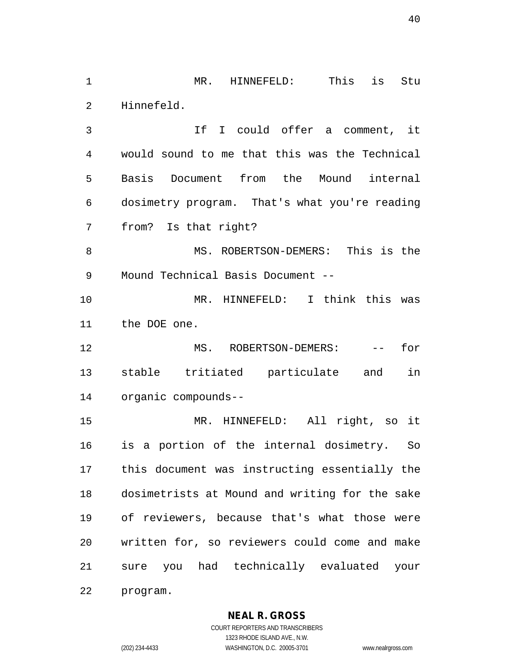MR. HINNEFELD: This is Stu Hinnefeld.

 If I could offer a comment, it would sound to me that this was the Technical Basis Document from the Mound internal dosimetry program. That's what you're reading from? Is that right?

 MS. ROBERTSON-DEMERS: This is the Mound Technical Basis Document --

 MR. HINNEFELD: I think this was the DOE one.

12 MS. ROBERTSON-DEMERS: -- for stable tritiated particulate and in organic compounds--

 MR. HINNEFELD: All right, so it is a portion of the internal dosimetry. So this document was instructing essentially the dosimetrists at Mound and writing for the sake of reviewers, because that's what those were written for, so reviewers could come and make sure you had technically evaluated your program.

**NEAL R. GROSS**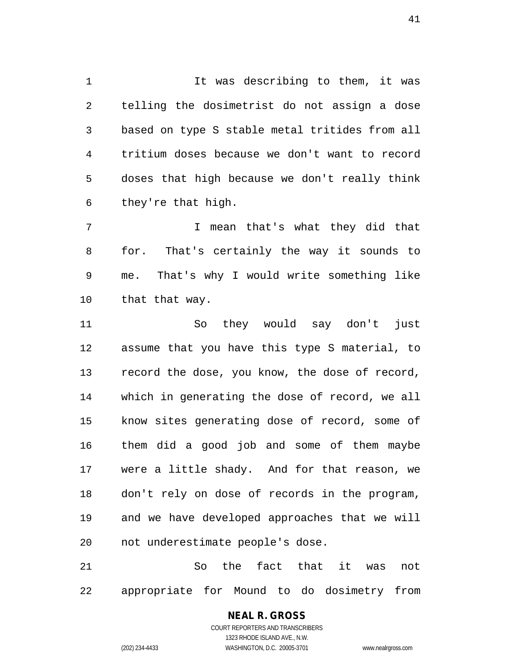It was describing to them, it was telling the dosimetrist do not assign a dose based on type S stable metal tritides from all tritium doses because we don't want to record doses that high because we don't really think they're that high.

7 I mean that's what they did that for. That's certainly the way it sounds to me. That's why I would write something like that that way.

 So they would say don't just assume that you have this type S material, to record the dose, you know, the dose of record, which in generating the dose of record, we all know sites generating dose of record, some of them did a good job and some of them maybe were a little shady. And for that reason, we don't rely on dose of records in the program, and we have developed approaches that we will not underestimate people's dose.

 So the fact that it was not appropriate for Mound to do dosimetry from

#### **NEAL R. GROSS** COURT REPORTERS AND TRANSCRIBERS 1323 RHODE ISLAND AVE., N.W.

(202) 234-4433 WASHINGTON, D.C. 20005-3701 www.nealrgross.com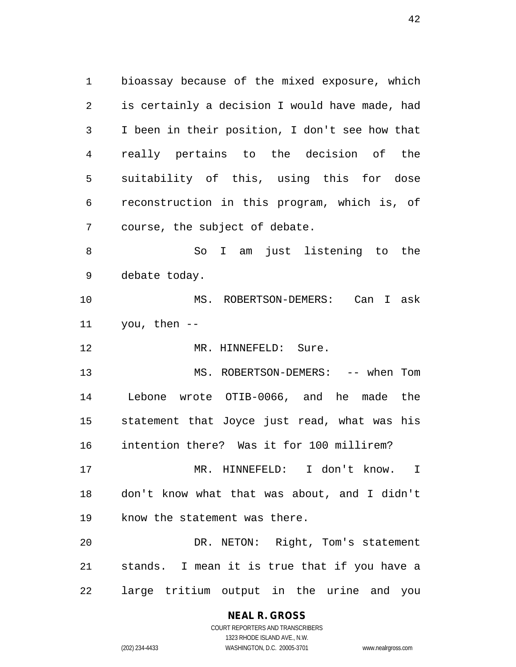bioassay because of the mixed exposure, which is certainly a decision I would have made, had I been in their position, I don't see how that really pertains to the decision of the suitability of this, using this for dose reconstruction in this program, which is, of course, the subject of debate. So I am just listening to the debate today. MS. ROBERTSON-DEMERS: Can I ask you, then -- 12 MR. HINNEFELD: Sure.

13 MS. ROBERTSON-DEMERS: -- when Tom Lebone wrote OTIB-0066, and he made the statement that Joyce just read, what was his intention there? Was it for 100 millirem?

 MR. HINNEFELD: I don't know. I don't know what that was about, and I didn't know the statement was there.

 DR. NETON: Right, Tom's statement stands. I mean it is true that if you have a large tritium output in the urine and you

## **NEAL R. GROSS**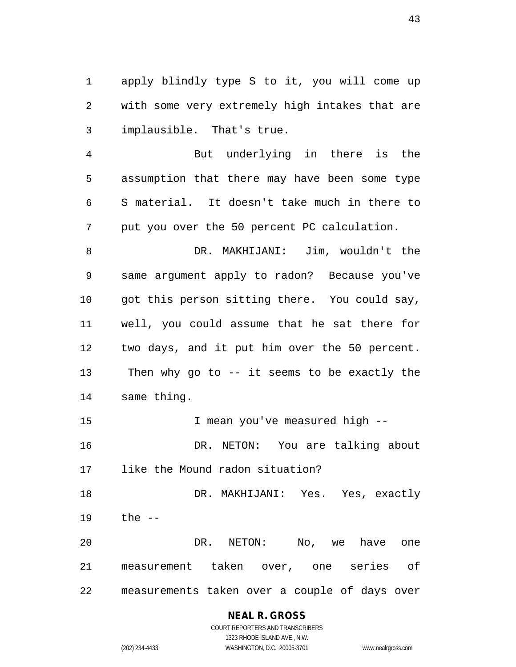apply blindly type S to it, you will come up with some very extremely high intakes that are implausible. That's true.

 But underlying in there is the assumption that there may have been some type S material. It doesn't take much in there to put you over the 50 percent PC calculation.

 DR. MAKHIJANI: Jim, wouldn't the same argument apply to radon? Because you've got this person sitting there. You could say, well, you could assume that he sat there for two days, and it put him over the 50 percent. Then why go to -- it seems to be exactly the same thing.

 I mean you've measured high -- DR. NETON: You are talking about

like the Mound radon situation?

 DR. MAKHIJANI: Yes. Yes, exactly the --

 DR. NETON: No, we have one measurement taken over, one series of measurements taken over a couple of days over

## **NEAL R. GROSS**

COURT REPORTERS AND TRANSCRIBERS 1323 RHODE ISLAND AVE., N.W. (202) 234-4433 WASHINGTON, D.C. 20005-3701 www.nealrgross.com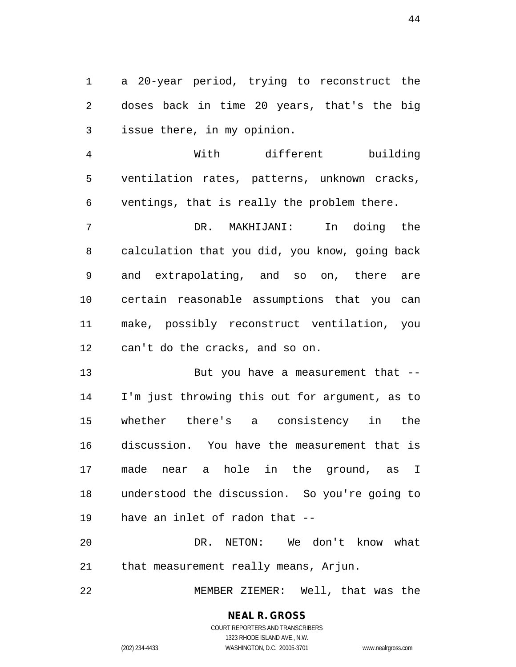a 20-year period, trying to reconstruct the doses back in time 20 years, that's the big issue there, in my opinion.

 With different building ventilation rates, patterns, unknown cracks, ventings, that is really the problem there.

 DR. MAKHIJANI: In doing the calculation that you did, you know, going back and extrapolating, and so on, there are certain reasonable assumptions that you can make, possibly reconstruct ventilation, you can't do the cracks, and so on.

 But you have a measurement that -- I'm just throwing this out for argument, as to whether there's a consistency in the discussion. You have the measurement that is made near a hole in the ground, as I understood the discussion. So you're going to have an inlet of radon that --

 DR. NETON: We don't know what that measurement really means, Arjun.

MEMBER ZIEMER: Well, that was the

# **NEAL R. GROSS**

COURT REPORTERS AND TRANSCRIBERS 1323 RHODE ISLAND AVE., N.W. (202) 234-4433 WASHINGTON, D.C. 20005-3701 www.nealrgross.com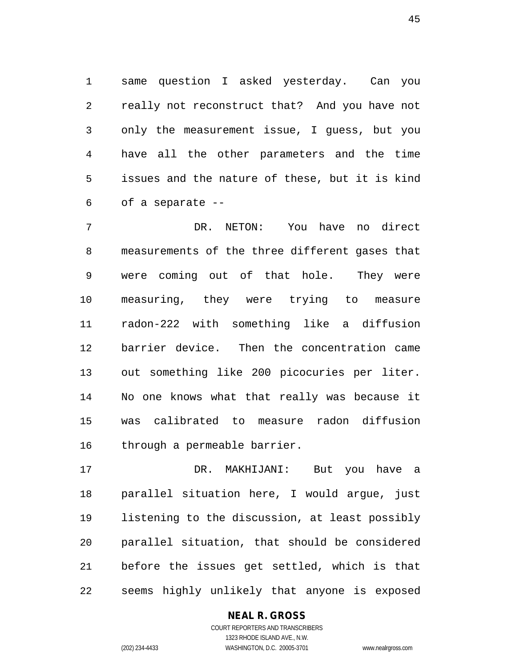same question I asked yesterday. Can you really not reconstruct that? And you have not only the measurement issue, I guess, but you have all the other parameters and the time issues and the nature of these, but it is kind of a separate --

 DR. NETON: You have no direct measurements of the three different gases that were coming out of that hole. They were measuring, they were trying to measure radon-222 with something like a diffusion barrier device. Then the concentration came out something like 200 picocuries per liter. No one knows what that really was because it was calibrated to measure radon diffusion through a permeable barrier.

 DR. MAKHIJANI: But you have a parallel situation here, I would argue, just listening to the discussion, at least possibly parallel situation, that should be considered before the issues get settled, which is that seems highly unlikely that anyone is exposed

## **NEAL R. GROSS**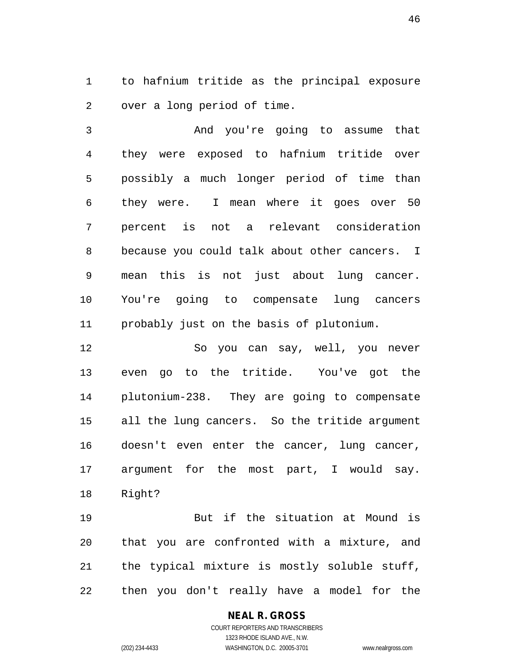to hafnium tritide as the principal exposure over a long period of time.

 And you're going to assume that they were exposed to hafnium tritide over possibly a much longer period of time than they were. I mean where it goes over 50 percent is not a relevant consideration because you could talk about other cancers. I mean this is not just about lung cancer. You're going to compensate lung cancers probably just on the basis of plutonium.

 So you can say, well, you never even go to the tritide. You've got the plutonium-238. They are going to compensate all the lung cancers. So the tritide argument doesn't even enter the cancer, lung cancer, argument for the most part, I would say. Right?

 But if the situation at Mound is that you are confronted with a mixture, and the typical mixture is mostly soluble stuff, then you don't really have a model for the

## **NEAL R. GROSS**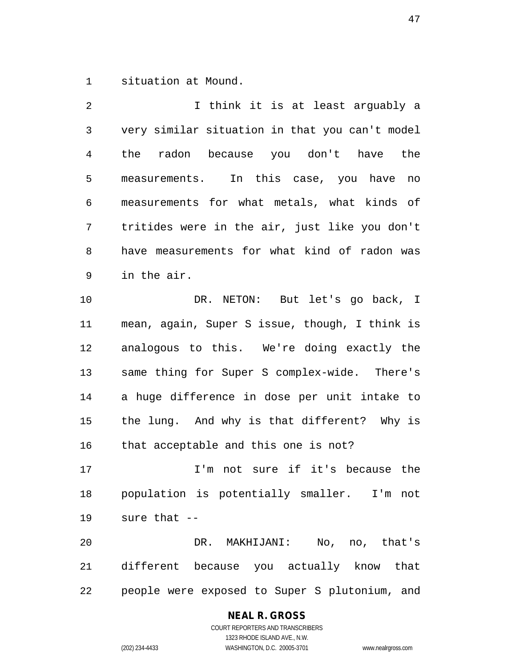situation at Mound.

2 1 I think it is at least arguably a very similar situation in that you can't model the radon because you don't have the measurements. In this case, you have no measurements for what metals, what kinds of tritides were in the air, just like you don't have measurements for what kind of radon was in the air. DR. NETON: But let's go back, I mean, again, Super S issue, though, I think is

 analogous to this. We're doing exactly the same thing for Super S complex-wide. There's a huge difference in dose per unit intake to the lung. And why is that different? Why is that acceptable and this one is not?

 I'm not sure if it's because the population is potentially smaller. I'm not sure that --

 DR. MAKHIJANI: No, no, that's different because you actually know that people were exposed to Super S plutonium, and

## **NEAL R. GROSS**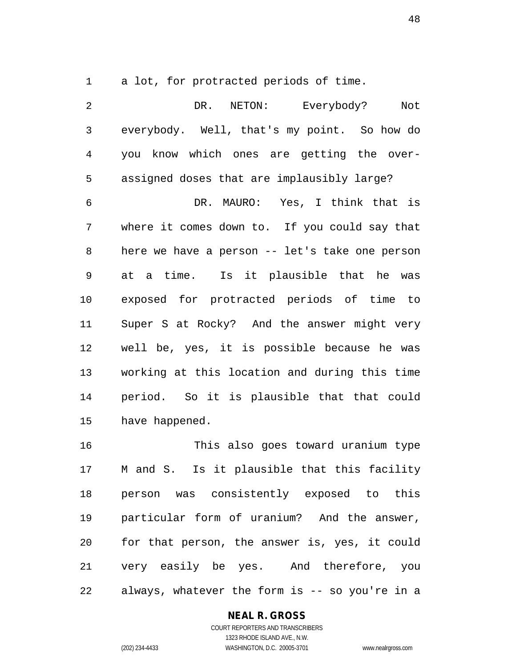a lot, for protracted periods of time.

 DR. NETON: Everybody? Not everybody. Well, that's my point. So how do you know which ones are getting the over- assigned doses that are implausibly large? DR. MAURO: Yes, I think that is where it comes down to. If you could say that here we have a person -- let's take one person at a time. Is it plausible that he was exposed for protracted periods of time to Super S at Rocky? And the answer might very well be, yes, it is possible because he was working at this location and during this time period. So it is plausible that that could have happened.

 This also goes toward uranium type M and S. Is it plausible that this facility person was consistently exposed to this particular form of uranium? And the answer, for that person, the answer is, yes, it could very easily be yes. And therefore, you always, whatever the form is -- so you're in a

## **NEAL R. GROSS**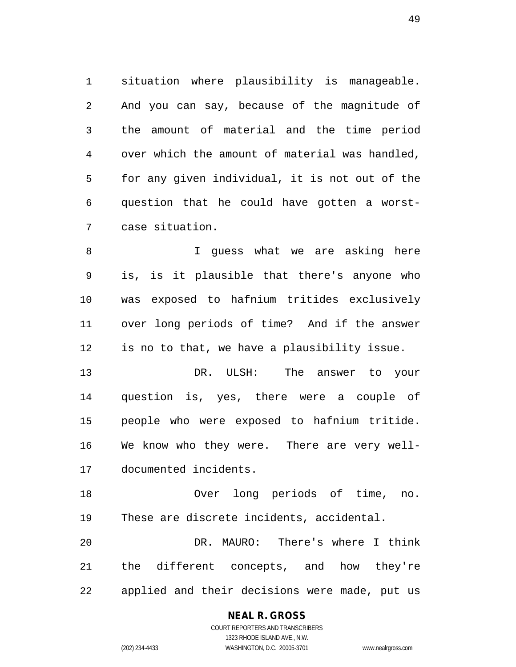situation where plausibility is manageable. And you can say, because of the magnitude of the amount of material and the time period over which the amount of material was handled, for any given individual, it is not out of the question that he could have gotten a worst-case situation.

 I guess what we are asking here is, is it plausible that there's anyone who was exposed to hafnium tritides exclusively over long periods of time? And if the answer is no to that, we have a plausibility issue.

 DR. ULSH: The answer to your question is, yes, there were a couple of people who were exposed to hafnium tritide. We know who they were. There are very well-documented incidents.

 Over long periods of time, no. These are discrete incidents, accidental.

 DR. MAURO: There's where I think the different concepts, and how they're applied and their decisions were made, put us

## **NEAL R. GROSS**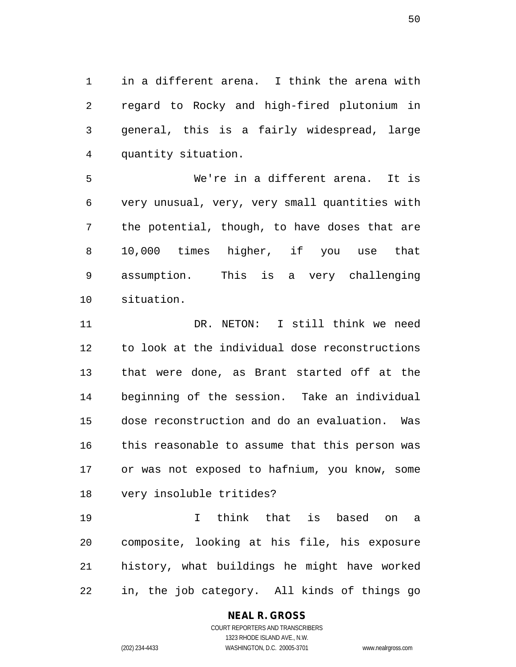in a different arena. I think the arena with regard to Rocky and high-fired plutonium in general, this is a fairly widespread, large quantity situation.

 We're in a different arena. It is very unusual, very, very small quantities with the potential, though, to have doses that are 10,000 times higher, if you use that assumption. This is a very challenging situation.

 DR. NETON: I still think we need to look at the individual dose reconstructions that were done, as Brant started off at the beginning of the session. Take an individual dose reconstruction and do an evaluation. Was this reasonable to assume that this person was or was not exposed to hafnium, you know, some very insoluble tritides?

 I think that is based on a composite, looking at his file, his exposure history, what buildings he might have worked in, the job category. All kinds of things go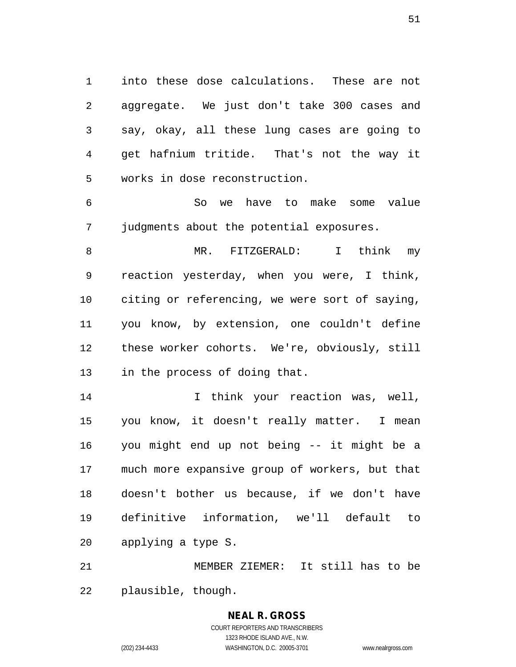into these dose calculations. These are not aggregate. We just don't take 300 cases and say, okay, all these lung cases are going to get hafnium tritide. That's not the way it works in dose reconstruction.

 So we have to make some value judgments about the potential exposures.

 MR. FITZGERALD: I think my reaction yesterday, when you were, I think, citing or referencing, we were sort of saying, you know, by extension, one couldn't define these worker cohorts. We're, obviously, still in the process of doing that.

 I think your reaction was, well, you know, it doesn't really matter. I mean you might end up not being -- it might be a much more expansive group of workers, but that doesn't bother us because, if we don't have definitive information, we'll default to applying a type S.

 MEMBER ZIEMER: It still has to be plausible, though.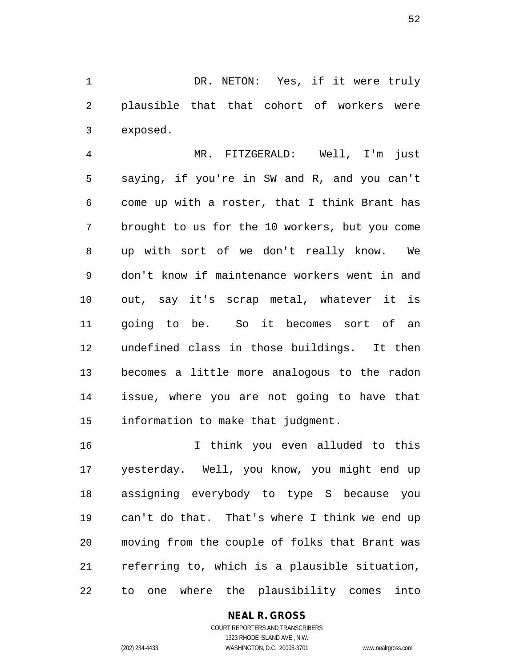DR. NETON: Yes, if it were truly plausible that that cohort of workers were exposed.

 MR. FITZGERALD: Well, I'm just saying, if you're in SW and R, and you can't come up with a roster, that I think Brant has brought to us for the 10 workers, but you come up with sort of we don't really know. We don't know if maintenance workers went in and out, say it's scrap metal, whatever it is going to be. So it becomes sort of an undefined class in those buildings. It then becomes a little more analogous to the radon issue, where you are not going to have that information to make that judgment.

 I think you even alluded to this yesterday. Well, you know, you might end up assigning everybody to type S because you can't do that. That's where I think we end up moving from the couple of folks that Brant was referring to, which is a plausible situation, to one where the plausibility comes into

## **NEAL R. GROSS**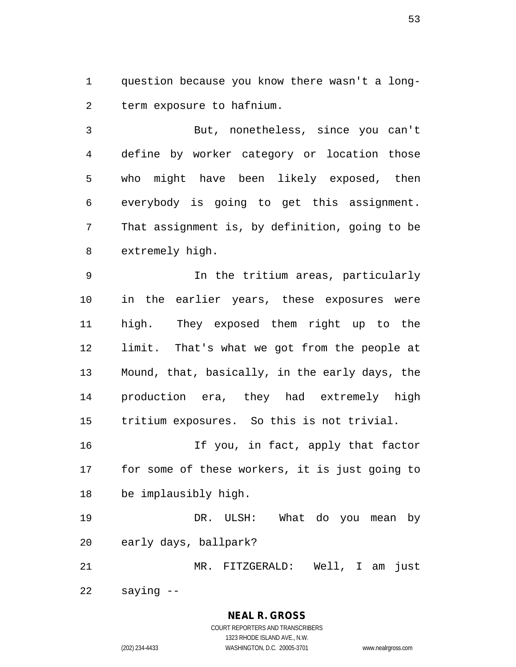question because you know there wasn't a long-term exposure to hafnium.

 But, nonetheless, since you can't define by worker category or location those who might have been likely exposed, then everybody is going to get this assignment. That assignment is, by definition, going to be extremely high.

 In the tritium areas, particularly in the earlier years, these exposures were high. They exposed them right up to the limit. That's what we got from the people at Mound, that, basically, in the early days, the production era, they had extremely high tritium exposures. So this is not trivial.

 If you, in fact, apply that factor for some of these workers, it is just going to be implausibly high.

 DR. ULSH: What do you mean by early days, ballpark?

 MR. FITZGERALD: Well, I am just saying --

> **NEAL R. GROSS** COURT REPORTERS AND TRANSCRIBERS

> > 1323 RHODE ISLAND AVE., N.W.

(202) 234-4433 WASHINGTON, D.C. 20005-3701 www.nealrgross.com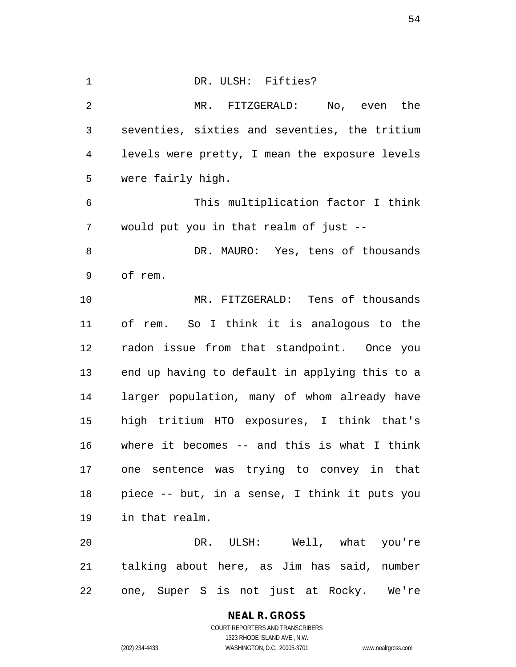| $\mathbf 1$ | DR. ULSH: Fifties?                             |
|-------------|------------------------------------------------|
| 2           | MR. FITZGERALD: No, even the                   |
| 3           | seventies, sixties and seventies, the tritium  |
| 4           | levels were pretty, I mean the exposure levels |
| 5           | were fairly high.                              |
| 6           | This multiplication factor I think             |
| 7           | would put you in that realm of just --         |
| 8           | DR. MAURO: Yes, tens of thousands              |
| 9           | of rem.                                        |
| 10          | MR. FITZGERALD: Tens of thousands              |
| 11          | of rem. So I think it is analogous to the      |
| 12          | radon issue from that standpoint. Once you     |
| 13          | end up having to default in applying this to a |
| 14          | larger population, many of whom already have   |
| 15          | high tritium HTO exposures, I think that's     |
| 16          | where it becomes $--$ and this is what I think |
| 17          | one sentence was trying to convey in that      |
| 18          | piece -- but, in a sense, I think it puts you  |
| 19          | in that realm.                                 |
| 20          | DR. ULSH: Well, what you're                    |
| 21          | talking about here, as Jim has said, number    |
| 22          | one, Super S is not just at Rocky. We're       |

**NEAL R. GROSS** COURT REPORTERS AND TRANSCRIBERS 1323 RHODE ISLAND AVE., N.W.

(202) 234-4433 WASHINGTON, D.C. 20005-3701 www.nealrgross.com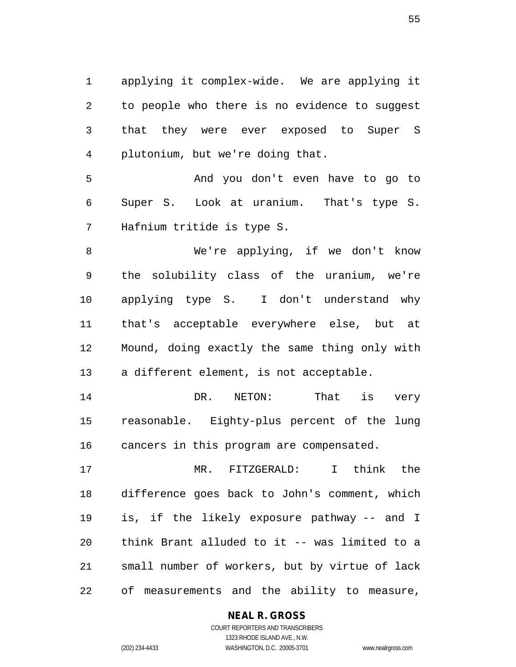applying it complex-wide. We are applying it to people who there is no evidence to suggest that they were ever exposed to Super S plutonium, but we're doing that.

 And you don't even have to go to Super S. Look at uranium. That's type S. Hafnium tritide is type S.

 We're applying, if we don't know the solubility class of the uranium, we're applying type S. I don't understand why that's acceptable everywhere else, but at Mound, doing exactly the same thing only with a different element, is not acceptable.

14 DR. NETON: That is very reasonable. Eighty-plus percent of the lung cancers in this program are compensated.

 MR. FITZGERALD: I think the difference goes back to John's comment, which is, if the likely exposure pathway -- and I think Brant alluded to it -- was limited to a small number of workers, but by virtue of lack of measurements and the ability to measure,

## **NEAL R. GROSS**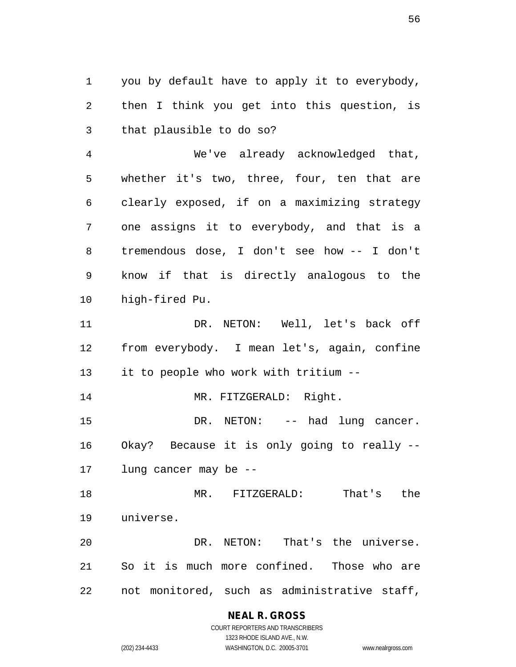you by default have to apply it to everybody, then I think you get into this question, is that plausible to do so?

 We've already acknowledged that, whether it's two, three, four, ten that are clearly exposed, if on a maximizing strategy one assigns it to everybody, and that is a tremendous dose, I don't see how -- I don't know if that is directly analogous to the high-fired Pu.

 DR. NETON: Well, let's back off from everybody. I mean let's, again, confine it to people who work with tritium --

14 MR. FITZGERALD: Right.

15 DR. NETON: -- had lung cancer. Okay? Because it is only going to really -- lung cancer may be --

 MR. FITZGERALD: That's the universe.

 DR. NETON: That's the universe. So it is much more confined. Those who are not monitored, such as administrative staff,

## **NEAL R. GROSS**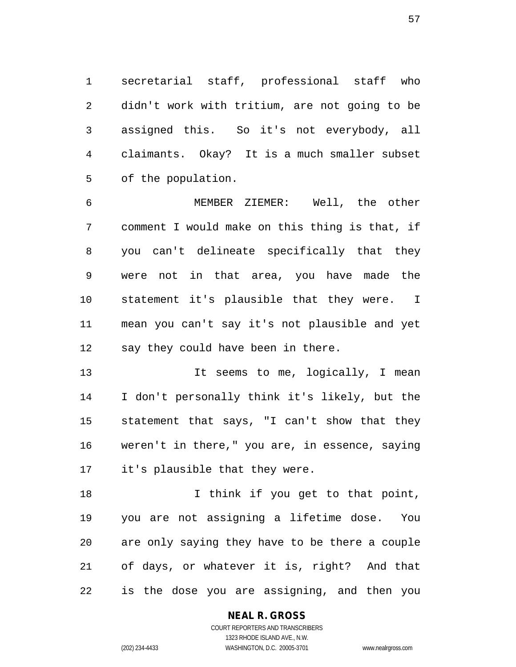secretarial staff, professional staff who didn't work with tritium, are not going to be assigned this. So it's not everybody, all claimants. Okay? It is a much smaller subset of the population.

 MEMBER ZIEMER: Well, the other comment I would make on this thing is that, if you can't delineate specifically that they were not in that area, you have made the statement it's plausible that they were. I mean you can't say it's not plausible and yet say they could have been in there.

 It seems to me, logically, I mean I don't personally think it's likely, but the statement that says, "I can't show that they weren't in there," you are, in essence, saying it's plausible that they were.

18 I think if you get to that point, you are not assigning a lifetime dose. You are only saying they have to be there a couple of days, or whatever it is, right? And that is the dose you are assigning, and then you

**NEAL R. GROSS**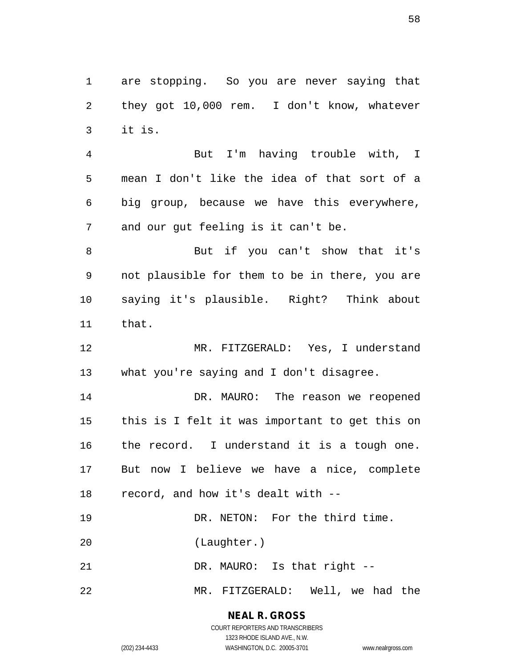are stopping. So you are never saying that they got 10,000 rem. I don't know, whatever it is.

 But I'm having trouble with, I mean I don't like the idea of that sort of a big group, because we have this everywhere, and our gut feeling is it can't be.

 But if you can't show that it's not plausible for them to be in there, you are saying it's plausible. Right? Think about that.

 MR. FITZGERALD: Yes, I understand what you're saying and I don't disagree.

 DR. MAURO: The reason we reopened this is I felt it was important to get this on the record. I understand it is a tough one. But now I believe we have a nice, complete record, and how it's dealt with --

19 DR. NETON: For the third time.

(Laughter.)

21 DR. MAURO: Is that right --

MR. FITZGERALD: Well, we had the

**NEAL R. GROSS**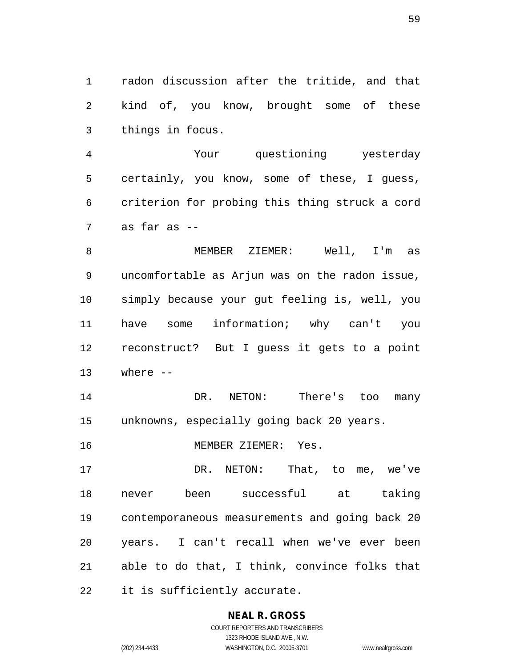radon discussion after the tritide, and that kind of, you know, brought some of these things in focus.

 Your questioning yesterday certainly, you know, some of these, I guess, criterion for probing this thing struck a cord as far as --

 MEMBER ZIEMER: Well, I'm as uncomfortable as Arjun was on the radon issue, simply because your gut feeling is, well, you have some information; why can't you reconstruct? But I guess it gets to a point where --

 DR. NETON: There's too many unknowns, especially going back 20 years.

MEMBER ZIEMER: Yes.

17 DR. NETON: That, to me, we've never been successful at taking contemporaneous measurements and going back 20 years. I can't recall when we've ever been able to do that, I think, convince folks that it is sufficiently accurate.

## **NEAL R. GROSS**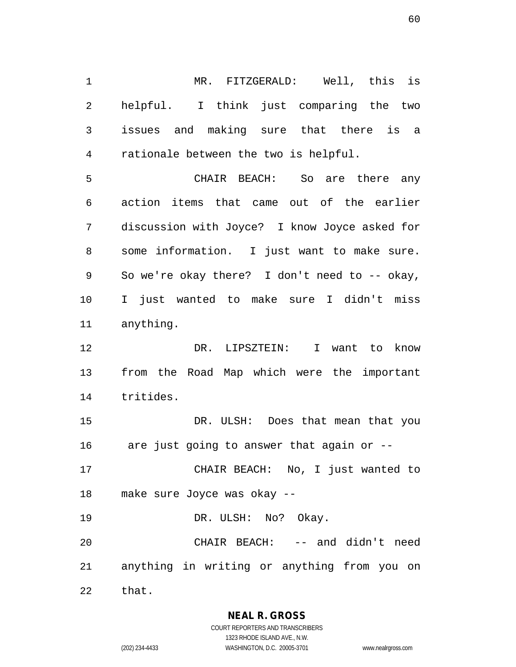MR. FITZGERALD: Well, this is helpful. I think just comparing the two issues and making sure that there is a rationale between the two is helpful.

 CHAIR BEACH: So are there any action items that came out of the earlier discussion with Joyce? I know Joyce asked for some information. I just want to make sure. So we're okay there? I don't need to -- okay, I just wanted to make sure I didn't miss anything.

 DR. LIPSZTEIN: I want to know from the Road Map which were the important tritides.

15 DR. ULSH: Does that mean that you are just going to answer that again or --

 CHAIR BEACH: No, I just wanted to make sure Joyce was okay --

19 DR. ULSH: No? Okay.

 CHAIR BEACH: -- and didn't need anything in writing or anything from you on that.

**NEAL R. GROSS**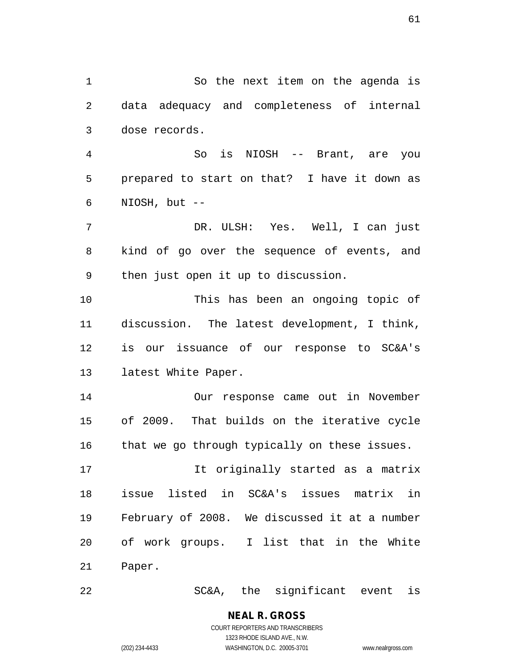So the next item on the agenda is data adequacy and completeness of internal dose records. So is NIOSH -- Brant, are you prepared to start on that? I have it down as NIOSH, but -- DR. ULSH: Yes. Well, I can just kind of go over the sequence of events, and then just open it up to discussion. This has been an ongoing topic of discussion. The latest development, I think, is our issuance of our response to SC&A's latest White Paper. Our response came out in November of 2009. That builds on the iterative cycle that we go through typically on these issues. It originally started as a matrix issue listed in SC&A's issues matrix in February of 2008. We discussed it at a number of work groups. I list that in the White Paper. SC&A, the significant event is

> COURT REPORTERS AND TRANSCRIBERS 1323 RHODE ISLAND AVE., N.W. (202) 234-4433 WASHINGTON, D.C. 20005-3701 www.nealrgross.com

**NEAL R. GROSS**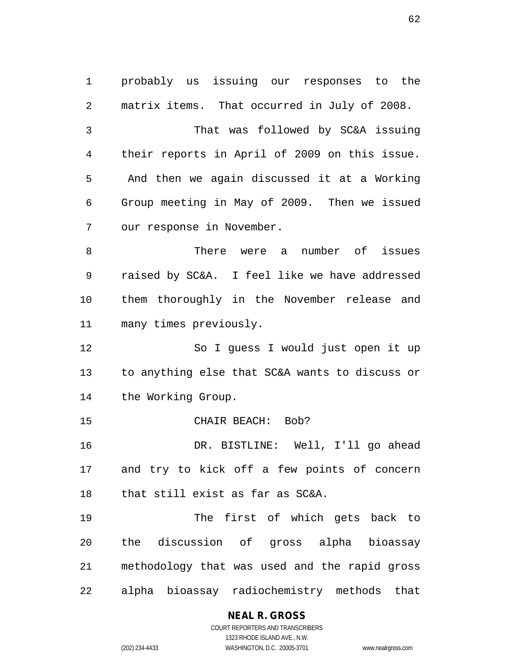probably us issuing our responses to the matrix items. That occurred in July of 2008. That was followed by SC&A issuing their reports in April of 2009 on this issue. And then we again discussed it at a Working Group meeting in May of 2009. Then we issued our response in November. There were a number of issues raised by SC&A. I feel like we have addressed them thoroughly in the November release and many times previously. So I guess I would just open it up to anything else that SC&A wants to discuss or the Working Group. 15 CHAIR BEACH: Bob? DR. BISTLINE: Well, I'll go ahead and try to kick off a few points of concern that still exist as far as SC&A. The first of which gets back to the discussion of gross alpha bioassay methodology that was used and the rapid gross alpha bioassay radiochemistry methods that

**NEAL R. GROSS**

COURT REPORTERS AND TRANSCRIBERS 1323 RHODE ISLAND AVE., N.W. (202) 234-4433 WASHINGTON, D.C. 20005-3701 www.nealrgross.com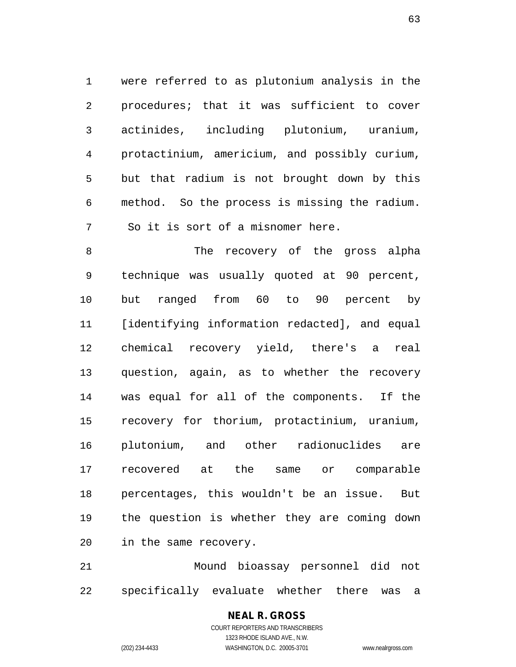were referred to as plutonium analysis in the procedures; that it was sufficient to cover actinides, including plutonium, uranium, protactinium, americium, and possibly curium, but that radium is not brought down by this method. So the process is missing the radium. So it is sort of a misnomer here.

8 The recovery of the gross alpha technique was usually quoted at 90 percent, but ranged from 60 to 90 percent by [identifying information redacted], and equal chemical recovery yield, there's a real question, again, as to whether the recovery was equal for all of the components. If the recovery for thorium, protactinium, uranium, plutonium, and other radionuclides are recovered at the same or comparable percentages, this wouldn't be an issue. But the question is whether they are coming down in the same recovery.

 Mound bioassay personnel did not specifically evaluate whether there was a

## COURT REPORTERS AND TRANSCRIBERS 1323 RHODE ISLAND AVE., N.W. (202) 234-4433 WASHINGTON, D.C. 20005-3701 www.nealrgross.com

**NEAL R. GROSS**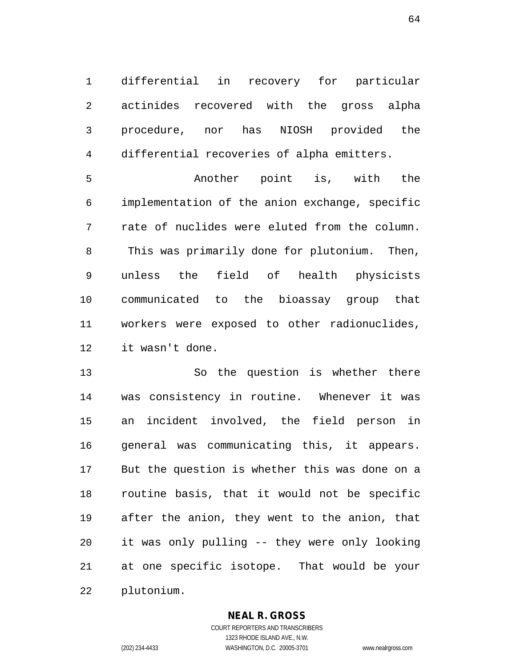differential in recovery for particular actinides recovered with the gross alpha procedure, nor has NIOSH provided the differential recoveries of alpha emitters.

 Another point is, with the implementation of the anion exchange, specific rate of nuclides were eluted from the column. This was primarily done for plutonium. Then, unless the field of health physicists communicated to the bioassay group that workers were exposed to other radionuclides, it wasn't done.

 So the question is whether there was consistency in routine. Whenever it was an incident involved, the field person in general was communicating this, it appears. But the question is whether this was done on a routine basis, that it would not be specific after the anion, they went to the anion, that it was only pulling -- they were only looking at one specific isotope. That would be your plutonium.

## **NEAL R. GROSS**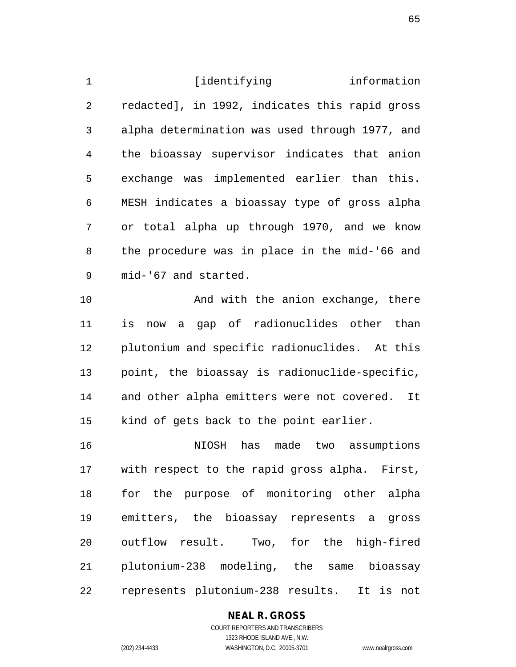**identifying** information redacted], in 1992, indicates this rapid gross alpha determination was used through 1977, and the bioassay supervisor indicates that anion exchange was implemented earlier than this. MESH indicates a bioassay type of gross alpha or total alpha up through 1970, and we know the procedure was in place in the mid-'66 and mid-'67 and started. And with the anion exchange, there

 is now a gap of radionuclides other than plutonium and specific radionuclides. At this point, the bioassay is radionuclide-specific, and other alpha emitters were not covered. It kind of gets back to the point earlier.

 NIOSH has made two assumptions with respect to the rapid gross alpha. First, for the purpose of monitoring other alpha emitters, the bioassay represents a gross outflow result. Two, for the high-fired plutonium-238 modeling, the same bioassay represents plutonium-238 results. It is not

## **NEAL R. GROSS**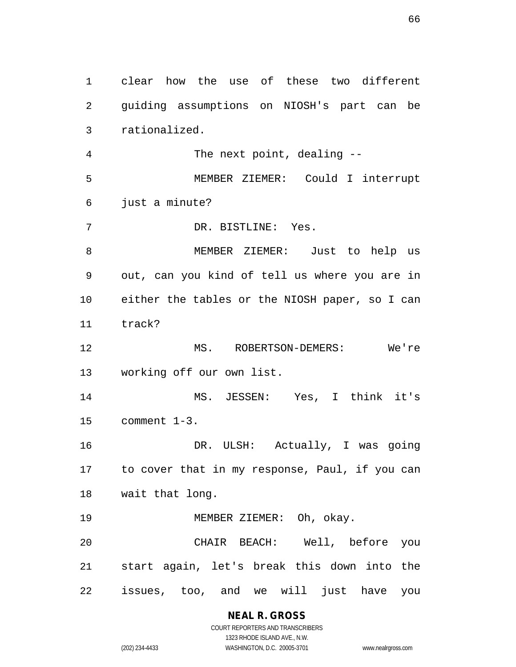clear how the use of these two different guiding assumptions on NIOSH's part can be rationalized. The next point, dealing -- MEMBER ZIEMER: Could I interrupt just a minute? DR. BISTLINE: Yes. MEMBER ZIEMER: Just to help us out, can you kind of tell us where you are in either the tables or the NIOSH paper, so I can track? MS. ROBERTSON-DEMERS: We're working off our own list. MS. JESSEN: Yes, I think it's comment 1-3. DR. ULSH: Actually, I was going to cover that in my response, Paul, if you can wait that long. MEMBER ZIEMER: Oh, okay. CHAIR BEACH: Well, before you start again, let's break this down into the issues, too, and we will just have you

> **NEAL R. GROSS** COURT REPORTERS AND TRANSCRIBERS

1323 RHODE ISLAND AVE., N.W. (202) 234-4433 WASHINGTON, D.C. 20005-3701 www.nealrgross.com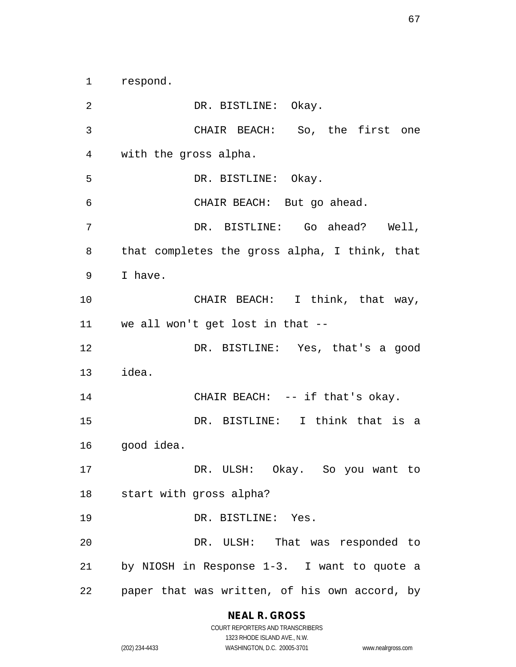respond.

 DR. BISTLINE: Okay. CHAIR BEACH: So, the first one with the gross alpha. DR. BISTLINE: Okay. CHAIR BEACH: But go ahead. DR. BISTLINE: Go ahead? Well, that completes the gross alpha, I think, that I have. 10 CHAIR BEACH: I think, that way, we all won't get lost in that -- DR. BISTLINE: Yes, that's a good idea. 14 CHAIR BEACH: -- if that's okay. DR. BISTLINE: I think that is a good idea. DR. ULSH: Okay. So you want to start with gross alpha? 19 DR. BISTLINE: Yes. DR. ULSH: That was responded to by NIOSH in Response 1-3. I want to quote a paper that was written, of his own accord, by

## **NEAL R. GROSS**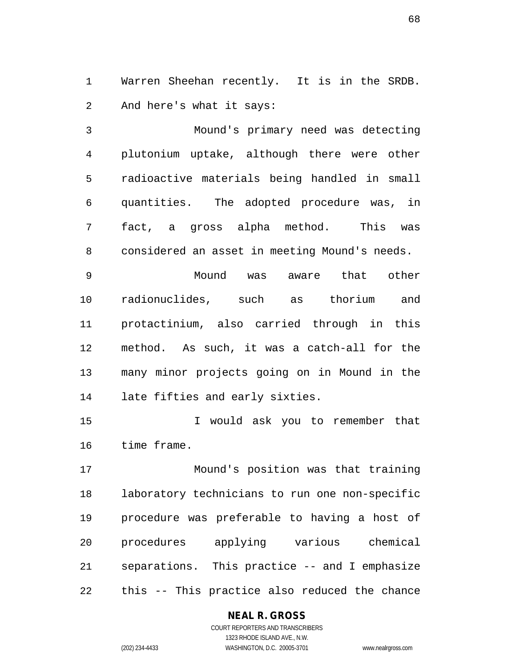Warren Sheehan recently. It is in the SRDB. And here's what it says:

 Mound's primary need was detecting plutonium uptake, although there were other radioactive materials being handled in small quantities. The adopted procedure was, in fact, a gross alpha method. This was considered an asset in meeting Mound's needs.

 Mound was aware that other radionuclides, such as thorium and protactinium, also carried through in this method. As such, it was a catch-all for the many minor projects going on in Mound in the late fifties and early sixties.

 I would ask you to remember that time frame.

 Mound's position was that training laboratory technicians to run one non-specific procedure was preferable to having a host of procedures applying various chemical separations. This practice -- and I emphasize this -- This practice also reduced the chance

## **NEAL R. GROSS**

COURT REPORTERS AND TRANSCRIBERS 1323 RHODE ISLAND AVE., N.W. (202) 234-4433 WASHINGTON, D.C. 20005-3701 www.nealrgross.com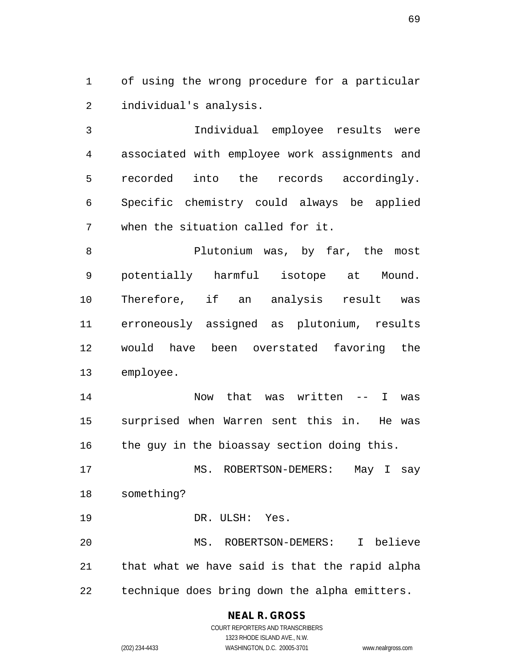of using the wrong procedure for a particular individual's analysis.

 Individual employee results were associated with employee work assignments and recorded into the records accordingly. Specific chemistry could always be applied when the situation called for it.

8 Plutonium was, by far, the most potentially harmful isotope at Mound. Therefore, if an analysis result was erroneously assigned as plutonium, results would have been overstated favoring the employee.

 Now that was written -- I was surprised when Warren sent this in. He was 16 the guy in the bioassay section doing this.

17 MS. ROBERTSON-DEMERS: May I say something?

DR. ULSH: Yes.

 MS. ROBERTSON-DEMERS: I believe that what we have said is that the rapid alpha technique does bring down the alpha emitters.

## **NEAL R. GROSS**

COURT REPORTERS AND TRANSCRIBERS 1323 RHODE ISLAND AVE., N.W. (202) 234-4433 WASHINGTON, D.C. 20005-3701 www.nealrgross.com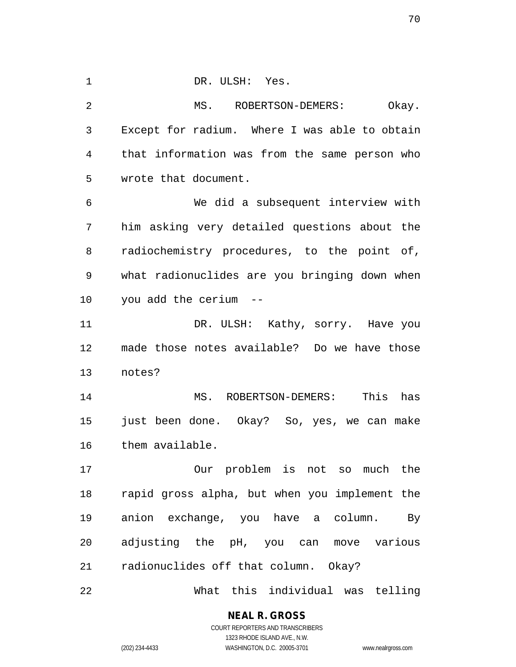DR. ULSH: Yes. MS. ROBERTSON-DEMERS: Okay. Except for radium. Where I was able to obtain that information was from the same person who wrote that document. We did a subsequent interview with him asking very detailed questions about the radiochemistry procedures, to the point of, what radionuclides are you bringing down when you add the cerium -- 11 DR. ULSH: Kathy, sorry. Have you made those notes available? Do we have those notes? MS. ROBERTSON-DEMERS: This has just been done. Okay? So, yes, we can make them available. Our problem is not so much the rapid gross alpha, but when you implement the anion exchange, you have a column. By adjusting the pH, you can move various radionuclides off that column. Okay? What this individual was telling

> **NEAL R. GROSS** COURT REPORTERS AND TRANSCRIBERS

> > 1323 RHODE ISLAND AVE., N.W.

(202) 234-4433 WASHINGTON, D.C. 20005-3701 www.nealrgross.com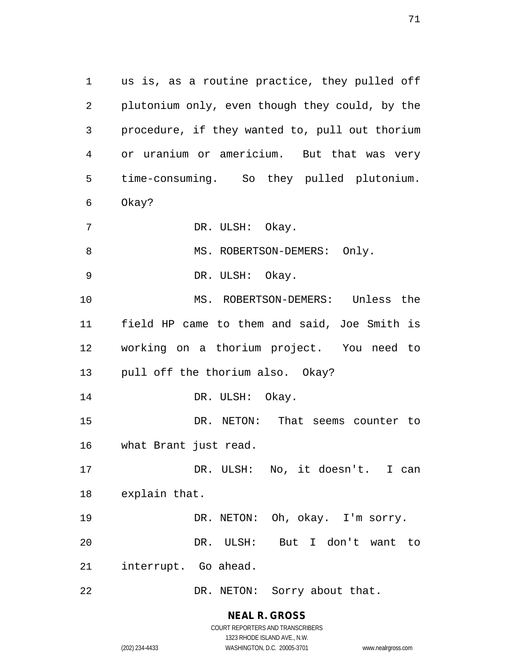us is, as a routine practice, they pulled off plutonium only, even though they could, by the procedure, if they wanted to, pull out thorium or uranium or americium. But that was very time-consuming. So they pulled plutonium. Okay? DR. ULSH: Okay. 8 MS. ROBERTSON-DEMERS: Only. DR. ULSH: Okay. MS. ROBERTSON-DEMERS: Unless the field HP came to them and said, Joe Smith is working on a thorium project. You need to pull off the thorium also. Okay? 14 DR. ULSH: Okay. DR. NETON: That seems counter to what Brant just read. 17 DR. ULSH: No, it doesn't. I can explain that. DR. NETON: Oh, okay. I'm sorry. DR. ULSH: But I don't want to interrupt. Go ahead. 22 DR. NETON: Sorry about that.

> **NEAL R. GROSS** COURT REPORTERS AND TRANSCRIBERS

> > 1323 RHODE ISLAND AVE., N.W.

(202) 234-4433 WASHINGTON, D.C. 20005-3701 www.nealrgross.com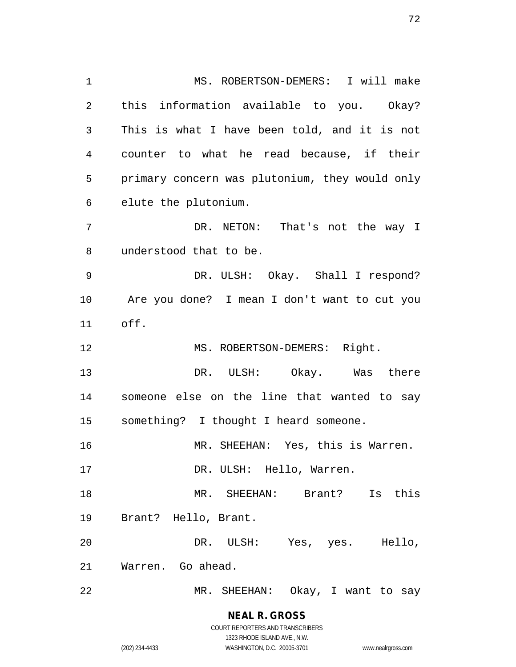MS. ROBERTSON-DEMERS: I will make this information available to you. Okay? This is what I have been told, and it is not counter to what he read because, if their primary concern was plutonium, they would only elute the plutonium. DR. NETON: That's not the way I understood that to be. DR. ULSH: Okay. Shall I respond? Are you done? I mean I don't want to cut you off. 12 MS. ROBERTSON-DEMERS: Right. DR. ULSH: Okay. Was there someone else on the line that wanted to say something? I thought I heard someone. MR. SHEEHAN: Yes, this is Warren. 17 DR. ULSH: Hello, Warren. MR. SHEEHAN: Brant? Is this Brant? Hello, Brant. DR. ULSH: Yes, yes. Hello, Warren. Go ahead. MR. SHEEHAN: Okay, I want to say

> **NEAL R. GROSS** COURT REPORTERS AND TRANSCRIBERS 1323 RHODE ISLAND AVE., N.W.

(202) 234-4433 WASHINGTON, D.C. 20005-3701 www.nealrgross.com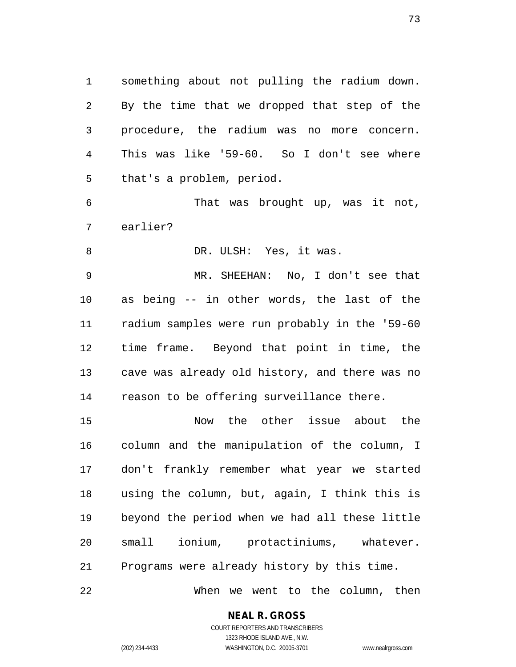something about not pulling the radium down. By the time that we dropped that step of the procedure, the radium was no more concern. This was like '59-60. So I don't see where that's a problem, period.

 That was brought up, was it not, earlier?

8 DR. ULSH: Yes, it was.

 MR. SHEEHAN: No, I don't see that as being -- in other words, the last of the radium samples were run probably in the '59-60 time frame. Beyond that point in time, the cave was already old history, and there was no reason to be offering surveillance there.

 Now the other issue about the column and the manipulation of the column, I don't frankly remember what year we started using the column, but, again, I think this is beyond the period when we had all these little small ionium, protactiniums, whatever. Programs were already history by this time. When we went to the column, then

**NEAL R. GROSS**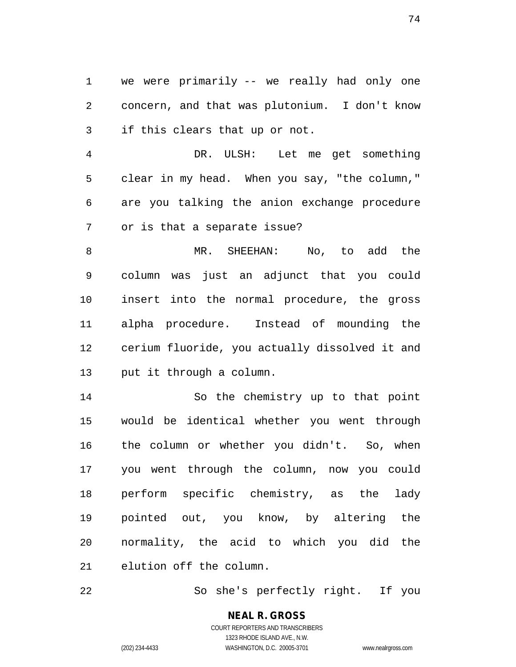we were primarily -- we really had only one concern, and that was plutonium. I don't know if this clears that up or not.

 DR. ULSH: Let me get something clear in my head. When you say, "the column," are you talking the anion exchange procedure or is that a separate issue?

 MR. SHEEHAN: No, to add the column was just an adjunct that you could insert into the normal procedure, the gross alpha procedure. Instead of mounding the cerium fluoride, you actually dissolved it and put it through a column.

 So the chemistry up to that point would be identical whether you went through the column or whether you didn't. So, when you went through the column, now you could perform specific chemistry, as the lady pointed out, you know, by altering the normality, the acid to which you did the elution off the column.

So she's perfectly right. If you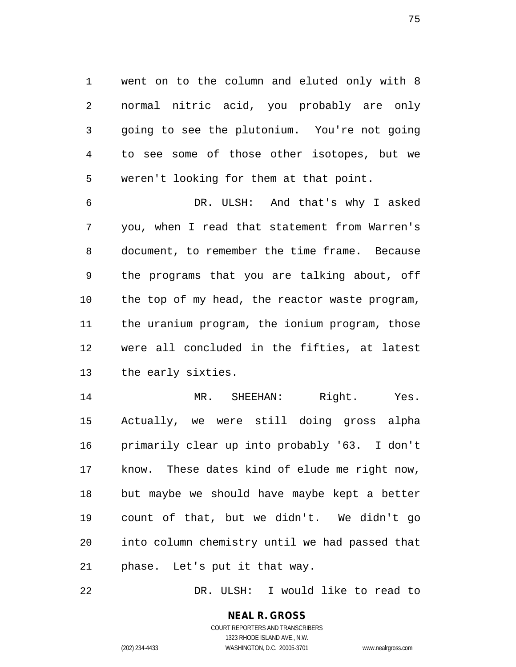went on to the column and eluted only with 8 normal nitric acid, you probably are only going to see the plutonium. You're not going to see some of those other isotopes, but we weren't looking for them at that point.

 DR. ULSH: And that's why I asked you, when I read that statement from Warren's document, to remember the time frame. Because the programs that you are talking about, off the top of my head, the reactor waste program, the uranium program, the ionium program, those were all concluded in the fifties, at latest the early sixties.

14 MR. SHEEHAN: Right. Yes. Actually, we were still doing gross alpha primarily clear up into probably '63. I don't know. These dates kind of elude me right now, but maybe we should have maybe kept a better count of that, but we didn't. We didn't go into column chemistry until we had passed that phase. Let's put it that way.

DR. ULSH: I would like to read to

# **NEAL R. GROSS**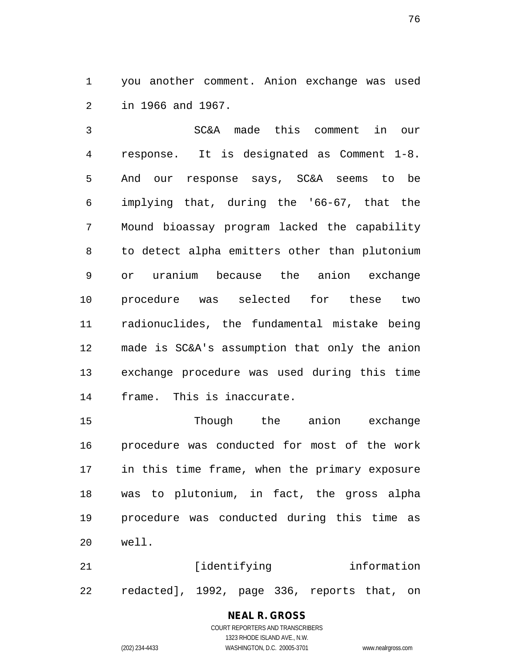you another comment. Anion exchange was used in 1966 and 1967.

 SC&A made this comment in our response. It is designated as Comment 1-8. And our response says, SC&A seems to be implying that, during the '66-67, that the Mound bioassay program lacked the capability to detect alpha emitters other than plutonium or uranium because the anion exchange procedure was selected for these two radionuclides, the fundamental mistake being made is SC&A's assumption that only the anion exchange procedure was used during this time frame. This is inaccurate.

 Though the anion exchange procedure was conducted for most of the work in this time frame, when the primary exposure was to plutonium, in fact, the gross alpha procedure was conducted during this time as well.

21 [identifying information redacted], 1992, page 336, reports that, on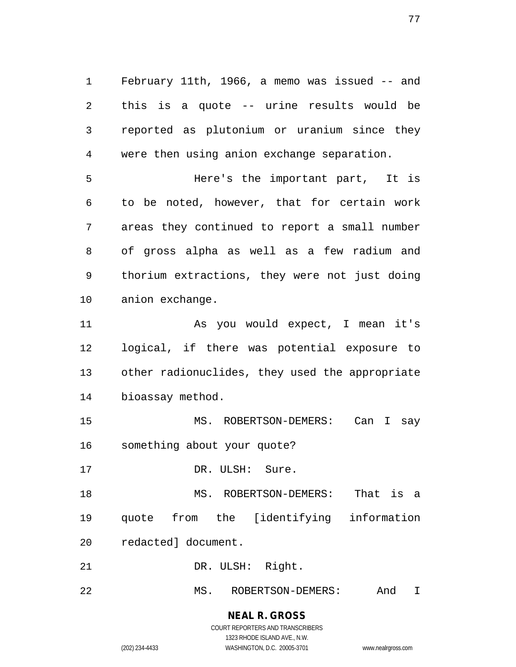February 11th, 1966, a memo was issued -- and this is a quote -- urine results would be reported as plutonium or uranium since they were then using anion exchange separation.

 Here's the important part, It is to be noted, however, that for certain work areas they continued to report a small number of gross alpha as well as a few radium and thorium extractions, they were not just doing anion exchange.

 As you would expect, I mean it's logical, if there was potential exposure to other radionuclides, they used the appropriate bioassay method.

 MS. ROBERTSON-DEMERS: Can I say something about your quote?

17 DR. ULSH: Sure.

MS. ROBERTSON-DEMERS: That is a

quote from the [identifying information

redacted] document.

21 DR. ULSH: Right.

MS. ROBERTSON-DEMERS: And I

# **NEAL R. GROSS**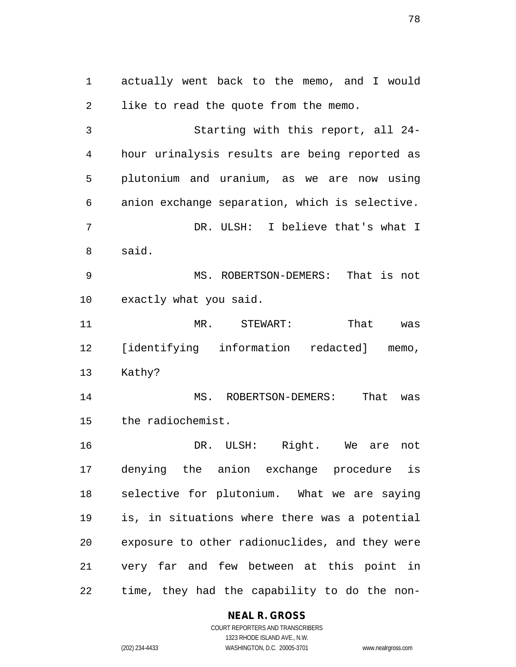actually went back to the memo, and I would like to read the quote from the memo. Starting with this report, all 24- hour urinalysis results are being reported as plutonium and uranium, as we are now using anion exchange separation, which is selective. DR. ULSH: I believe that's what I said. MS. ROBERTSON-DEMERS: That is not exactly what you said. MR. STEWART: That was [identifying information redacted] memo, Kathy? MS. ROBERTSON-DEMERS: That was the radiochemist. DR. ULSH: Right. We are not denying the anion exchange procedure is selective for plutonium. What we are saying is, in situations where there was a potential exposure to other radionuclides, and they were very far and few between at this point in

time, they had the capability to do the non-

#### **NEAL R. GROSS**

COURT REPORTERS AND TRANSCRIBERS 1323 RHODE ISLAND AVE., N.W. (202) 234-4433 WASHINGTON, D.C. 20005-3701 www.nealrgross.com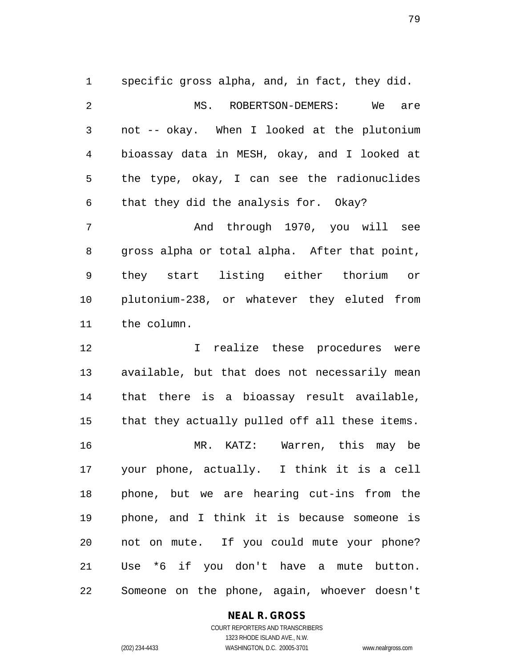specific gross alpha, and, in fact, they did. 2 MS. ROBERTSON-DEMERS: We are not -- okay. When I looked at the plutonium bioassay data in MESH, okay, and I looked at the type, okay, I can see the radionuclides that they did the analysis for. Okay?

 And through 1970, you will see gross alpha or total alpha. After that point, they start listing either thorium or plutonium-238, or whatever they eluted from the column.

 I realize these procedures were available, but that does not necessarily mean that there is a bioassay result available, that they actually pulled off all these items. MR. KATZ: Warren, this may be your phone, actually. I think it is a cell phone, but we are hearing cut-ins from the phone, and I think it is because someone is not on mute. If you could mute your phone? Use \*6 if you don't have a mute button. Someone on the phone, again, whoever doesn't

### **NEAL R. GROSS**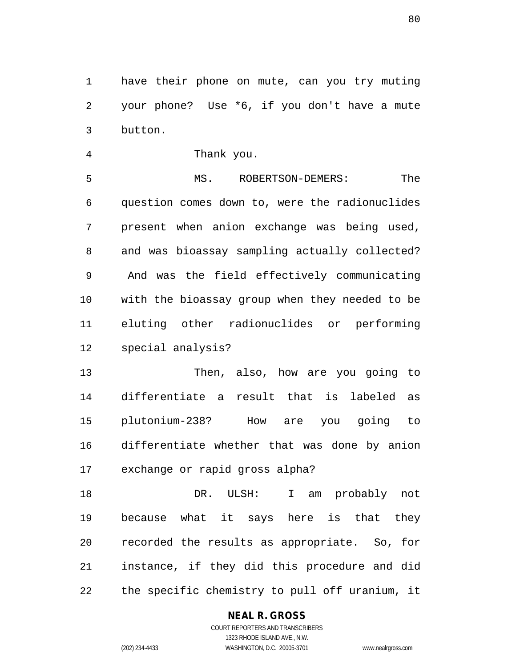have their phone on mute, can you try muting your phone? Use \*6, if you don't have a mute button.

Thank you.

 MS. ROBERTSON-DEMERS: The question comes down to, were the radionuclides present when anion exchange was being used, and was bioassay sampling actually collected? And was the field effectively communicating with the bioassay group when they needed to be eluting other radionuclides or performing special analysis?

 Then, also, how are you going to differentiate a result that is labeled as plutonium-238? How are you going to differentiate whether that was done by anion exchange or rapid gross alpha?

 DR. ULSH: I am probably not because what it says here is that they recorded the results as appropriate. So, for instance, if they did this procedure and did the specific chemistry to pull off uranium, it

### **NEAL R. GROSS**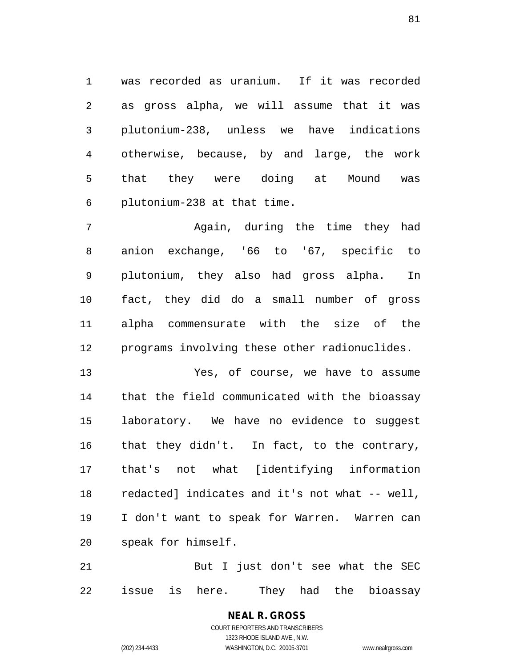was recorded as uranium. If it was recorded as gross alpha, we will assume that it was plutonium-238, unless we have indications otherwise, because, by and large, the work that they were doing at Mound was plutonium-238 at that time.

 Again, during the time they had anion exchange, '66 to '67, specific to plutonium, they also had gross alpha. In fact, they did do a small number of gross alpha commensurate with the size of the programs involving these other radionuclides.

 Yes, of course, we have to assume that the field communicated with the bioassay laboratory. We have no evidence to suggest that they didn't. In fact, to the contrary, that's not what [identifying information redacted] indicates and it's not what -- well, I don't want to speak for Warren. Warren can speak for himself.

 But I just don't see what the SEC issue is here. They had the bioassay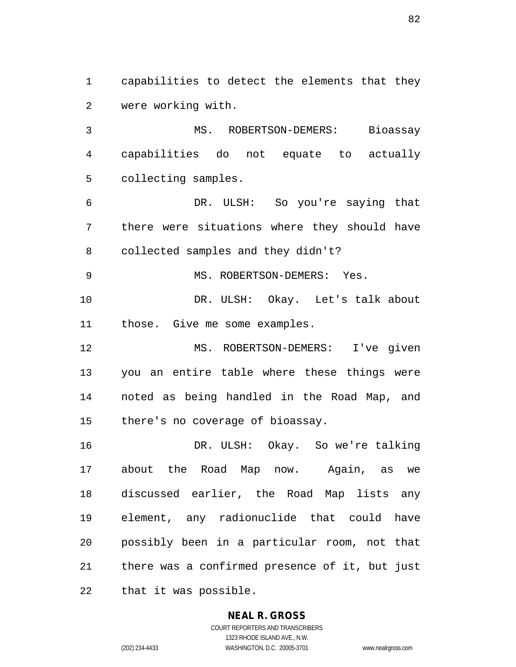capabilities to detect the elements that they were working with.

 MS. ROBERTSON-DEMERS: Bioassay capabilities do not equate to actually collecting samples.

 DR. ULSH: So you're saying that there were situations where they should have collected samples and they didn't?

9 MS. ROBERTSON-DEMERS: Yes.

 DR. ULSH: Okay. Let's talk about those. Give me some examples.

 MS. ROBERTSON-DEMERS: I've given you an entire table where these things were noted as being handled in the Road Map, and there's no coverage of bioassay.

 DR. ULSH: Okay. So we're talking about the Road Map now. Again, as we discussed earlier, the Road Map lists any element, any radionuclide that could have possibly been in a particular room, not that there was a confirmed presence of it, but just that it was possible.

### **NEAL R. GROSS**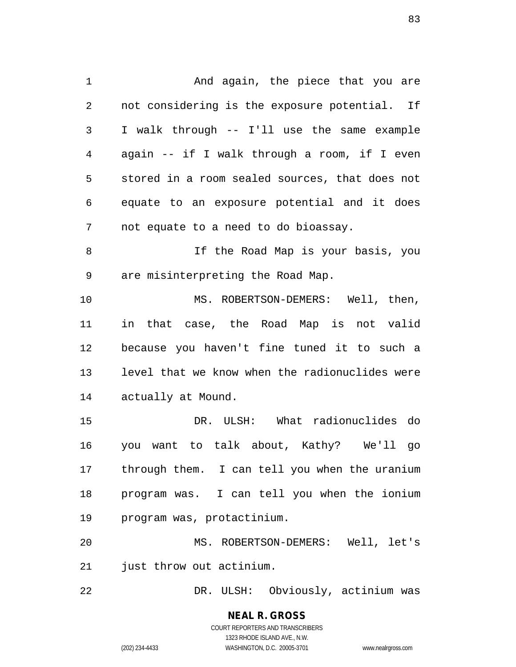1 And again, the piece that you are not considering is the exposure potential. If I walk through -- I'll use the same example again -- if I walk through a room, if I even stored in a room sealed sources, that does not equate to an exposure potential and it does not equate to a need to do bioassay. If the Road Map is your basis, you are misinterpreting the Road Map. 10 MS. ROBERTSON-DEMERS: Well, then, in that case, the Road Map is not valid because you haven't fine tuned it to such a level that we know when the radionuclides were actually at Mound. DR. ULSH: What radionuclides do you want to talk about, Kathy? We'll go through them. I can tell you when the uranium program was. I can tell you when the ionium program was, protactinium. MS. ROBERTSON-DEMERS: Well, let's just throw out actinium.

DR. ULSH: Obviously, actinium was

**NEAL R. GROSS** COURT REPORTERS AND TRANSCRIBERS 1323 RHODE ISLAND AVE., N.W. (202) 234-4433 WASHINGTON, D.C. 20005-3701 www.nealrgross.com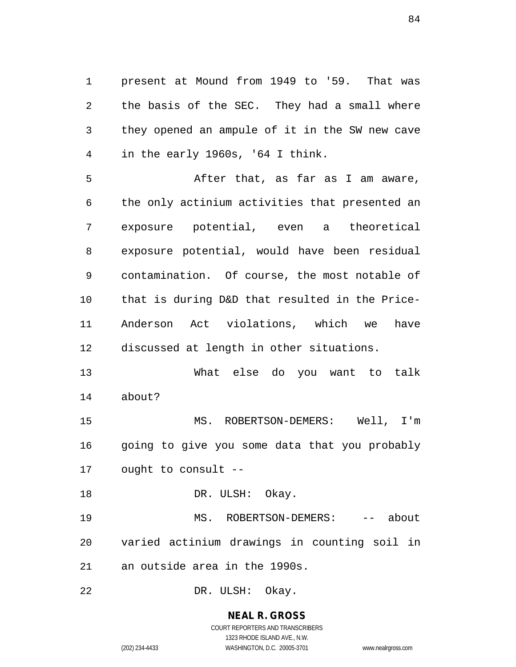present at Mound from 1949 to '59. That was the basis of the SEC. They had a small where they opened an ampule of it in the SW new cave in the early 1960s, '64 I think.

 After that, as far as I am aware, the only actinium activities that presented an exposure potential, even a theoretical exposure potential, would have been residual contamination. Of course, the most notable of that is during D&D that resulted in the Price- Anderson Act violations, which we have discussed at length in other situations.

 What else do you want to talk about?

 MS. ROBERTSON-DEMERS: Well, I'm going to give you some data that you probably ought to consult --

18 DR. ULSH: Okay.

19 MS. ROBERTSON-DEMERS: -- about varied actinium drawings in counting soil in an outside area in the 1990s.

DR. ULSH: Okay.

**NEAL R. GROSS** COURT REPORTERS AND TRANSCRIBERS

1323 RHODE ISLAND AVE., N.W.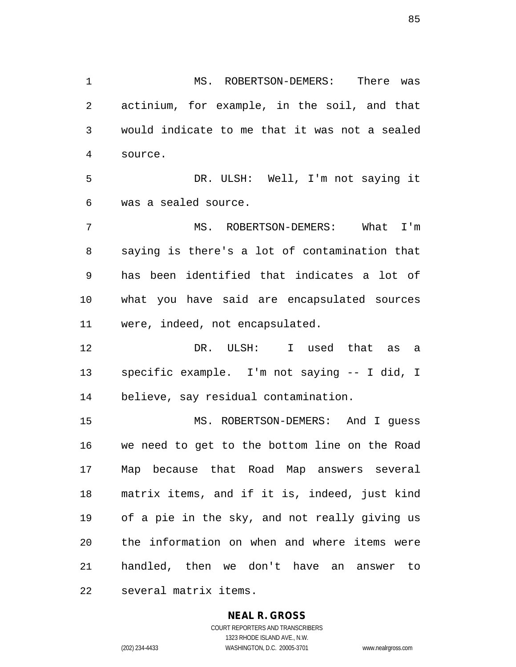MS. ROBERTSON-DEMERS: There was actinium, for example, in the soil, and that would indicate to me that it was not a sealed source. DR. ULSH: Well, I'm not saying it was a sealed source. MS. ROBERTSON-DEMERS: What I'm saying is there's a lot of contamination that has been identified that indicates a lot of what you have said are encapsulated sources

 DR. ULSH: I used that as a specific example. I'm not saying -- I did, I believe, say residual contamination.

were, indeed, not encapsulated.

 MS. ROBERTSON-DEMERS: And I guess we need to get to the bottom line on the Road Map because that Road Map answers several matrix items, and if it is, indeed, just kind of a pie in the sky, and not really giving us the information on when and where items were handled, then we don't have an answer to several matrix items.

### **NEAL R. GROSS**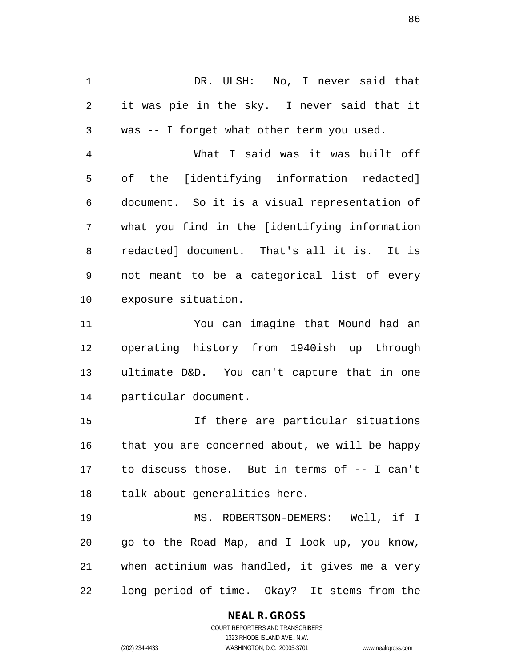DR. ULSH: No, I never said that it was pie in the sky. I never said that it was -- I forget what other term you used. What I said was it was built off of the [identifying information redacted] document. So it is a visual representation of what you find in the [identifying information redacted] document. That's all it is. It is not meant to be a categorical list of every exposure situation.

 You can imagine that Mound had an operating history from 1940ish up through ultimate D&D. You can't capture that in one particular document.

 If there are particular situations that you are concerned about, we will be happy to discuss those. But in terms of -- I can't talk about generalities here.

 MS. ROBERTSON-DEMERS: Well, if I go to the Road Map, and I look up, you know, when actinium was handled, it gives me a very long period of time. Okay? It stems from the

# **NEAL R. GROSS**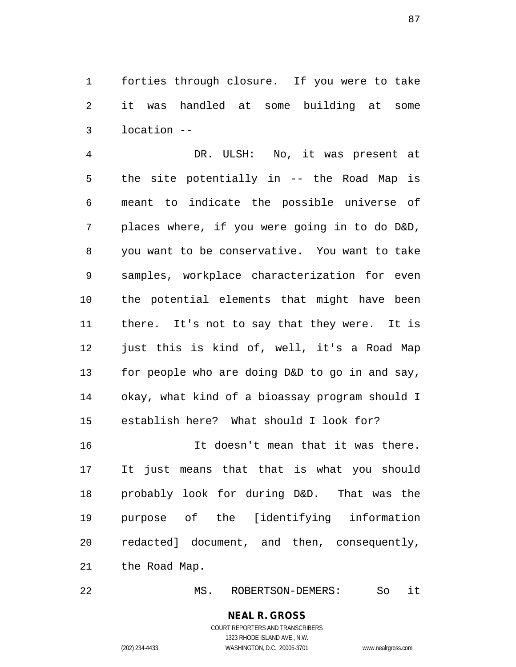forties through closure. If you were to take it was handled at some building at some location --

 DR. ULSH: No, it was present at the site potentially in -- the Road Map is meant to indicate the possible universe of places where, if you were going in to do D&D, you want to be conservative. You want to take samples, workplace characterization for even the potential elements that might have been there. It's not to say that they were. It is just this is kind of, well, it's a Road Map for people who are doing D&D to go in and say, okay, what kind of a bioassay program should I establish here? What should I look for?

 It doesn't mean that it was there. It just means that that is what you should probably look for during D&D. That was the purpose of the [identifying information redacted] document, and then, consequently, the Road Map.

MS. ROBERTSON-DEMERS: So it

**NEAL R. GROSS** COURT REPORTERS AND TRANSCRIBERS 1323 RHODE ISLAND AVE., N.W.

(202) 234-4433 WASHINGTON, D.C. 20005-3701 www.nealrgross.com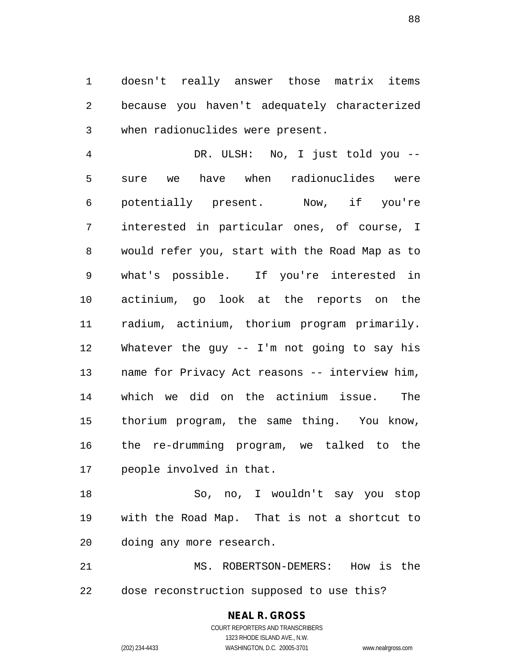doesn't really answer those matrix items because you haven't adequately characterized when radionuclides were present.

 DR. ULSH: No, I just told you -- sure we have when radionuclides were potentially present. Now, if you're interested in particular ones, of course, I would refer you, start with the Road Map as to what's possible. If you're interested in actinium, go look at the reports on the radium, actinium, thorium program primarily. Whatever the guy -- I'm not going to say his name for Privacy Act reasons -- interview him, which we did on the actinium issue. The thorium program, the same thing. You know, the re-drumming program, we talked to the people involved in that.

 So, no, I wouldn't say you stop with the Road Map. That is not a shortcut to doing any more research.

 MS. ROBERTSON-DEMERS: How is the dose reconstruction supposed to use this?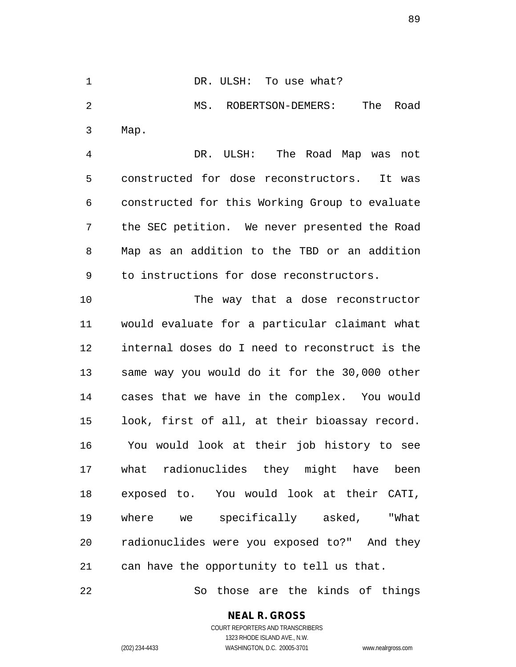MS. ROBERTSON-DEMERS: The Road Map. DR. ULSH: The Road Map was not constructed for dose reconstructors. It was constructed for this Working Group to evaluate the SEC petition. We never presented the Road Map as an addition to the TBD or an addition to instructions for dose reconstructors. The way that a dose reconstructor would evaluate for a particular claimant what internal doses do I need to reconstruct is the same way you would do it for the 30,000 other cases that we have in the complex. You would look, first of all, at their bioassay record. You would look at their job history to see what radionuclides they might have been exposed to. You would look at their CATI, where we specifically asked, "What

1 DR. ULSH: To use what?

can have the opportunity to tell us that.

So those are the kinds of things

radionuclides were you exposed to?" And they

### **NEAL R. GROSS**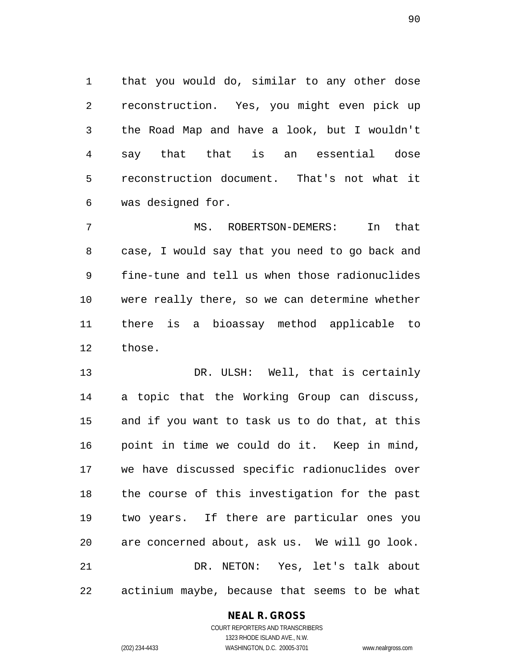that you would do, similar to any other dose reconstruction. Yes, you might even pick up the Road Map and have a look, but I wouldn't say that that is an essential dose reconstruction document. That's not what it was designed for.

 MS. ROBERTSON-DEMERS: In that case, I would say that you need to go back and fine-tune and tell us when those radionuclides were really there, so we can determine whether there is a bioassay method applicable to those.

 DR. ULSH: Well, that is certainly a topic that the Working Group can discuss, and if you want to task us to do that, at this point in time we could do it. Keep in mind, we have discussed specific radionuclides over the course of this investigation for the past two years. If there are particular ones you are concerned about, ask us. We will go look. DR. NETON: Yes, let's talk about actinium maybe, because that seems to be what

### **NEAL R. GROSS**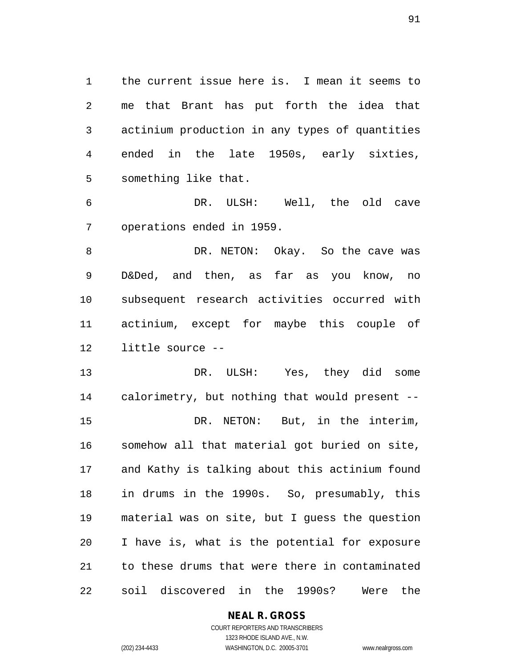the current issue here is. I mean it seems to me that Brant has put forth the idea that actinium production in any types of quantities ended in the late 1950s, early sixties, something like that.

 DR. ULSH: Well, the old cave operations ended in 1959.

8 DR. NETON: Okay. So the cave was D&Ded, and then, as far as you know, no subsequent research activities occurred with actinium, except for maybe this couple of little source --

 DR. ULSH: Yes, they did some calorimetry, but nothing that would present -- DR. NETON: But, in the interim, somehow all that material got buried on site, and Kathy is talking about this actinium found in drums in the 1990s. So, presumably, this material was on site, but I guess the question I have is, what is the potential for exposure to these drums that were there in contaminated soil discovered in the 1990s? Were the

# **NEAL R. GROSS**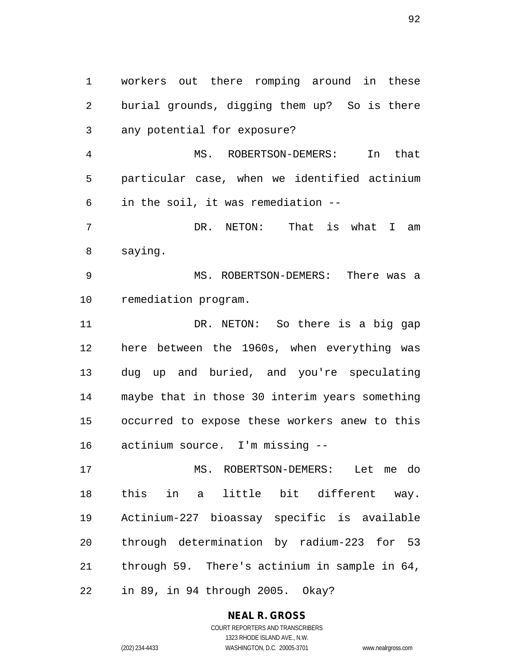workers out there romping around in these burial grounds, digging them up? So is there any potential for exposure?

 MS. ROBERTSON-DEMERS: In that particular case, when we identified actinium in the soil, it was remediation --

 DR. NETON: That is what I am saying.

 MS. ROBERTSON-DEMERS: There was a remediation program.

11 DR. NETON: So there is a big gap here between the 1960s, when everything was dug up and buried, and you're speculating maybe that in those 30 interim years something occurred to expose these workers anew to this actinium source. I'm missing --

 MS. ROBERTSON-DEMERS: Let me do this in a little bit different way. Actinium-227 bioassay specific is available through determination by radium-223 for 53 through 59. There's actinium in sample in 64, in 89, in 94 through 2005. Okay?

# **NEAL R. GROSS**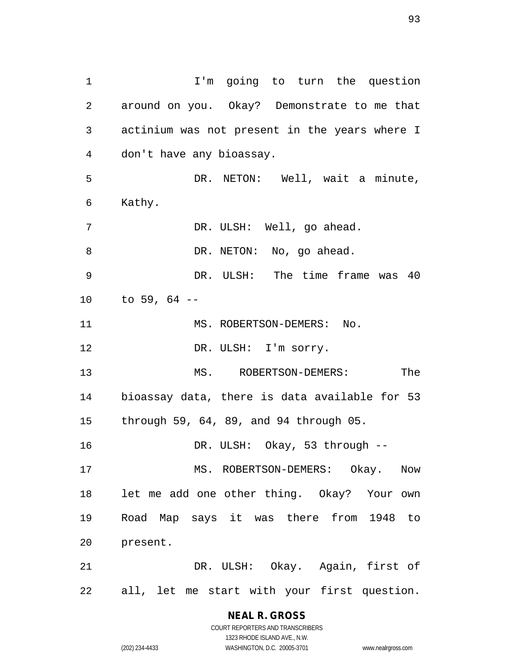1 1 I'm going to turn the question around on you. Okay? Demonstrate to me that actinium was not present in the years where I don't have any bioassay. DR. NETON: Well, wait a minute, Kathy. DR. ULSH: Well, go ahead. 8 DR. NETON: No, go ahead. DR. ULSH: The time frame was 40 to 59, 64 -- 11 MS. ROBERTSON-DEMERS: No. 12 DR. ULSH: I'm sorry. MS. ROBERTSON-DEMERS: The bioassay data, there is data available for 53 through 59, 64, 89, and 94 through 05. DR. ULSH: Okay, 53 through -- MS. ROBERTSON-DEMERS: Okay. Now let me add one other thing. Okay? Your own Road Map says it was there from 1948 to present. DR. ULSH: Okay. Again, first of all, let me start with your first question.

> **NEAL R. GROSS** COURT REPORTERS AND TRANSCRIBERS

1323 RHODE ISLAND AVE., N.W. (202) 234-4433 WASHINGTON, D.C. 20005-3701 www.nealrgross.com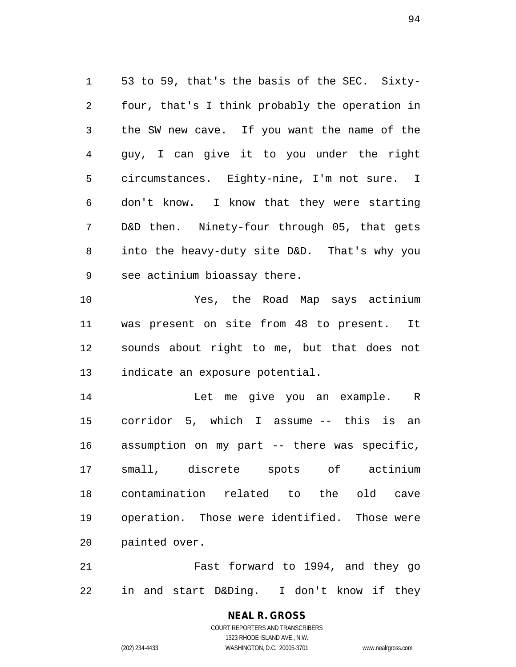53 to 59, that's the basis of the SEC. Sixty- four, that's I think probably the operation in the SW new cave. If you want the name of the guy, I can give it to you under the right circumstances. Eighty-nine, I'm not sure. I don't know. I know that they were starting D&D then. Ninety-four through 05, that gets into the heavy-duty site D&D. That's why you see actinium bioassay there.

 Yes, the Road Map says actinium was present on site from 48 to present. It sounds about right to me, but that does not indicate an exposure potential.

 Let me give you an example. R corridor 5, which I assume -- this is an assumption on my part -- there was specific, small, discrete spots of actinium contamination related to the old cave operation. Those were identified. Those were painted over.

 Fast forward to 1994, and they go in and start D&Ding. I don't know if they

> **NEAL R. GROSS** COURT REPORTERS AND TRANSCRIBERS 1323 RHODE ISLAND AVE., N.W.

(202) 234-4433 WASHINGTON, D.C. 20005-3701 www.nealrgross.com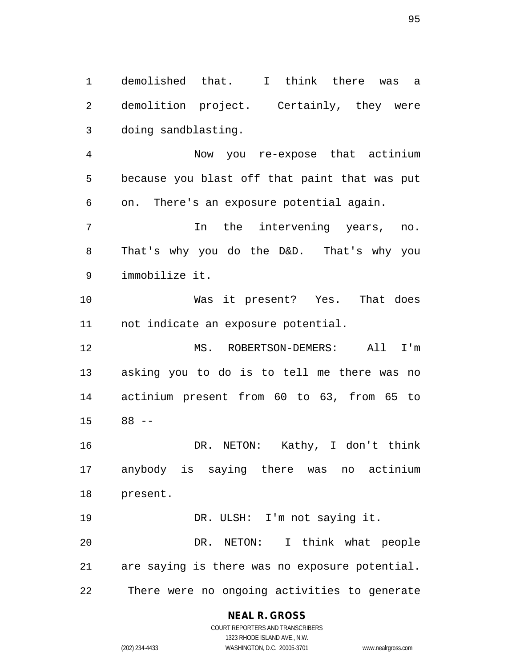demolished that. I think there was a demolition project. Certainly, they were doing sandblasting.

 Now you re-expose that actinium because you blast off that paint that was put on. There's an exposure potential again.

 In the intervening years, no. That's why you do the D&D. That's why you immobilize it.

 Was it present? Yes. That does not indicate an exposure potential.

 MS. ROBERTSON-DEMERS: All I'm asking you to do is to tell me there was no actinium present from 60 to 63, from 65 to 88 --

 DR. NETON: Kathy, I don't think anybody is saying there was no actinium present.

19 DR. ULSH: I'm not saying it. DR. NETON: I think what people are saying is there was no exposure potential. There were no ongoing activities to generate

**NEAL R. GROSS**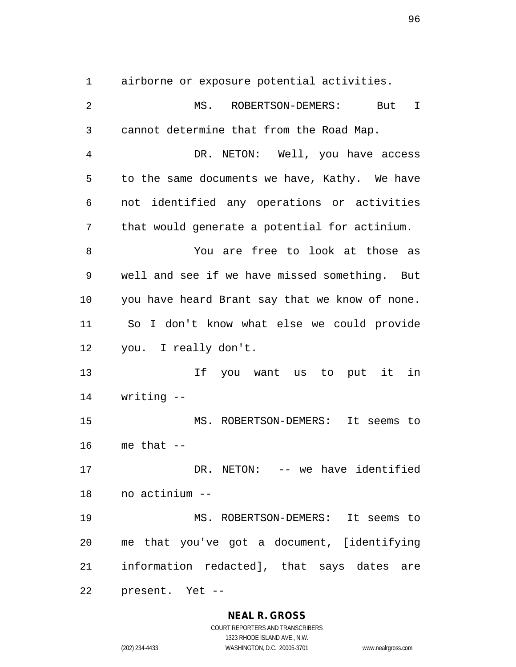airborne or exposure potential activities.

 MS. ROBERTSON-DEMERS: But I cannot determine that from the Road Map. DR. NETON: Well, you have access to the same documents we have, Kathy. We have not identified any operations or activities that would generate a potential for actinium. You are free to look at those as well and see if we have missed something. But you have heard Brant say that we know of none. So I don't know what else we could provide you. I really don't. If you want us to put it in writing -- MS. ROBERTSON-DEMERS: It seems to me that -- DR. NETON: -- we have identified no actinium -- MS. ROBERTSON-DEMERS: It seems to me that you've got a document, [identifying information redacted], that says dates are present. Yet --

### **NEAL R. GROSS**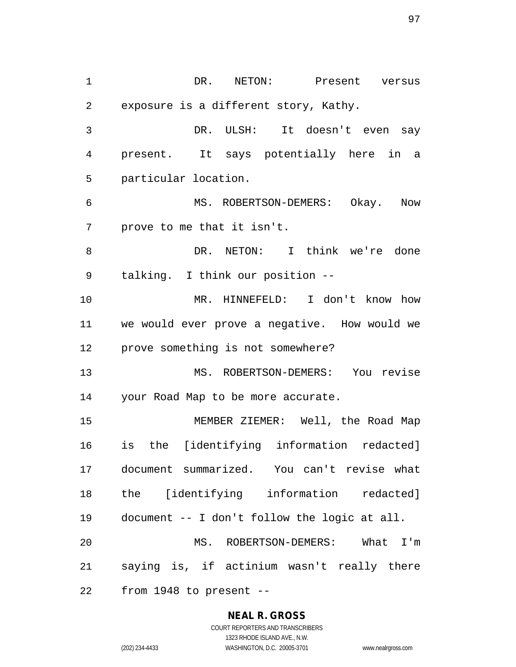DR. NETON: Present versus exposure is a different story, Kathy. DR. ULSH: It doesn't even say present. It says potentially here in a particular location. MS. ROBERTSON-DEMERS: Okay. Now prove to me that it isn't. DR. NETON: I think we're done talking. I think our position -- MR. HINNEFELD: I don't know how we would ever prove a negative. How would we prove something is not somewhere? MS. ROBERTSON-DEMERS: You revise your Road Map to be more accurate. MEMBER ZIEMER: Well, the Road Map is the [identifying information redacted] document summarized. You can't revise what the [identifying information redacted] document -- I don't follow the logic at all. MS. ROBERTSON-DEMERS: What I'm saying is, if actinium wasn't really there from 1948 to present --

#### **NEAL R. GROSS**

COURT REPORTERS AND TRANSCRIBERS 1323 RHODE ISLAND AVE., N.W. (202) 234-4433 WASHINGTON, D.C. 20005-3701 www.nealrgross.com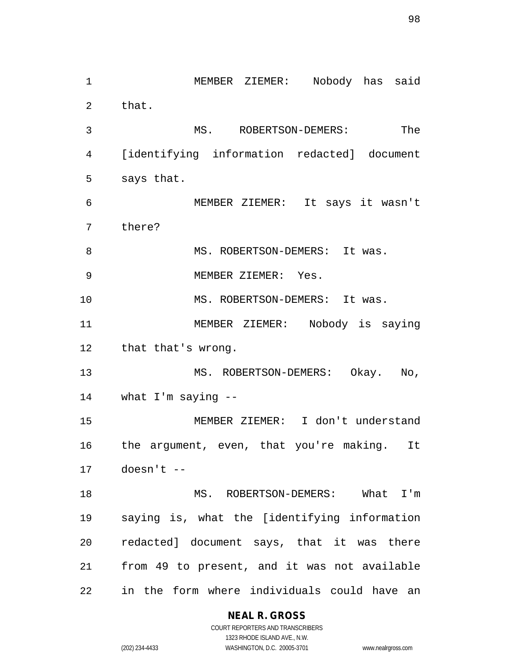MEMBER ZIEMER: Nobody has said that. MS. ROBERTSON-DEMERS: The [identifying information redacted] document says that. MEMBER ZIEMER: It says it wasn't there? 8 MS. ROBERTSON-DEMERS: It was. MEMBER ZIEMER: Yes. 10 MS. ROBERTSON-DEMERS: It was. MEMBER ZIEMER: Nobody is saying that that's wrong. MS. ROBERTSON-DEMERS: Okay. No, what I'm saying -- MEMBER ZIEMER: I don't understand the argument, even, that you're making. It doesn't -- MS. ROBERTSON-DEMERS: What I'm saying is, what the [identifying information redacted] document says, that it was there from 49 to present, and it was not available in the form where individuals could have an

**NEAL R. GROSS**

COURT REPORTERS AND TRANSCRIBERS 1323 RHODE ISLAND AVE., N.W. (202) 234-4433 WASHINGTON, D.C. 20005-3701 www.nealrgross.com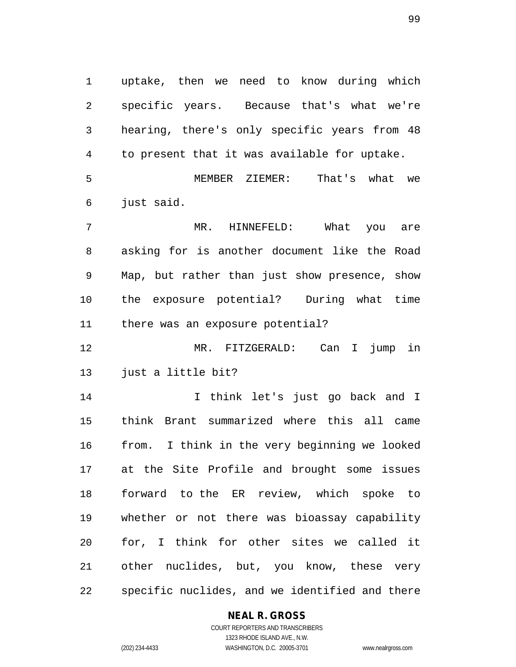uptake, then we need to know during which specific years. Because that's what we're hearing, there's only specific years from 48 to present that it was available for uptake. MEMBER ZIEMER: That's what we

just said.

 MR. HINNEFELD: What you are asking for is another document like the Road Map, but rather than just show presence, show the exposure potential? During what time there was an exposure potential?

 MR. FITZGERALD: Can I jump in just a little bit?

 I think let's just go back and I think Brant summarized where this all came from. I think in the very beginning we looked at the Site Profile and brought some issues forward to the ER review, which spoke to whether or not there was bioassay capability for, I think for other sites we called it other nuclides, but, you know, these very specific nuclides, and we identified and there

### **NEAL R. GROSS**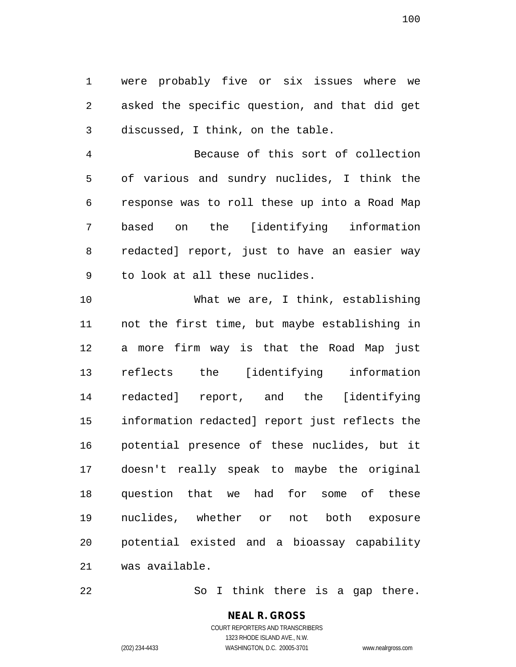were probably five or six issues where we asked the specific question, and that did get discussed, I think, on the table.

 Because of this sort of collection of various and sundry nuclides, I think the response was to roll these up into a Road Map based on the [identifying information redacted] report, just to have an easier way to look at all these nuclides.

 What we are, I think, establishing not the first time, but maybe establishing in a more firm way is that the Road Map just reflects the [identifying information redacted] report, and the [identifying information redacted] report just reflects the potential presence of these nuclides, but it doesn't really speak to maybe the original question that we had for some of these nuclides, whether or not both exposure potential existed and a bioassay capability was available.

22 So I think there is a gap there.

#### **NEAL R. GROSS** COURT REPORTERS AND TRANSCRIBERS

1323 RHODE ISLAND AVE., N.W.

(202) 234-4433 WASHINGTON, D.C. 20005-3701 www.nealrgross.com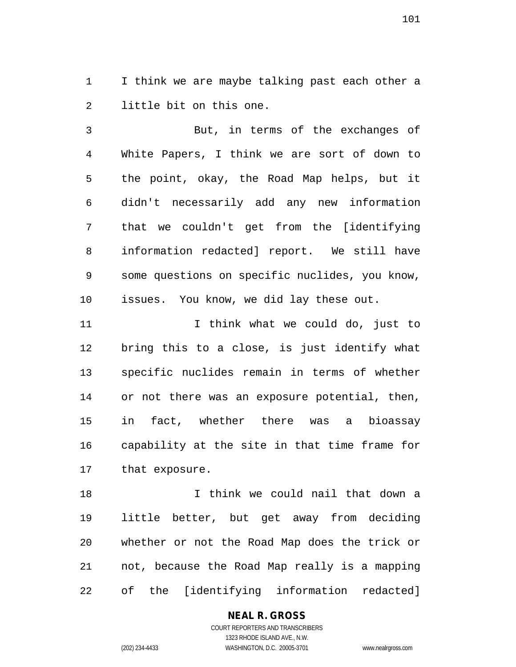I think we are maybe talking past each other a little bit on this one.

 But, in terms of the exchanges of White Papers, I think we are sort of down to the point, okay, the Road Map helps, but it didn't necessarily add any new information that we couldn't get from the [identifying information redacted] report. We still have some questions on specific nuclides, you know, issues. You know, we did lay these out.

11 11 I think what we could do, just to bring this to a close, is just identify what specific nuclides remain in terms of whether or not there was an exposure potential, then, in fact, whether there was a bioassay capability at the site in that time frame for that exposure.

 I think we could nail that down a little better, but get away from deciding whether or not the Road Map does the trick or not, because the Road Map really is a mapping of the [identifying information redacted]

#### **NEAL R. GROSS** COURT REPORTERS AND TRANSCRIBERS

1323 RHODE ISLAND AVE., N.W.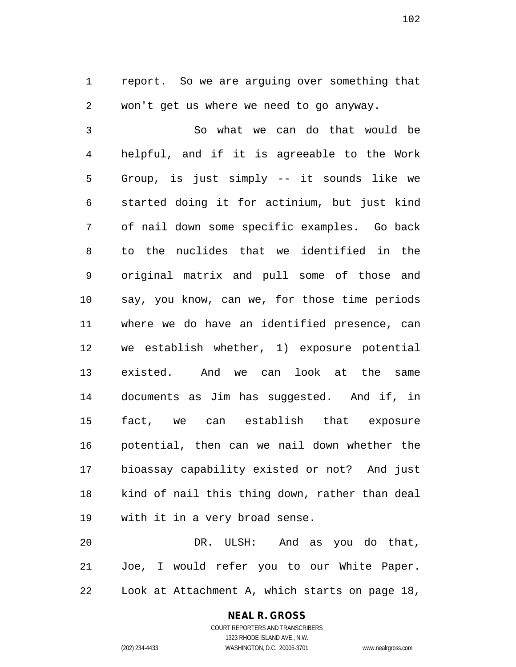report. So we are arguing over something that won't get us where we need to go anyway.

 So what we can do that would be helpful, and if it is agreeable to the Work Group, is just simply -- it sounds like we started doing it for actinium, but just kind of nail down some specific examples. Go back to the nuclides that we identified in the original matrix and pull some of those and say, you know, can we, for those time periods where we do have an identified presence, can we establish whether, 1) exposure potential existed. And we can look at the same documents as Jim has suggested. And if, in fact, we can establish that exposure potential, then can we nail down whether the bioassay capability existed or not? And just kind of nail this thing down, rather than deal with it in a very broad sense.

 DR. ULSH: And as you do that, Joe, I would refer you to our White Paper. Look at Attachment A, which starts on page 18,

# **NEAL R. GROSS**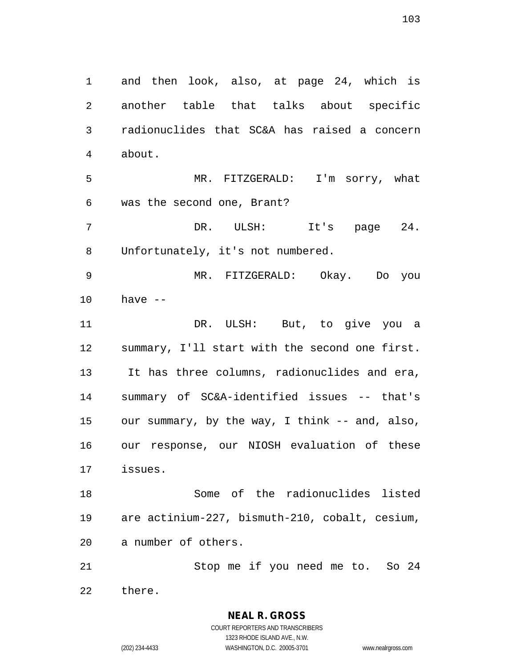and then look, also, at page 24, which is another table that talks about specific radionuclides that SC&A has raised a concern about. MR. FITZGERALD: I'm sorry, what was the second one, Brant? DR. ULSH: It's page 24. Unfortunately, it's not numbered. MR. FITZGERALD: Okay. Do you have -- DR. ULSH: But, to give you a summary, I'll start with the second one first. It has three columns, radionuclides and era, summary of SC&A-identified issues -- that's our summary, by the way, I think -- and, also, our response, our NIOSH evaluation of these issues. Some of the radionuclides listed are actinium-227, bismuth-210, cobalt, cesium, a number of others. Stop me if you need me to. So 24 there.

> **NEAL R. GROSS** COURT REPORTERS AND TRANSCRIBERS 1323 RHODE ISLAND AVE., N.W. (202) 234-4433 WASHINGTON, D.C. 20005-3701 www.nealrgross.com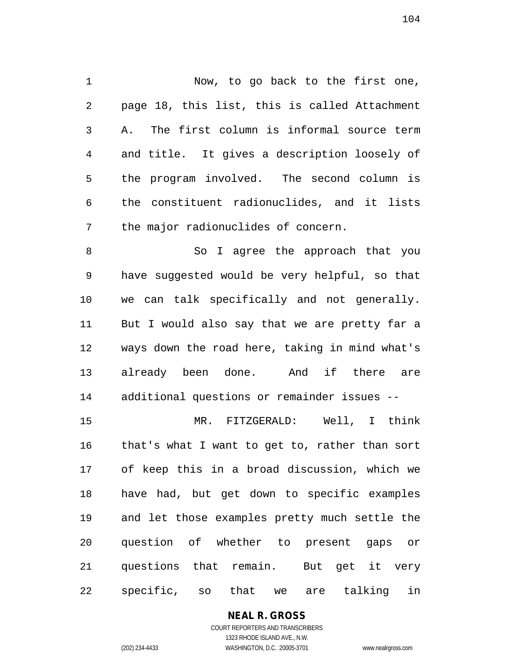Now, to go back to the first one, page 18, this list, this is called Attachment A. The first column is informal source term and title. It gives a description loosely of the program involved. The second column is the constituent radionuclides, and it lists the major radionuclides of concern. 8 So I agree the approach that you have suggested would be very helpful, so that we can talk specifically and not generally. But I would also say that we are pretty far a ways down the road here, taking in mind what's

 already been done. And if there are additional questions or remainder issues --

 MR. FITZGERALD: Well, I think that's what I want to get to, rather than sort of keep this in a broad discussion, which we have had, but get down to specific examples and let those examples pretty much settle the question of whether to present gaps or questions that remain. But get it very specific, so that we are talking in

# **NEAL R. GROSS**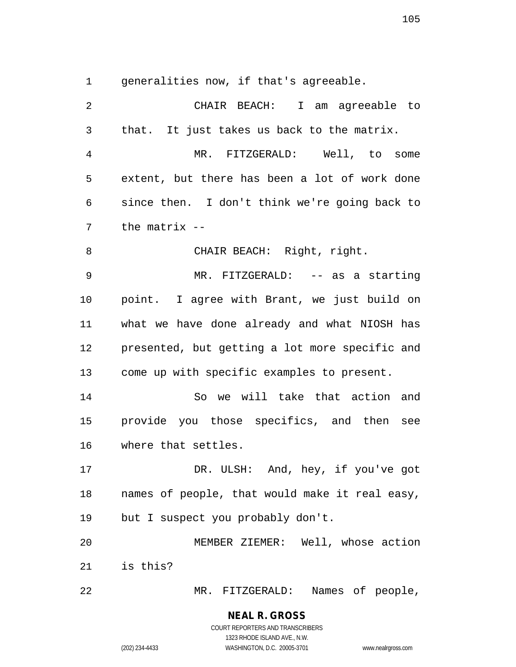generalities now, if that's agreeable.

 CHAIR BEACH: I am agreeable to that. It just takes us back to the matrix. MR. FITZGERALD: Well, to some extent, but there has been a lot of work done since then. I don't think we're going back to the matrix -- CHAIR BEACH: Right, right. MR. FITZGERALD: -- as a starting point. I agree with Brant, we just build on what we have done already and what NIOSH has presented, but getting a lot more specific and come up with specific examples to present. So we will take that action and provide you those specifics, and then see where that settles. 17 DR. ULSH: And, hey, if you've got names of people, that would make it real easy, but I suspect you probably don't. MEMBER ZIEMER: Well, whose action is this? MR. FITZGERALD: Names of people,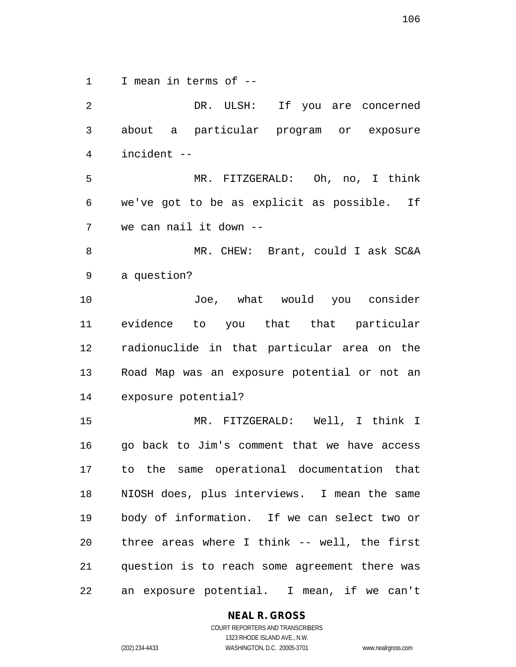I mean in terms of --

 DR. ULSH: If you are concerned about a particular program or exposure incident -- MR. FITZGERALD: Oh, no, I think we've got to be as explicit as possible. If we can nail it down -- MR. CHEW: Brant, could I ask SC&A a question? Joe, what would you consider evidence to you that that particular radionuclide in that particular area on the Road Map was an exposure potential or not an exposure potential? MR. FITZGERALD: Well, I think I go back to Jim's comment that we have access to the same operational documentation that NIOSH does, plus interviews. I mean the same body of information. If we can select two or three areas where I think -- well, the first question is to reach some agreement there was an exposure potential. I mean, if we can't

**NEAL R. GROSS**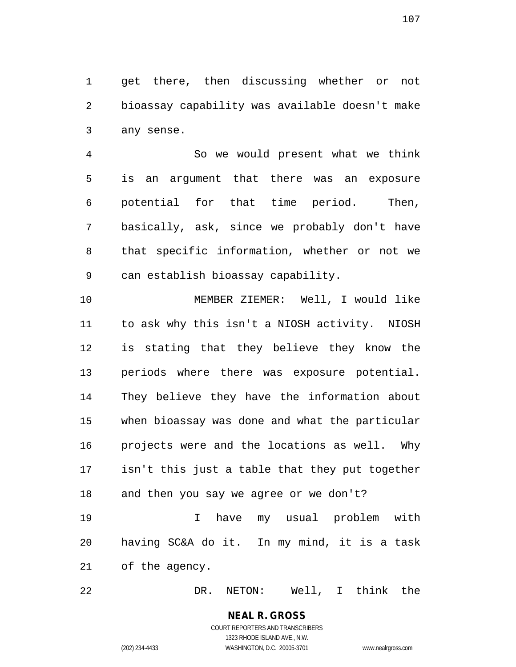get there, then discussing whether or not bioassay capability was available doesn't make any sense.

 So we would present what we think is an argument that there was an exposure potential for that time period. Then, basically, ask, since we probably don't have that specific information, whether or not we can establish bioassay capability.

 MEMBER ZIEMER: Well, I would like to ask why this isn't a NIOSH activity. NIOSH is stating that they believe they know the periods where there was exposure potential. They believe they have the information about when bioassay was done and what the particular projects were and the locations as well. Why isn't this just a table that they put together and then you say we agree or we don't?

 I have my usual problem with having SC&A do it. In my mind, it is a task of the agency.

DR. NETON: Well, I think the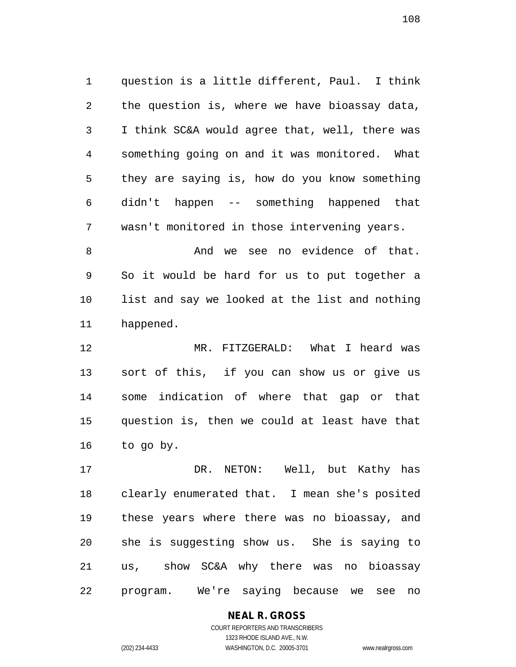question is a little different, Paul. I think the question is, where we have bioassay data, I think SC&A would agree that, well, there was something going on and it was monitored. What they are saying is, how do you know something didn't happen -- something happened that wasn't monitored in those intervening years.

8 And we see no evidence of that. So it would be hard for us to put together a list and say we looked at the list and nothing happened.

 MR. FITZGERALD: What I heard was sort of this, if you can show us or give us some indication of where that gap or that question is, then we could at least have that to go by.

 DR. NETON: Well, but Kathy has clearly enumerated that. I mean she's posited these years where there was no bioassay, and she is suggesting show us. She is saying to us, show SC&A why there was no bioassay program. We're saying because we see no

### **NEAL R. GROSS**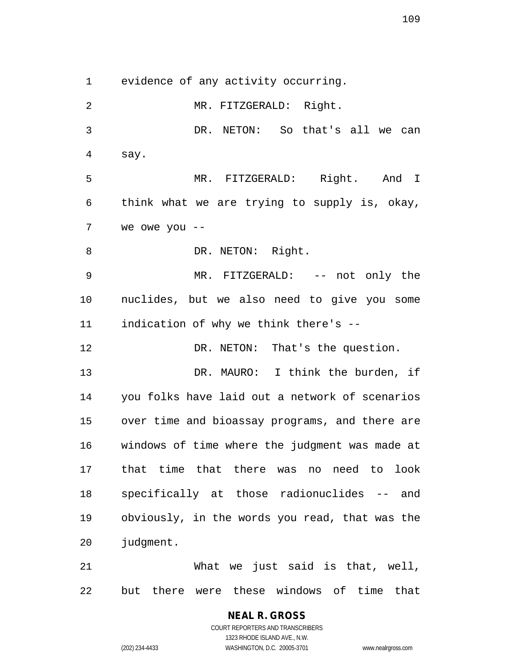evidence of any activity occurring.

 MR. FITZGERALD: Right. DR. NETON: So that's all we can say. MR. FITZGERALD: Right. And I think what we are trying to supply is, okay, we owe you -- 8 DR. NETON: Right. MR. FITZGERALD: -- not only the nuclides, but we also need to give you some indication of why we think there's -- 12 DR. NETON: That's the question. 13 DR. MAURO: I think the burden, if you folks have laid out a network of scenarios over time and bioassay programs, and there are windows of time where the judgment was made at that time that there was no need to look specifically at those radionuclides -- and obviously, in the words you read, that was the judgment. What we just said is that, well, but there were these windows of time that

> COURT REPORTERS AND TRANSCRIBERS 1323 RHODE ISLAND AVE., N.W. (202) 234-4433 WASHINGTON, D.C. 20005-3701 www.nealrgross.com

**NEAL R. GROSS**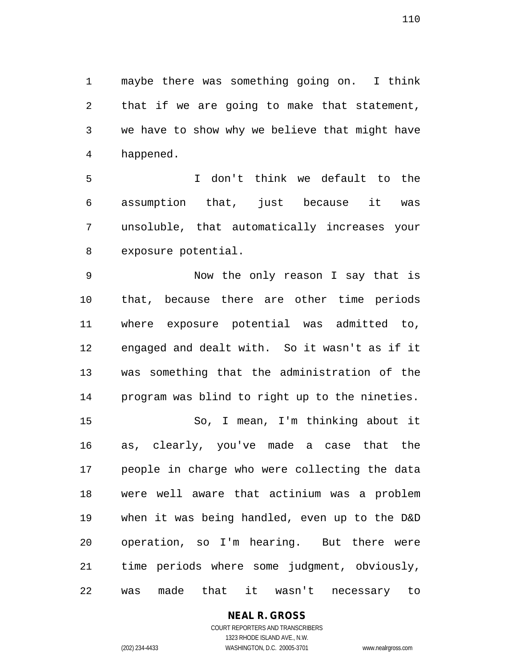maybe there was something going on. I think that if we are going to make that statement, we have to show why we believe that might have happened.

 I don't think we default to the assumption that, just because it was unsoluble, that automatically increases your exposure potential.

 Now the only reason I say that is that, because there are other time periods where exposure potential was admitted to, engaged and dealt with. So it wasn't as if it was something that the administration of the program was blind to right up to the nineties. So, I mean, I'm thinking about it as, clearly, you've made a case that the people in charge who were collecting the data were well aware that actinium was a problem

 when it was being handled, even up to the D&D operation, so I'm hearing. But there were time periods where some judgment, obviously, was made that it wasn't necessary to

## **NEAL R. GROSS**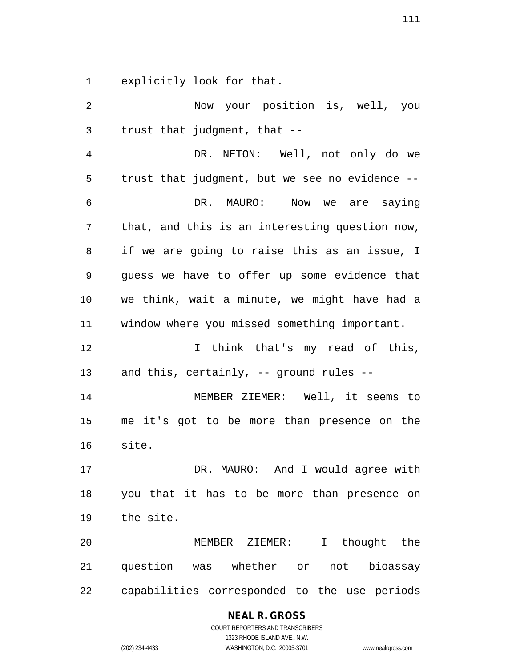explicitly look for that.

 Now your position is, well, you trust that judgment, that -- DR. NETON: Well, not only do we trust that judgment, but we see no evidence -- DR. MAURO: Now we are saying that, and this is an interesting question now, if we are going to raise this as an issue, I guess we have to offer up some evidence that we think, wait a minute, we might have had a window where you missed something important. I think that's my read of this, and this, certainly, -- ground rules -- MEMBER ZIEMER: Well, it seems to me it's got to be more than presence on the site. DR. MAURO: And I would agree with you that it has to be more than presence on the site. MEMBER ZIEMER: I thought the question was whether or not bioassay capabilities corresponded to the use periods

# **NEAL R. GROSS**

COURT REPORTERS AND TRANSCRIBERS 1323 RHODE ISLAND AVE., N.W. (202) 234-4433 WASHINGTON, D.C. 20005-3701 www.nealrgross.com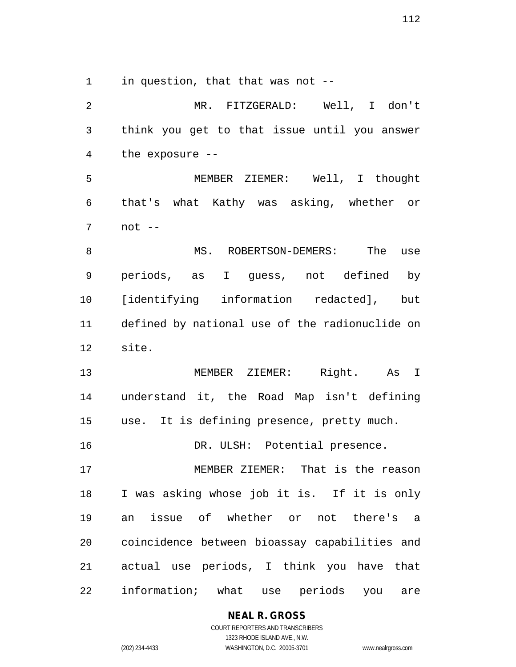in question, that that was not --

 MR. FITZGERALD: Well, I don't think you get to that issue until you answer the exposure -- MEMBER ZIEMER: Well, I thought that's what Kathy was asking, whether or not -- 8 MS. ROBERTSON-DEMERS: The use periods, as I guess, not defined by [identifying information redacted], but defined by national use of the radionuclide on site. MEMBER ZIEMER: Right. As I understand it, the Road Map isn't defining use. It is defining presence, pretty much. 16 DR. ULSH: Potential presence. MEMBER ZIEMER: That is the reason I was asking whose job it is. If it is only an issue of whether or not there's a coincidence between bioassay capabilities and actual use periods, I think you have that information; what use periods you are

**NEAL R. GROSS**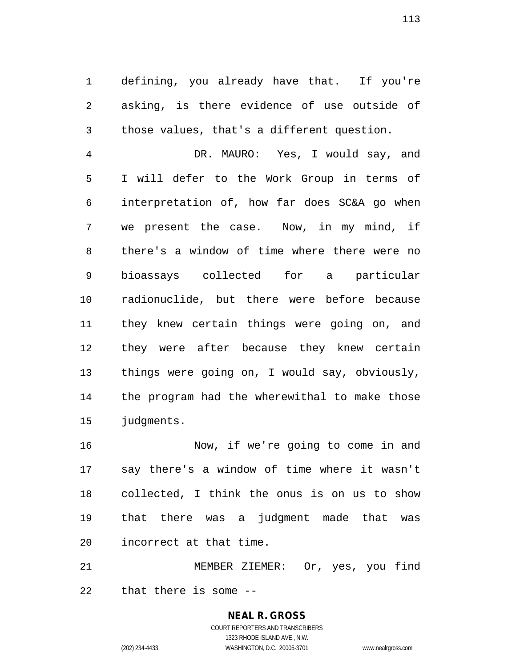defining, you already have that. If you're asking, is there evidence of use outside of those values, that's a different question.

 DR. MAURO: Yes, I would say, and I will defer to the Work Group in terms of interpretation of, how far does SC&A go when we present the case. Now, in my mind, if there's a window of time where there were no bioassays collected for a particular radionuclide, but there were before because they knew certain things were going on, and they were after because they knew certain things were going on, I would say, obviously, the program had the wherewithal to make those judgments.

 Now, if we're going to come in and say there's a window of time where it wasn't collected, I think the onus is on us to show that there was a judgment made that was incorrect at that time.

 MEMBER ZIEMER: Or, yes, you find that there is some --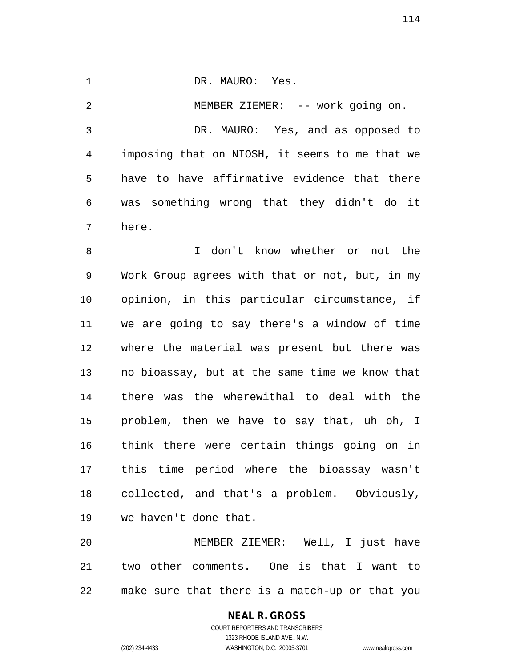DR. MAURO: Yes. MEMBER ZIEMER: -- work going on. DR. MAURO: Yes, and as opposed to imposing that on NIOSH, it seems to me that we have to have affirmative evidence that there was something wrong that they didn't do it here.

 I don't know whether or not the Work Group agrees with that or not, but, in my opinion, in this particular circumstance, if we are going to say there's a window of time where the material was present but there was no bioassay, but at the same time we know that there was the wherewithal to deal with the problem, then we have to say that, uh oh, I think there were certain things going on in this time period where the bioassay wasn't collected, and that's a problem. Obviously, we haven't done that.

 MEMBER ZIEMER: Well, I just have two other comments. One is that I want to make sure that there is a match-up or that you

#### **NEAL R. GROSS** COURT REPORTERS AND TRANSCRIBERS 1323 RHODE ISLAND AVE., N.W.

(202) 234-4433 WASHINGTON, D.C. 20005-3701 www.nealrgross.com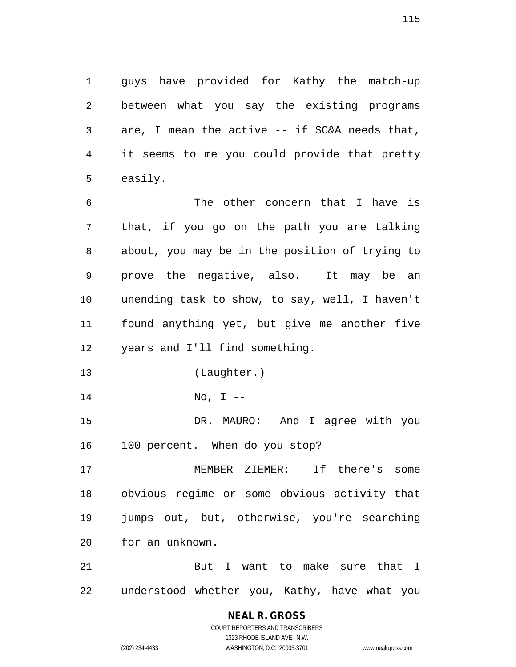guys have provided for Kathy the match-up between what you say the existing programs are, I mean the active -- if SC&A needs that, it seems to me you could provide that pretty easily.

 The other concern that I have is that, if you go on the path you are talking about, you may be in the position of trying to prove the negative, also. It may be an unending task to show, to say, well, I haven't found anything yet, but give me another five years and I'll find something.

- (Laughter.)
- No, I --

 DR. MAURO: And I agree with you 100 percent. When do you stop?

 MEMBER ZIEMER: If there's some obvious regime or some obvious activity that jumps out, but, otherwise, you're searching for an unknown.

21 But I want to make sure that I understood whether you, Kathy, have what you

## **NEAL R. GROSS**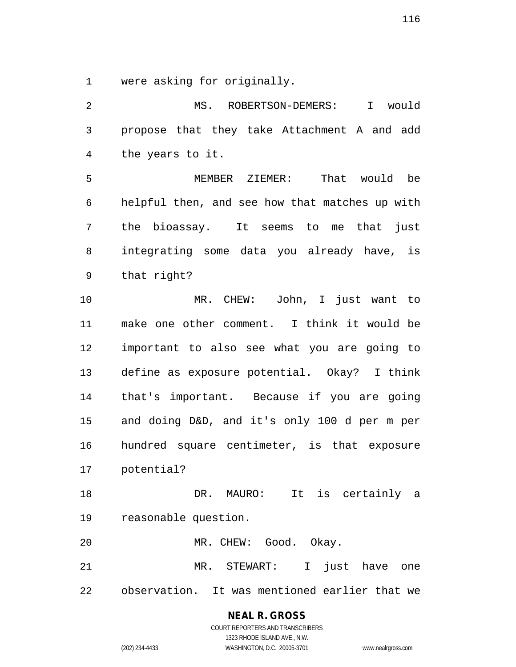were asking for originally.

 MS. ROBERTSON-DEMERS: I would propose that they take Attachment A and add the years to it. MEMBER ZIEMER: That would be helpful then, and see how that matches up with the bioassay. It seems to me that just integrating some data you already have, is that right? MR. CHEW: John, I just want to make one other comment. I think it would be important to also see what you are going to define as exposure potential. Okay? I think that's important. Because if you are going and doing D&D, and it's only 100 d per m per hundred square centimeter, is that exposure potential? DR. MAURO: It is certainly a reasonable question. MR. CHEW: Good. Okay. MR. STEWART: I just have one observation. It was mentioned earlier that we

**NEAL R. GROSS**

COURT REPORTERS AND TRANSCRIBERS 1323 RHODE ISLAND AVE., N.W. (202) 234-4433 WASHINGTON, D.C. 20005-3701 www.nealrgross.com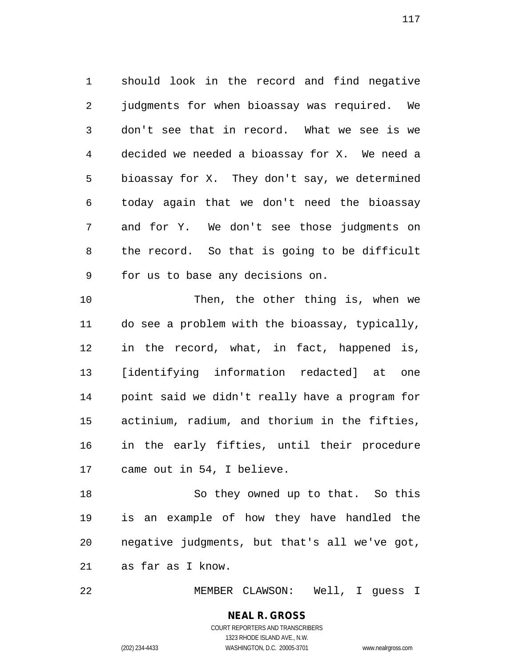should look in the record and find negative judgments for when bioassay was required. We don't see that in record. What we see is we decided we needed a bioassay for X. We need a bioassay for X. They don't say, we determined today again that we don't need the bioassay and for Y. We don't see those judgments on the record. So that is going to be difficult for us to base any decisions on.

 Then, the other thing is, when we do see a problem with the bioassay, typically, in the record, what, in fact, happened is, [identifying information redacted] at one point said we didn't really have a program for actinium, radium, and thorium in the fifties, in the early fifties, until their procedure came out in 54, I believe.

 So they owned up to that. So this is an example of how they have handled the negative judgments, but that's all we've got, as far as I know.

MEMBER CLAWSON: Well, I guess I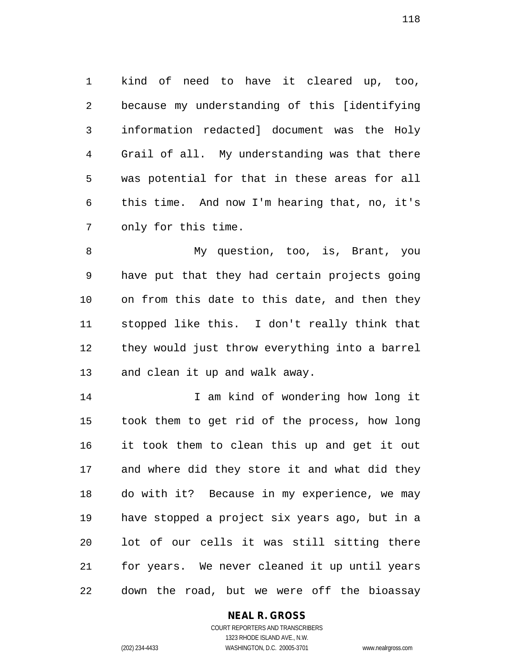kind of need to have it cleared up, too, because my understanding of this [identifying information redacted] document was the Holy Grail of all. My understanding was that there was potential for that in these areas for all this time. And now I'm hearing that, no, it's only for this time.

 My question, too, is, Brant, you have put that they had certain projects going on from this date to this date, and then they stopped like this. I don't really think that they would just throw everything into a barrel and clean it up and walk away.

14 I am kind of wondering how long it took them to get rid of the process, how long it took them to clean this up and get it out and where did they store it and what did they do with it? Because in my experience, we may have stopped a project six years ago, but in a lot of our cells it was still sitting there for years. We never cleaned it up until years down the road, but we were off the bioassay

## **NEAL R. GROSS**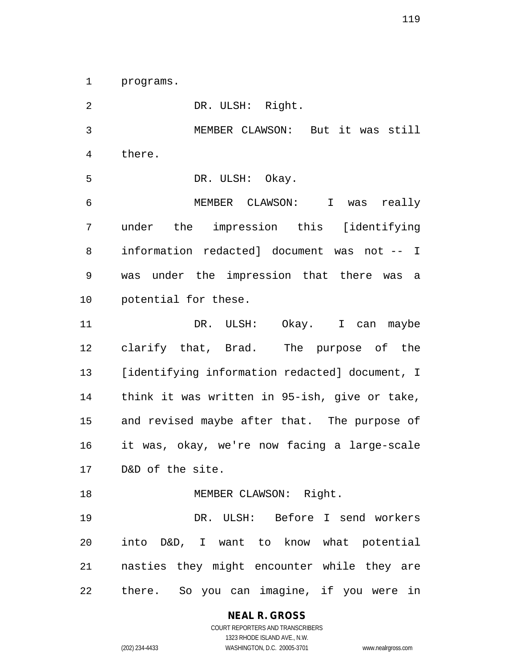programs.

 DR. ULSH: Right. MEMBER CLAWSON: But it was still there. DR. ULSH: Okay. MEMBER CLAWSON: I was really under the impression this [identifying information redacted] document was not -- I was under the impression that there was a potential for these. 11 DR. ULSH: Okay. I can maybe clarify that, Brad. The purpose of the [identifying information redacted] document, I think it was written in 95-ish, give or take, and revised maybe after that. The purpose of it was, okay, we're now facing a large-scale D&D of the site. 18 MEMBER CLAWSON: Right. DR. ULSH: Before I send workers into D&D, I want to know what potential nasties they might encounter while they are there. So you can imagine, if you were in

**NEAL R. GROSS**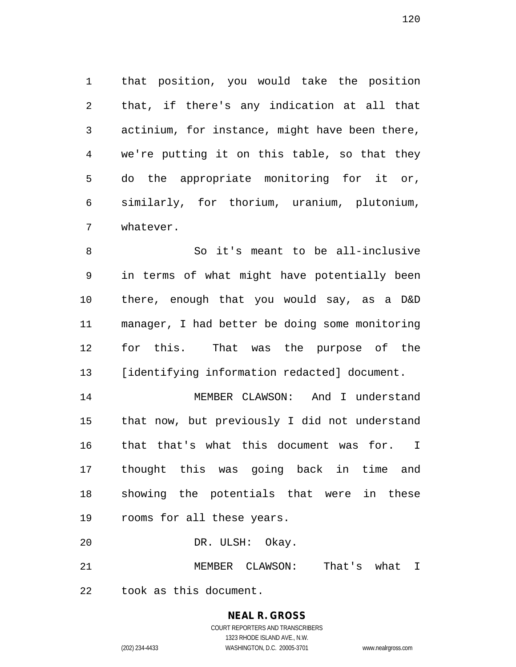that position, you would take the position that, if there's any indication at all that actinium, for instance, might have been there, we're putting it on this table, so that they do the appropriate monitoring for it or, similarly, for thorium, uranium, plutonium, whatever.

 So it's meant to be all-inclusive in terms of what might have potentially been there, enough that you would say, as a D&D manager, I had better be doing some monitoring for this. That was the purpose of the [identifying information redacted] document.

 MEMBER CLAWSON: And I understand that now, but previously I did not understand that that's what this document was for. I thought this was going back in time and showing the potentials that were in these rooms for all these years.

DR. ULSH: Okay.

MEMBER CLAWSON: That's what I

took as this document.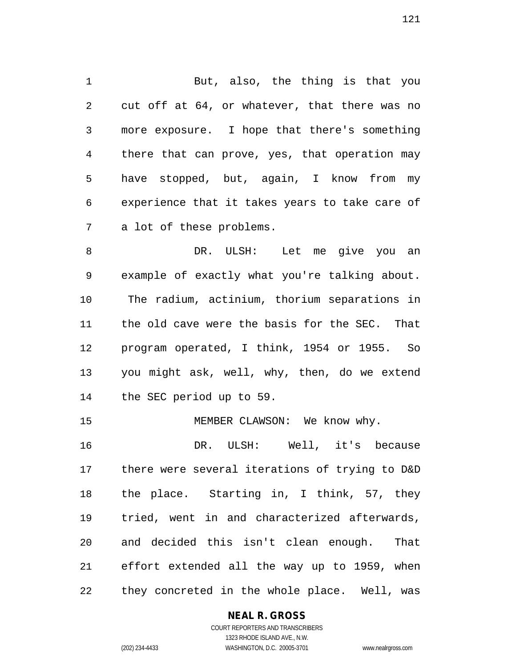But, also, the thing is that you cut off at 64, or whatever, that there was no more exposure. I hope that there's something there that can prove, yes, that operation may have stopped, but, again, I know from my experience that it takes years to take care of a lot of these problems.

 DR. ULSH: Let me give you an example of exactly what you're talking about. The radium, actinium, thorium separations in the old cave were the basis for the SEC. That program operated, I think, 1954 or 1955. So you might ask, well, why, then, do we extend the SEC period up to 59.

15 MEMBER CLAWSON: We know why.

 DR. ULSH: Well, it's because there were several iterations of trying to D&D the place. Starting in, I think, 57, they tried, went in and characterized afterwards, and decided this isn't clean enough. That effort extended all the way up to 1959, when they concreted in the whole place. Well, was

## **NEAL R. GROSS**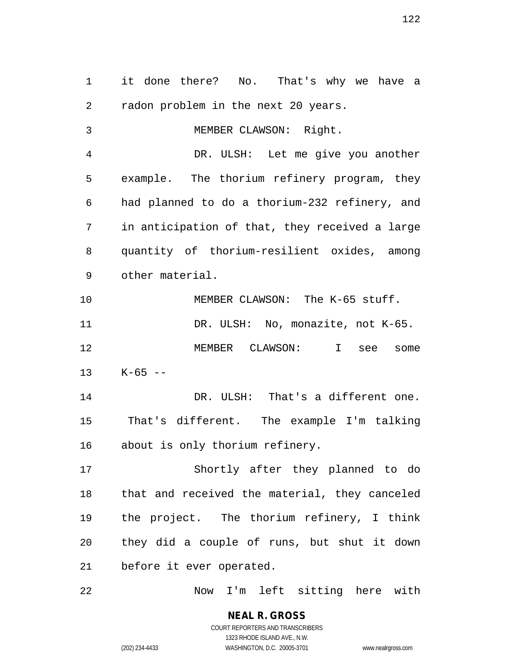it done there? No. That's why we have a radon problem in the next 20 years. MEMBER CLAWSON: Right. DR. ULSH: Let me give you another example. The thorium refinery program, they had planned to do a thorium-232 refinery, and in anticipation of that, they received a large quantity of thorium-resilient oxides, among other material. MEMBER CLAWSON: The K-65 stuff. 11 DR. ULSH: No, monazite, not K-65. MEMBER CLAWSON: I see some K-65 -- DR. ULSH: That's a different one. That's different. The example I'm talking about is only thorium refinery. Shortly after they planned to do that and received the material, they canceled the project. The thorium refinery, I think they did a couple of runs, but shut it down before it ever operated. Now I'm left sitting here with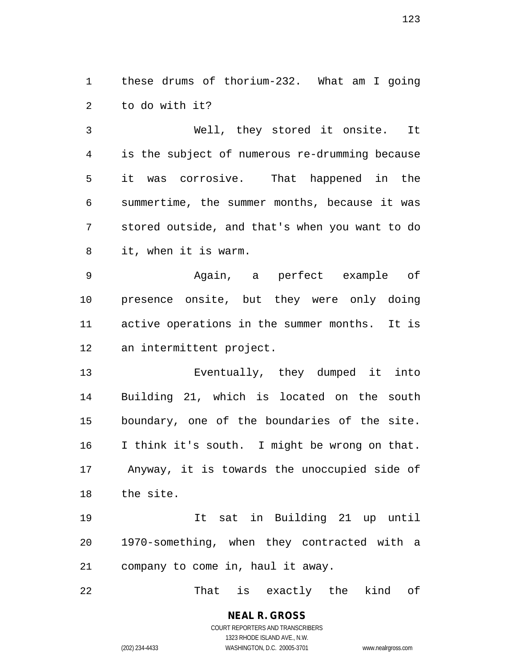these drums of thorium-232. What am I going to do with it?

 Well, they stored it onsite. It is the subject of numerous re-drumming because it was corrosive. That happened in the summertime, the summer months, because it was stored outside, and that's when you want to do it, when it is warm.

 Again, a perfect example of presence onsite, but they were only doing active operations in the summer months. It is an intermittent project.

 Eventually, they dumped it into Building 21, which is located on the south boundary, one of the boundaries of the site. I think it's south. I might be wrong on that. Anyway, it is towards the unoccupied side of the site.

 It sat in Building 21 up until 1970-something, when they contracted with a company to come in, haul it away.

That is exactly the kind of

**NEAL R. GROSS** COURT REPORTERS AND TRANSCRIBERS 1323 RHODE ISLAND AVE., N.W.

(202) 234-4433 WASHINGTON, D.C. 20005-3701 www.nealrgross.com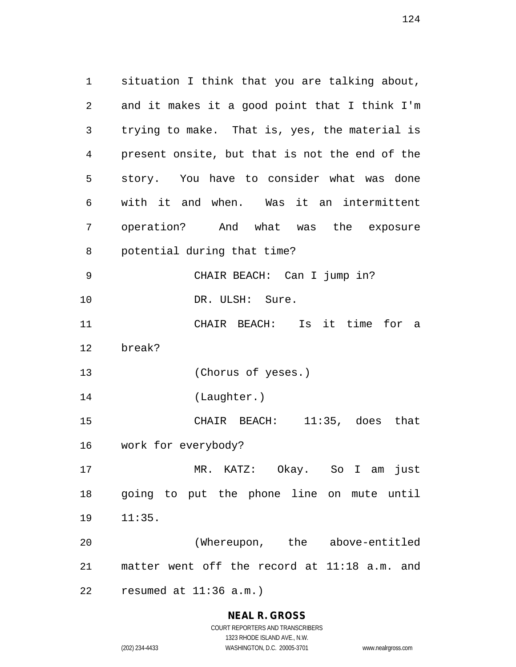situation I think that you are talking about, and it makes it a good point that I think I'm trying to make. That is, yes, the material is present onsite, but that is not the end of the story. You have to consider what was done with it and when. Was it an intermittent operation? And what was the exposure potential during that time? CHAIR BEACH: Can I jump in? DR. ULSH: Sure. CHAIR BEACH: Is it time for a break? (Chorus of yeses.) (Laughter.) CHAIR BEACH: 11:35, does that work for everybody? MR. KATZ: Okay. So I am just going to put the phone line on mute until 11:35. (Whereupon, the above-entitled matter went off the record at 11:18 a.m. and resumed at 11:36 a.m.)

> **NEAL R. GROSS** COURT REPORTERS AND TRANSCRIBERS

1323 RHODE ISLAND AVE., N.W. (202) 234-4433 WASHINGTON, D.C. 20005-3701 www.nealrgross.com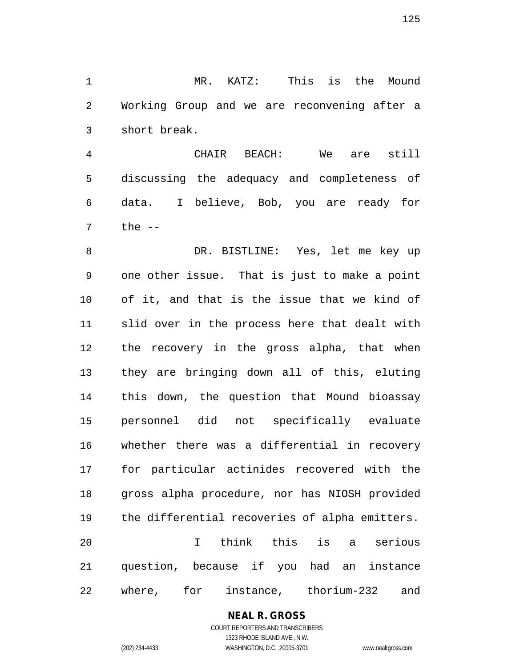MR. KATZ: This is the Mound Working Group and we are reconvening after a short break.

 CHAIR BEACH: We are still discussing the adequacy and completeness of data. I believe, Bob, you are ready for the  $-$ 

 DR. BISTLINE: Yes, let me key up one other issue. That is just to make a point of it, and that is the issue that we kind of slid over in the process here that dealt with the recovery in the gross alpha, that when they are bringing down all of this, eluting this down, the question that Mound bioassay personnel did not specifically evaluate whether there was a differential in recovery for particular actinides recovered with the gross alpha procedure, nor has NIOSH provided the differential recoveries of alpha emitters. I think this is a serious question, because if you had an instance where, for instance, thorium-232 and

## **NEAL R. GROSS**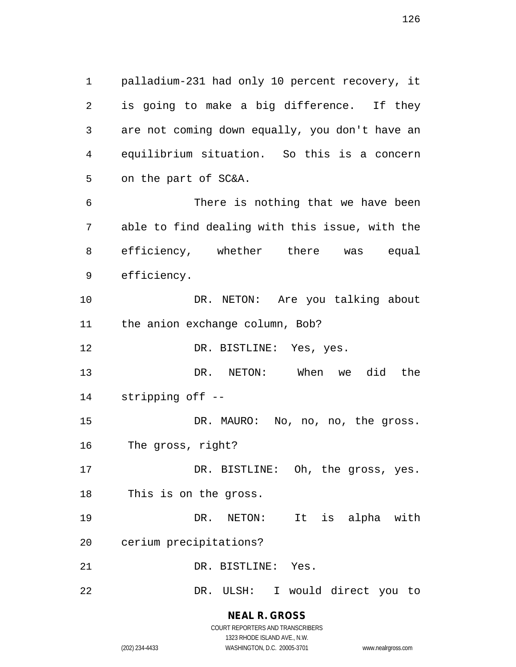palladium-231 had only 10 percent recovery, it is going to make a big difference. If they are not coming down equally, you don't have an equilibrium situation. So this is a concern on the part of SC&A. There is nothing that we have been able to find dealing with this issue, with the efficiency, whether there was equal efficiency.

 DR. NETON: Are you talking about the anion exchange column, Bob?

12 DR. BISTLINE: Yes, yes.

 DR. NETON: When we did the stripping off --

 DR. MAURO: No, no, no, the gross. The gross, right?

17 DR. BISTLINE: Oh, the gross, yes. This is on the gross.

 DR. NETON: It is alpha with cerium precipitations?

DR. BISTLINE: Yes.

DR. ULSH: I would direct you to

**NEAL R. GROSS** COURT REPORTERS AND TRANSCRIBERS

1323 RHODE ISLAND AVE., N.W.

(202) 234-4433 WASHINGTON, D.C. 20005-3701 www.nealrgross.com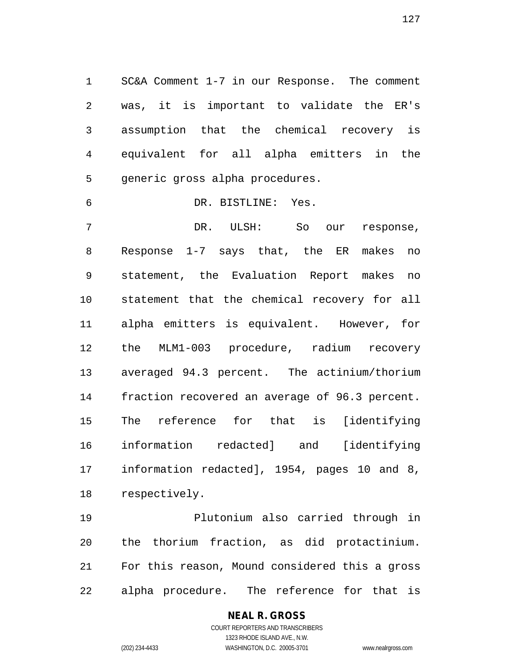SC&A Comment 1-7 in our Response. The comment was, it is important to validate the ER's assumption that the chemical recovery is equivalent for all alpha emitters in the generic gross alpha procedures.

DR. BISTLINE: Yes.

 DR. ULSH: So our response, Response 1-7 says that, the ER makes no statement, the Evaluation Report makes no statement that the chemical recovery for all alpha emitters is equivalent. However, for the MLM1-003 procedure, radium recovery averaged 94.3 percent. The actinium/thorium fraction recovered an average of 96.3 percent. The reference for that is [identifying information redacted] and [identifying information redacted], 1954, pages 10 and 8, respectively.

 Plutonium also carried through in the thorium fraction, as did protactinium. For this reason, Mound considered this a gross alpha procedure. The reference for that is

> **NEAL R. GROSS** COURT REPORTERS AND TRANSCRIBERS

1323 RHODE ISLAND AVE., N.W. (202) 234-4433 WASHINGTON, D.C. 20005-3701 www.nealrgross.com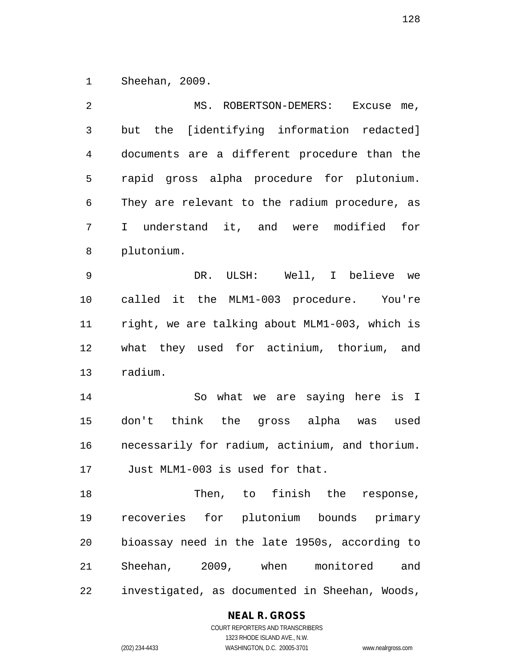Sheehan, 2009.

 MS. ROBERTSON-DEMERS: Excuse me, but the [identifying information redacted] documents are a different procedure than the rapid gross alpha procedure for plutonium. They are relevant to the radium procedure, as I understand it, and were modified for plutonium. DR. ULSH: Well, I believe we called it the MLM1-003 procedure. You're right, we are talking about MLM1-003, which is what they used for actinium, thorium, and radium. So what we are saying here is I don't think the gross alpha was used necessarily for radium, actinium, and thorium. Just MLM1-003 is used for that. Then, to finish the response, recoveries for plutonium bounds primary bioassay need in the late 1950s, according to Sheehan, 2009, when monitored and investigated, as documented in Sheehan, Woods,

**NEAL R. GROSS**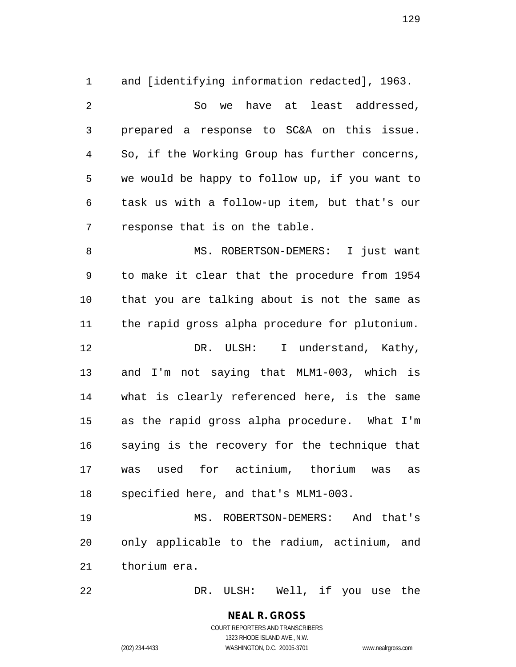and [identifying information redacted], 1963. So we have at least addressed, prepared a response to SC&A on this issue. So, if the Working Group has further concerns, we would be happy to follow up, if you want to task us with a follow-up item, but that's our response that is on the table. 8 MS. ROBERTSON-DEMERS: I just want to make it clear that the procedure from 1954 that you are talking about is not the same as the rapid gross alpha procedure for plutonium. 12 DR. ULSH: I understand, Kathy,

 and I'm not saying that MLM1-003, which is what is clearly referenced here, is the same as the rapid gross alpha procedure. What I'm saying is the recovery for the technique that was used for actinium, thorium was as specified here, and that's MLM1-003.

 MS. ROBERTSON-DEMERS: And that's only applicable to the radium, actinium, and thorium era.

DR. ULSH: Well, if you use the

**NEAL R. GROSS** COURT REPORTERS AND TRANSCRIBERS

1323 RHODE ISLAND AVE., N.W.

(202) 234-4433 WASHINGTON, D.C. 20005-3701 www.nealrgross.com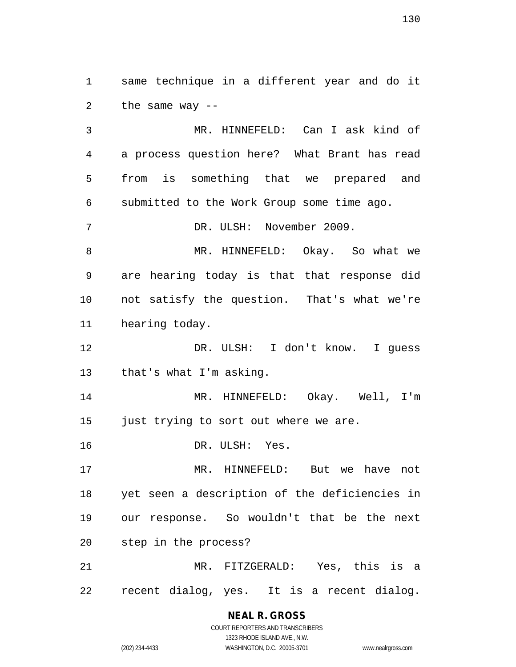same technique in a different year and do it the same way --

 MR. HINNEFELD: Can I ask kind of a process question here? What Brant has read from is something that we prepared and submitted to the Work Group some time ago. DR. ULSH: November 2009. MR. HINNEFELD: Okay. So what we are hearing today is that that response did not satisfy the question. That's what we're hearing today. DR. ULSH: I don't know. I guess that's what I'm asking. MR. HINNEFELD: Okay. Well, I'm just trying to sort out where we are. DR. ULSH: Yes. MR. HINNEFELD: But we have not yet seen a description of the deficiencies in our response. So wouldn't that be the next step in the process? MR. FITZGERALD: Yes, this is a

recent dialog, yes. It is a recent dialog.

## **NEAL R. GROSS**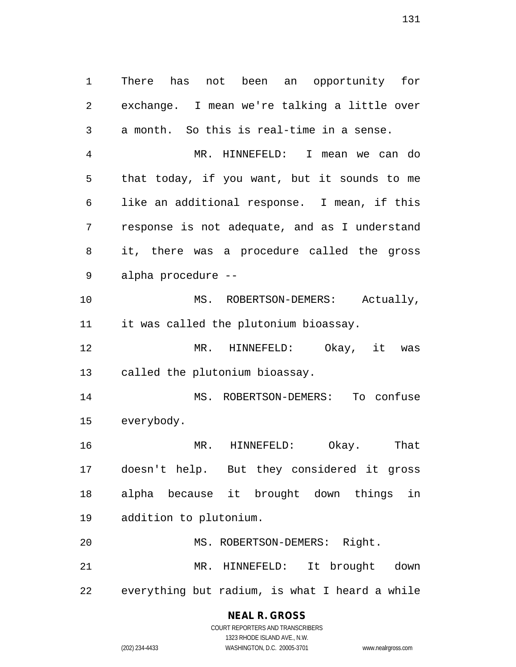There has not been an opportunity for exchange. I mean we're talking a little over a month. So this is real-time in a sense.

 MR. HINNEFELD: I mean we can do that today, if you want, but it sounds to me like an additional response. I mean, if this response is not adequate, and as I understand it, there was a procedure called the gross alpha procedure --

10 MS. ROBERTSON-DEMERS: Actually, it was called the plutonium bioassay.

 MR. HINNEFELD: Okay, it was called the plutonium bioassay.

 MS. ROBERTSON-DEMERS: To confuse everybody.

 MR. HINNEFELD: Okay. That doesn't help. But they considered it gross alpha because it brought down things in addition to plutonium.

20 MS. ROBERTSON-DEMERS: Right. MR. HINNEFELD: It brought down everything but radium, is what I heard a while

## **NEAL R. GROSS**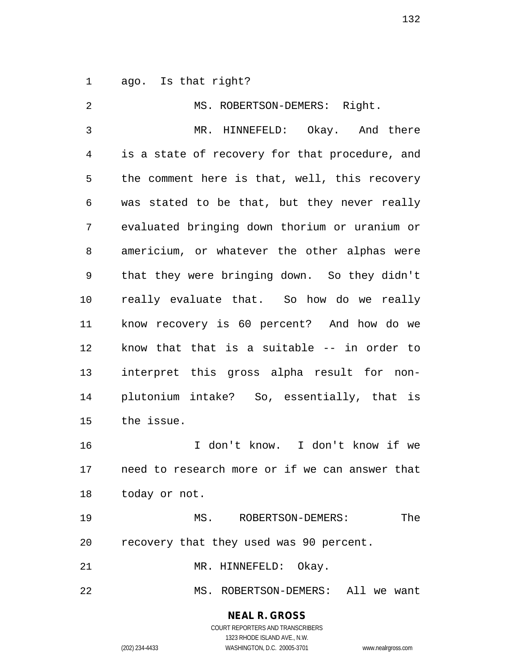ago. Is that right?

2 MS. ROBERTSON-DEMERS: Right. MR. HINNEFELD: Okay. And there is a state of recovery for that procedure, and the comment here is that, well, this recovery was stated to be that, but they never really evaluated bringing down thorium or uranium or americium, or whatever the other alphas were that they were bringing down. So they didn't really evaluate that. So how do we really know recovery is 60 percent? And how do we know that that is a suitable -- in order to interpret this gross alpha result for non- plutonium intake? So, essentially, that is the issue. I don't know. I don't know if we need to research more or if we can answer that today or not. MS. ROBERTSON-DEMERS: The recovery that they used was 90 percent. 21 MR. HINNEFELD: Okay. MS. ROBERTSON-DEMERS: All we want

> **NEAL R. GROSS** COURT REPORTERS AND TRANSCRIBERS

> > 1323 RHODE ISLAND AVE., N.W.

(202) 234-4433 WASHINGTON, D.C. 20005-3701 www.nealrgross.com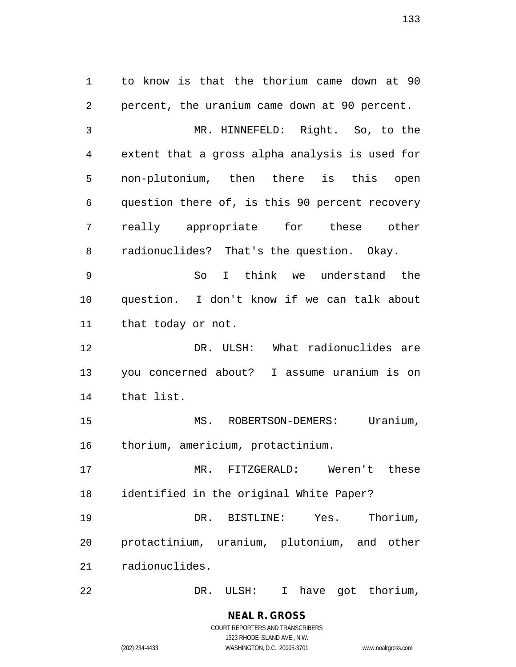to know is that the thorium came down at 90 percent, the uranium came down at 90 percent. MR. HINNEFELD: Right. So, to the extent that a gross alpha analysis is used for non-plutonium, then there is this open question there of, is this 90 percent recovery really appropriate for these other radionuclides? That's the question. Okay. So I think we understand the question. I don't know if we can talk about that today or not. DR. ULSH: What radionuclides are you concerned about? I assume uranium is on that list. 15 MS. ROBERTSON-DEMERS: Uranium, thorium, americium, protactinium. MR. FITZGERALD: Weren't these identified in the original White Paper? DR. BISTLINE: Yes. Thorium, protactinium, uranium, plutonium, and other radionuclides. DR. ULSH: I have got thorium,

(202) 234-4433 WASHINGTON, D.C. 20005-3701 www.nealrgross.com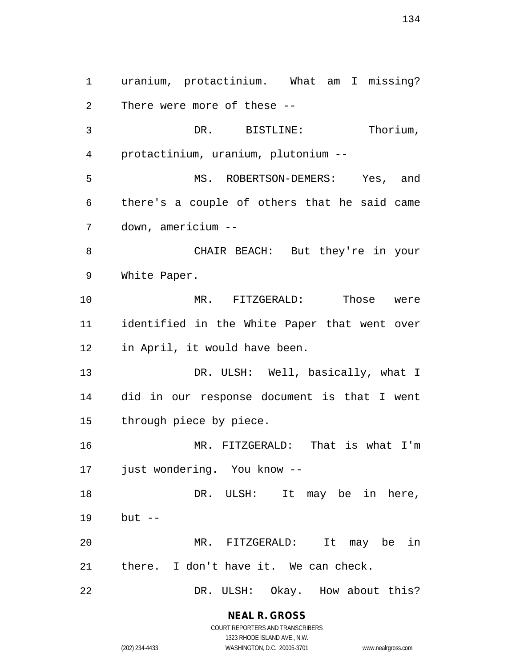uranium, protactinium. What am I missing? There were more of these -- DR. BISTLINE: Thorium, protactinium, uranium, plutonium -- MS. ROBERTSON-DEMERS: Yes, and there's a couple of others that he said came down, americium -- CHAIR BEACH: But they're in your White Paper. MR. FITZGERALD: Those were identified in the White Paper that went over in April, it would have been. 13 DR. ULSH: Well, basically, what I did in our response document is that I went through piece by piece. MR. FITZGERALD: That is what I'm just wondering. You know -- 18 DR. ULSH: It may be in here, but -- MR. FITZGERALD: It may be in there. I don't have it. We can check. 22 DR. ULSH: Okay. How about this?

## **NEAL R. GROSS**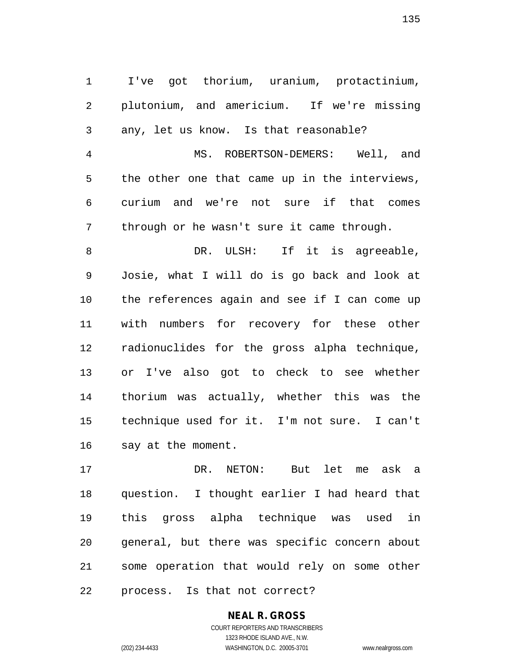I've got thorium, uranium, protactinium, plutonium, and americium. If we're missing any, let us know. Is that reasonable? MS. ROBERTSON-DEMERS: Well, and

 the other one that came up in the interviews, curium and we're not sure if that comes through or he wasn't sure it came through.

8 DR. ULSH: If it is agreeable, Josie, what I will do is go back and look at the references again and see if I can come up with numbers for recovery for these other radionuclides for the gross alpha technique, or I've also got to check to see whether thorium was actually, whether this was the technique used for it. I'm not sure. I can't say at the moment.

 DR. NETON: But let me ask a question. I thought earlier I had heard that this gross alpha technique was used in general, but there was specific concern about some operation that would rely on some other process. Is that not correct?

## **NEAL R. GROSS**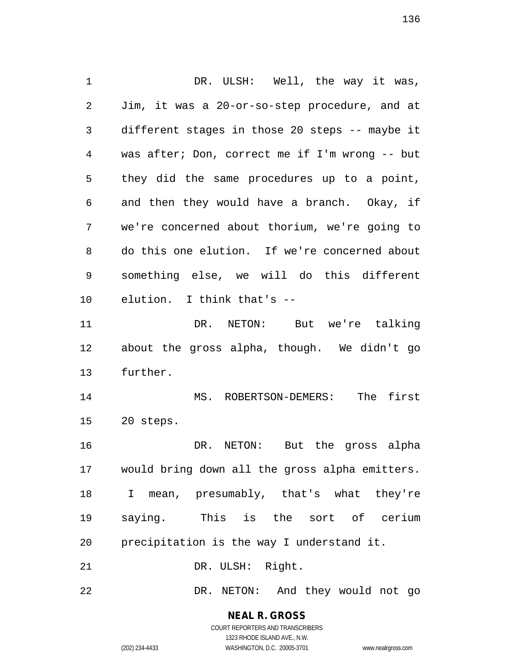DR. ULSH: Well, the way it was, Jim, it was a 20-or-so-step procedure, and at different stages in those 20 steps -- maybe it was after; Don, correct me if I'm wrong -- but they did the same procedures up to a point, and then they would have a branch. Okay, if we're concerned about thorium, we're going to do this one elution. If we're concerned about something else, we will do this different elution. I think that's -- DR. NETON: But we're talking about the gross alpha, though. We didn't go further. MS. ROBERTSON-DEMERS: The first 20 steps. DR. NETON: But the gross alpha would bring down all the gross alpha emitters. I mean, presumably, that's what they're saying. This is the sort of cerium precipitation is the way I understand it. 21 DR. ULSH: Right. DR. NETON: And they would not go

> **NEAL R. GROSS** COURT REPORTERS AND TRANSCRIBERS

> > 1323 RHODE ISLAND AVE., N.W.

(202) 234-4433 WASHINGTON, D.C. 20005-3701 www.nealrgross.com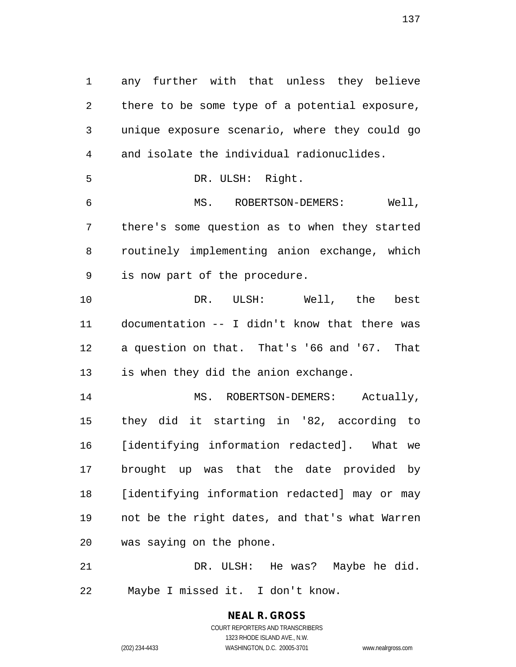any further with that unless they believe there to be some type of a potential exposure, unique exposure scenario, where they could go and isolate the individual radionuclides. DR. ULSH: Right. MS. ROBERTSON-DEMERS: Well, there's some question as to when they started routinely implementing anion exchange, which is now part of the procedure. DR. ULSH: Well, the best documentation -- I didn't know that there was a question on that. That's '66 and '67. That is when they did the anion exchange. 14 MS. ROBERTSON-DEMERS: Actually, they did it starting in '82, according to [identifying information redacted]. What we brought up was that the date provided by [identifying information redacted] may or may not be the right dates, and that's what Warren was saying on the phone.

 DR. ULSH: He was? Maybe he did. Maybe I missed it. I don't know.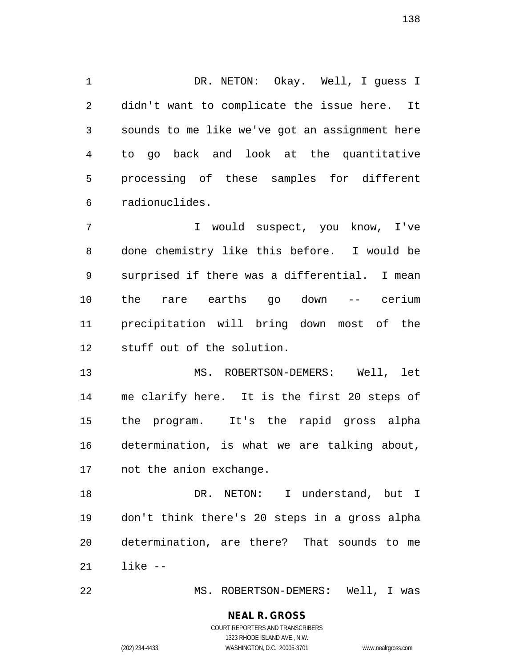DR. NETON: Okay. Well, I guess I didn't want to complicate the issue here. It sounds to me like we've got an assignment here to go back and look at the quantitative processing of these samples for different radionuclides.

 I would suspect, you know, I've done chemistry like this before. I would be surprised if there was a differential. I mean the rare earths go down -- cerium precipitation will bring down most of the stuff out of the solution.

 MS. ROBERTSON-DEMERS: Well, let me clarify here. It is the first 20 steps of the program. It's the rapid gross alpha determination, is what we are talking about, not the anion exchange.

 DR. NETON: I understand, but I don't think there's 20 steps in a gross alpha determination, are there? That sounds to me like --

MS. ROBERTSON-DEMERS: Well, I was

#### **NEAL R. GROSS** COURT REPORTERS AND TRANSCRIBERS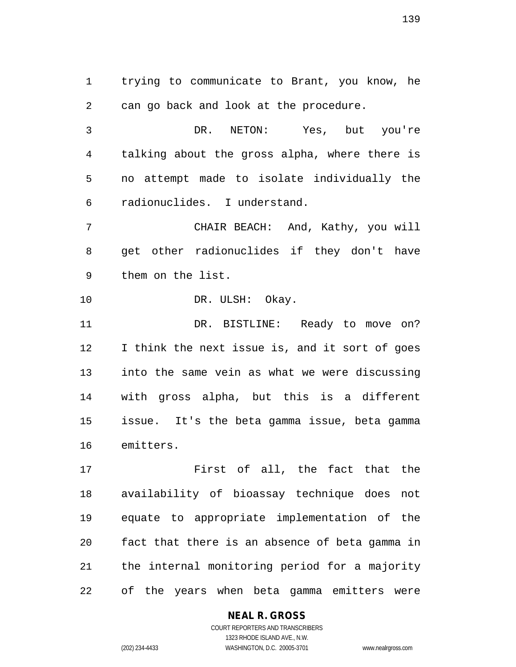trying to communicate to Brant, you know, he can go back and look at the procedure.

 DR. NETON: Yes, but you're talking about the gross alpha, where there is no attempt made to isolate individually the radionuclides. I understand.

 CHAIR BEACH: And, Kathy, you will get other radionuclides if they don't have them on the list.

10 DR. ULSH: Okay.

11 DR. BISTLINE: Ready to move on? I think the next issue is, and it sort of goes into the same vein as what we were discussing with gross alpha, but this is a different issue. It's the beta gamma issue, beta gamma emitters.

 First of all, the fact that the availability of bioassay technique does not equate to appropriate implementation of the fact that there is an absence of beta gamma in the internal monitoring period for a majority of the years when beta gamma emitters were

## **NEAL R. GROSS**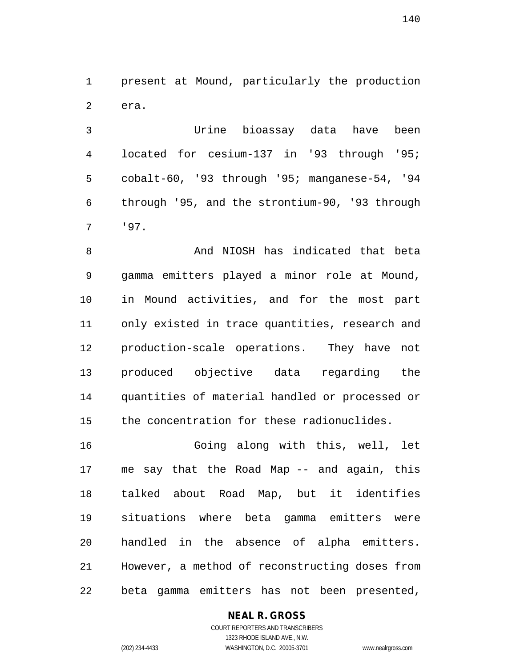present at Mound, particularly the production era.

 Urine bioassay data have been located for cesium-137 in '93 through '95; cobalt-60, '93 through '95; manganese-54, '94 through '95, and the strontium-90, '93 through '97.

8 And NIOSH has indicated that beta gamma emitters played a minor role at Mound, in Mound activities, and for the most part only existed in trace quantities, research and production-scale operations. They have not produced objective data regarding the quantities of material handled or processed or the concentration for these radionuclides.

 Going along with this, well, let me say that the Road Map -- and again, this talked about Road Map, but it identifies situations where beta gamma emitters were handled in the absence of alpha emitters. However, a method of reconstructing doses from beta gamma emitters has not been presented,

## **NEAL R. GROSS**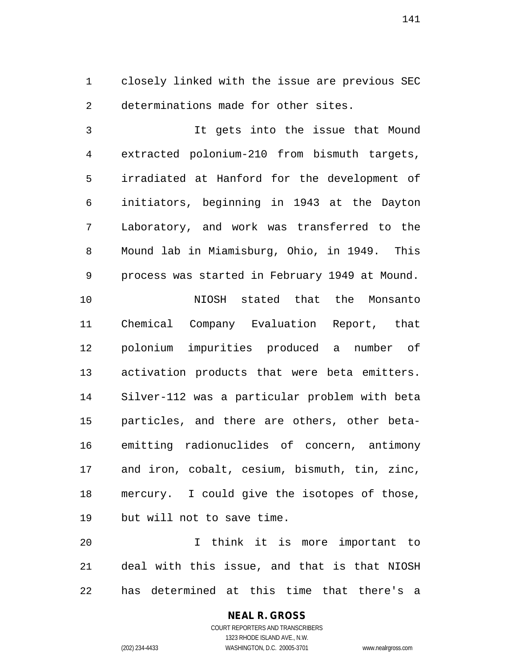closely linked with the issue are previous SEC determinations made for other sites.

 It gets into the issue that Mound extracted polonium-210 from bismuth targets, irradiated at Hanford for the development of initiators, beginning in 1943 at the Dayton Laboratory, and work was transferred to the Mound lab in Miamisburg, Ohio, in 1949. This process was started in February 1949 at Mound. NIOSH stated that the Monsanto Chemical Company Evaluation Report, that polonium impurities produced a number of activation products that were beta emitters. Silver-112 was a particular problem with beta particles, and there are others, other beta- emitting radionuclides of concern, antimony and iron, cobalt, cesium, bismuth, tin, zinc, mercury. I could give the isotopes of those, but will not to save time.

 I think it is more important to deal with this issue, and that is that NIOSH has determined at this time that there's a

#### **NEAL R. GROSS** COURT REPORTERS AND TRANSCRIBERS 1323 RHODE ISLAND AVE., N.W. (202) 234-4433 WASHINGTON, D.C. 20005-3701 www.nealrgross.com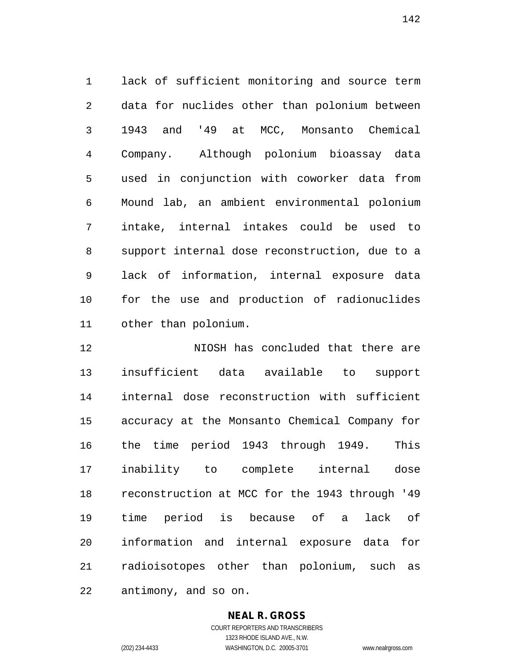lack of sufficient monitoring and source term data for nuclides other than polonium between 1943 and '49 at MCC, Monsanto Chemical Company. Although polonium bioassay data used in conjunction with coworker data from Mound lab, an ambient environmental polonium intake, internal intakes could be used to support internal dose reconstruction, due to a lack of information, internal exposure data for the use and production of radionuclides other than polonium.

 NIOSH has concluded that there are insufficient data available to support internal dose reconstruction with sufficient accuracy at the Monsanto Chemical Company for the time period 1943 through 1949. This inability to complete internal dose reconstruction at MCC for the 1943 through '49 time period is because of a lack of information and internal exposure data for radioisotopes other than polonium, such as antimony, and so on.

**NEAL R. GROSS**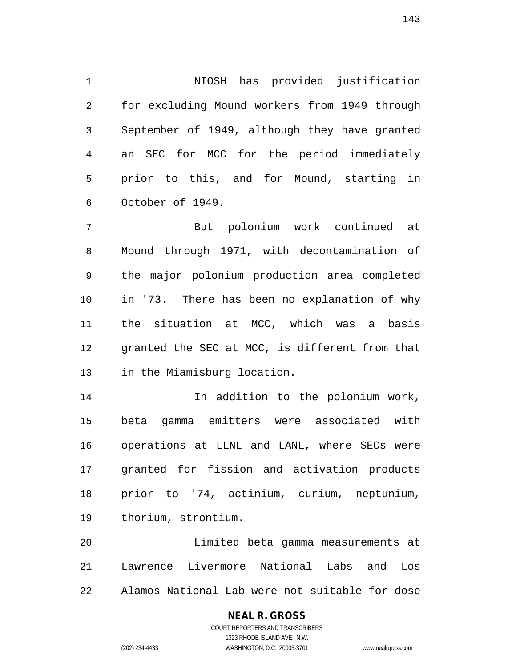NIOSH has provided justification for excluding Mound workers from 1949 through September of 1949, although they have granted an SEC for MCC for the period immediately prior to this, and for Mound, starting in October of 1949.

 But polonium work continued at Mound through 1971, with decontamination of the major polonium production area completed in '73. There has been no explanation of why the situation at MCC, which was a basis granted the SEC at MCC, is different from that in the Miamisburg location.

 In addition to the polonium work, beta gamma emitters were associated with operations at LLNL and LANL, where SECs were granted for fission and activation products prior to '74, actinium, curium, neptunium, thorium, strontium.

 Limited beta gamma measurements at Lawrence Livermore National Labs and Los Alamos National Lab were not suitable for dose

## **NEAL R. GROSS**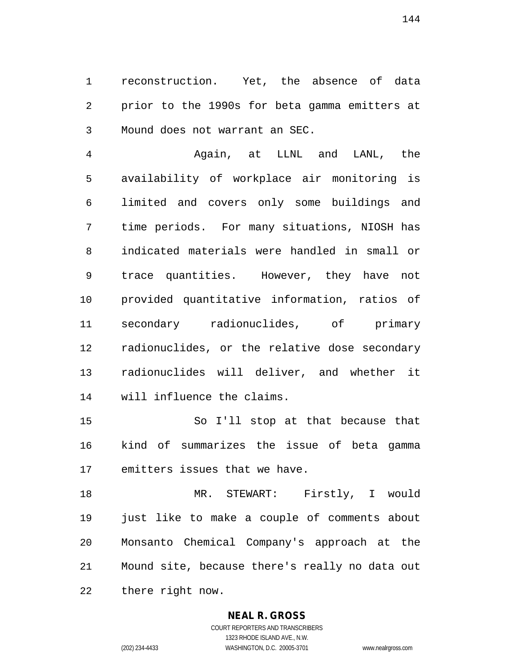reconstruction. Yet, the absence of data prior to the 1990s for beta gamma emitters at Mound does not warrant an SEC.

 Again, at LLNL and LANL, the availability of workplace air monitoring is limited and covers only some buildings and time periods. For many situations, NIOSH has indicated materials were handled in small or trace quantities. However, they have not provided quantitative information, ratios of secondary radionuclides, of primary radionuclides, or the relative dose secondary radionuclides will deliver, and whether it will influence the claims.

 So I'll stop at that because that kind of summarizes the issue of beta gamma emitters issues that we have.

 MR. STEWART: Firstly, I would just like to make a couple of comments about Monsanto Chemical Company's approach at the Mound site, because there's really no data out there right now.

#### **NEAL R. GROSS**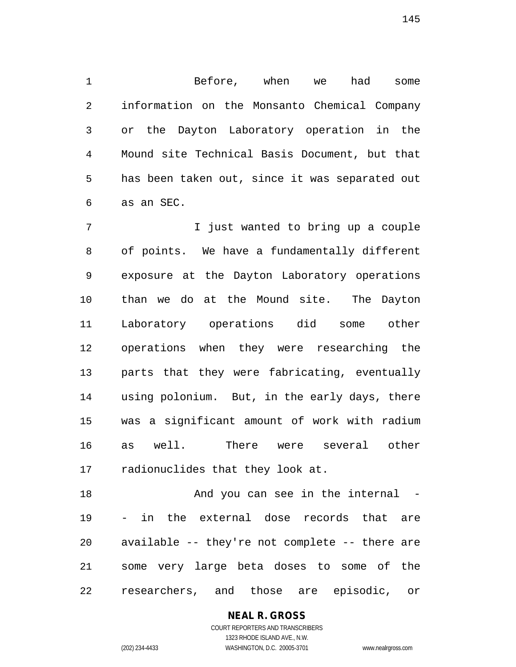Before, when we had some information on the Monsanto Chemical Company or the Dayton Laboratory operation in the Mound site Technical Basis Document, but that has been taken out, since it was separated out as an SEC.

 I just wanted to bring up a couple of points. We have a fundamentally different exposure at the Dayton Laboratory operations than we do at the Mound site. The Dayton Laboratory operations did some other operations when they were researching the parts that they were fabricating, eventually using polonium. But, in the early days, there was a significant amount of work with radium as well. There were several other radionuclides that they look at.

18 And you can see in the internal - - in the external dose records that are available -- they're not complete -- there are some very large beta doses to some of the researchers, and those are episodic, or

## **NEAL R. GROSS**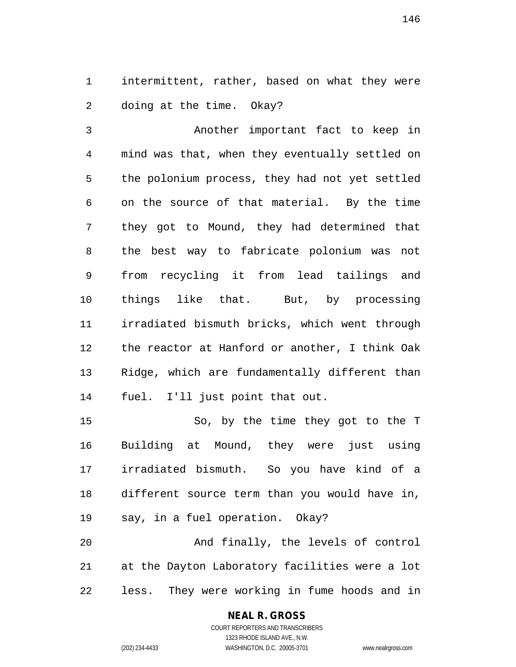intermittent, rather, based on what they were doing at the time. Okay?

 Another important fact to keep in mind was that, when they eventually settled on the polonium process, they had not yet settled on the source of that material. By the time they got to Mound, they had determined that the best way to fabricate polonium was not from recycling it from lead tailings and things like that. But, by processing irradiated bismuth bricks, which went through the reactor at Hanford or another, I think Oak Ridge, which are fundamentally different than fuel. I'll just point that out.

 So, by the time they got to the T Building at Mound, they were just using irradiated bismuth. So you have kind of a different source term than you would have in, say, in a fuel operation. Okay? And finally, the levels of control at the Dayton Laboratory facilities were a lot

less. They were working in fume hoods and in

### **NEAL R. GROSS** COURT REPORTERS AND TRANSCRIBERS

1323 RHODE ISLAND AVE., N.W.

(202) 234-4433 WASHINGTON, D.C. 20005-3701 www.nealrgross.com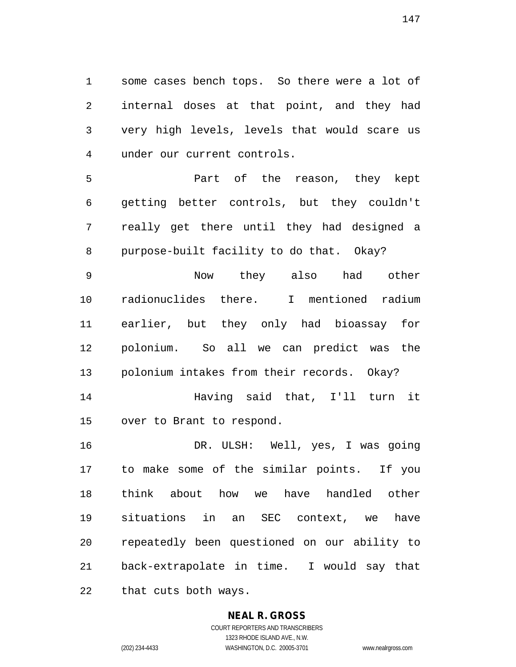some cases bench tops. So there were a lot of internal doses at that point, and they had very high levels, levels that would scare us under our current controls.

 Part of the reason, they kept getting better controls, but they couldn't really get there until they had designed a purpose-built facility to do that. Okay?

 Now they also had other radionuclides there. I mentioned radium earlier, but they only had bioassay for polonium. So all we can predict was the polonium intakes from their records. Okay? Having said that, I'll turn it

over to Brant to respond.

 DR. ULSH: Well, yes, I was going to make some of the similar points. If you think about how we have handled other situations in an SEC context, we have repeatedly been questioned on our ability to back-extrapolate in time. I would say that that cuts both ways.

## **NEAL R. GROSS**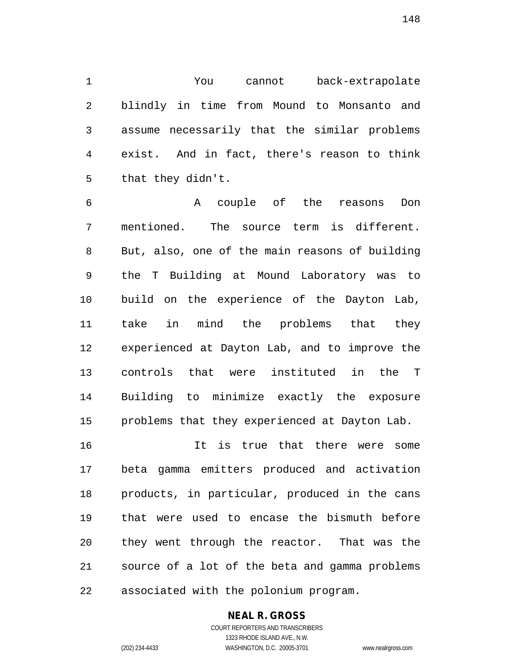You cannot back-extrapolate blindly in time from Mound to Monsanto and assume necessarily that the similar problems exist. And in fact, there's reason to think that they didn't.

 A couple of the reasons Don mentioned. The source term is different. But, also, one of the main reasons of building the T Building at Mound Laboratory was to build on the experience of the Dayton Lab, take in mind the problems that they experienced at Dayton Lab, and to improve the controls that were instituted in the T Building to minimize exactly the exposure problems that they experienced at Dayton Lab.

 It is true that there were some beta gamma emitters produced and activation products, in particular, produced in the cans that were used to encase the bismuth before they went through the reactor. That was the source of a lot of the beta and gamma problems associated with the polonium program.

## **NEAL R. GROSS**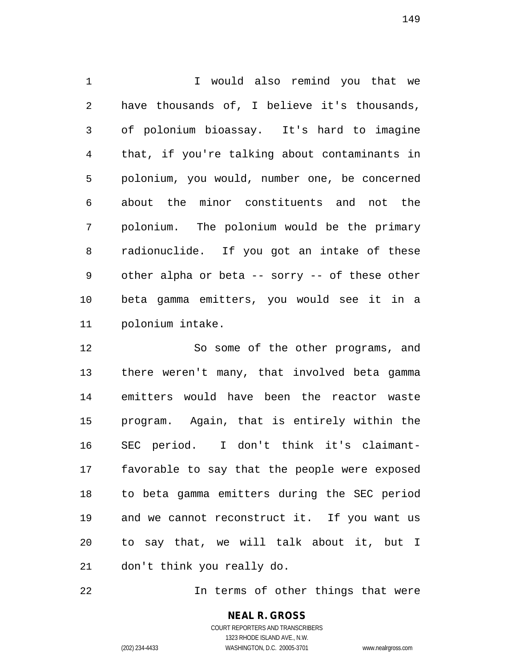I would also remind you that we have thousands of, I believe it's thousands, of polonium bioassay. It's hard to imagine that, if you're talking about contaminants in polonium, you would, number one, be concerned about the minor constituents and not the polonium. The polonium would be the primary radionuclide. If you got an intake of these other alpha or beta -- sorry -- of these other beta gamma emitters, you would see it in a polonium intake.

 So some of the other programs, and there weren't many, that involved beta gamma emitters would have been the reactor waste program. Again, that is entirely within the SEC period. I don't think it's claimant- favorable to say that the people were exposed to beta gamma emitters during the SEC period and we cannot reconstruct it. If you want us to say that, we will talk about it, but I don't think you really do.

In terms of other things that were

**NEAL R. GROSS** COURT REPORTERS AND TRANSCRIBERS

1323 RHODE ISLAND AVE., N.W.

(202) 234-4433 WASHINGTON, D.C. 20005-3701 www.nealrgross.com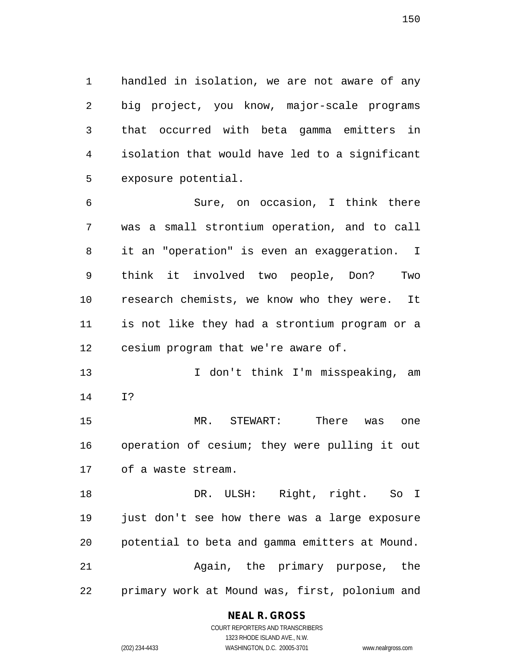handled in isolation, we are not aware of any big project, you know, major-scale programs that occurred with beta gamma emitters in isolation that would have led to a significant exposure potential.

 Sure, on occasion, I think there was a small strontium operation, and to call it an "operation" is even an exaggeration. I think it involved two people, Don? Two research chemists, we know who they were. It is not like they had a strontium program or a cesium program that we're aware of.

13 13 I don't think I'm misspeaking, am I?

 MR. STEWART: There was one operation of cesium; they were pulling it out of a waste stream.

 DR. ULSH: Right, right. So I just don't see how there was a large exposure potential to beta and gamma emitters at Mound. Again, the primary purpose, the primary work at Mound was, first, polonium and

### **NEAL R. GROSS**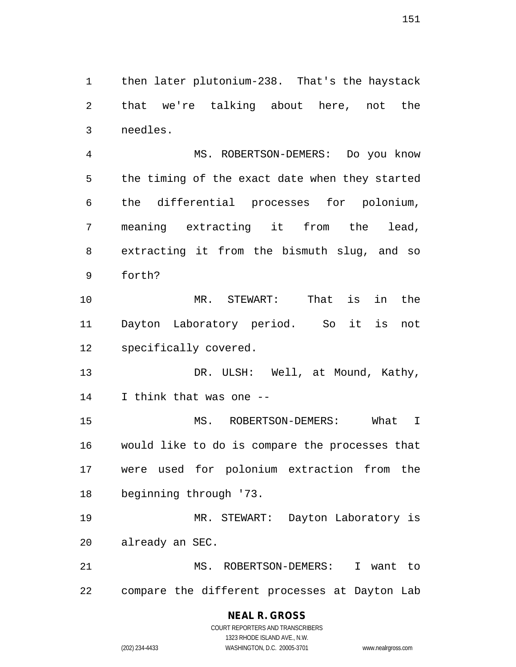then later plutonium-238. That's the haystack that we're talking about here, not the needles.

 MS. ROBERTSON-DEMERS: Do you know the timing of the exact date when they started the differential processes for polonium, meaning extracting it from the lead, extracting it from the bismuth slug, and so forth?

 MR. STEWART: That is in the Dayton Laboratory period. So it is not specifically covered.

13 DR. ULSH: Well, at Mound, Kathy, I think that was one --

 MS. ROBERTSON-DEMERS: What I would like to do is compare the processes that were used for polonium extraction from the beginning through '73.

 MR. STEWART: Dayton Laboratory is already an SEC.

 MS. ROBERTSON-DEMERS: I want to compare the different processes at Dayton Lab

## **NEAL R. GROSS**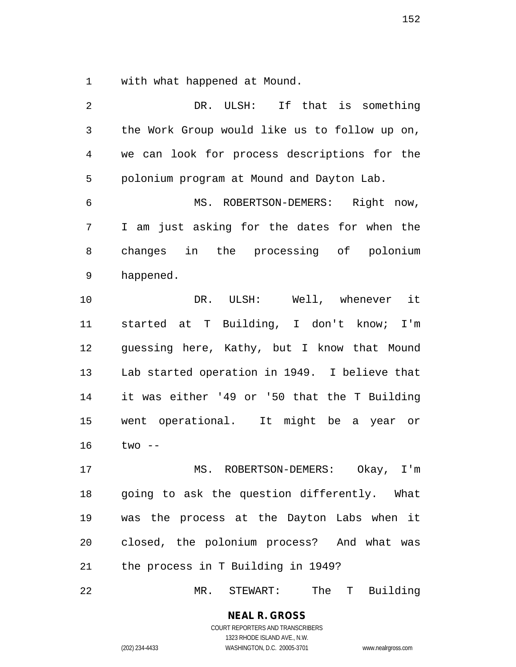with what happened at Mound.

| 2              | DR.<br>ULSH:<br>If that is something          |
|----------------|-----------------------------------------------|
| 3              | the Work Group would like us to follow up on, |
| $\overline{4}$ | we can look for process descriptions for the  |
| 5              | polonium program at Mound and Dayton Lab.     |
| 6              | MS. ROBERTSON-DEMERS: Right now,              |
| 7              | I am just asking for the dates for when the   |
| 8              | changes in the processing of polonium         |
| 9              | happened.                                     |
| 10             | DR. ULSH: Well, whenever it                   |
| 11             | started at T Building, I don't know; I'm      |
| 12             | guessing here, Kathy, but I know that Mound   |
| 13             | Lab started operation in 1949. I believe that |
| 14             | it was either '49 or '50 that the T Building  |
| 15             | went operational. It might be a year or       |
| 16             | $two --$                                      |
| 17             | ROBERTSON-DEMERS:<br>Okay, $I'm$<br>MS.       |
| 18             | going to ask the question differently. What   |
| 19             | was the process at the Dayton Labs when it    |
| 20             | closed, the polonium process? And what was    |
| 21             | the process in T Building in 1949?            |
|                |                                               |

22 MR. STEWART: The T Building

**NEAL R. GROSS** COURT REPORTERS AND TRANSCRIBERS 1323 RHODE ISLAND AVE., N.W.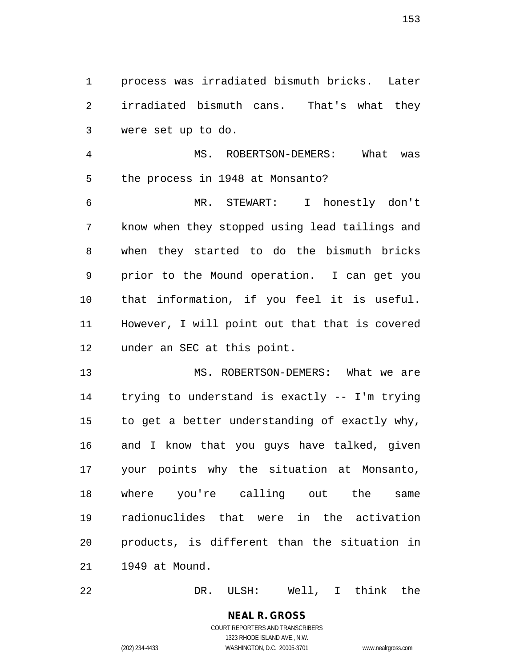process was irradiated bismuth bricks. Later irradiated bismuth cans. That's what they were set up to do.

 MS. ROBERTSON-DEMERS: What was the process in 1948 at Monsanto?

 MR. STEWART: I honestly don't know when they stopped using lead tailings and when they started to do the bismuth bricks prior to the Mound operation. I can get you that information, if you feel it is useful. However, I will point out that that is covered under an SEC at this point.

 MS. ROBERTSON-DEMERS: What we are trying to understand is exactly -- I'm trying to get a better understanding of exactly why, and I know that you guys have talked, given your points why the situation at Monsanto, where you're calling out the same radionuclides that were in the activation products, is different than the situation in 1949 at Mound.

DR. ULSH: Well, I think the

# **NEAL R. GROSS**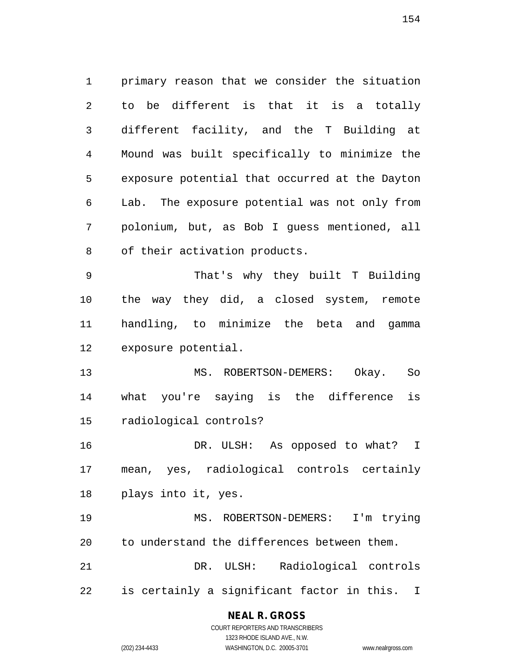primary reason that we consider the situation to be different is that it is a totally different facility, and the T Building at Mound was built specifically to minimize the exposure potential that occurred at the Dayton Lab. The exposure potential was not only from polonium, but, as Bob I guess mentioned, all of their activation products.

 That's why they built T Building the way they did, a closed system, remote handling, to minimize the beta and gamma exposure potential.

 MS. ROBERTSON-DEMERS: Okay. So what you're saying is the difference is radiological controls?

 DR. ULSH: As opposed to what? I mean, yes, radiological controls certainly plays into it, yes.

 MS. ROBERTSON-DEMERS: I'm trying to understand the differences between them. DR. ULSH: Radiological controls

is certainly a significant factor in this. I

### **NEAL R. GROSS**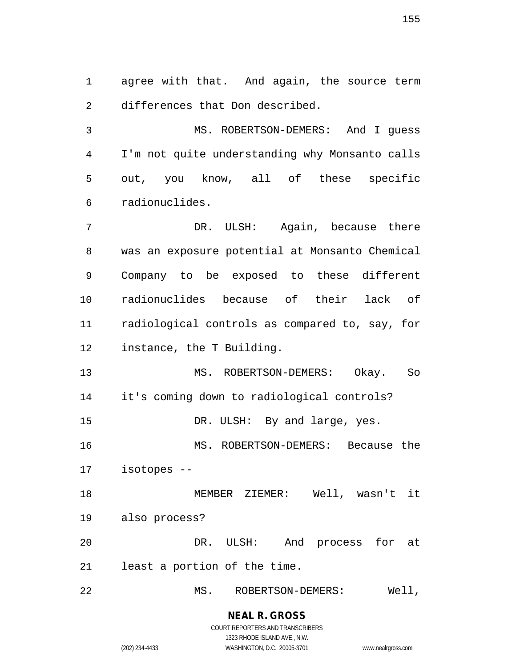agree with that. And again, the source term differences that Don described.

 MS. ROBERTSON-DEMERS: And I guess I'm not quite understanding why Monsanto calls out, you know, all of these specific radionuclides.

 DR. ULSH: Again, because there was an exposure potential at Monsanto Chemical Company to be exposed to these different radionuclides because of their lack of radiological controls as compared to, say, for instance, the T Building.

 MS. ROBERTSON-DEMERS: Okay. So it's coming down to radiological controls? 15 DR. ULSH: By and large, yes.

 MS. ROBERTSON-DEMERS: Because the isotopes --

 MEMBER ZIEMER: Well, wasn't it also process? DR. ULSH: And process for at

least a portion of the time.

MS. ROBERTSON-DEMERS: Well,

**NEAL R. GROSS** COURT REPORTERS AND TRANSCRIBERS

1323 RHODE ISLAND AVE., N.W.

(202) 234-4433 WASHINGTON, D.C. 20005-3701 www.nealrgross.com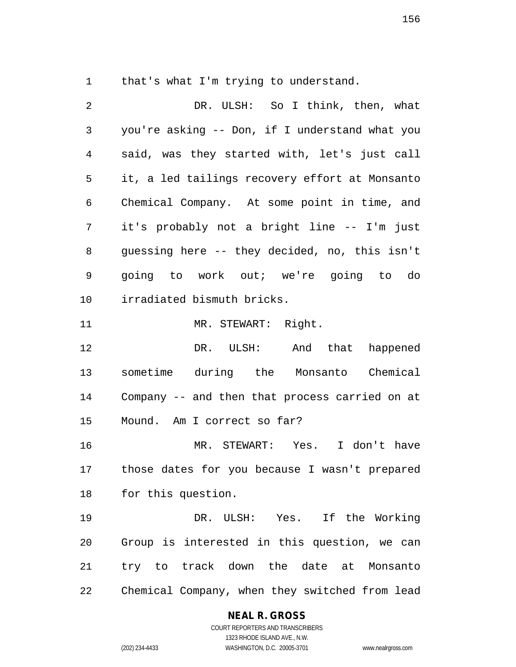that's what I'm trying to understand.

 DR. ULSH: So I think, then, what you're asking -- Don, if I understand what you said, was they started with, let's just call it, a led tailings recovery effort at Monsanto Chemical Company. At some point in time, and it's probably not a bright line -- I'm just guessing here -- they decided, no, this isn't going to work out; we're going to do irradiated bismuth bricks. MR. STEWART: Right. DR. ULSH: And that happened sometime during the Monsanto Chemical Company -- and then that process carried on at Mound. Am I correct so far? MR. STEWART: Yes. I don't have those dates for you because I wasn't prepared for this question. DR. ULSH: Yes. If the Working Group is interested in this question, we can try to track down the date at Monsanto Chemical Company, when they switched from lead

### **NEAL R. GROSS**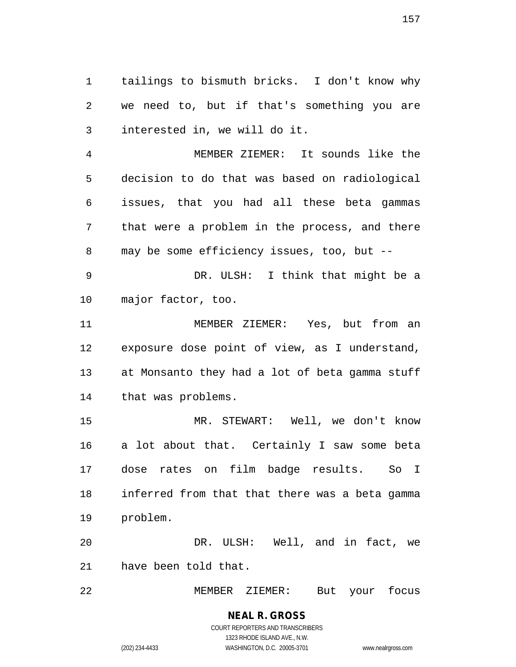tailings to bismuth bricks. I don't know why we need to, but if that's something you are interested in, we will do it.

 MEMBER ZIEMER: It sounds like the decision to do that was based on radiological issues, that you had all these beta gammas that were a problem in the process, and there may be some efficiency issues, too, but --

 DR. ULSH: I think that might be a major factor, too.

 MEMBER ZIEMER: Yes, but from an exposure dose point of view, as I understand, at Monsanto they had a lot of beta gamma stuff that was problems.

 MR. STEWART: Well, we don't know a lot about that. Certainly I saw some beta dose rates on film badge results. So I inferred from that that there was a beta gamma problem.

 DR. ULSH: Well, and in fact, we have been told that.

MEMBER ZIEMER: But your focus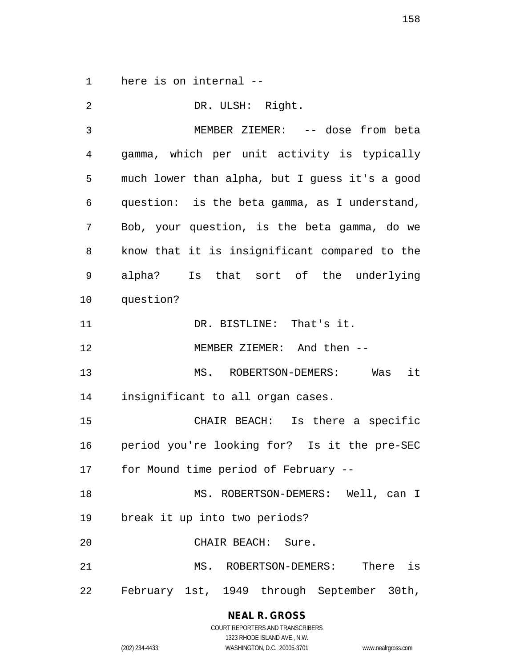here is on internal --

| $\overline{2}$ | DR. ULSH: Right.                               |
|----------------|------------------------------------------------|
| $\mathfrak{Z}$ | MEMBER ZIEMER: -- dose from beta               |
| 4              | gamma, which per unit activity is typically    |
| 5              | much lower than alpha, but I guess it's a good |
| 6              | question: is the beta gamma, as I understand,  |
| 7              | Bob, your question, is the beta gamma, do we   |
| 8              | know that it is insignificant compared to the  |
| 9              | alpha? Is that sort of the underlying          |
| 10             | question?                                      |
| 11             | DR. BISTLINE: That's it.                       |
| 12             | MEMBER ZIEMER: And then --                     |
| 13             | it<br>MS. ROBERTSON-DEMERS: Was                |
| 14             | insignificant to all organ cases.              |
| 15             | CHAIR BEACH: Is there a specific               |
| 16             | period you're looking for? Is it the pre-SEC   |
| 17             | for Mound time period of February --           |
| 18             | MS. ROBERTSON-DEMERS: Well, can I              |
| 19             | break it up into two periods?                  |
| 20             | CHAIR BEACH: Sure.                             |
| 21             | MS. ROBERTSON-DEMERS: There is                 |
| 22             | February 1st, 1949 through September 30th,     |

**NEAL R. GROSS**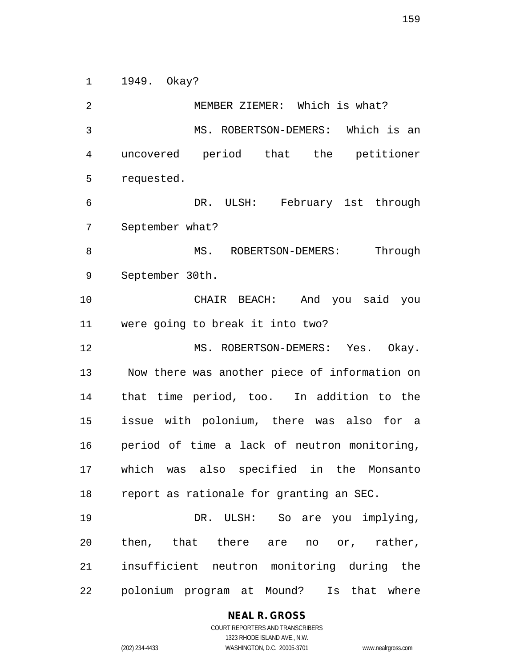1949. Okay?

 MEMBER ZIEMER: Which is what? MS. ROBERTSON-DEMERS: Which is an uncovered period that the petitioner requested. DR. ULSH: February 1st through September what? 8 MS. ROBERTSON-DEMERS: Through September 30th. CHAIR BEACH: And you said you were going to break it into two? MS. ROBERTSON-DEMERS: Yes. Okay. Now there was another piece of information on that time period, too. In addition to the issue with polonium, there was also for a period of time a lack of neutron monitoring, which was also specified in the Monsanto report as rationale for granting an SEC. DR. ULSH: So are you implying, then, that there are no or, rather, insufficient neutron monitoring during the polonium program at Mound? Is that where

**NEAL R. GROSS**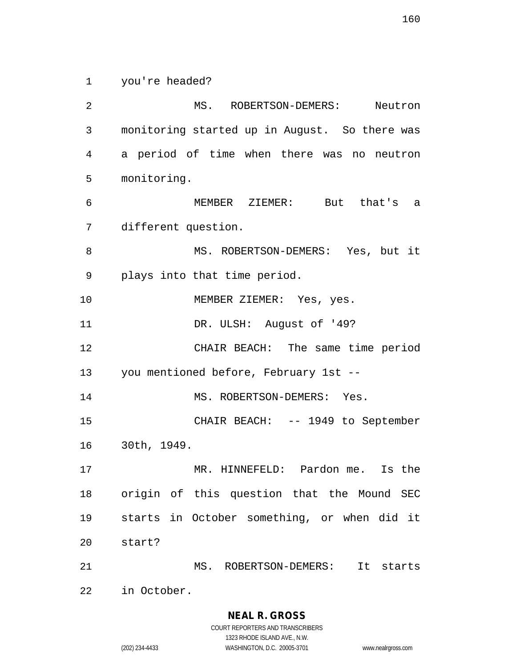you're headed?

 MS. ROBERTSON-DEMERS: Neutron monitoring started up in August. So there was a period of time when there was no neutron monitoring. MEMBER ZIEMER: But that's a different question. 8 MS. ROBERTSON-DEMERS: Yes, but it plays into that time period. MEMBER ZIEMER: Yes, yes. DR. ULSH: August of '49? CHAIR BEACH: The same time period you mentioned before, February 1st -- 14 MS. ROBERTSON-DEMERS: Yes. CHAIR BEACH: -- 1949 to September 30th, 1949. MR. HINNEFELD: Pardon me. Is the origin of this question that the Mound SEC starts in October something, or when did it start? MS. ROBERTSON-DEMERS: It starts in October.

**NEAL R. GROSS**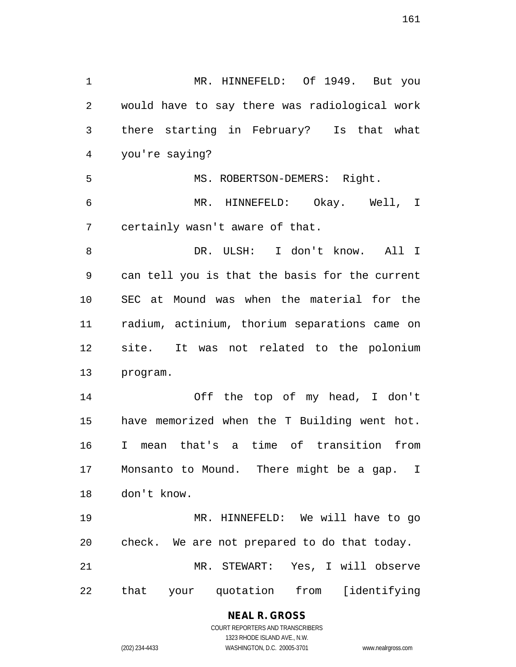MR. HINNEFELD: Of 1949. But you would have to say there was radiological work there starting in February? Is that what you're saying? 5 MS. ROBERTSON-DEMERS: Right. MR. HINNEFELD: Okay. Well, I certainly wasn't aware of that. DR. ULSH: I don't know. All I can tell you is that the basis for the current SEC at Mound was when the material for the radium, actinium, thorium separations came on site. It was not related to the polonium program. Off the top of my head, I don't have memorized when the T Building went hot. I mean that's a time of transition from Monsanto to Mound. There might be a gap. I don't know. MR. HINNEFELD: We will have to go check. We are not prepared to do that today. MR. STEWART: Yes, I will observe that your quotation from [identifying

> **NEAL R. GROSS** COURT REPORTERS AND TRANSCRIBERS

> > 1323 RHODE ISLAND AVE., N.W.

(202) 234-4433 WASHINGTON, D.C. 20005-3701 www.nealrgross.com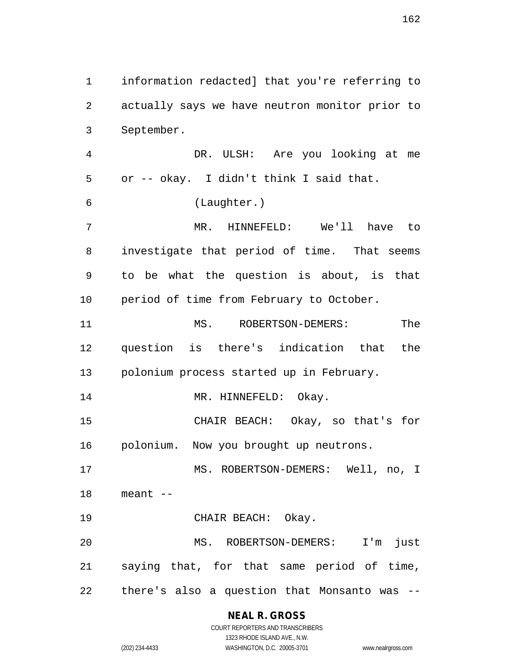actually says we have neutron monitor prior to September. DR. ULSH: Are you looking at me or -- okay. I didn't think I said that. (Laughter.) MR. HINNEFELD: We'll have to investigate that period of time. That seems to be what the question is about, is that 10 period of time from February to October. MS. ROBERTSON-DEMERS: The question is there's indication that the polonium process started up in February. 14 MR. HINNEFELD: Okay. CHAIR BEACH: Okay, so that's for polonium. Now you brought up neutrons. MS. ROBERTSON-DEMERS: Well, no, I meant -- CHAIR BEACH: Okay. MS. ROBERTSON-DEMERS: I'm just saying that, for that same period of time,

information redacted] that you're referring to

there's also a question that Monsanto was --

## **NEAL R. GROSS**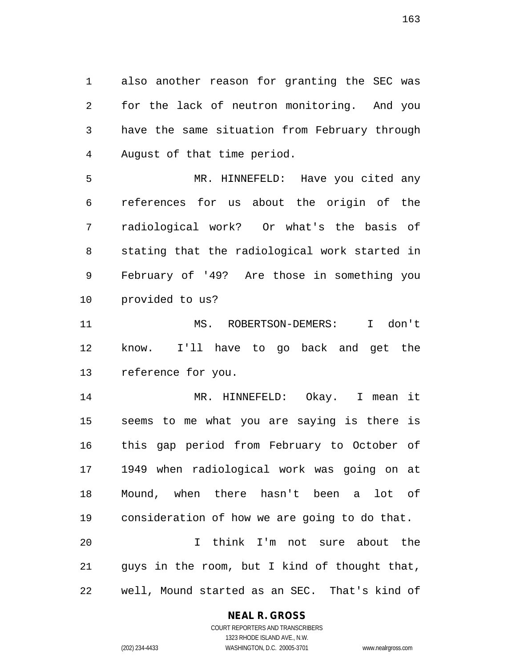also another reason for granting the SEC was for the lack of neutron monitoring. And you have the same situation from February through August of that time period.

 MR. HINNEFELD: Have you cited any references for us about the origin of the radiological work? Or what's the basis of stating that the radiological work started in February of '49? Are those in something you provided to us?

 MS. ROBERTSON-DEMERS: I don't know. I'll have to go back and get the reference for you.

 MR. HINNEFELD: Okay. I mean it seems to me what you are saying is there is this gap period from February to October of 1949 when radiological work was going on at Mound, when there hasn't been a lot of consideration of how we are going to do that. I think I'm not sure about the

 guys in the room, but I kind of thought that, well, Mound started as an SEC. That's kind of

### **NEAL R. GROSS**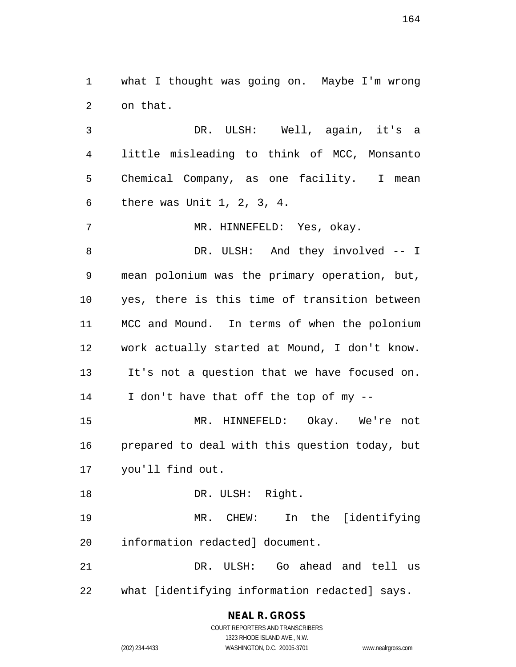what I thought was going on. Maybe I'm wrong on that.

 DR. ULSH: Well, again, it's a little misleading to think of MCC, Monsanto Chemical Company, as one facility. I mean there was Unit 1, 2, 3, 4.

7 MR. HINNEFELD: Yes, okay.

8 DR. ULSH: And they involved -- I mean polonium was the primary operation, but, yes, there is this time of transition between MCC and Mound. In terms of when the polonium work actually started at Mound, I don't know. It's not a question that we have focused on. I don't have that off the top of my --

 MR. HINNEFELD: Okay. We're not prepared to deal with this question today, but you'll find out.

18 DR. ULSH: Right. MR. CHEW: In the [identifying

information redacted] document.

 DR. ULSH: Go ahead and tell us what [identifying information redacted] says.

## **NEAL R. GROSS**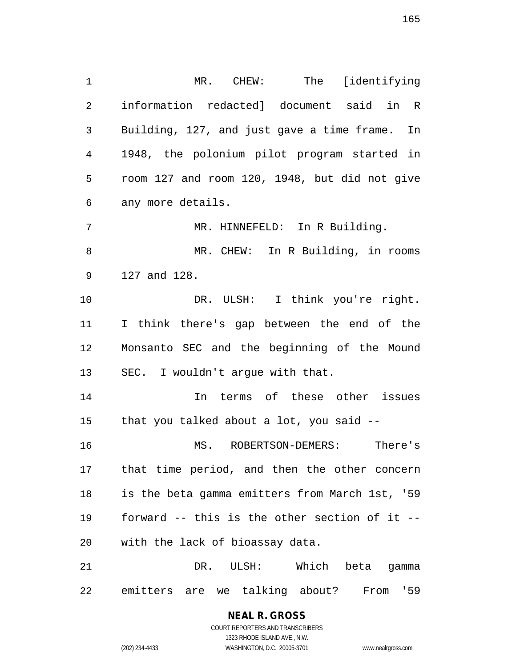MR. CHEW: The [identifying information redacted] document said in R Building, 127, and just gave a time frame. In 1948, the polonium pilot program started in room 127 and room 120, 1948, but did not give any more details. 7 MR. HINNEFELD: In R Building. MR. CHEW: In R Building, in rooms 127 and 128. DR. ULSH: I think you're right. I think there's gap between the end of the Monsanto SEC and the beginning of the Mound SEC. I wouldn't argue with that. In terms of these other issues that you talked about a lot, you said -- MS. ROBERTSON-DEMERS: There's that time period, and then the other concern is the beta gamma emitters from March 1st, '59 forward -- this is the other section of it -- with the lack of bioassay data.

 DR. ULSH: Which beta gamma emitters are we talking about? From '59

# **NEAL R. GROSS**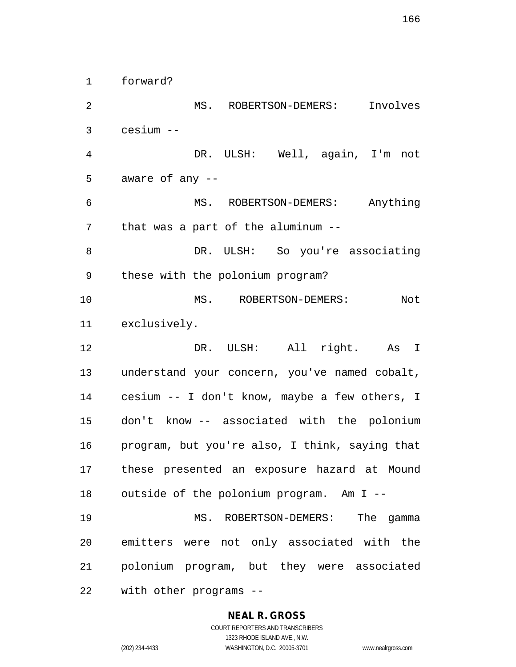forward?

 MS. ROBERTSON-DEMERS: Involves cesium -- DR. ULSH: Well, again, I'm not aware of any -- MS. ROBERTSON-DEMERS: Anything that was a part of the aluminum -- DR. ULSH: So you're associating these with the polonium program? 10 MS. ROBERTSON-DEMERS: Not exclusively. DR. ULSH: All right. As I understand your concern, you've named cobalt, cesium -- I don't know, maybe a few others, I don't know -- associated with the polonium program, but you're also, I think, saying that these presented an exposure hazard at Mound outside of the polonium program. Am I -- MS. ROBERTSON-DEMERS: The gamma emitters were not only associated with the polonium program, but they were associated with other programs --

### **NEAL R. GROSS**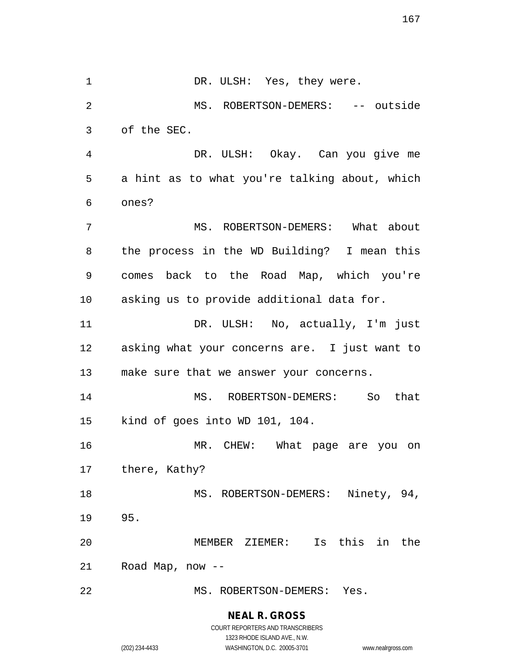1 DR. ULSH: Yes, they were. MS. ROBERTSON-DEMERS: -- outside of the SEC. DR. ULSH: Okay. Can you give me a hint as to what you're talking about, which ones? MS. ROBERTSON-DEMERS: What about the process in the WD Building? I mean this comes back to the Road Map, which you're asking us to provide additional data for. DR. ULSH: No, actually, I'm just asking what your concerns are. I just want to make sure that we answer your concerns. MS. ROBERTSON-DEMERS: So that kind of goes into WD 101, 104. 16 MR. CHEW: What page are you on there, Kathy? 18 MS. ROBERTSON-DEMERS: Ninety, 94, 95. MEMBER ZIEMER: Is this in the Road Map, now -- MS. ROBERTSON-DEMERS: Yes.

> **NEAL R. GROSS** COURT REPORTERS AND TRANSCRIBERS

> > 1323 RHODE ISLAND AVE., N.W.

(202) 234-4433 WASHINGTON, D.C. 20005-3701 www.nealrgross.com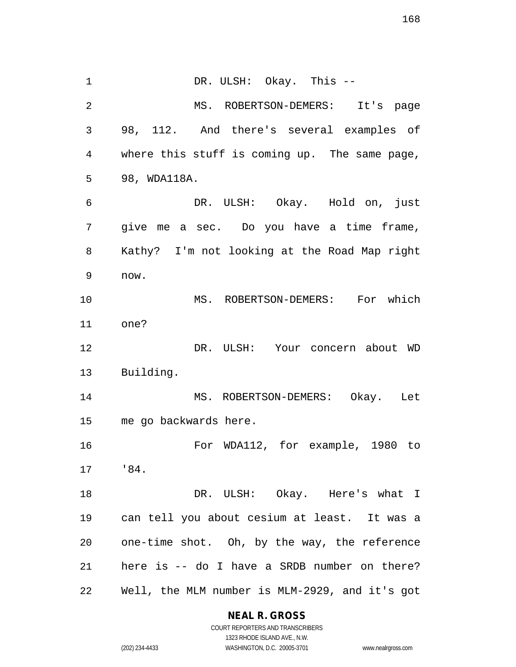1 DR. ULSH: Okay. This -- MS. ROBERTSON-DEMERS: It's page 98, 112. And there's several examples of where this stuff is coming up. The same page, 98, WDA118A. DR. ULSH: Okay. Hold on, just give me a sec. Do you have a time frame, Kathy? I'm not looking at the Road Map right now. MS. ROBERTSON-DEMERS: For which one? DR. ULSH: Your concern about WD Building. MS. ROBERTSON-DEMERS: Okay. Let me go backwards here. For WDA112, for example, 1980 to '84. DR. ULSH: Okay. Here's what I can tell you about cesium at least. It was a one-time shot. Oh, by the way, the reference here is -- do I have a SRDB number on there? Well, the MLM number is MLM-2929, and it's got

**NEAL R. GROSS**

COURT REPORTERS AND TRANSCRIBERS 1323 RHODE ISLAND AVE., N.W. (202) 234-4433 WASHINGTON, D.C. 20005-3701 www.nealrgross.com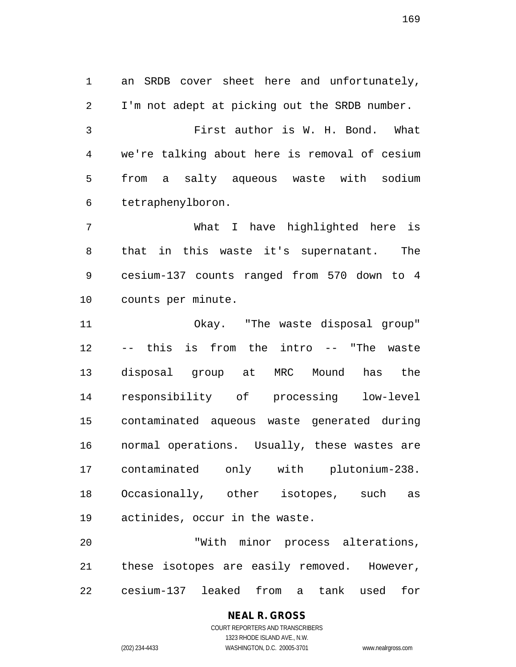an SRDB cover sheet here and unfortunately, I'm not adept at picking out the SRDB number. First author is W. H. Bond. What we're talking about here is removal of cesium from a salty aqueous waste with sodium tetraphenylboron.

 What I have highlighted here is that in this waste it's supernatant. The cesium-137 counts ranged from 570 down to 4 counts per minute.

 Okay. "The waste disposal group" -- this is from the intro -- "The waste disposal group at MRC Mound has the responsibility of processing low-level contaminated aqueous waste generated during normal operations. Usually, these wastes are contaminated only with plutonium-238. Occasionally, other isotopes, such as actinides, occur in the waste.

 "With minor process alterations, these isotopes are easily removed. However, cesium-137 leaked from a tank used for

# **NEAL R. GROSS**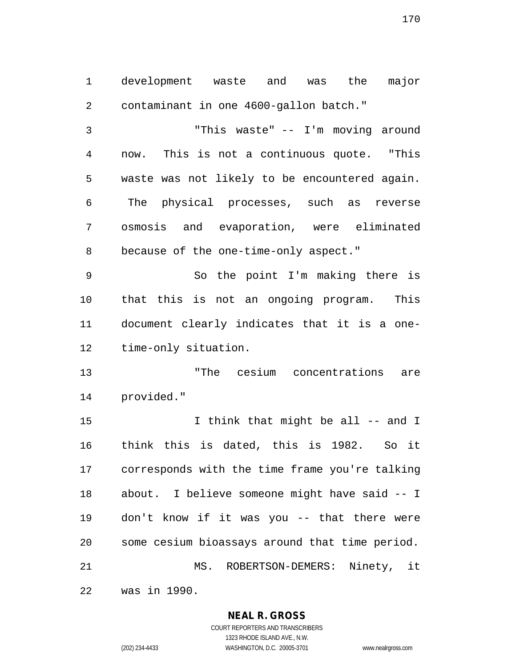development waste and was the major contaminant in one 4600-gallon batch."

 "This waste" -- I'm moving around now. This is not a continuous quote. "This waste was not likely to be encountered again. The physical processes, such as reverse osmosis and evaporation, were eliminated because of the one-time-only aspect."

 So the point I'm making there is that this is not an ongoing program. This document clearly indicates that it is a one-time-only situation.

 "The cesium concentrations are provided."

15 15 I think that might be all -- and I think this is dated, this is 1982. So it corresponds with the time frame you're talking about. I believe someone might have said -- I don't know if it was you -- that there were some cesium bioassays around that time period. MS. ROBERTSON-DEMERS: Ninety, it

was in 1990.

### **NEAL R. GROSS** COURT REPORTERS AND TRANSCRIBERS

1323 RHODE ISLAND AVE., N.W.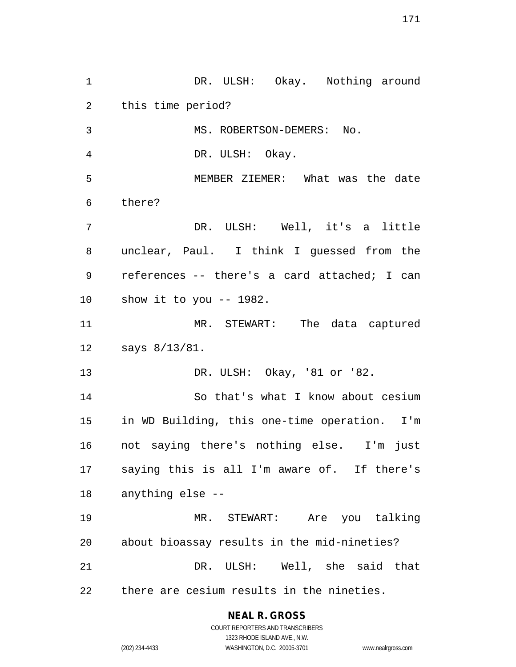1 DR. ULSH: Okay. Nothing around this time period? 3 MS. ROBERTSON-DEMERS: No. DR. ULSH: Okay. MEMBER ZIEMER: What was the date there? DR. ULSH: Well, it's a little unclear, Paul. I think I guessed from the references -- there's a card attached; I can show it to you -- 1982. MR. STEWART: The data captured says 8/13/81. DR. ULSH: Okay, '81 or '82. So that's what I know about cesium in WD Building, this one-time operation. I'm not saying there's nothing else. I'm just saying this is all I'm aware of. If there's anything else -- MR. STEWART: Are you talking about bioassay results in the mid-nineties? DR. ULSH: Well, she said that there are cesium results in the nineties.

## **NEAL R. GROSS**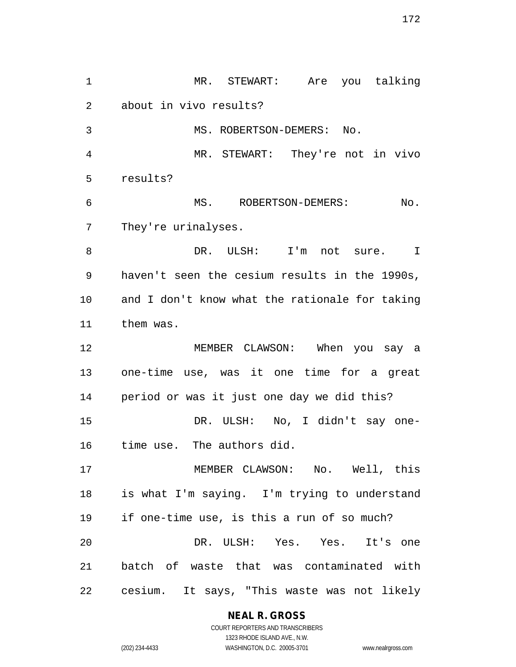MR. STEWART: Are you talking about in vivo results? 3 MS. ROBERTSON-DEMERS: No. MR. STEWART: They're not in vivo results? MS. ROBERTSON-DEMERS: No. They're urinalyses. DR. ULSH: I'm not sure. I haven't seen the cesium results in the 1990s, and I don't know what the rationale for taking them was. MEMBER CLAWSON: When you say a one-time use, was it one time for a great period or was it just one day we did this? DR. ULSH: No, I didn't say one- time use. The authors did. MEMBER CLAWSON: No. Well, this is what I'm saying. I'm trying to understand if one-time use, is this a run of so much? DR. ULSH: Yes. Yes. It's one batch of waste that was contaminated with cesium. It says, "This waste was not likely

**NEAL R. GROSS**

COURT REPORTERS AND TRANSCRIBERS 1323 RHODE ISLAND AVE., N.W. (202) 234-4433 WASHINGTON, D.C. 20005-3701 www.nealrgross.com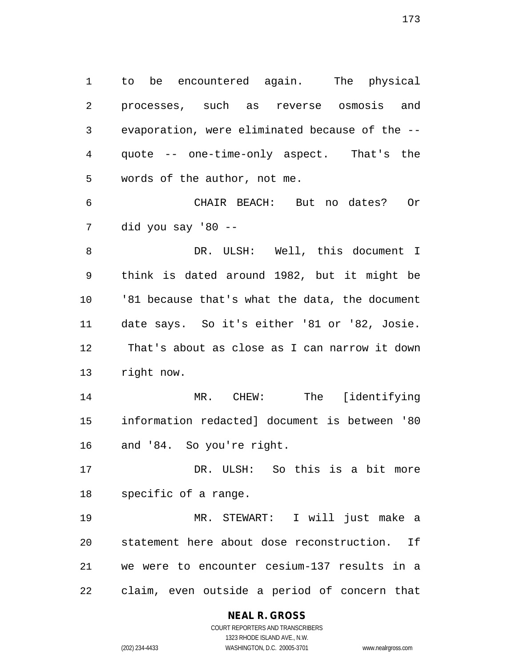to be encountered again. The physical processes, such as reverse osmosis and evaporation, were eliminated because of the -- quote -- one-time-only aspect. That's the words of the author, not me.

 CHAIR BEACH: But no dates? Or did you say '80 --

8 DR. ULSH: Well, this document I think is dated around 1982, but it might be '81 because that's what the data, the document date says. So it's either '81 or '82, Josie. That's about as close as I can narrow it down right now.

 MR. CHEW: The [identifying information redacted] document is between '80 and '84. So you're right.

 DR. ULSH: So this is a bit more specific of a range.

 MR. STEWART: I will just make a statement here about dose reconstruction. If we were to encounter cesium-137 results in a claim, even outside a period of concern that

### **NEAL R. GROSS**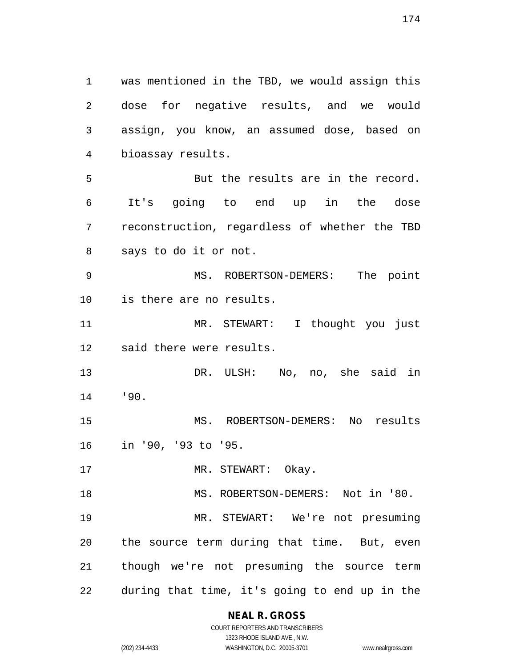was mentioned in the TBD, we would assign this dose for negative results, and we would assign, you know, an assumed dose, based on bioassay results. But the results are in the record. It's going to end up in the dose reconstruction, regardless of whether the TBD says to do it or not. MS. ROBERTSON-DEMERS: The point is there are no results. MR. STEWART: I thought you just said there were results. DR. ULSH: No, no, she said in '90. MS. ROBERTSON-DEMERS: No results in '90, '93 to '95. 17 MR. STEWART: Okay. 18 MS. ROBERTSON-DEMERS: Not in '80. MR. STEWART: We're not presuming the source term during that time. But, even though we're not presuming the source term during that time, it's going to end up in the

> **NEAL R. GROSS** COURT REPORTERS AND TRANSCRIBERS

1323 RHODE ISLAND AVE., N.W. (202) 234-4433 WASHINGTON, D.C. 20005-3701 www.nealrgross.com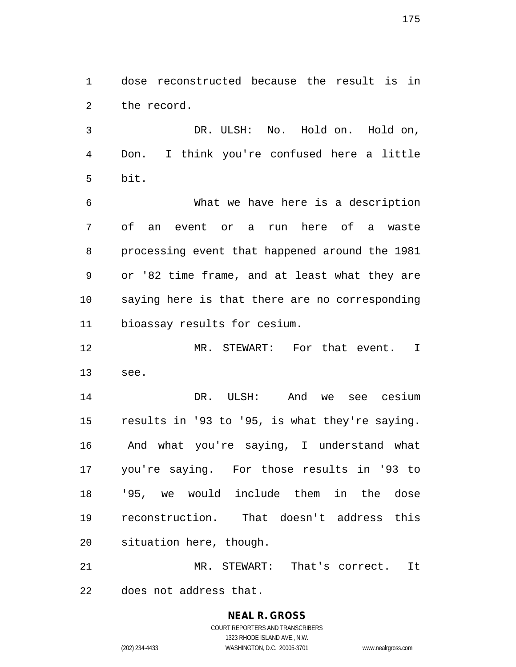dose reconstructed because the result is in the record.

 DR. ULSH: No. Hold on. Hold on, Don. I think you're confused here a little bit.

 What we have here is a description of an event or a run here of a waste processing event that happened around the 1981 or '82 time frame, and at least what they are saying here is that there are no corresponding bioassay results for cesium.

 MR. STEWART: For that event. I see.

 DR. ULSH: And we see cesium results in '93 to '95, is what they're saying. And what you're saying, I understand what you're saying. For those results in '93 to '95, we would include them in the dose reconstruction. That doesn't address this situation here, though.

 MR. STEWART: That's correct. It does not address that.

> **NEAL R. GROSS** COURT REPORTERS AND TRANSCRIBERS 1323 RHODE ISLAND AVE., N.W. (202) 234-4433 WASHINGTON, D.C. 20005-3701 www.nealrgross.com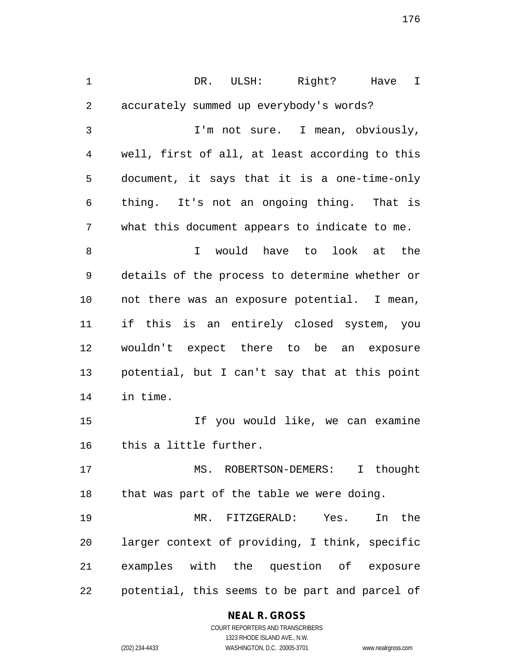DR. ULSH: Right? Have I accurately summed up everybody's words? I'm not sure. I mean, obviously, well, first of all, at least according to this document, it says that it is a one-time-only thing. It's not an ongoing thing. That is what this document appears to indicate to me. I would have to look at the details of the process to determine whether or not there was an exposure potential. I mean, if this is an entirely closed system, you wouldn't expect there to be an exposure potential, but I can't say that at this point in time. If you would like, we can examine this a little further. MS. ROBERTSON-DEMERS: I thought that was part of the table we were doing. MR. FITZGERALD: Yes. In the larger context of providing, I think, specific examples with the question of exposure potential, this seems to be part and parcel of

## **NEAL R. GROSS**

COURT REPORTERS AND TRANSCRIBERS 1323 RHODE ISLAND AVE., N.W. (202) 234-4433 WASHINGTON, D.C. 20005-3701 www.nealrgross.com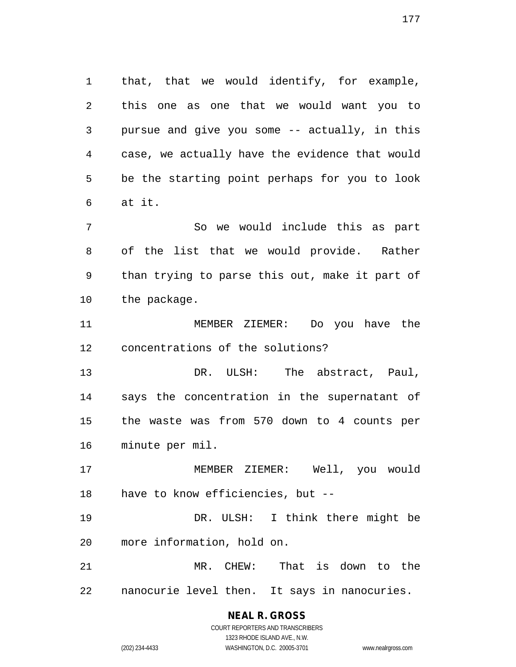that, that we would identify, for example, this one as one that we would want you to pursue and give you some -- actually, in this case, we actually have the evidence that would be the starting point perhaps for you to look at it.

 So we would include this as part of the list that we would provide. Rather than trying to parse this out, make it part of the package.

 MEMBER ZIEMER: Do you have the concentrations of the solutions?

 DR. ULSH: The abstract, Paul, says the concentration in the supernatant of the waste was from 570 down to 4 counts per minute per mil.

 MEMBER ZIEMER: Well, you would have to know efficiencies, but --

 DR. ULSH: I think there might be more information, hold on.

 MR. CHEW: That is down to the nanocurie level then. It says in nanocuries.

# **NEAL R. GROSS**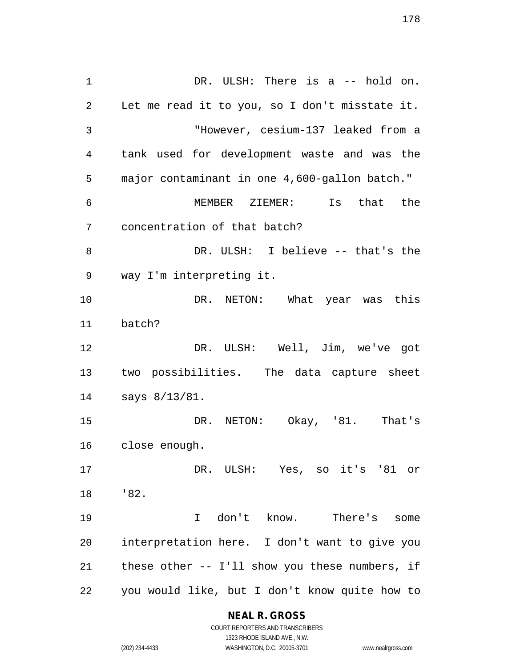1 DR. ULSH: There is a -- hold on. Let me read it to you, so I don't misstate it. "However, cesium-137 leaked from a tank used for development waste and was the major contaminant in one 4,600-gallon batch." MEMBER ZIEMER: Is that the concentration of that batch? DR. ULSH: I believe -- that's the way I'm interpreting it. DR. NETON: What year was this batch? DR. ULSH: Well, Jim, we've got two possibilities. The data capture sheet says 8/13/81. DR. NETON: Okay, '81. That's close enough. DR. ULSH: Yes, so it's '81 or '82. I don't know. There's some interpretation here. I don't want to give you these other -- I'll show you these numbers, if you would like, but I don't know quite how to

> **NEAL R. GROSS** COURT REPORTERS AND TRANSCRIBERS

1323 RHODE ISLAND AVE., N.W. (202) 234-4433 WASHINGTON, D.C. 20005-3701 www.nealrgross.com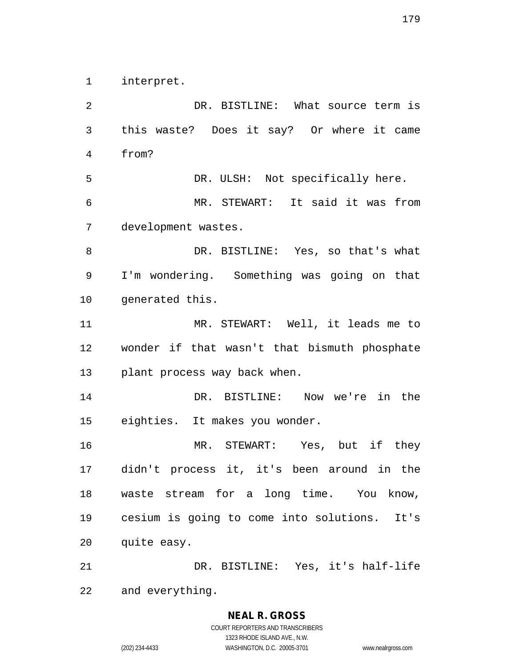interpret.

 DR. BISTLINE: What source term is this waste? Does it say? Or where it came from? DR. ULSH: Not specifically here. MR. STEWART: It said it was from development wastes. DR. BISTLINE: Yes, so that's what I'm wondering. Something was going on that generated this. MR. STEWART: Well, it leads me to wonder if that wasn't that bismuth phosphate plant process way back when. DR. BISTLINE: Now we're in the eighties. It makes you wonder. MR. STEWART: Yes, but if they didn't process it, it's been around in the waste stream for a long time. You know, cesium is going to come into solutions. It's quite easy. DR. BISTLINE: Yes, it's half-life

and everything.

### **NEAL R. GROSS**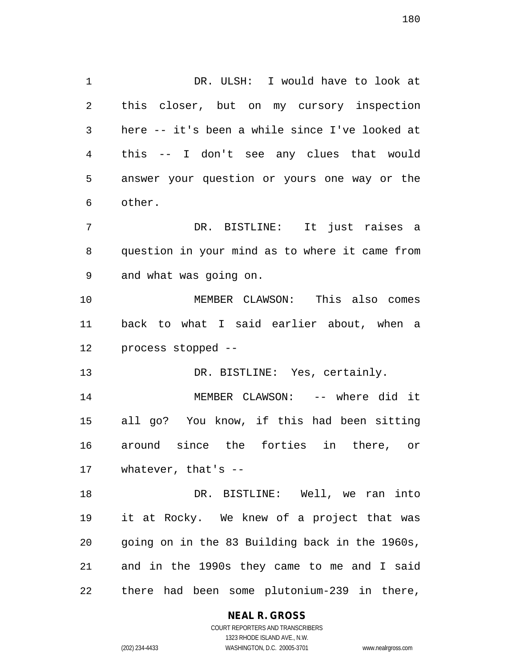DR. ULSH: I would have to look at this closer, but on my cursory inspection here -- it's been a while since I've looked at this -- I don't see any clues that would answer your question or yours one way or the other. DR. BISTLINE: It just raises a question in your mind as to where it came from and what was going on. MEMBER CLAWSON: This also comes back to what I said earlier about, when a process stopped -- 13 DR. BISTLINE: Yes, certainly. MEMBER CLAWSON: -- where did it all go? You know, if this had been sitting around since the forties in there, or whatever, that's -- DR. BISTLINE: Well, we ran into it at Rocky. We knew of a project that was going on in the 83 Building back in the 1960s,

there had been some plutonium-239 in there,

and in the 1990s they came to me and I said

### **NEAL R. GROSS**

COURT REPORTERS AND TRANSCRIBERS 1323 RHODE ISLAND AVE., N.W. (202) 234-4433 WASHINGTON, D.C. 20005-3701 www.nealrgross.com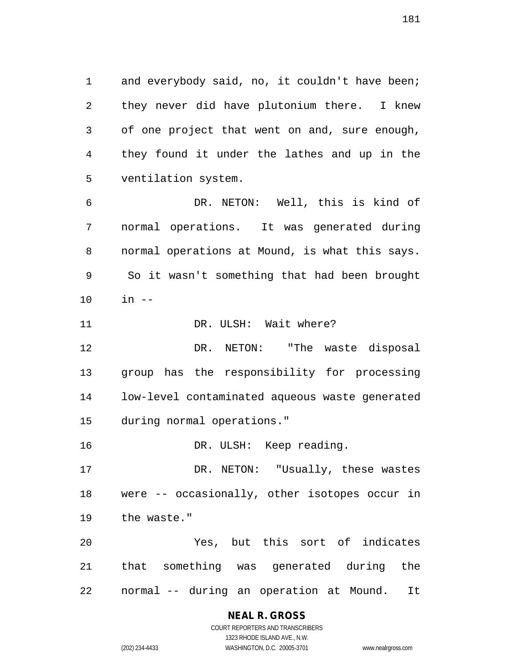1 and everybody said, no, it couldn't have been; they never did have plutonium there. I knew of one project that went on and, sure enough, they found it under the lathes and up in the ventilation system.

 DR. NETON: Well, this is kind of normal operations. It was generated during normal operations at Mound, is what this says. So it wasn't something that had been brought in --

11 DR. ULSH: Wait where?

 DR. NETON: "The waste disposal group has the responsibility for processing low-level contaminated aqueous waste generated during normal operations."

DR. ULSH: Keep reading.

 DR. NETON: "Usually, these wastes were -- occasionally, other isotopes occur in the waste."

 Yes, but this sort of indicates that something was generated during the normal -- during an operation at Mound. It

## **NEAL R. GROSS**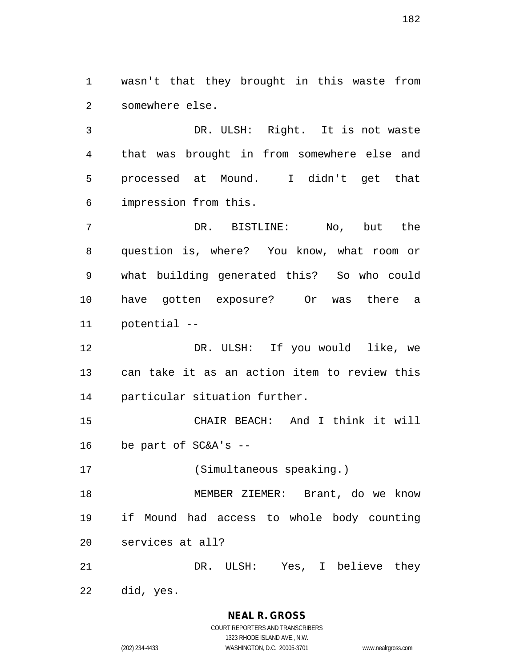wasn't that they brought in this waste from somewhere else.

 DR. ULSH: Right. It is not waste that was brought in from somewhere else and processed at Mound. I didn't get that impression from this.

 DR. BISTLINE: No, but the question is, where? You know, what room or what building generated this? So who could have gotten exposure? Or was there a potential --

 DR. ULSH: If you would like, we can take it as an action item to review this particular situation further.

 CHAIR BEACH: And I think it will be part of SC&A's --

(Simultaneous speaking.)

 MEMBER ZIEMER: Brant, do we know if Mound had access to whole body counting services at all?

DR. ULSH: Yes, I believe they

did, yes.

**NEAL R. GROSS**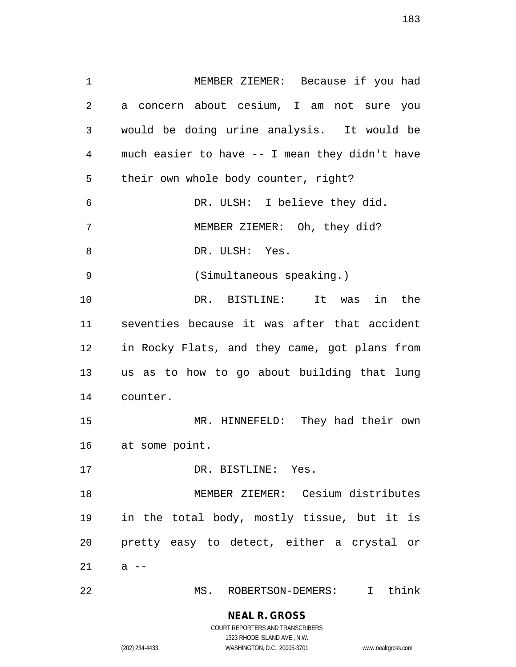MEMBER ZIEMER: Because if you had a concern about cesium, I am not sure you would be doing urine analysis. It would be much easier to have -- I mean they didn't have their own whole body counter, right? DR. ULSH: I believe they did. MEMBER ZIEMER: Oh, they did? 8 DR. ULSH: Yes. (Simultaneous speaking.) DR. BISTLINE: It was in the seventies because it was after that accident in Rocky Flats, and they came, got plans from us as to how to go about building that lung counter. MR. HINNEFELD: They had their own at some point. 17 DR. BISTLINE: Yes. MEMBER ZIEMER: Cesium distributes in the total body, mostly tissue, but it is pretty easy to detect, either a crystal or a  $-$ 

MS. ROBERTSON-DEMERS: I think

**NEAL R. GROSS** COURT REPORTERS AND TRANSCRIBERS

1323 RHODE ISLAND AVE., N.W.

(202) 234-4433 WASHINGTON, D.C. 20005-3701 www.nealrgross.com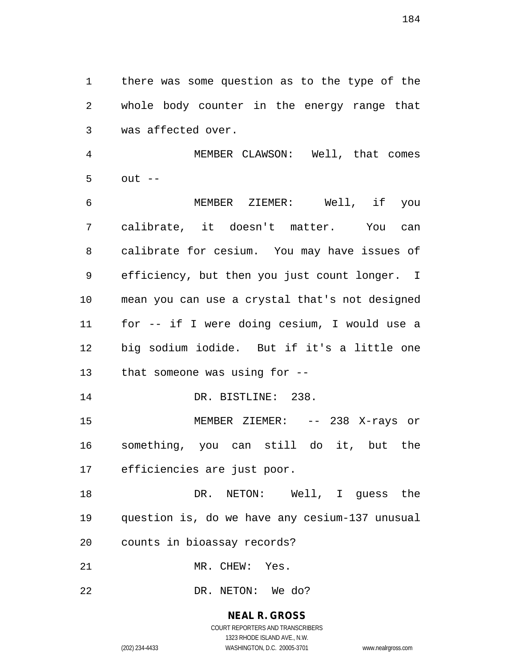there was some question as to the type of the whole body counter in the energy range that was affected over.

 MEMBER CLAWSON: Well, that comes out --

 MEMBER ZIEMER: Well, if you calibrate, it doesn't matter. You can calibrate for cesium. You may have issues of efficiency, but then you just count longer. I mean you can use a crystal that's not designed for -- if I were doing cesium, I would use a big sodium iodide. But if it's a little one that someone was using for --

14 DR. BISTLINE: 238.

15 MEMBER ZIEMER: -- 238 X-rays or something, you can still do it, but the efficiencies are just poor.

18 DR. NETON: Well, I quess the question is, do we have any cesium-137 unusual counts in bioassay records?

MR. CHEW: Yes.

DR. NETON: We do?

## **NEAL R. GROSS**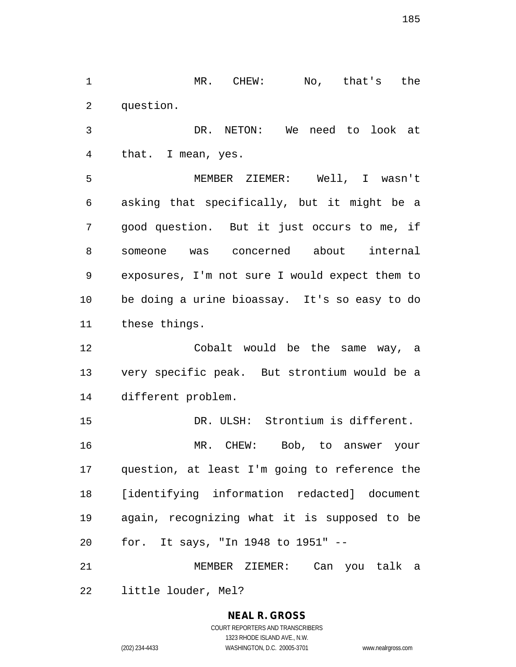MR. CHEW: No, that's the question.

 DR. NETON: We need to look at that. I mean, yes.

 MEMBER ZIEMER: Well, I wasn't asking that specifically, but it might be a good question. But it just occurs to me, if someone was concerned about internal exposures, I'm not sure I would expect them to be doing a urine bioassay. It's so easy to do these things.

 Cobalt would be the same way, a very specific peak. But strontium would be a different problem.

 DR. ULSH: Strontium is different. MR. CHEW: Bob, to answer your question, at least I'm going to reference the [identifying information redacted] document again, recognizing what it is supposed to be for. It says, "In 1948 to 1951" --

 MEMBER ZIEMER: Can you talk a little louder, Mel?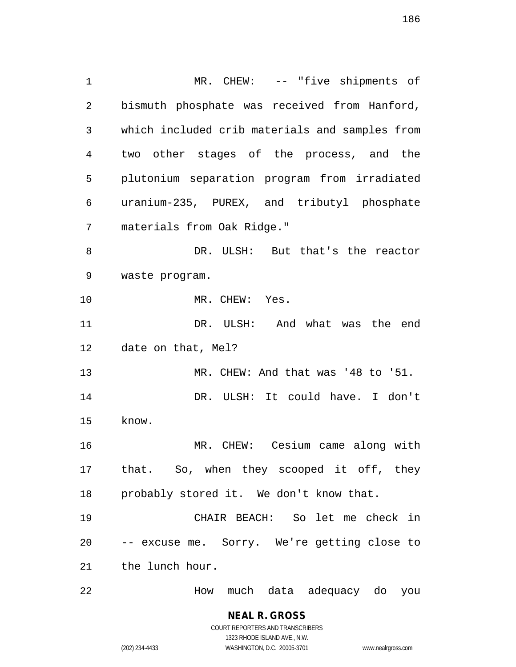MR. CHEW: -- "five shipments of bismuth phosphate was received from Hanford, which included crib materials and samples from two other stages of the process, and the plutonium separation program from irradiated uranium-235, PUREX, and tributyl phosphate materials from Oak Ridge." DR. ULSH: But that's the reactor waste program. MR. CHEW: Yes. DR. ULSH: And what was the end date on that, Mel? MR. CHEW: And that was '48 to '51. DR. ULSH: It could have. I don't know. MR. CHEW: Cesium came along with that. So, when they scooped it off, they probably stored it. We don't know that. CHAIR BEACH: So let me check in -- excuse me. Sorry. We're getting close to the lunch hour. How much data adequacy do you

> **NEAL R. GROSS** COURT REPORTERS AND TRANSCRIBERS

> > 1323 RHODE ISLAND AVE., N.W.

(202) 234-4433 WASHINGTON, D.C. 20005-3701 www.nealrgross.com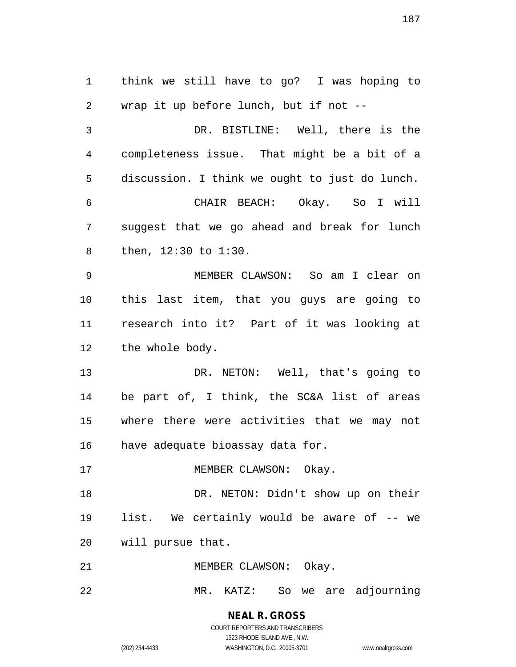think we still have to go? I was hoping to wrap it up before lunch, but if not -- DR. BISTLINE: Well, there is the completeness issue. That might be a bit of a discussion. I think we ought to just do lunch. CHAIR BEACH: Okay. So I will suggest that we go ahead and break for lunch then, 12:30 to 1:30. MEMBER CLAWSON: So am I clear on this last item, that you guys are going to research into it? Part of it was looking at 12 the whole body. 13 DR. NETON: Well, that's going to be part of, I think, the SC&A list of areas where there were activities that we may not have adequate bioassay data for. 17 MEMBER CLAWSON: Okay. DR. NETON: Didn't show up on their list. We certainly would be aware of -- we will pursue that. 21 MEMBER CLAWSON: Okay. MR. KATZ: So we are adjourning

> **NEAL R. GROSS** COURT REPORTERS AND TRANSCRIBERS

> > 1323 RHODE ISLAND AVE., N.W.

(202) 234-4433 WASHINGTON, D.C. 20005-3701 www.nealrgross.com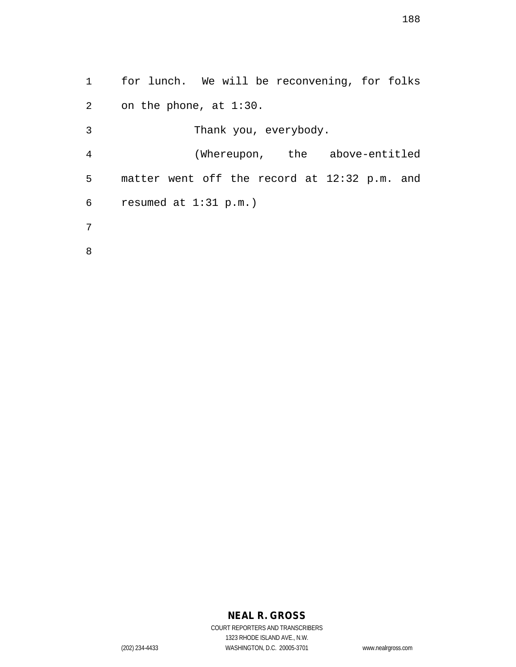for lunch. We will be reconvening, for folks on the phone, at 1:30. Thank you, everybody. (Whereupon, the above-entitled matter went off the record at 12:32 p.m. and

resumed at 1:31 p.m.)

- 
- 

# **NEAL R. GROSS**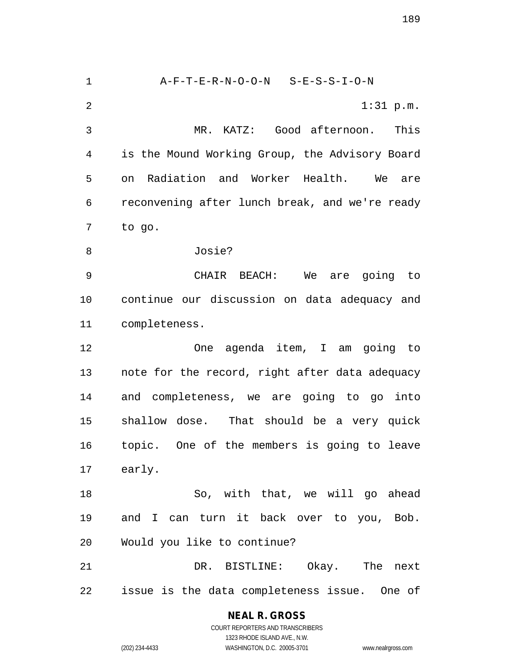A-F-T-E-R-N-O-O-N S-E-S-S-I-O-N 1:31 p.m. MR. KATZ: Good afternoon. This is the Mound Working Group, the Advisory Board on Radiation and Worker Health. We are reconvening after lunch break, and we're ready to go. Josie? CHAIR BEACH: We are going to continue our discussion on data adequacy and completeness. One agenda item, I am going to note for the record, right after data adequacy and completeness, we are going to go into shallow dose. That should be a very quick topic. One of the members is going to leave early. So, with that, we will go ahead and I can turn it back over to you, Bob. Would you like to continue? DR. BISTLINE: Okay. The next issue is the data completeness issue. One of

#### **NEAL R. GROSS** COURT REPORTERS AND TRANSCRIBERS 1323 RHODE ISLAND AVE., N.W. (202) 234-4433 WASHINGTON, D.C. 20005-3701 www.nealrgross.com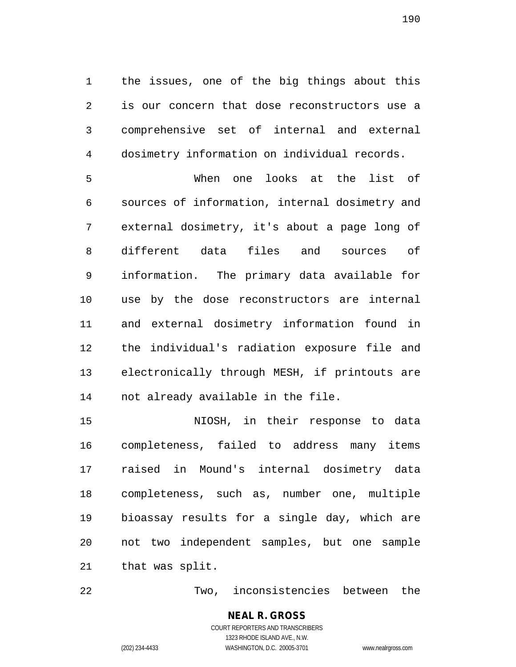the issues, one of the big things about this is our concern that dose reconstructors use a comprehensive set of internal and external dosimetry information on individual records.

 When one looks at the list of sources of information, internal dosimetry and external dosimetry, it's about a page long of different data files and sources of information. The primary data available for use by the dose reconstructors are internal and external dosimetry information found in the individual's radiation exposure file and electronically through MESH, if printouts are not already available in the file.

 NIOSH, in their response to data completeness, failed to address many items raised in Mound's internal dosimetry data completeness, such as, number one, multiple bioassay results for a single day, which are not two independent samples, but one sample that was split.

Two, inconsistencies between the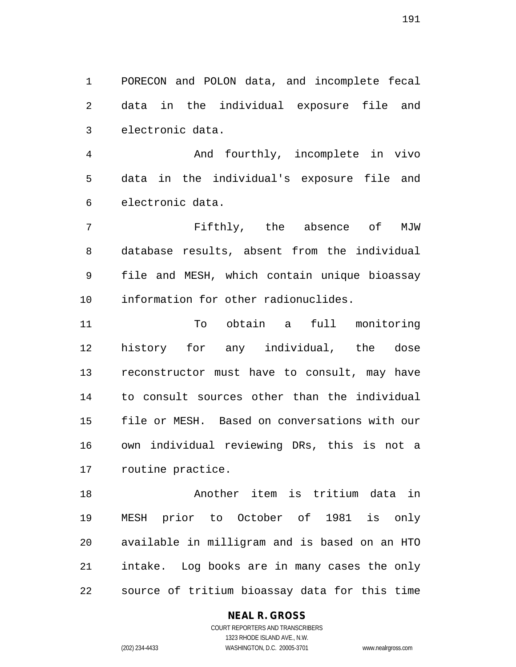PORECON and POLON data, and incomplete fecal data in the individual exposure file and electronic data.

 And fourthly, incomplete in vivo data in the individual's exposure file and electronic data.

 Fifthly, the absence of MJW database results, absent from the individual file and MESH, which contain unique bioassay information for other radionuclides.

 To obtain a full monitoring history for any individual, the dose reconstructor must have to consult, may have to consult sources other than the individual file or MESH. Based on conversations with our own individual reviewing DRs, this is not a routine practice.

 Another item is tritium data in MESH prior to October of 1981 is only available in milligram and is based on an HTO intake. Log books are in many cases the only source of tritium bioassay data for this time

#### **NEAL R. GROSS**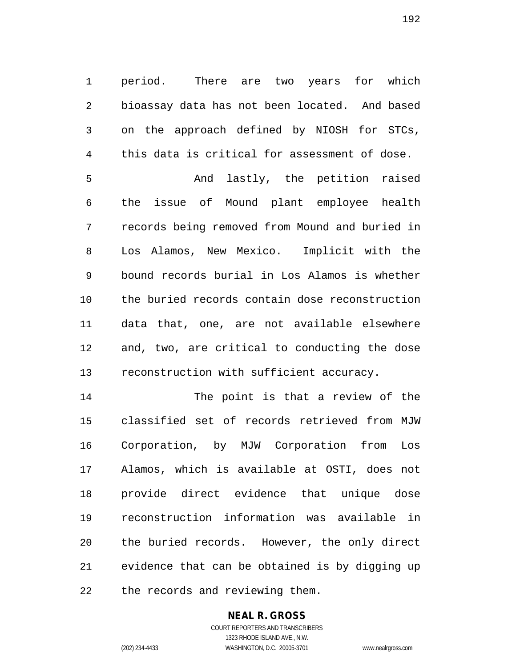period. There are two years for which bioassay data has not been located. And based on the approach defined by NIOSH for STCs, this data is critical for assessment of dose.

 And lastly, the petition raised the issue of Mound plant employee health records being removed from Mound and buried in Los Alamos, New Mexico. Implicit with the bound records burial in Los Alamos is whether the buried records contain dose reconstruction data that, one, are not available elsewhere and, two, are critical to conducting the dose reconstruction with sufficient accuracy.

 The point is that a review of the classified set of records retrieved from MJW Corporation, by MJW Corporation from Los Alamos, which is available at OSTI, does not provide direct evidence that unique dose reconstruction information was available in the buried records. However, the only direct evidence that can be obtained is by digging up the records and reviewing them.

## **NEAL R. GROSS**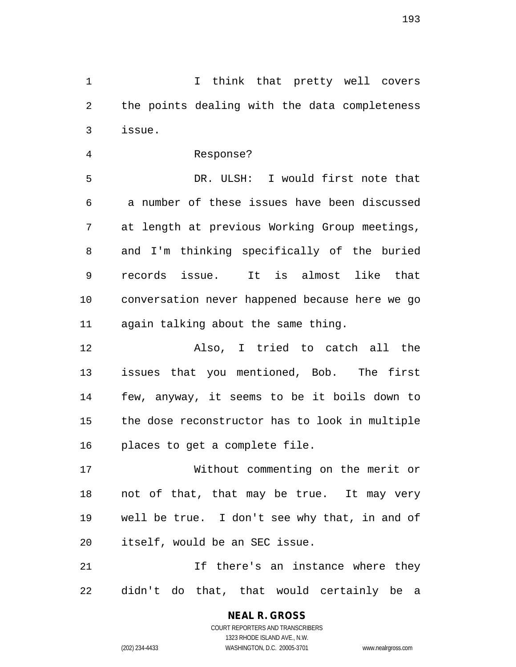1 1 I think that pretty well covers the points dealing with the data completeness issue.

Response?

 DR. ULSH: I would first note that a number of these issues have been discussed at length at previous Working Group meetings, and I'm thinking specifically of the buried records issue. It is almost like that conversation never happened because here we go again talking about the same thing.

 Also, I tried to catch all the issues that you mentioned, Bob. The first few, anyway, it seems to be it boils down to the dose reconstructor has to look in multiple places to get a complete file.

 Without commenting on the merit or not of that, that may be true. It may very well be true. I don't see why that, in and of itself, would be an SEC issue.

21 11 If there's an instance where they didn't do that, that would certainly be a

> COURT REPORTERS AND TRANSCRIBERS 1323 RHODE ISLAND AVE., N.W. (202) 234-4433 WASHINGTON, D.C. 20005-3701 www.nealrgross.com

**NEAL R. GROSS**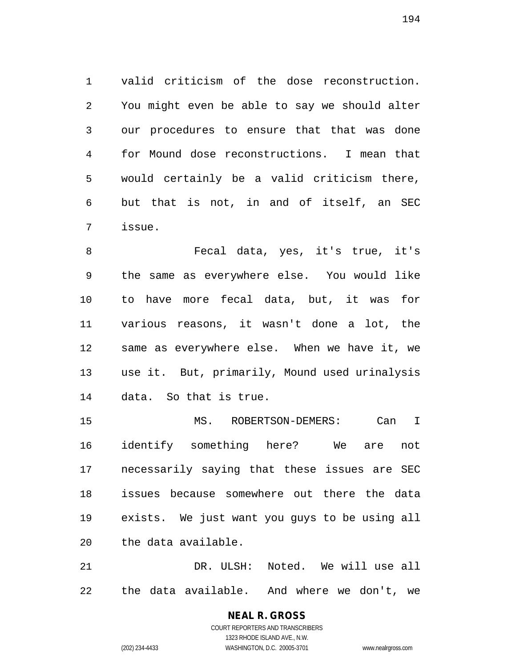valid criticism of the dose reconstruction. You might even be able to say we should alter our procedures to ensure that that was done for Mound dose reconstructions. I mean that would certainly be a valid criticism there, but that is not, in and of itself, an SEC issue.

 Fecal data, yes, it's true, it's the same as everywhere else. You would like to have more fecal data, but, it was for various reasons, it wasn't done a lot, the same as everywhere else. When we have it, we use it. But, primarily, Mound used urinalysis data. So that is true.

 MS. ROBERTSON-DEMERS: Can I identify something here? We are not necessarily saying that these issues are SEC issues because somewhere out there the data exists. We just want you guys to be using all the data available.

 DR. ULSH: Noted. We will use all the data available. And where we don't, we

# **NEAL R. GROSS**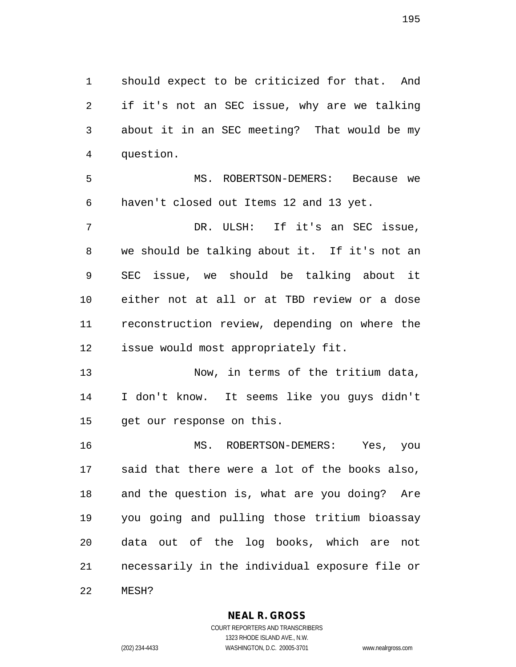should expect to be criticized for that. And if it's not an SEC issue, why are we talking about it in an SEC meeting? That would be my question.

 MS. ROBERTSON-DEMERS: Because we haven't closed out Items 12 and 13 yet.

 DR. ULSH: If it's an SEC issue, we should be talking about it. If it's not an SEC issue, we should be talking about it either not at all or at TBD review or a dose reconstruction review, depending on where the issue would most appropriately fit.

 Now, in terms of the tritium data, I don't know. It seems like you guys didn't get our response on this.

 MS. ROBERTSON-DEMERS: Yes, you said that there were a lot of the books also, and the question is, what are you doing? Are you going and pulling those tritium bioassay data out of the log books, which are not necessarily in the individual exposure file or MESH?

#### **NEAL R. GROSS** COURT REPORTERS AND TRANSCRIBERS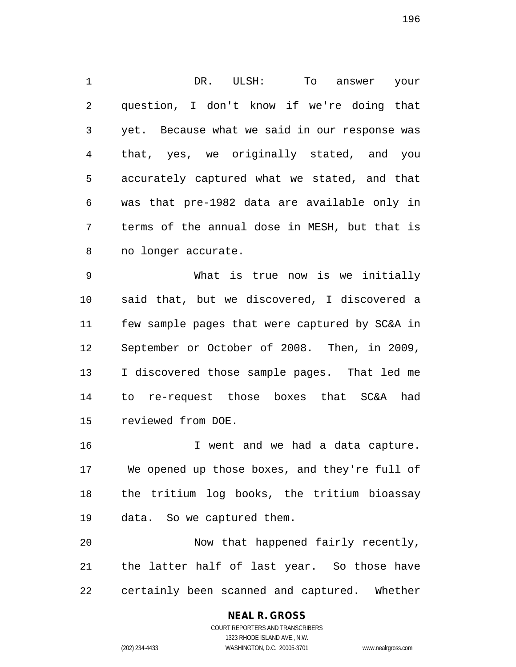DR. ULSH: To answer your question, I don't know if we're doing that yet. Because what we said in our response was that, yes, we originally stated, and you accurately captured what we stated, and that was that pre-1982 data are available only in terms of the annual dose in MESH, but that is no longer accurate.

 What is true now is we initially said that, but we discovered, I discovered a few sample pages that were captured by SC&A in September or October of 2008. Then, in 2009, I discovered those sample pages. That led me to re-request those boxes that SC&A had reviewed from DOE.

 I went and we had a data capture. We opened up those boxes, and they're full of the tritium log books, the tritium bioassay data. So we captured them.

 Now that happened fairly recently, the latter half of last year. So those have certainly been scanned and captured. Whether

1323 RHODE ISLAND AVE., N.W.

(202) 234-4433 WASHINGTON, D.C. 20005-3701 www.nealrgross.com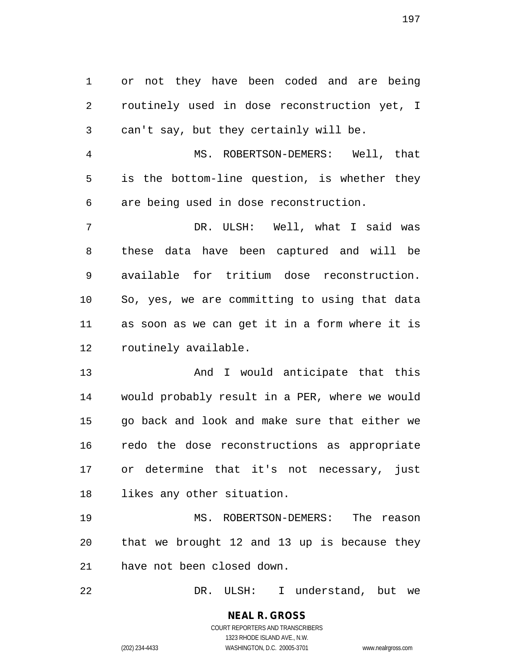or not they have been coded and are being routinely used in dose reconstruction yet, I can't say, but they certainly will be. MS. ROBERTSON-DEMERS: Well, that is the bottom-line question, is whether they are being used in dose reconstruction. DR. ULSH: Well, what I said was these data have been captured and will be available for tritium dose reconstruction. So, yes, we are committing to using that data as soon as we can get it in a form where it is routinely available.

13 And I would anticipate that this would probably result in a PER, where we would go back and look and make sure that either we redo the dose reconstructions as appropriate or determine that it's not necessary, just likes any other situation.

 MS. ROBERTSON-DEMERS: The reason that we brought 12 and 13 up is because they have not been closed down.

DR. ULSH: I understand, but we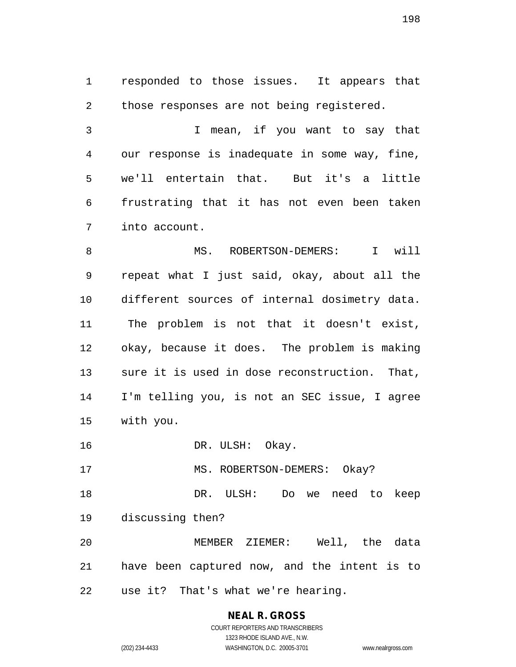responded to those issues. It appears that 2 those responses are not being registered.

 I mean, if you want to say that our response is inadequate in some way, fine, we'll entertain that. But it's a little frustrating that it has not even been taken into account.

8 MS. ROBERTSON-DEMERS: I will repeat what I just said, okay, about all the different sources of internal dosimetry data. The problem is not that it doesn't exist, okay, because it does. The problem is making sure it is used in dose reconstruction. That, I'm telling you, is not an SEC issue, I agree with you.

16 DR. ULSH: Okay.

17 MS. ROBERTSON-DEMERS: Okay?

 DR. ULSH: Do we need to keep discussing then?

 MEMBER ZIEMER: Well, the data have been captured now, and the intent is to use it? That's what we're hearing.

# **NEAL R. GROSS**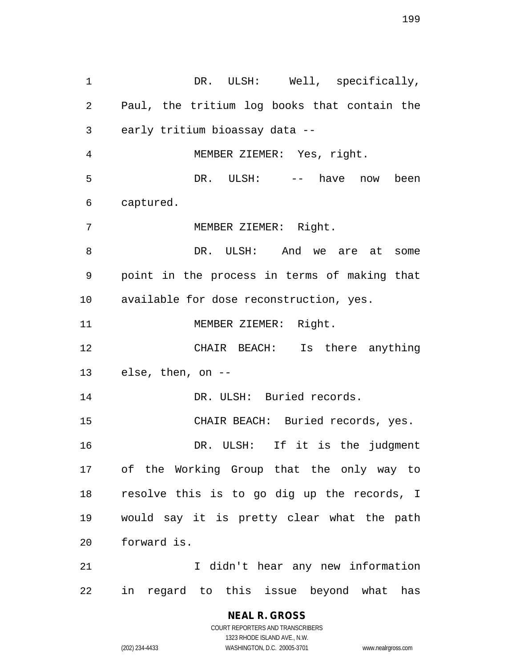1 DR. ULSH: Well, specifically, Paul, the tritium log books that contain the early tritium bioassay data -- MEMBER ZIEMER: Yes, right. DR. ULSH: -- have now been captured. MEMBER ZIEMER: Right. 8 DR. ULSH: And we are at some point in the process in terms of making that available for dose reconstruction, yes. 11 MEMBER ZIEMER: Right. CHAIR BEACH: Is there anything else, then, on -- 14 DR. ULSH: Buried records. CHAIR BEACH: Buried records, yes. DR. ULSH: If it is the judgment of the Working Group that the only way to resolve this is to go dig up the records, I would say it is pretty clear what the path forward is. 21 1 I didn't hear any new information in regard to this issue beyond what has

## **NEAL R. GROSS**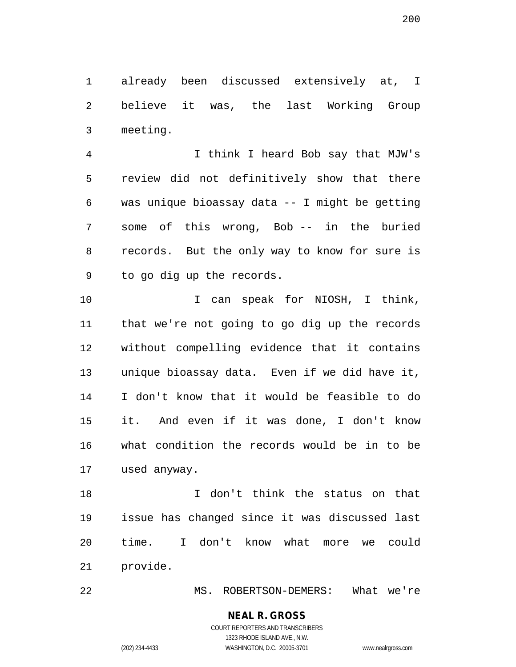already been discussed extensively at, I believe it was, the last Working Group meeting.

 I think I heard Bob say that MJW's review did not definitively show that there was unique bioassay data -- I might be getting some of this wrong, Bob -- in the buried records. But the only way to know for sure is to go dig up the records.

10 10 I can speak for NIOSH, I think, that we're not going to go dig up the records without compelling evidence that it contains unique bioassay data. Even if we did have it, I don't know that it would be feasible to do it. And even if it was done, I don't know what condition the records would be in to be used anyway.

 I don't think the status on that issue has changed since it was discussed last time. I don't know what more we could provide.

MS. ROBERTSON-DEMERS: What we're

# **NEAL R. GROSS**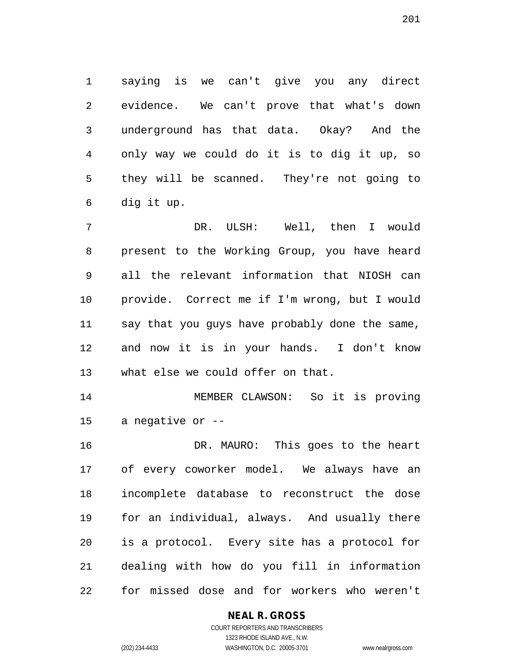saying is we can't give you any direct evidence. We can't prove that what's down underground has that data. Okay? And the only way we could do it is to dig it up, so they will be scanned. They're not going to dig it up.

 DR. ULSH: Well, then I would present to the Working Group, you have heard all the relevant information that NIOSH can provide. Correct me if I'm wrong, but I would say that you guys have probably done the same, and now it is in your hands. I don't know what else we could offer on that.

 MEMBER CLAWSON: So it is proving a negative or --

 DR. MAURO: This goes to the heart of every coworker model. We always have an incomplete database to reconstruct the dose for an individual, always. And usually there is a protocol. Every site has a protocol for dealing with how do you fill in information for missed dose and for workers who weren't

## **NEAL R. GROSS**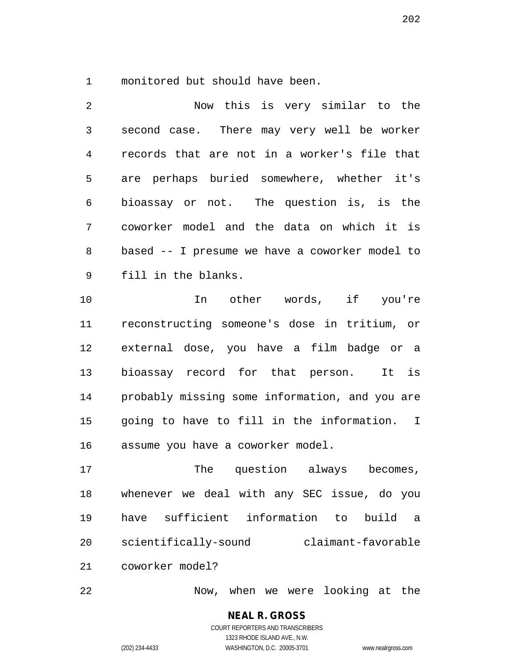monitored but should have been.

 Now this is very similar to the second case. There may very well be worker records that are not in a worker's file that are perhaps buried somewhere, whether it's bioassay or not. The question is, is the coworker model and the data on which it is based -- I presume we have a coworker model to fill in the blanks.

 In other words, if you're reconstructing someone's dose in tritium, or external dose, you have a film badge or a bioassay record for that person. It is probably missing some information, and you are going to have to fill in the information. I assume you have a coworker model.

17 The question always becomes, whenever we deal with any SEC issue, do you have sufficient information to build a scientifically-sound claimant-favorable coworker model?

Now, when we were looking at the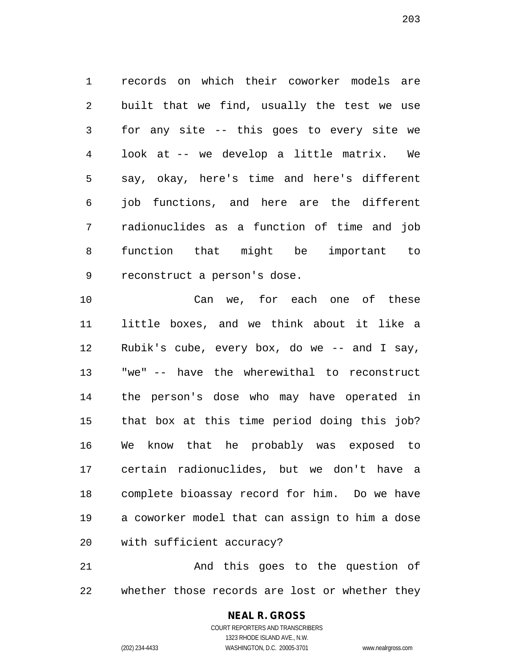records on which their coworker models are built that we find, usually the test we use for any site -- this goes to every site we look at -- we develop a little matrix. We say, okay, here's time and here's different job functions, and here are the different radionuclides as a function of time and job function that might be important to reconstruct a person's dose.

 Can we, for each one of these little boxes, and we think about it like a Rubik's cube, every box, do we -- and I say, "we" -- have the wherewithal to reconstruct the person's dose who may have operated in that box at this time period doing this job? We know that he probably was exposed to certain radionuclides, but we don't have a complete bioassay record for him. Do we have a coworker model that can assign to him a dose with sufficient accuracy?

 And this goes to the question of whether those records are lost or whether they

## **NEAL R. GROSS**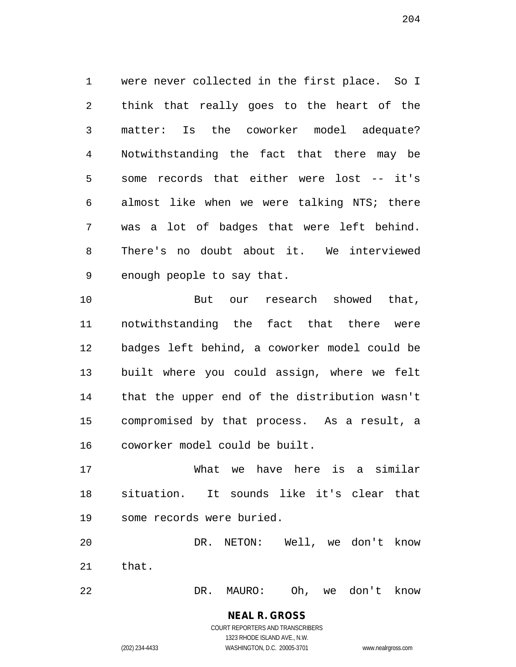were never collected in the first place. So I think that really goes to the heart of the matter: Is the coworker model adequate? Notwithstanding the fact that there may be some records that either were lost -- it's almost like when we were talking NTS; there was a lot of badges that were left behind. There's no doubt about it. We interviewed enough people to say that.

10 But our research showed that, notwithstanding the fact that there were badges left behind, a coworker model could be built where you could assign, where we felt that the upper end of the distribution wasn't compromised by that process. As a result, a coworker model could be built.

 What we have here is a similar situation. It sounds like it's clear that some records were buried.

 DR. NETON: Well, we don't know that.

DR. MAURO: Oh, we don't know

COURT REPORTERS AND TRANSCRIBERS 1323 RHODE ISLAND AVE., N.W. (202) 234-4433 WASHINGTON, D.C. 20005-3701 www.nealrgross.com

**NEAL R. GROSS**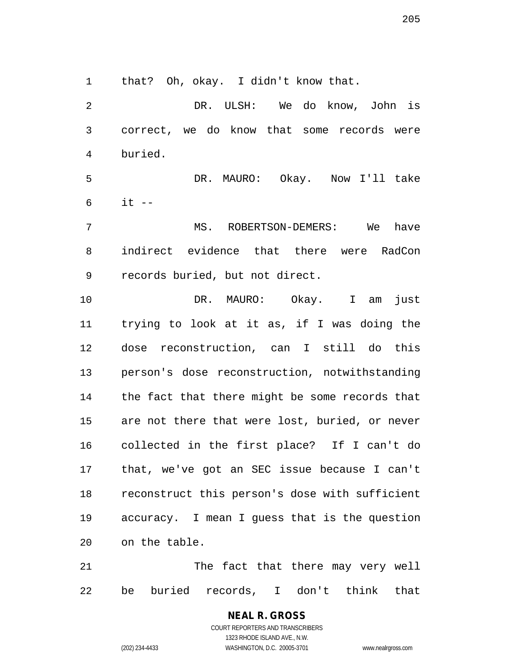that? Oh, okay. I didn't know that.

 DR. ULSH: We do know, John is correct, we do know that some records were buried. DR. MAURO: Okay. Now I'll take it  $-$  MS. ROBERTSON-DEMERS: We have indirect evidence that there were RadCon

records buried, but not direct.

 DR. MAURO: Okay. I am just trying to look at it as, if I was doing the dose reconstruction, can I still do this person's dose reconstruction, notwithstanding the fact that there might be some records that are not there that were lost, buried, or never collected in the first place? If I can't do that, we've got an SEC issue because I can't reconstruct this person's dose with sufficient accuracy. I mean I guess that is the question on the table.

21 The fact that there may very well be buried records, I don't think that

> **NEAL R. GROSS** COURT REPORTERS AND TRANSCRIBERS 1323 RHODE ISLAND AVE., N.W. (202) 234-4433 WASHINGTON, D.C. 20005-3701 www.nealrgross.com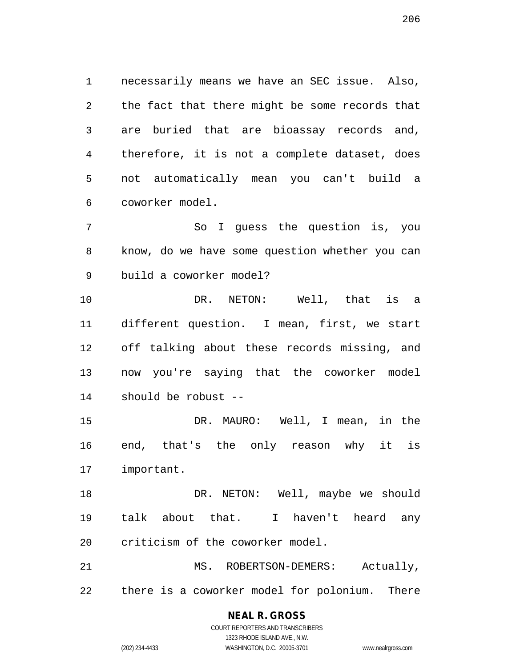necessarily means we have an SEC issue. Also, the fact that there might be some records that are buried that are bioassay records and, therefore, it is not a complete dataset, does not automatically mean you can't build a coworker model.

 So I guess the question is, you know, do we have some question whether you can build a coworker model?

 DR. NETON: Well, that is a different question. I mean, first, we start off talking about these records missing, and now you're saying that the coworker model should be robust --

 DR. MAURO: Well, I mean, in the end, that's the only reason why it is important.

18 DR. NETON: Well, maybe we should talk about that. I haven't heard any criticism of the coworker model.

21 MS. ROBERTSON-DEMERS: Actually, there is a coworker model for polonium. There

# **NEAL R. GROSS**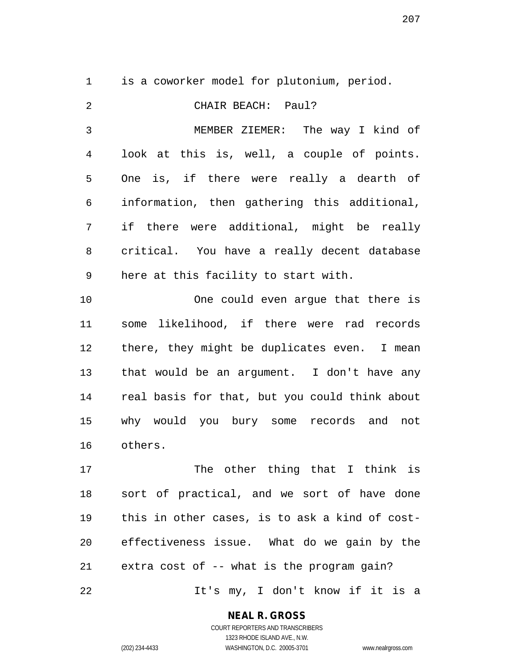is a coworker model for plutonium, period.

 CHAIR BEACH: Paul? MEMBER ZIEMER: The way I kind of look at this is, well, a couple of points. One is, if there were really a dearth of information, then gathering this additional, if there were additional, might be really critical. You have a really decent database here at this facility to start with. One could even argue that there is some likelihood, if there were rad records there, they might be duplicates even. I mean that would be an argument. I don't have any real basis for that, but you could think about why would you bury some records and not others. 17 The other thing that I think is

 sort of practical, and we sort of have done this in other cases, is to ask a kind of cost- effectiveness issue. What do we gain by the extra cost of -- what is the program gain? It's my, I don't know if it is a

**NEAL R. GROSS**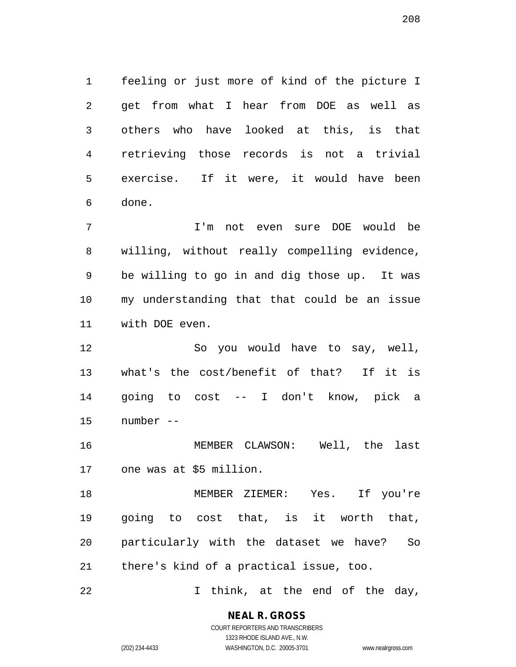feeling or just more of kind of the picture I get from what I hear from DOE as well as others who have looked at this, is that retrieving those records is not a trivial exercise. If it were, it would have been done.

 I'm not even sure DOE would be willing, without really compelling evidence, be willing to go in and dig those up. It was my understanding that that could be an issue with DOE even.

 So you would have to say, well, what's the cost/benefit of that? If it is going to cost -- I don't know, pick a number --

 MEMBER CLAWSON: Well, the last one was at \$5 million.

 MEMBER ZIEMER: Yes. If you're going to cost that, is it worth that, particularly with the dataset we have? So there's kind of a practical issue, too.

I think, at the end of the day,

**NEAL R. GROSS**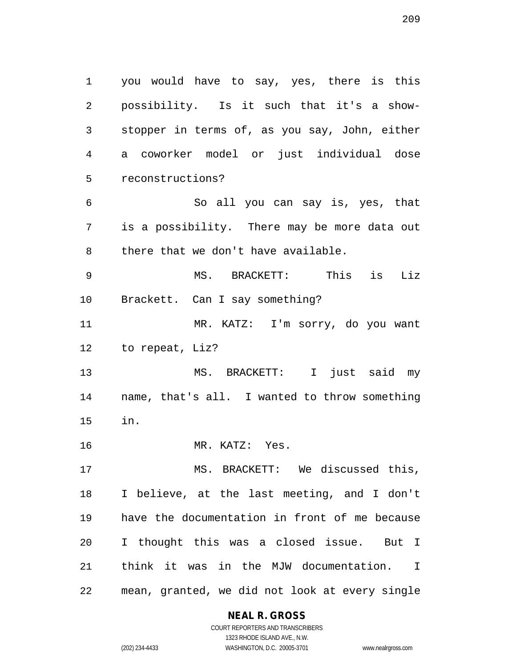you would have to say, yes, there is this possibility. Is it such that it's a show- stopper in terms of, as you say, John, either a coworker model or just individual dose reconstructions? So all you can say is, yes, that is a possibility. There may be more data out there that we don't have available. MS. BRACKETT: This is Liz Brackett. Can I say something? MR. KATZ: I'm sorry, do you want to repeat, Liz? MS. BRACKETT: I just said my name, that's all. I wanted to throw something in. MR. KATZ: Yes. MS. BRACKETT: We discussed this, I believe, at the last meeting, and I don't have the documentation in front of me because I thought this was a closed issue. But I think it was in the MJW documentation. I mean, granted, we did not look at every single

#### **NEAL R. GROSS**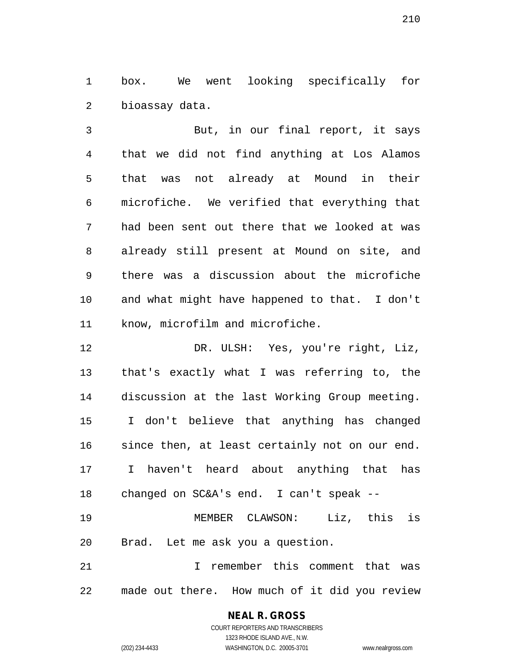box. We went looking specifically for bioassay data.

 But, in our final report, it says that we did not find anything at Los Alamos that was not already at Mound in their microfiche. We verified that everything that had been sent out there that we looked at was already still present at Mound on site, and there was a discussion about the microfiche and what might have happened to that. I don't know, microfilm and microfiche.

 DR. ULSH: Yes, you're right, Liz, that's exactly what I was referring to, the discussion at the last Working Group meeting. I don't believe that anything has changed since then, at least certainly not on our end. I haven't heard about anything that has changed on SC&A's end. I can't speak -- MEMBER CLAWSON: Liz, this is

Brad. Let me ask you a question.

 I remember this comment that was made out there. How much of it did you review

## **NEAL R. GROSS**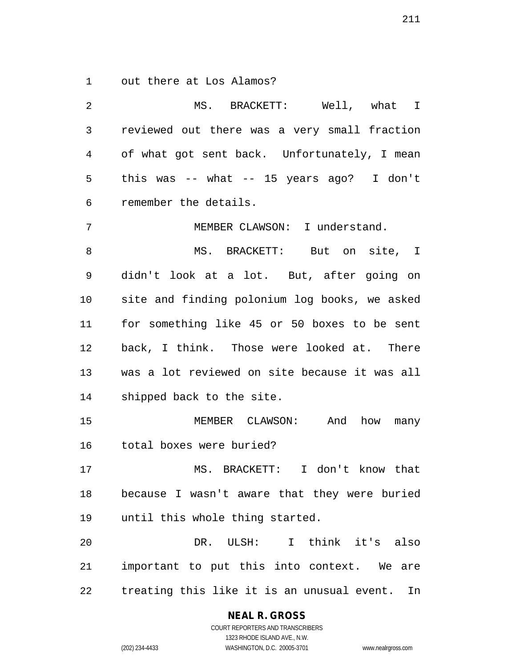out there at Los Alamos?

 MS. BRACKETT: Well, what I reviewed out there was a very small fraction of what got sent back. Unfortunately, I mean this was -- what -- 15 years ago? I don't remember the details. MEMBER CLAWSON: I understand. 8 MS. BRACKETT: But on site, I didn't look at a lot. But, after going on site and finding polonium log books, we asked for something like 45 or 50 boxes to be sent back, I think. Those were looked at. There was a lot reviewed on site because it was all shipped back to the site. MEMBER CLAWSON: And how many total boxes were buried? MS. BRACKETT: I don't know that because I wasn't aware that they were buried until this whole thing started. DR. ULSH: I think it's also important to put this into context. We are treating this like it is an unusual event. In

**NEAL R. GROSS**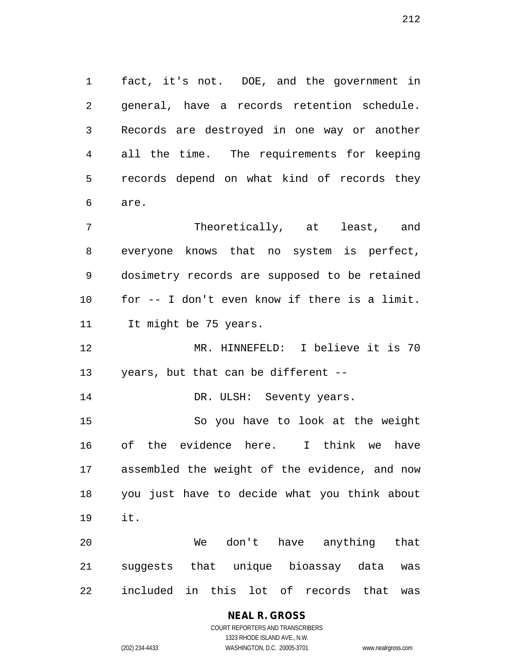fact, it's not. DOE, and the government in general, have a records retention schedule. Records are destroyed in one way or another all the time. The requirements for keeping records depend on what kind of records they are.

 Theoretically, at least, and everyone knows that no system is perfect, dosimetry records are supposed to be retained for -- I don't even know if there is a limit. 11 It might be 75 years.

 MR. HINNEFELD: I believe it is 70 years, but that can be different --

14 DR. ULSH: Seventy years.

 So you have to look at the weight of the evidence here. I think we have assembled the weight of the evidence, and now you just have to decide what you think about it.

 We don't have anything that suggests that unique bioassay data was included in this lot of records that was

## **NEAL R. GROSS**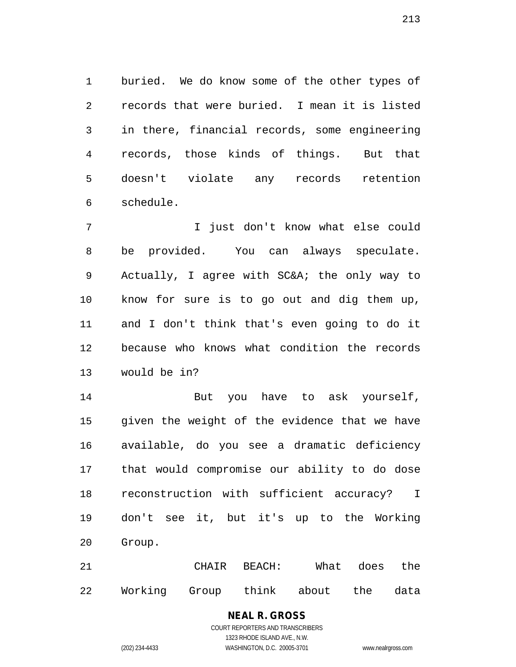buried. We do know some of the other types of records that were buried. I mean it is listed in there, financial records, some engineering records, those kinds of things. But that doesn't violate any records retention schedule.

 I just don't know what else could be provided. You can always speculate. Actually, I agree with SC&A; the only way to know for sure is to go out and dig them up, and I don't think that's even going to do it because who knows what condition the records would be in?

14 But you have to ask yourself, given the weight of the evidence that we have available, do you see a dramatic deficiency that would compromise our ability to do dose reconstruction with sufficient accuracy? I don't see it, but it's up to the Working Group.

 CHAIR BEACH: What does the Working Group think about the data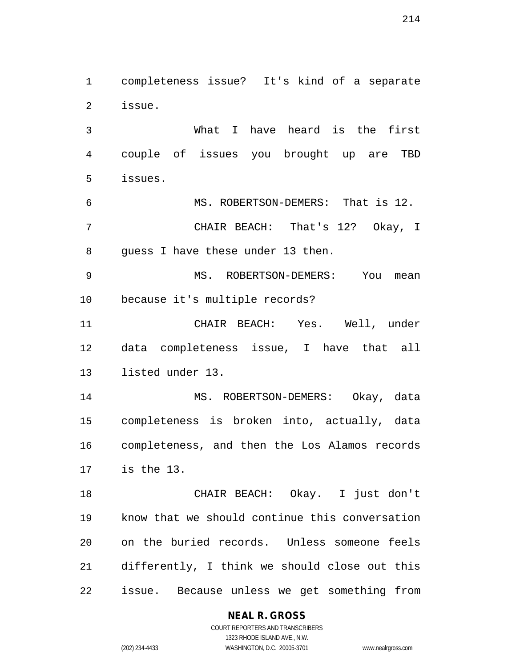completeness issue? It's kind of a separate issue.

 What I have heard is the first couple of issues you brought up are TBD issues.

 MS. ROBERTSON-DEMERS: That is 12. CHAIR BEACH: That's 12? Okay, I guess I have these under 13 then.

 MS. ROBERTSON-DEMERS: You mean because it's multiple records?

 CHAIR BEACH: Yes. Well, under data completeness issue, I have that all listed under 13.

 MS. ROBERTSON-DEMERS: Okay, data completeness is broken into, actually, data completeness, and then the Los Alamos records is the 13.

 CHAIR BEACH: Okay. I just don't know that we should continue this conversation on the buried records. Unless someone feels differently, I think we should close out this issue. Because unless we get something from

## **NEAL R. GROSS**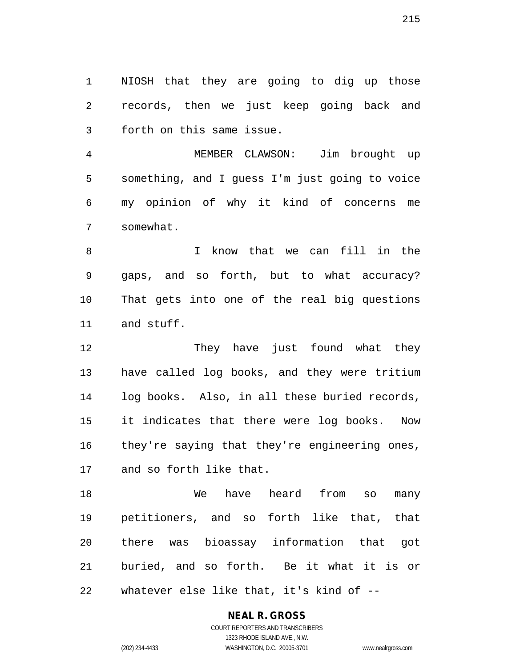NIOSH that they are going to dig up those records, then we just keep going back and forth on this same issue.

 MEMBER CLAWSON: Jim brought up something, and I guess I'm just going to voice my opinion of why it kind of concerns me somewhat.

 I know that we can fill in the gaps, and so forth, but to what accuracy? That gets into one of the real big questions and stuff.

12 They have just found what they have called log books, and they were tritium log books. Also, in all these buried records, it indicates that there were log books. Now 16 they're saying that they're engineering ones, and so forth like that.

 We have heard from so many petitioners, and so forth like that, that there was bioassay information that got buried, and so forth. Be it what it is or whatever else like that, it's kind of --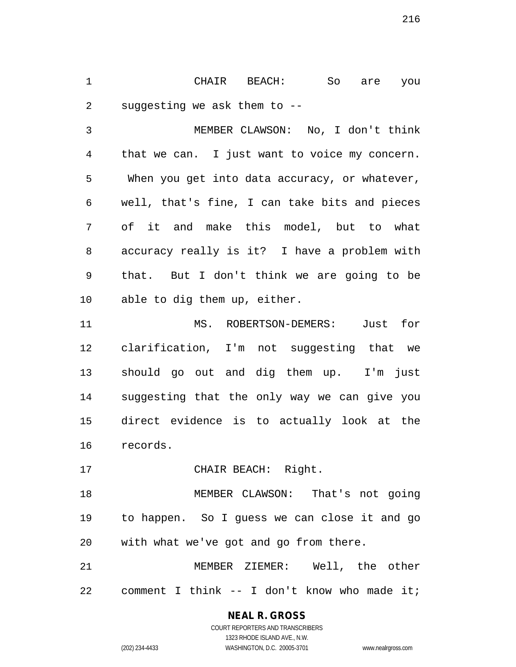CHAIR BEACH: So are you suggesting we ask them to --

 MEMBER CLAWSON: No, I don't think that we can. I just want to voice my concern. When you get into data accuracy, or whatever, well, that's fine, I can take bits and pieces of it and make this model, but to what accuracy really is it? I have a problem with that. But I don't think we are going to be able to dig them up, either.

 MS. ROBERTSON-DEMERS: Just for clarification, I'm not suggesting that we should go out and dig them up. I'm just suggesting that the only way we can give you direct evidence is to actually look at the records.

CHAIR BEACH: Right.

 MEMBER CLAWSON: That's not going to happen. So I guess we can close it and go with what we've got and go from there.

 MEMBER ZIEMER: Well, the other comment I think -- I don't know who made it;

**NEAL R. GROSS**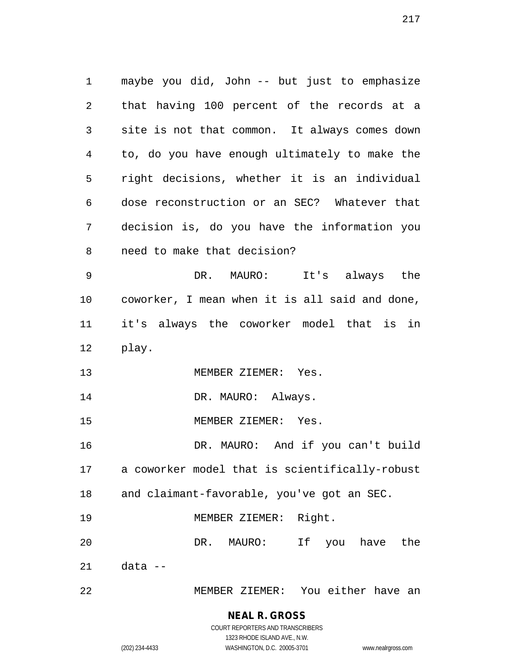maybe you did, John -- but just to emphasize that having 100 percent of the records at a site is not that common. It always comes down to, do you have enough ultimately to make the right decisions, whether it is an individual dose reconstruction or an SEC? Whatever that decision is, do you have the information you need to make that decision? DR. MAURO: It's always the coworker, I mean when it is all said and done, it's always the coworker model that is in play. MEMBER ZIEMER: Yes. 14 DR. MAURO: Always. MEMBER ZIEMER: Yes. DR. MAURO: And if you can't build a coworker model that is scientifically-robust and claimant-favorable, you've got an SEC. 19 MEMBER ZIEMER: Right. DR. MAURO: If you have the data -- MEMBER ZIEMER: You either have an

## **NEAL R. GROSS**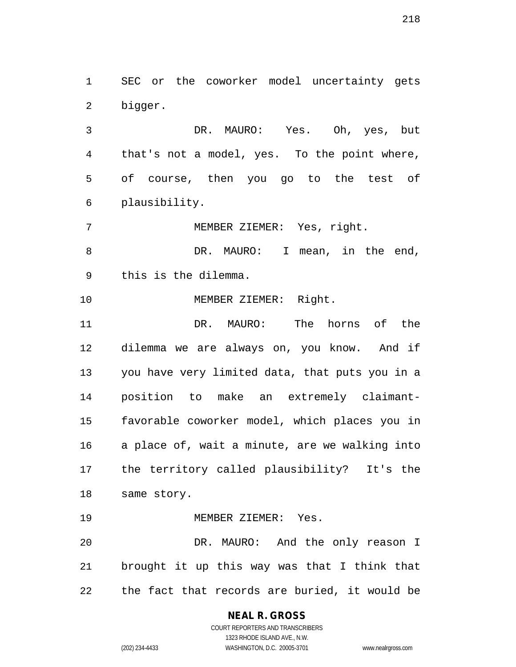SEC or the coworker model uncertainty gets bigger.

 DR. MAURO: Yes. Oh, yes, but that's not a model, yes. To the point where, of course, then you go to the test of plausibility.

MEMBER ZIEMER: Yes, right.

8 DR. MAURO: I mean, in the end, this is the dilemma.

MEMBER ZIEMER: Right.

 DR. MAURO: The horns of the dilemma we are always on, you know. And if you have very limited data, that puts you in a position to make an extremely claimant- favorable coworker model, which places you in a place of, wait a minute, are we walking into the territory called plausibility? It's the same story.

MEMBER ZIEMER: Yes.

 DR. MAURO: And the only reason I brought it up this way was that I think that the fact that records are buried, it would be

**NEAL R. GROSS**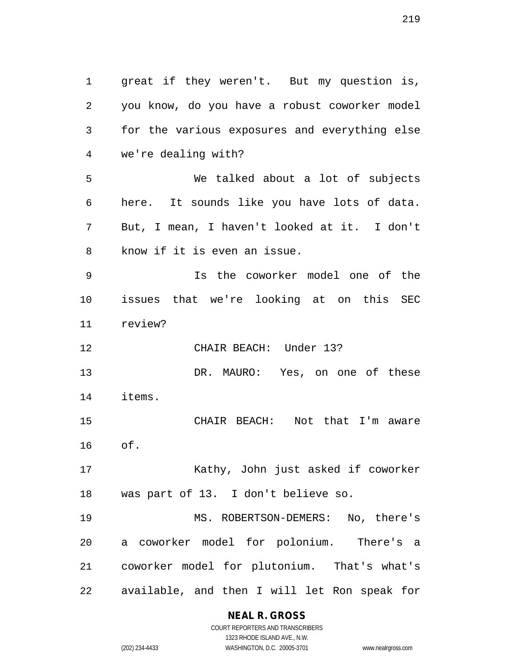great if they weren't. But my question is, you know, do you have a robust coworker model for the various exposures and everything else we're dealing with? We talked about a lot of subjects here. It sounds like you have lots of data. But, I mean, I haven't looked at it. I don't know if it is even an issue. Is the coworker model one of the issues that we're looking at on this SEC review? CHAIR BEACH: Under 13? DR. MAURO: Yes, on one of these items. CHAIR BEACH: Not that I'm aware of. Kathy, John just asked if coworker was part of 13. I don't believe so. MS. ROBERTSON-DEMERS: No, there's a coworker model for polonium. There's a coworker model for plutonium. That's what's available, and then I will let Ron speak for

> **NEAL R. GROSS** COURT REPORTERS AND TRANSCRIBERS

1323 RHODE ISLAND AVE., N.W. (202) 234-4433 WASHINGTON, D.C. 20005-3701 www.nealrgross.com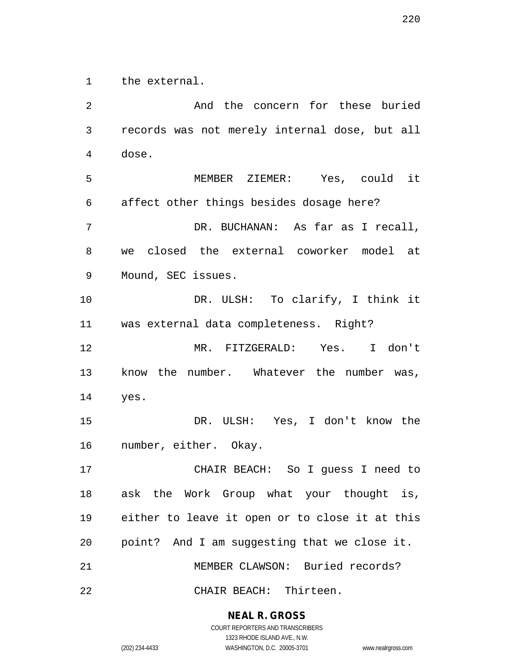the external.

 And the concern for these buried records was not merely internal dose, but all dose. MEMBER ZIEMER: Yes, could it affect other things besides dosage here? DR. BUCHANAN: As far as I recall, we closed the external coworker model at Mound, SEC issues. DR. ULSH: To clarify, I think it was external data completeness. Right? MR. FITZGERALD: Yes. I don't know the number. Whatever the number was, yes. DR. ULSH: Yes, I don't know the number, either. Okay. CHAIR BEACH: So I guess I need to ask the Work Group what your thought is, either to leave it open or to close it at this point? And I am suggesting that we close it. MEMBER CLAWSON: Buried records? CHAIR BEACH: Thirteen.

> **NEAL R. GROSS** COURT REPORTERS AND TRANSCRIBERS

> > 1323 RHODE ISLAND AVE., N.W.

(202) 234-4433 WASHINGTON, D.C. 20005-3701 www.nealrgross.com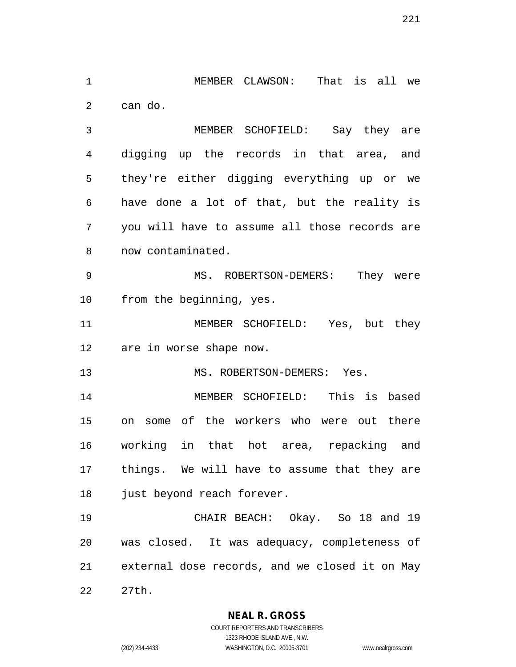MEMBER CLAWSON: That is all we can do.

 MEMBER SCHOFIELD: Say they are digging up the records in that area, and they're either digging everything up or we have done a lot of that, but the reality is you will have to assume all those records are now contaminated.

 MS. ROBERTSON-DEMERS: They were from the beginning, yes.

 MEMBER SCHOFIELD: Yes, but they are in worse shape now.

13 MS. ROBERTSON-DEMERS: Yes.

 MEMBER SCHOFIELD: This is based on some of the workers who were out there working in that hot area, repacking and things. We will have to assume that they are 18 just beyond reach forever.

 CHAIR BEACH: Okay. So 18 and 19 was closed. It was adequacy, completeness of external dose records, and we closed it on May 27th.

**NEAL R. GROSS**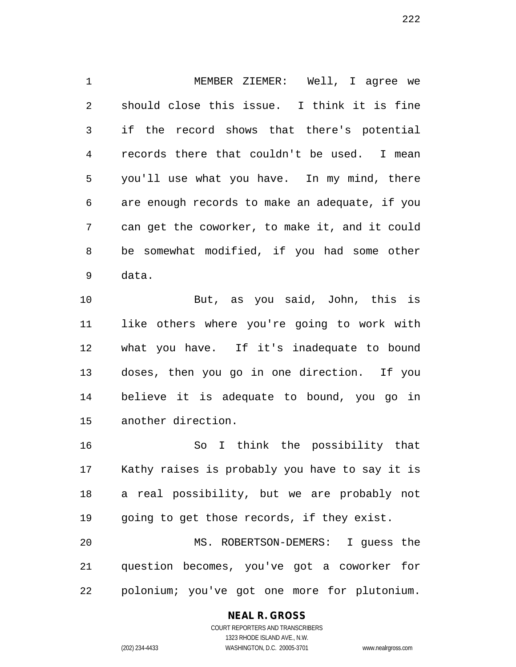MEMBER ZIEMER: Well, I agree we should close this issue. I think it is fine if the record shows that there's potential records there that couldn't be used. I mean you'll use what you have. In my mind, there are enough records to make an adequate, if you can get the coworker, to make it, and it could be somewhat modified, if you had some other data.

 But, as you said, John, this is like others where you're going to work with what you have. If it's inadequate to bound doses, then you go in one direction. If you believe it is adequate to bound, you go in another direction.

 So I think the possibility that Kathy raises is probably you have to say it is a real possibility, but we are probably not going to get those records, if they exist. MS. ROBERTSON-DEMERS: I guess the

 question becomes, you've got a coworker for polonium; you've got one more for plutonium.

### **NEAL R. GROSS**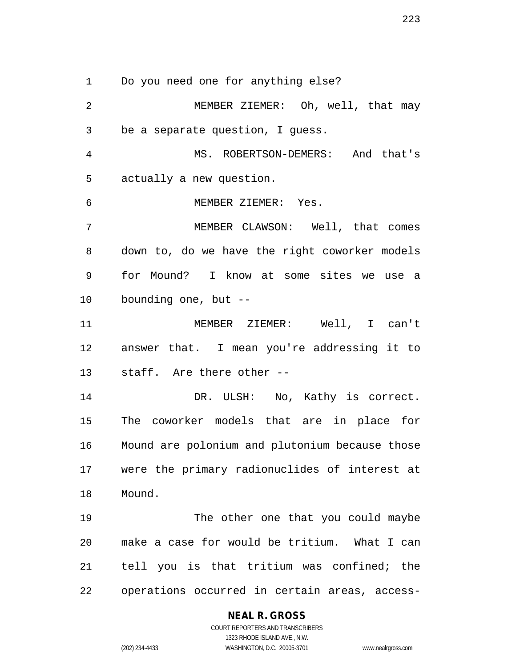Do you need one for anything else?

 MEMBER ZIEMER: Oh, well, that may be a separate question, I guess. MS. ROBERTSON-DEMERS: And that's actually a new question. MEMBER ZIEMER: Yes. MEMBER CLAWSON: Well, that comes down to, do we have the right coworker models for Mound? I know at some sites we use a bounding one, but -- MEMBER ZIEMER: Well, I can't answer that. I mean you're addressing it to staff. Are there other -- DR. ULSH: No, Kathy is correct. The coworker models that are in place for Mound are polonium and plutonium because those were the primary radionuclides of interest at Mound. The other one that you could maybe make a case for would be tritium. What I can tell you is that tritium was confined; the operations occurred in certain areas, access-

### **NEAL R. GROSS**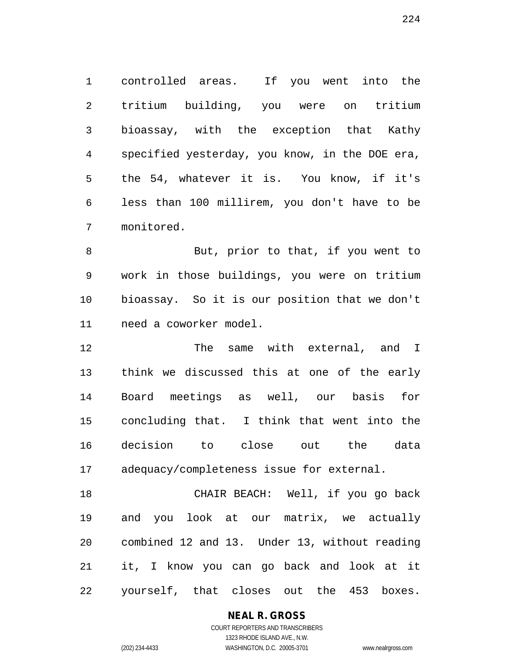controlled areas. If you went into the tritium building, you were on tritium bioassay, with the exception that Kathy specified yesterday, you know, in the DOE era, the 54, whatever it is. You know, if it's less than 100 millirem, you don't have to be monitored.

 But, prior to that, if you went to work in those buildings, you were on tritium bioassay. So it is our position that we don't need a coworker model.

12 The same with external, and I think we discussed this at one of the early Board meetings as well, our basis for concluding that. I think that went into the decision to close out the data adequacy/completeness issue for external.

 CHAIR BEACH: Well, if you go back and you look at our matrix, we actually combined 12 and 13. Under 13, without reading it, I know you can go back and look at it yourself, that closes out the 453 boxes.

### **NEAL R. GROSS**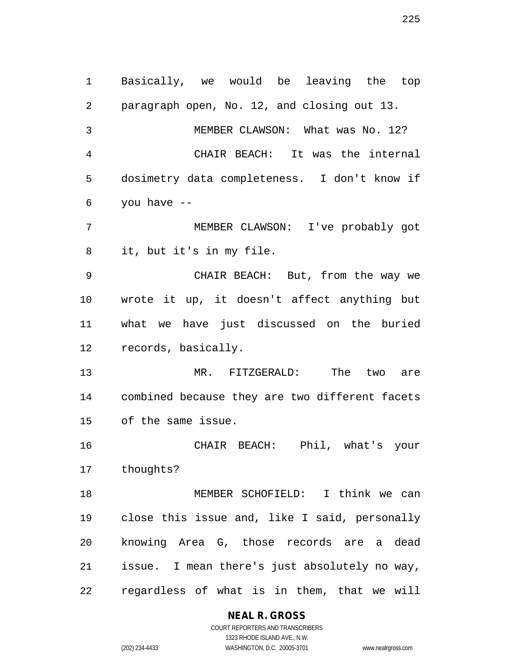Basically, we would be leaving the top paragraph open, No. 12, and closing out 13. MEMBER CLAWSON: What was No. 12? CHAIR BEACH: It was the internal dosimetry data completeness. I don't know if you have -- MEMBER CLAWSON: I've probably got it, but it's in my file. CHAIR BEACH: But, from the way we wrote it up, it doesn't affect anything but what we have just discussed on the buried records, basically. MR. FITZGERALD: The two are combined because they are two different facets of the same issue. CHAIR BEACH: Phil, what's your thoughts? MEMBER SCHOFIELD: I think we can close this issue and, like I said, personally knowing Area G, those records are a dead issue. I mean there's just absolutely no way, regardless of what is in them, that we will

**NEAL R. GROSS**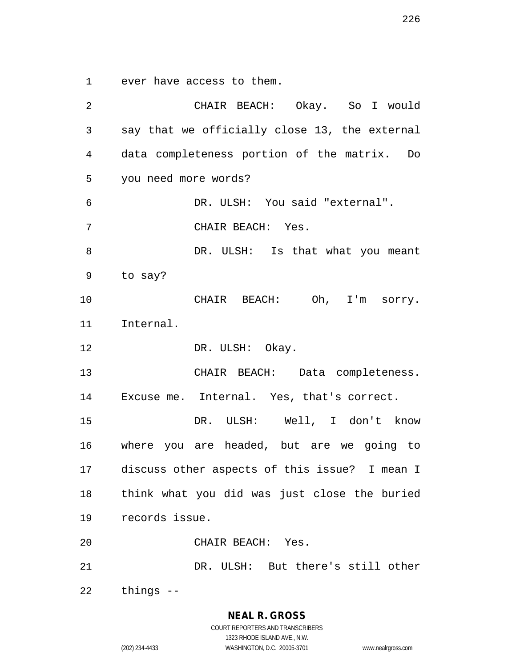ever have access to them.

 CHAIR BEACH: Okay. So I would say that we officially close 13, the external data completeness portion of the matrix. Do you need more words? DR. ULSH: You said "external". CHAIR BEACH: Yes. 8 DR. ULSH: Is that what you meant to say? CHAIR BEACH: Oh, I'm sorry. Internal. 12 DR. ULSH: Okay. CHAIR BEACH: Data completeness. Excuse me. Internal. Yes, that's correct. DR. ULSH: Well, I don't know where you are headed, but are we going to discuss other aspects of this issue? I mean I think what you did was just close the buried records issue. CHAIR BEACH: Yes. DR. ULSH: But there's still other things --

**NEAL R. GROSS**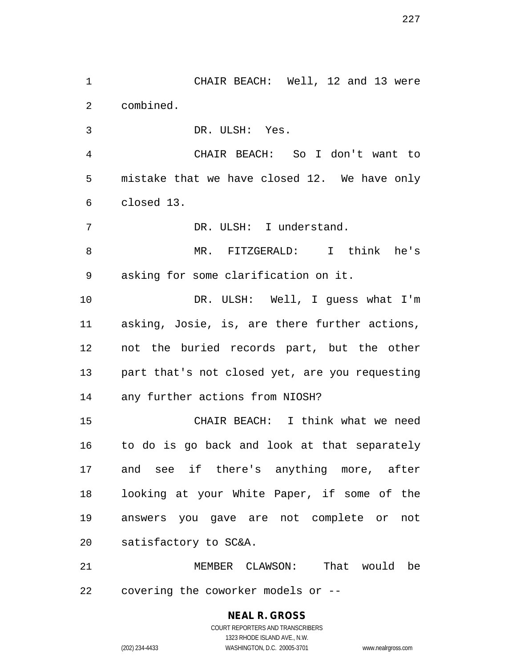combined. DR. ULSH: Yes. CHAIR BEACH: So I don't want to mistake that we have closed 12. We have only closed 13. DR. ULSH: I understand. MR. FITZGERALD: I think he's

CHAIR BEACH: Well, 12 and 13 were

 asking for some clarification on it. DR. ULSH: Well, I guess what I'm

 asking, Josie, is, are there further actions, not the buried records part, but the other part that's not closed yet, are you requesting any further actions from NIOSH?

 CHAIR BEACH: I think what we need to do is go back and look at that separately and see if there's anything more, after looking at your White Paper, if some of the answers you gave are not complete or not satisfactory to SC&A.

 MEMBER CLAWSON: That would be covering the coworker models or --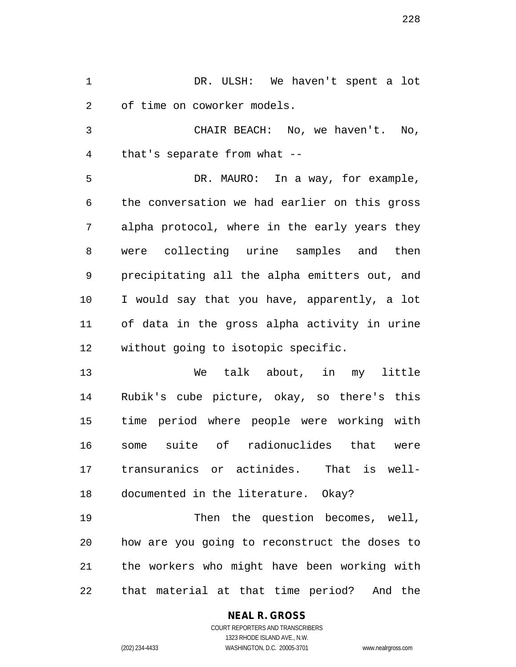DR. ULSH: We haven't spent a lot of time on coworker models.

 CHAIR BEACH: No, we haven't. No, that's separate from what --

 DR. MAURO: In a way, for example, the conversation we had earlier on this gross alpha protocol, where in the early years they were collecting urine samples and then precipitating all the alpha emitters out, and I would say that you have, apparently, a lot of data in the gross alpha activity in urine without going to isotopic specific.

 We talk about, in my little Rubik's cube picture, okay, so there's this time period where people were working with some suite of radionuclides that were transuranics or actinides. That is well-documented in the literature. Okay?

 Then the question becomes, well, how are you going to reconstruct the doses to the workers who might have been working with that material at that time period? And the

### **NEAL R. GROSS** COURT REPORTERS AND TRANSCRIBERS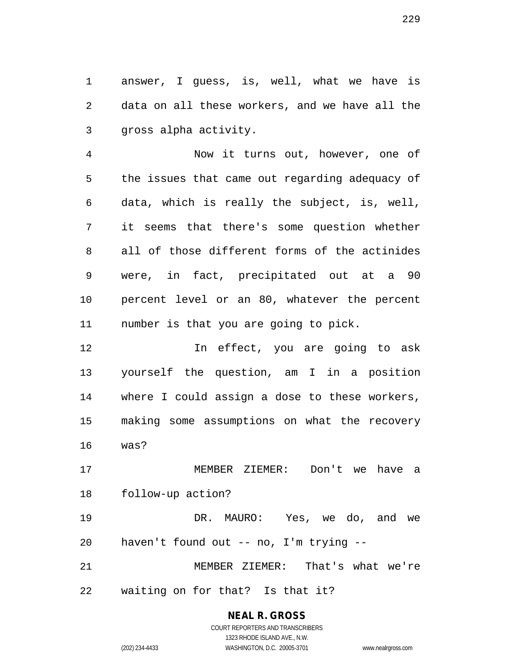answer, I guess, is, well, what we have is data on all these workers, and we have all the gross alpha activity.

 Now it turns out, however, one of the issues that came out regarding adequacy of data, which is really the subject, is, well, it seems that there's some question whether all of those different forms of the actinides were, in fact, precipitated out at a 90 percent level or an 80, whatever the percent number is that you are going to pick.

 In effect, you are going to ask yourself the question, am I in a position where I could assign a dose to these workers, making some assumptions on what the recovery was?

 MEMBER ZIEMER: Don't we have a follow-up action?

 DR. MAURO: Yes, we do, and we haven't found out -- no, I'm trying --

 MEMBER ZIEMER: That's what we're waiting on for that? Is that it?

# **NEAL R. GROSS**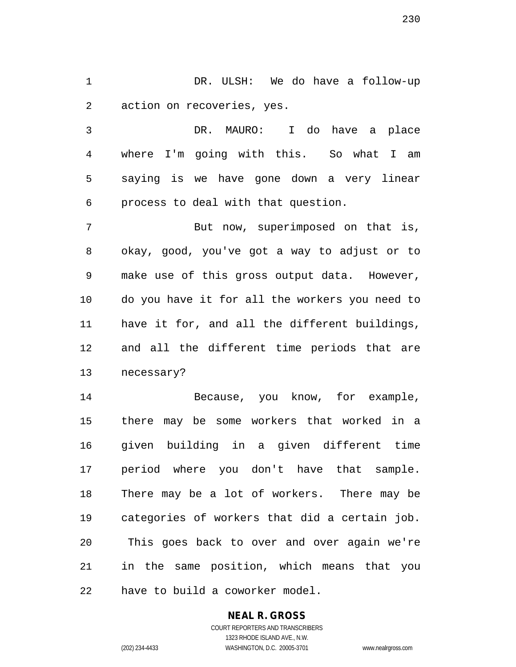DR. ULSH: We do have a follow-up action on recoveries, yes.

 DR. MAURO: I do have a place where I'm going with this. So what I am saying is we have gone down a very linear process to deal with that question.

 But now, superimposed on that is, okay, good, you've got a way to adjust or to make use of this gross output data. However, do you have it for all the workers you need to have it for, and all the different buildings, and all the different time periods that are necessary?

 Because, you know, for example, there may be some workers that worked in a given building in a given different time period where you don't have that sample. There may be a lot of workers. There may be categories of workers that did a certain job. This goes back to over and over again we're in the same position, which means that you have to build a coworker model.

# **NEAL R. GROSS**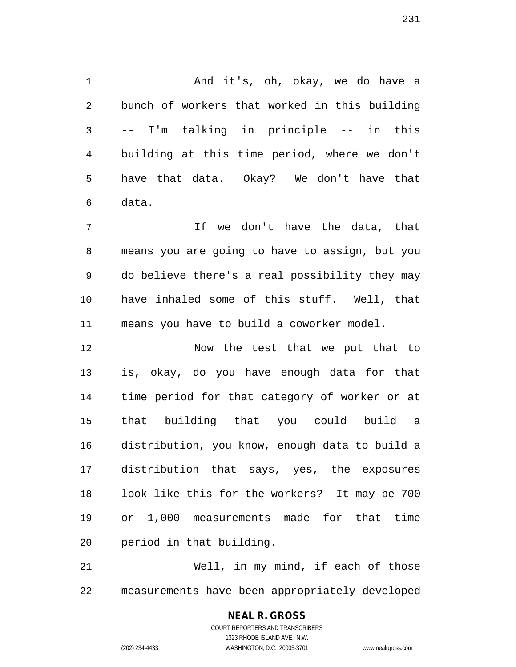And it's, oh, okay, we do have a bunch of workers that worked in this building -- I'm talking in principle -- in this building at this time period, where we don't have that data. Okay? We don't have that data.

 If we don't have the data, that means you are going to have to assign, but you do believe there's a real possibility they may have inhaled some of this stuff. Well, that means you have to build a coworker model.

 Now the test that we put that to is, okay, do you have enough data for that time period for that category of worker or at that building that you could build a distribution, you know, enough data to build a distribution that says, yes, the exposures look like this for the workers? It may be 700 or 1,000 measurements made for that time period in that building.

 Well, in my mind, if each of those measurements have been appropriately developed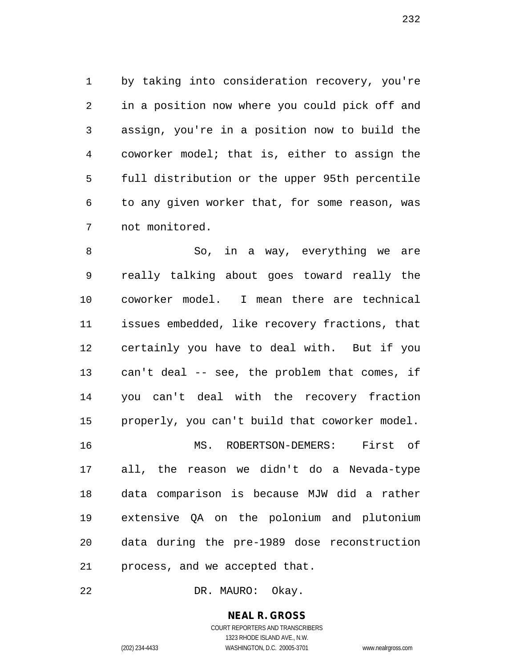by taking into consideration recovery, you're in a position now where you could pick off and assign, you're in a position now to build the coworker model; that is, either to assign the full distribution or the upper 95th percentile to any given worker that, for some reason, was not monitored.

 So, in a way, everything we are really talking about goes toward really the coworker model. I mean there are technical issues embedded, like recovery fractions, that certainly you have to deal with. But if you can't deal -- see, the problem that comes, if you can't deal with the recovery fraction properly, you can't build that coworker model. MS. ROBERTSON-DEMERS: First of all, the reason we didn't do a Nevada-type data comparison is because MJW did a rather extensive QA on the polonium and plutonium data during the pre-1989 dose reconstruction process, and we accepted that.

DR. MAURO: Okay.

**NEAL R. GROSS** COURT REPORTERS AND TRANSCRIBERS

1323 RHODE ISLAND AVE., N.W.

(202) 234-4433 WASHINGTON, D.C. 20005-3701 www.nealrgross.com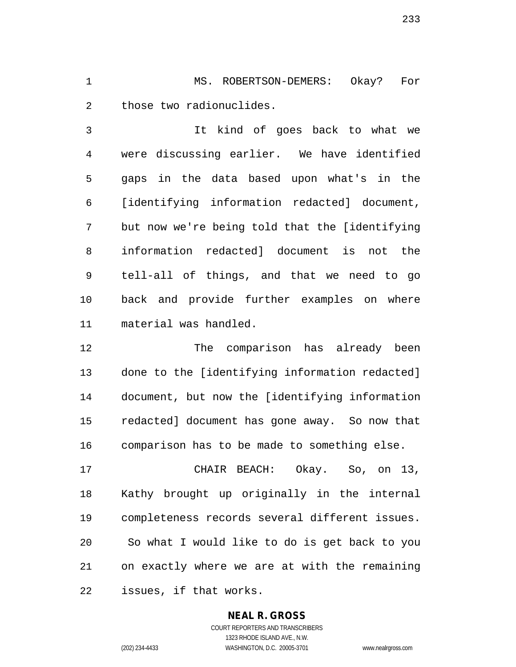MS. ROBERTSON-DEMERS: Okay? For those two radionuclides.

 It kind of goes back to what we were discussing earlier. We have identified gaps in the data based upon what's in the [identifying information redacted] document, but now we're being told that the [identifying information redacted] document is not the tell-all of things, and that we need to go back and provide further examples on where material was handled.

 The comparison has already been done to the [identifying information redacted] document, but now the [identifying information redacted] document has gone away. So now that comparison has to be made to something else.

 CHAIR BEACH: Okay. So, on 13, Kathy brought up originally in the internal completeness records several different issues. So what I would like to do is get back to you on exactly where we are at with the remaining issues, if that works.

# **NEAL R. GROSS**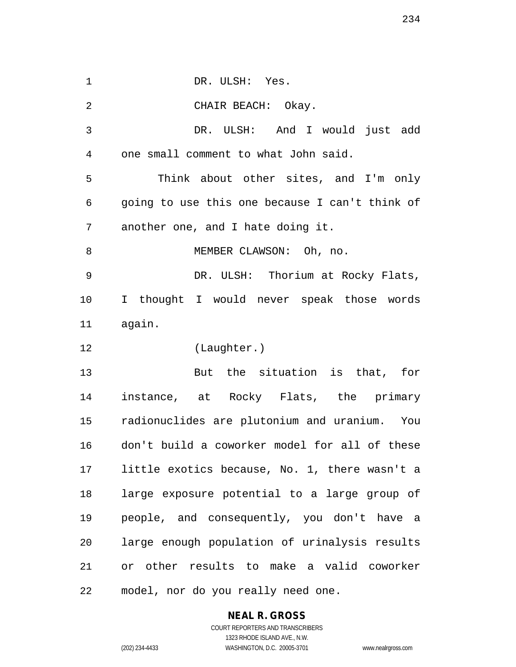1 DR. ULSH: Yes. CHAIR BEACH: Okay. DR. ULSH: And I would just add one small comment to what John said. Think about other sites, and I'm only going to use this one because I can't think of another one, and I hate doing it. 8 MEMBER CLAWSON: Oh, no. DR. ULSH: Thorium at Rocky Flats, I thought I would never speak those words again. (Laughter.) But the situation is that, for instance, at Rocky Flats, the primary radionuclides are plutonium and uranium. You don't build a coworker model for all of these little exotics because, No. 1, there wasn't a large exposure potential to a large group of people, and consequently, you don't have a large enough population of urinalysis results or other results to make a valid coworker model, nor do you really need one.

# **NEAL R. GROSS**

COURT REPORTERS AND TRANSCRIBERS 1323 RHODE ISLAND AVE., N.W. (202) 234-4433 WASHINGTON, D.C. 20005-3701 www.nealrgross.com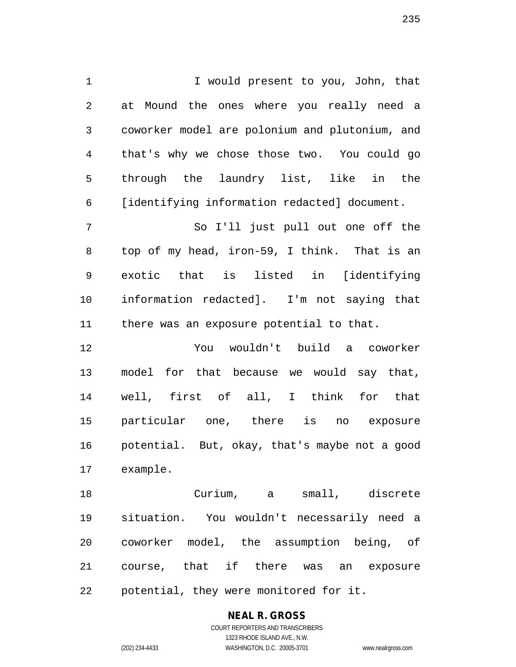1 I would present to you, John, that at Mound the ones where you really need a coworker model are polonium and plutonium, and that's why we chose those two. You could go through the laundry list, like in the [identifying information redacted] document.

 So I'll just pull out one off the top of my head, iron-59, I think. That is an exotic that is listed in [identifying information redacted]. I'm not saying that there was an exposure potential to that.

 You wouldn't build a coworker model for that because we would say that, well, first of all, I think for that particular one, there is no exposure potential. But, okay, that's maybe not a good example.

 Curium, a small, discrete situation. You wouldn't necessarily need a coworker model, the assumption being, of course, that if there was an exposure potential, they were monitored for it.

# **NEAL R. GROSS**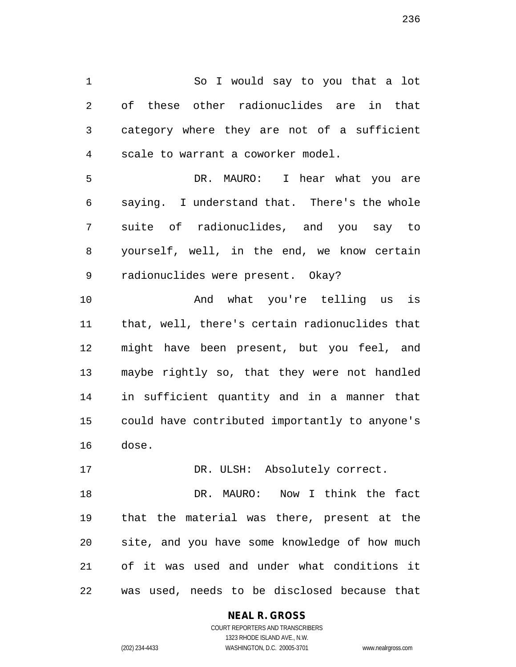So I would say to you that a lot of these other radionuclides are in that category where they are not of a sufficient scale to warrant a coworker model.

 DR. MAURO: I hear what you are saying. I understand that. There's the whole suite of radionuclides, and you say to yourself, well, in the end, we know certain radionuclides were present. Okay?

 And what you're telling us is that, well, there's certain radionuclides that might have been present, but you feel, and maybe rightly so, that they were not handled in sufficient quantity and in a manner that could have contributed importantly to anyone's dose.

17 DR. ULSH: Absolutely correct.

 DR. MAURO: Now I think the fact that the material was there, present at the site, and you have some knowledge of how much of it was used and under what conditions it was used, needs to be disclosed because that

### **NEAL R. GROSS**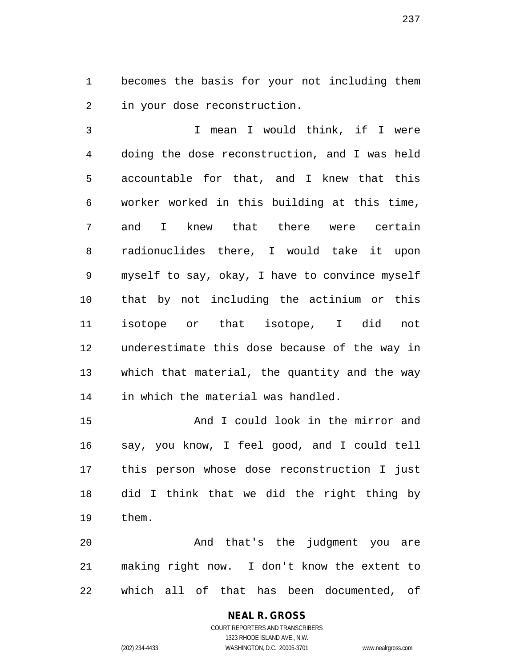becomes the basis for your not including them in your dose reconstruction.

 I mean I would think, if I were doing the dose reconstruction, and I was held accountable for that, and I knew that this worker worked in this building at this time, and I knew that there were certain radionuclides there, I would take it upon myself to say, okay, I have to convince myself that by not including the actinium or this isotope or that isotope, I did not underestimate this dose because of the way in which that material, the quantity and the way in which the material was handled.

 And I could look in the mirror and say, you know, I feel good, and I could tell this person whose dose reconstruction I just did I think that we did the right thing by them.

 And that's the judgment you are making right now. I don't know the extent to which all of that has been documented, of

### **NEAL R. GROSS** COURT REPORTERS AND TRANSCRIBERS

1323 RHODE ISLAND AVE., N.W.

(202) 234-4433 WASHINGTON, D.C. 20005-3701 www.nealrgross.com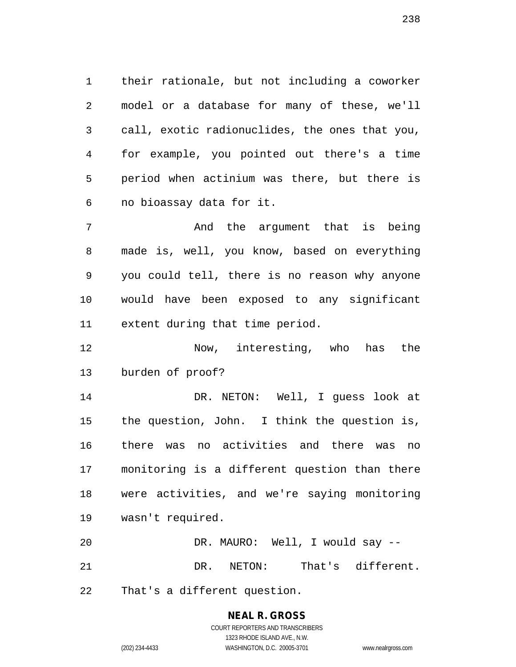their rationale, but not including a coworker model or a database for many of these, we'll call, exotic radionuclides, the ones that you, for example, you pointed out there's a time period when actinium was there, but there is no bioassay data for it.

 And the argument that is being made is, well, you know, based on everything you could tell, there is no reason why anyone would have been exposed to any significant extent during that time period.

 Now, interesting, who has the burden of proof?

 DR. NETON: Well, I guess look at the question, John. I think the question is, there was no activities and there was no monitoring is a different question than there were activities, and we're saying monitoring wasn't required.

 DR. MAURO: Well, I would say -- DR. NETON: That's different.

That's a different question.

# **NEAL R. GROSS**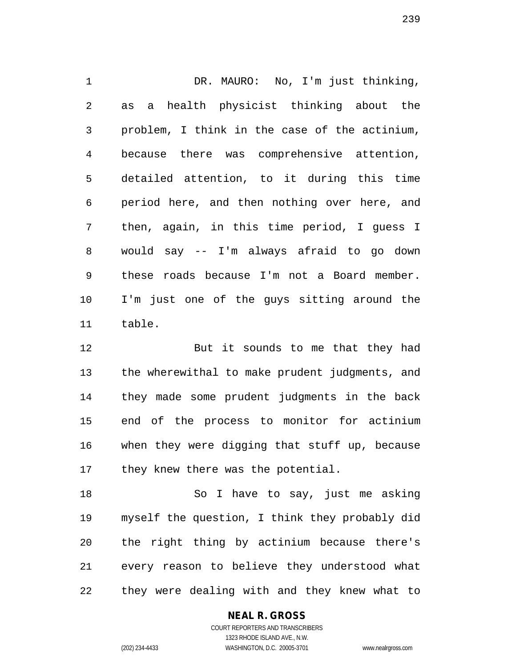DR. MAURO: No, I'm just thinking, as a health physicist thinking about the problem, I think in the case of the actinium, because there was comprehensive attention, detailed attention, to it during this time period here, and then nothing over here, and then, again, in this time period, I guess I would say -- I'm always afraid to go down these roads because I'm not a Board member. I'm just one of the guys sitting around the table.

 But it sounds to me that they had the wherewithal to make prudent judgments, and they made some prudent judgments in the back end of the process to monitor for actinium when they were digging that stuff up, because they knew there was the potential.

 So I have to say, just me asking myself the question, I think they probably did the right thing by actinium because there's every reason to believe they understood what they were dealing with and they knew what to

**NEAL R. GROSS**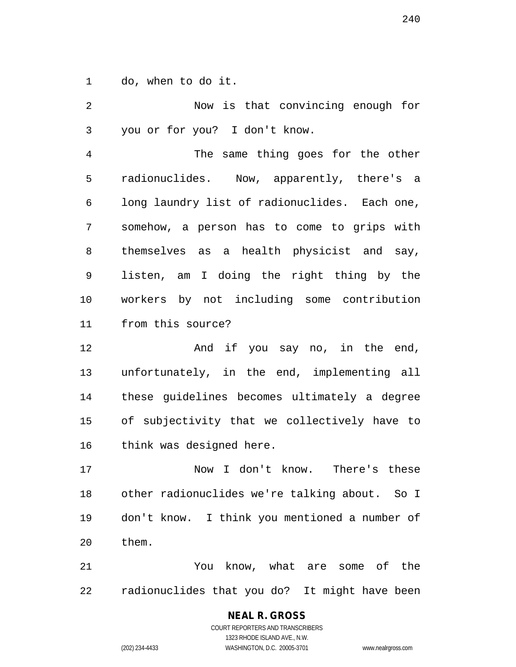do, when to do it.

 Now is that convincing enough for you or for you? I don't know. The same thing goes for the other radionuclides. Now, apparently, there's a long laundry list of radionuclides. Each one, somehow, a person has to come to grips with themselves as a health physicist and say, listen, am I doing the right thing by the workers by not including some contribution from this source? 12 And if you say no, in the end, unfortunately, in the end, implementing all these guidelines becomes ultimately a degree of subjectivity that we collectively have to think was designed here. Now I don't know. There's these other radionuclides we're talking about. So I don't know. I think you mentioned a number of them. You know, what are some of the radionuclides that you do? It might have been

> **NEAL R. GROSS** COURT REPORTERS AND TRANSCRIBERS 1323 RHODE ISLAND AVE., N.W.

(202) 234-4433 WASHINGTON, D.C. 20005-3701 www.nealrgross.com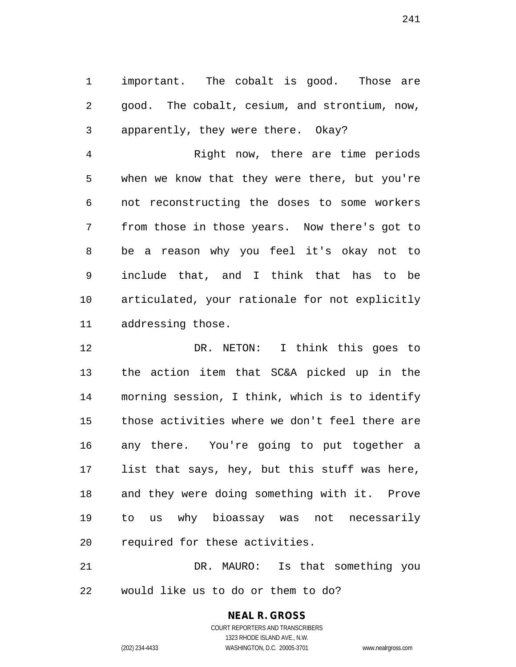important. The cobalt is good. Those are good. The cobalt, cesium, and strontium, now, apparently, they were there. Okay?

 Right now, there are time periods when we know that they were there, but you're not reconstructing the doses to some workers from those in those years. Now there's got to be a reason why you feel it's okay not to include that, and I think that has to be articulated, your rationale for not explicitly addressing those.

 DR. NETON: I think this goes to the action item that SC&A picked up in the morning session, I think, which is to identify those activities where we don't feel there are any there. You're going to put together a list that says, hey, but this stuff was here, and they were doing something with it. Prove to us why bioassay was not necessarily required for these activities.

 DR. MAURO: Is that something you would like us to do or them to do?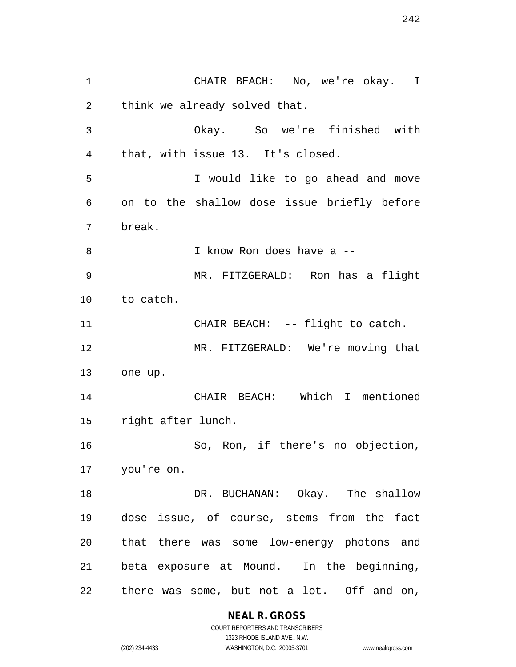CHAIR BEACH: No, we're okay. I think we already solved that. Okay. So we're finished with that, with issue 13. It's closed. I would like to go ahead and move on to the shallow dose issue briefly before break. I know Ron does have a -- MR. FITZGERALD: Ron has a flight to catch. 11 CHAIR BEACH: -- flight to catch. MR. FITZGERALD: We're moving that one up. CHAIR BEACH: Which I mentioned right after lunch. So, Ron, if there's no objection, you're on. 18 DR. BUCHANAN: Okay. The shallow dose issue, of course, stems from the fact that there was some low-energy photons and beta exposure at Mound. In the beginning, there was some, but not a lot. Off and on,

**NEAL R. GROSS**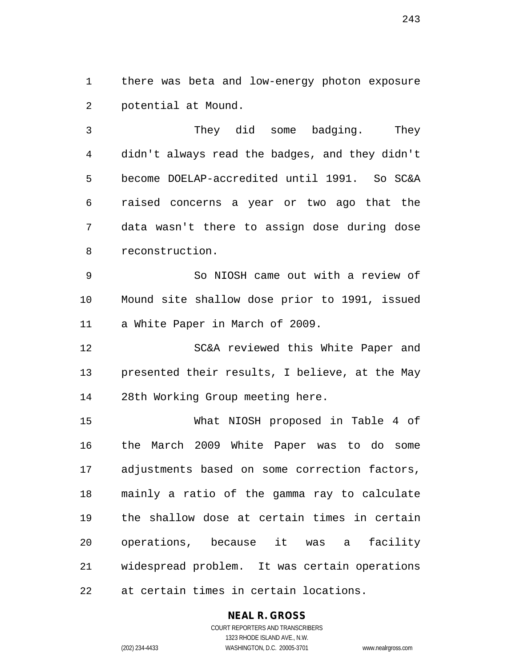there was beta and low-energy photon exposure potential at Mound.

 They did some badging. They didn't always read the badges, and they didn't become DOELAP-accredited until 1991. So SC&A raised concerns a year or two ago that the data wasn't there to assign dose during dose reconstruction.

 So NIOSH came out with a review of Mound site shallow dose prior to 1991, issued a White Paper in March of 2009.

 SC&A reviewed this White Paper and presented their results, I believe, at the May 28th Working Group meeting here.

 What NIOSH proposed in Table 4 of the March 2009 White Paper was to do some adjustments based on some correction factors, mainly a ratio of the gamma ray to calculate the shallow dose at certain times in certain operations, because it was a facility widespread problem. It was certain operations at certain times in certain locations.

> **NEAL R. GROSS** COURT REPORTERS AND TRANSCRIBERS 1323 RHODE ISLAND AVE., N.W.

(202) 234-4433 WASHINGTON, D.C. 20005-3701 www.nealrgross.com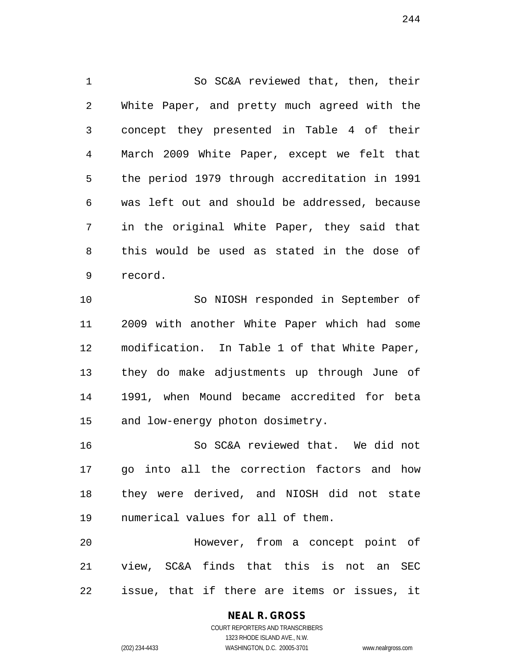So SC&A reviewed that, then, their White Paper, and pretty much agreed with the concept they presented in Table 4 of their March 2009 White Paper, except we felt that the period 1979 through accreditation in 1991 was left out and should be addressed, because in the original White Paper, they said that this would be used as stated in the dose of record.

 So NIOSH responded in September of 2009 with another White Paper which had some modification. In Table 1 of that White Paper, they do make adjustments up through June of 1991, when Mound became accredited for beta and low-energy photon dosimetry.

 So SC&A reviewed that. We did not go into all the correction factors and how they were derived, and NIOSH did not state numerical values for all of them.

 However, from a concept point of view, SC&A finds that this is not an SEC issue, that if there are items or issues, it

# **NEAL R. GROSS**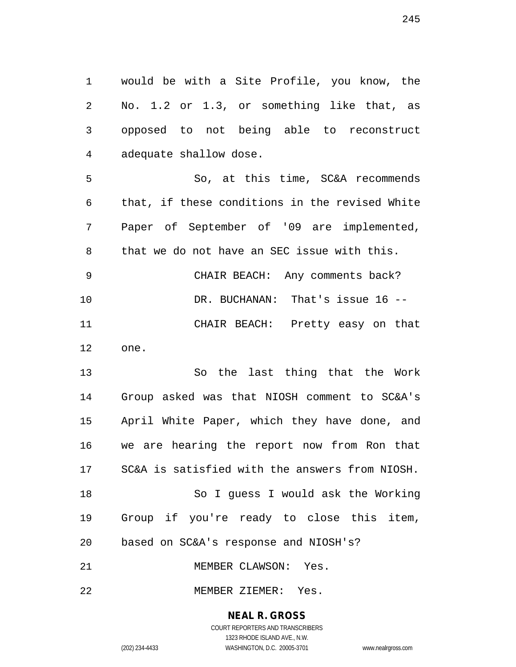would be with a Site Profile, you know, the No. 1.2 or 1.3, or something like that, as opposed to not being able to reconstruct adequate shallow dose.

 So, at this time, SC&A recommends that, if these conditions in the revised White Paper of September of '09 are implemented, that we do not have an SEC issue with this. CHAIR BEACH: Any comments back? DR. BUCHANAN: That's issue 16 -- CHAIR BEACH: Pretty easy on that one.

 So the last thing that the Work Group asked was that NIOSH comment to SC&A's April White Paper, which they have done, and we are hearing the report now from Ron that SC&A is satisfied with the answers from NIOSH. So I guess I would ask the Working Group if you're ready to close this item, based on SC&A's response and NIOSH's? MEMBER CLAWSON: Yes.

MEMBER ZIEMER: Yes.

### **NEAL R. GROSS**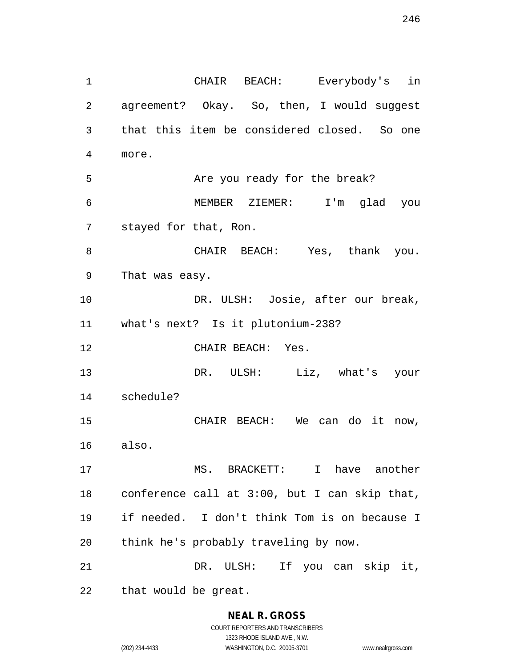CHAIR BEACH: Everybody's in agreement? Okay. So, then, I would suggest that this item be considered closed. So one more. Are you ready for the break? MEMBER ZIEMER: I'm glad you stayed for that, Ron. CHAIR BEACH: Yes, thank you. That was easy. DR. ULSH: Josie, after our break, what's next? Is it plutonium-238? CHAIR BEACH: Yes. DR. ULSH: Liz, what's your schedule? CHAIR BEACH: We can do it now, also. MS. BRACKETT: I have another conference call at 3:00, but I can skip that, if needed. I don't think Tom is on because I think he's probably traveling by now. DR. ULSH: If you can skip it, that would be great.

# **NEAL R. GROSS**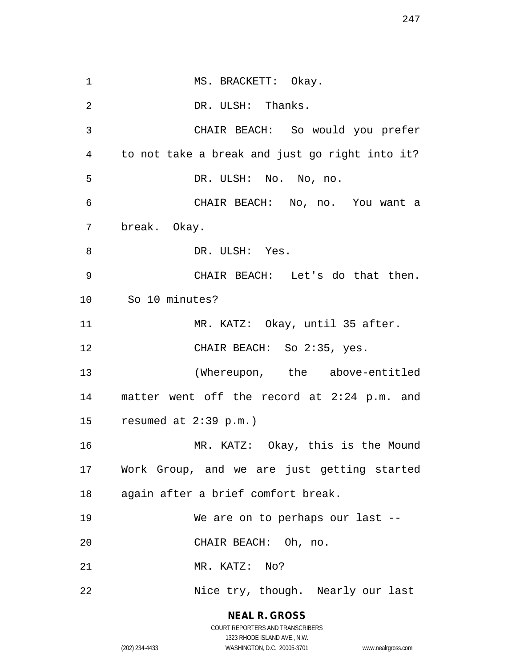1 MS. BRACKETT: Okay. 2 DR. ULSH: Thanks. CHAIR BEACH: So would you prefer to not take a break and just go right into it? DR. ULSH: No. No, no. CHAIR BEACH: No, no. You want a break. Okay. 8 DR. ULSH: Yes. CHAIR BEACH: Let's do that then. So 10 minutes? MR. KATZ: Okay, until 35 after. 12 CHAIR BEACH: So 2:35, yes. (Whereupon, the above-entitled matter went off the record at 2:24 p.m. and resumed at 2:39 p.m.) MR. KATZ: Okay, this is the Mound Work Group, and we are just getting started again after a brief comfort break. We are on to perhaps our last -- CHAIR BEACH: Oh, no. MR. KATZ: No? 22 Nice try, though. Nearly our last

> **NEAL R. GROSS** COURT REPORTERS AND TRANSCRIBERS 1323 RHODE ISLAND AVE., N.W.

(202) 234-4433 WASHINGTON, D.C. 20005-3701 www.nealrgross.com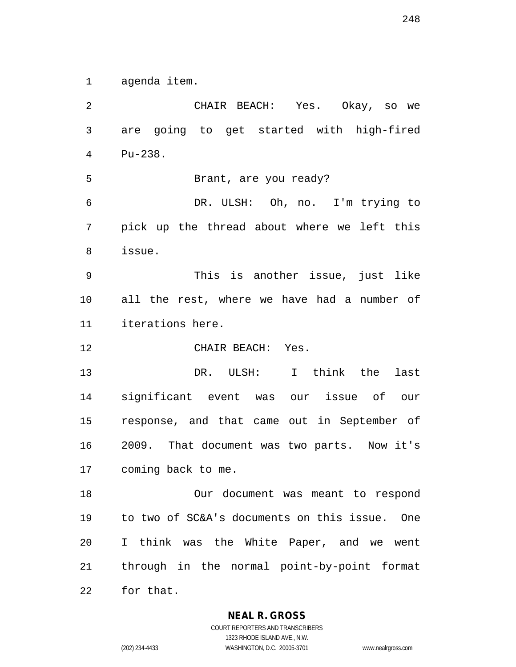agenda item.

 CHAIR BEACH: Yes. Okay, so we are going to get started with high-fired Pu-238. Brant, are you ready? DR. ULSH: Oh, no. I'm trying to pick up the thread about where we left this issue. This is another issue, just like all the rest, where we have had a number of iterations here. CHAIR BEACH: Yes. DR. ULSH: I think the last significant event was our issue of our response, and that came out in September of 2009. That document was two parts. Now it's coming back to me. Our document was meant to respond to two of SC&A's documents on this issue. One I think was the White Paper, and we went through in the normal point-by-point format for that.

**NEAL R. GROSS**

COURT REPORTERS AND TRANSCRIBERS 1323 RHODE ISLAND AVE., N.W. (202) 234-4433 WASHINGTON, D.C. 20005-3701 www.nealrgross.com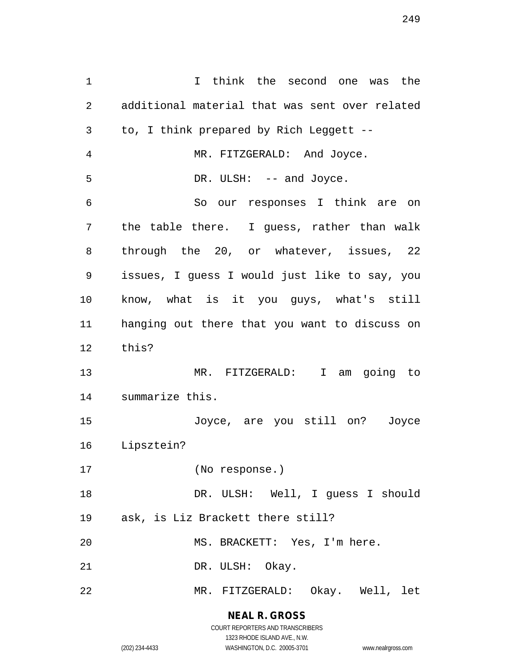I think the second one was the additional material that was sent over related to, I think prepared by Rich Leggett -- MR. FITZGERALD: And Joyce. 5 DR. ULSH: -- and Joyce. So our responses I think are on the table there. I guess, rather than walk through the 20, or whatever, issues, 22 issues, I guess I would just like to say, you know, what is it you guys, what's still hanging out there that you want to discuss on this? MR. FITZGERALD: I am going to summarize this. Joyce, are you still on? Joyce Lipsztein? (No response.) DR. ULSH: Well, I guess I should ask, is Liz Brackett there still? MS. BRACKETT: Yes, I'm here. 21 DR. ULSH: Okay. MR. FITZGERALD: Okay. Well, let

> **NEAL R. GROSS** COURT REPORTERS AND TRANSCRIBERS

> > 1323 RHODE ISLAND AVE., N.W.

(202) 234-4433 WASHINGTON, D.C. 20005-3701 www.nealrgross.com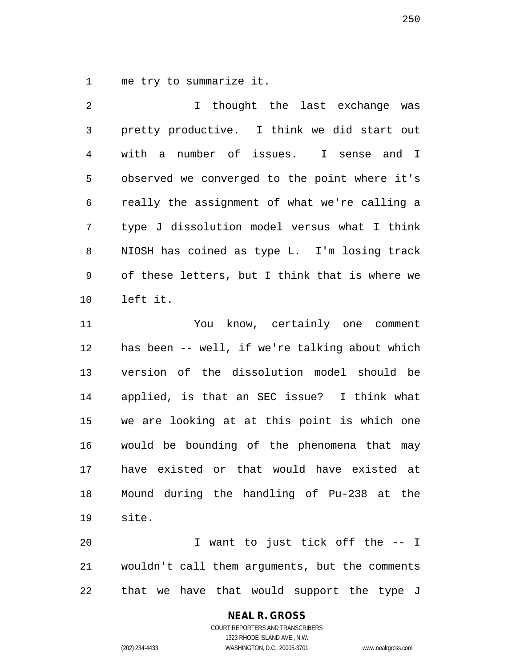me try to summarize it.

 I thought the last exchange was pretty productive. I think we did start out with a number of issues. I sense and I observed we converged to the point where it's really the assignment of what we're calling a type J dissolution model versus what I think NIOSH has coined as type L. I'm losing track of these letters, but I think that is where we left it. You know, certainly one comment

 has been -- well, if we're talking about which version of the dissolution model should be applied, is that an SEC issue? I think what we are looking at at this point is which one would be bounding of the phenomena that may have existed or that would have existed at Mound during the handling of Pu-238 at the site.

 I want to just tick off the -- I wouldn't call them arguments, but the comments that we have that would support the type J

## **NEAL R. GROSS**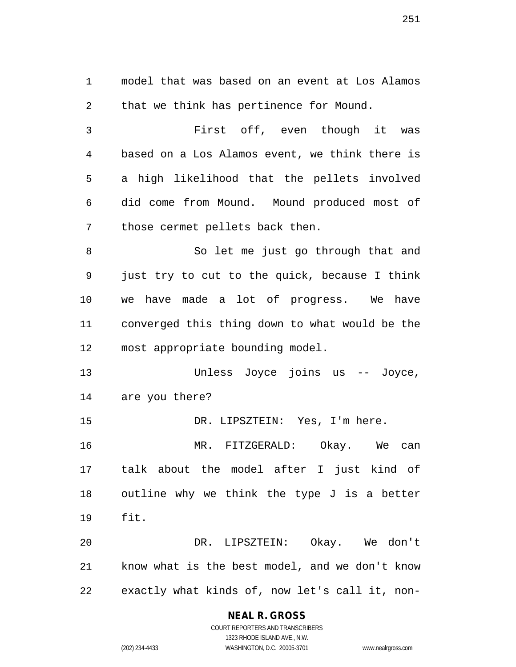model that was based on an event at Los Alamos that we think has pertinence for Mound. First off, even though it was based on a Los Alamos event, we think there is a high likelihood that the pellets involved did come from Mound. Mound produced most of those cermet pellets back then. So let me just go through that and just try to cut to the quick, because I think we have made a lot of progress. We have converged this thing down to what would be the most appropriate bounding model. Unless Joyce joins us -- Joyce, are you there? DR. LIPSZTEIN: Yes, I'm here. MR. FITZGERALD: Okay. We can talk about the model after I just kind of outline why we think the type J is a better fit. DR. LIPSZTEIN: Okay. We don't know what is the best model, and we don't know exactly what kinds of, now let's call it, non-

## **NEAL R. GROSS**

COURT REPORTERS AND TRANSCRIBERS 1323 RHODE ISLAND AVE., N.W. (202) 234-4433 WASHINGTON, D.C. 20005-3701 www.nealrgross.com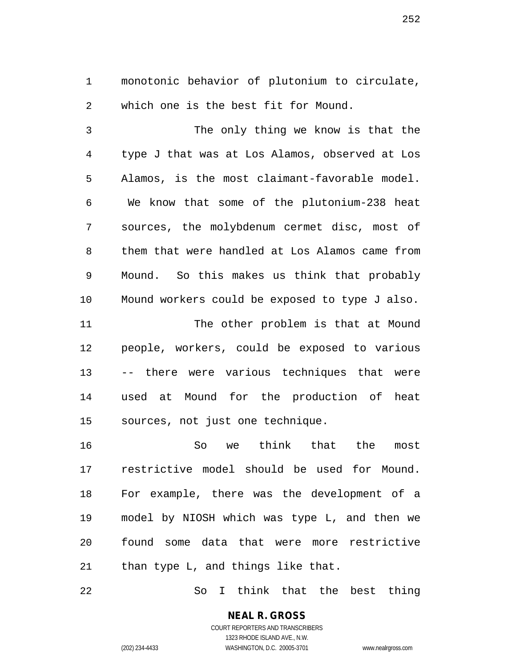monotonic behavior of plutonium to circulate, which one is the best fit for Mound.

 The only thing we know is that the type J that was at Los Alamos, observed at Los Alamos, is the most claimant-favorable model. We know that some of the plutonium-238 heat sources, the molybdenum cermet disc, most of them that were handled at Los Alamos came from Mound. So this makes us think that probably Mound workers could be exposed to type J also. 11 The other problem is that at Mound people, workers, could be exposed to various

 -- there were various techniques that were used at Mound for the production of heat sources, not just one technique.

 So we think that the most restrictive model should be used for Mound. For example, there was the development of a model by NIOSH which was type L, and then we found some data that were more restrictive than type L, and things like that.

So I think that the best thing

**NEAL R. GROSS** COURT REPORTERS AND TRANSCRIBERS 1323 RHODE ISLAND AVE., N.W.

(202) 234-4433 WASHINGTON, D.C. 20005-3701 www.nealrgross.com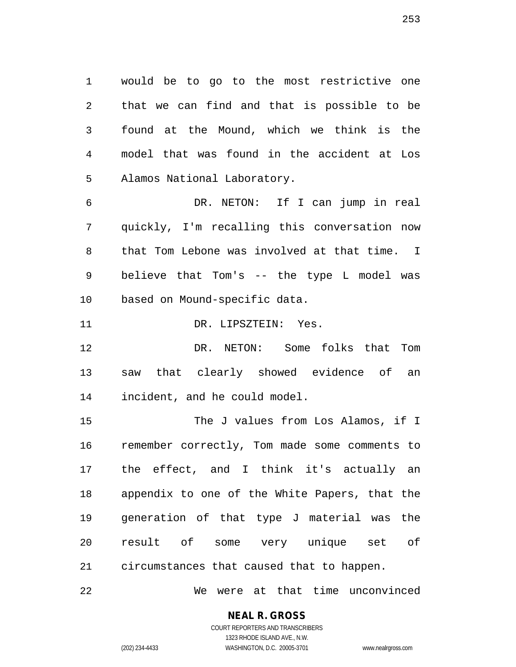would be to go to the most restrictive one that we can find and that is possible to be found at the Mound, which we think is the model that was found in the accident at Los Alamos National Laboratory.

 DR. NETON: If I can jump in real quickly, I'm recalling this conversation now that Tom Lebone was involved at that time. I believe that Tom's -- the type L model was based on Mound-specific data.

11 DR. LIPSZTEIN: Yes.

 DR. NETON: Some folks that Tom saw that clearly showed evidence of an incident, and he could model.

15 The J values from Los Alamos, if I remember correctly, Tom made some comments to the effect, and I think it's actually an appendix to one of the White Papers, that the generation of that type J material was the result of some very unique set of circumstances that caused that to happen.

We were at that time unconvinced

# **NEAL R. GROSS**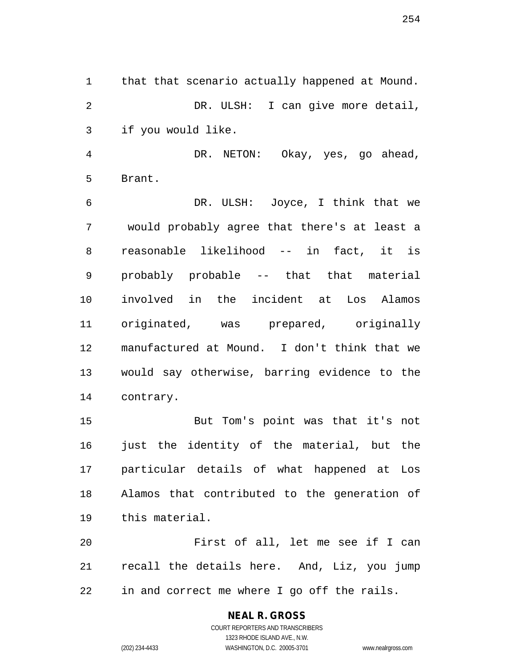that that scenario actually happened at Mound. DR. ULSH: I can give more detail, if you would like.

 DR. NETON: Okay, yes, go ahead, Brant.

 DR. ULSH: Joyce, I think that we would probably agree that there's at least a reasonable likelihood -- in fact, it is probably probable -- that that material involved in the incident at Los Alamos originated, was prepared, originally manufactured at Mound. I don't think that we would say otherwise, barring evidence to the contrary.

 But Tom's point was that it's not just the identity of the material, but the particular details of what happened at Los Alamos that contributed to the generation of this material.

 First of all, let me see if I can recall the details here. And, Liz, you jump in and correct me where I go off the rails.

> COURT REPORTERS AND TRANSCRIBERS 1323 RHODE ISLAND AVE., N.W. (202) 234-4433 WASHINGTON, D.C. 20005-3701 www.nealrgross.com

**NEAL R. GROSS**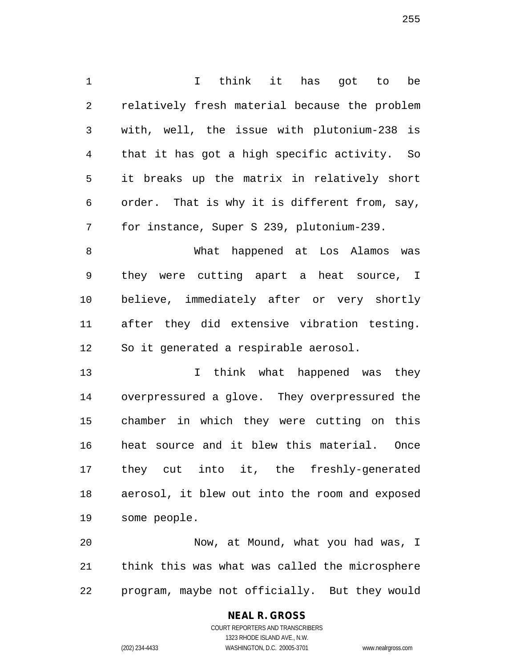I think it has got to be relatively fresh material because the problem with, well, the issue with plutonium-238 is that it has got a high specific activity. So it breaks up the matrix in relatively short order. That is why it is different from, say, for instance, Super S 239, plutonium-239. What happened at Los Alamos was they were cutting apart a heat source, I

 after they did extensive vibration testing. So it generated a respirable aerosol.

believe, immediately after or very shortly

 I think what happened was they overpressured a glove. They overpressured the chamber in which they were cutting on this heat source and it blew this material. Once they cut into it, the freshly-generated aerosol, it blew out into the room and exposed some people.

 Now, at Mound, what you had was, I think this was what was called the microsphere program, maybe not officially. But they would

# **NEAL R. GROSS**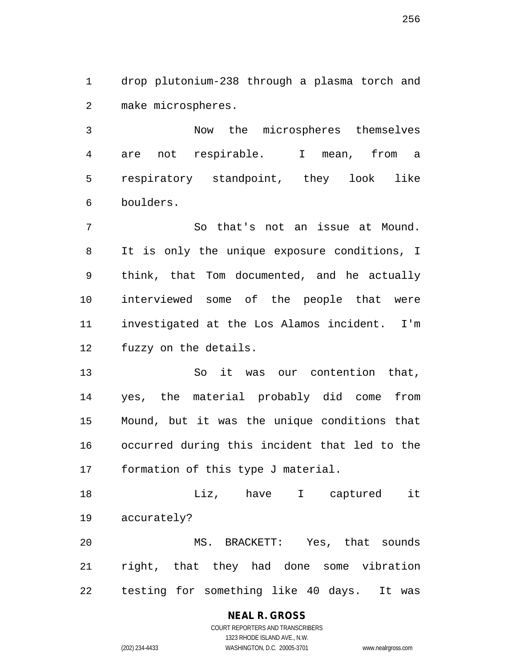drop plutonium-238 through a plasma torch and make microspheres.

 Now the microspheres themselves are not respirable. I mean, from a respiratory standpoint, they look like boulders.

 So that's not an issue at Mound. It is only the unique exposure conditions, I think, that Tom documented, and he actually interviewed some of the people that were investigated at the Los Alamos incident. I'm fuzzy on the details.

 So it was our contention that, yes, the material probably did come from Mound, but it was the unique conditions that occurred during this incident that led to the formation of this type J material.

 Liz, have I captured it accurately?

 MS. BRACKETT: Yes, that sounds right, that they had done some vibration testing for something like 40 days. It was

# **NEAL R. GROSS**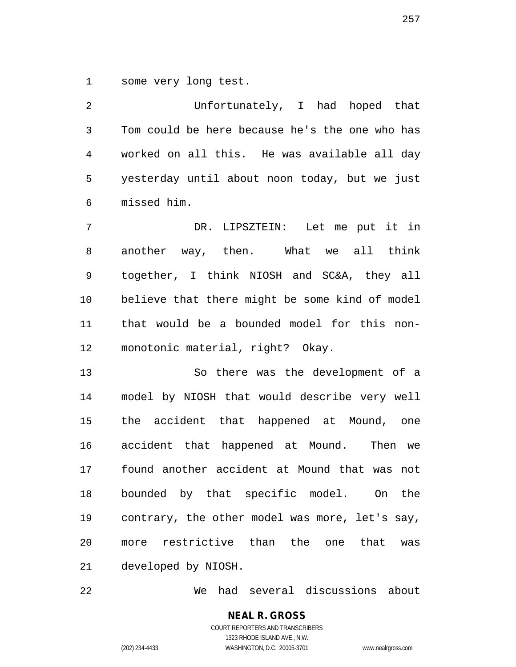some very long test.

 Unfortunately, I had hoped that Tom could be here because he's the one who has worked on all this. He was available all day yesterday until about noon today, but we just missed him.

 DR. LIPSZTEIN: Let me put it in another way, then. What we all think together, I think NIOSH and SC&A, they all believe that there might be some kind of model that would be a bounded model for this non-monotonic material, right? Okay.

 So there was the development of a model by NIOSH that would describe very well the accident that happened at Mound, one accident that happened at Mound. Then we found another accident at Mound that was not bounded by that specific model. On the contrary, the other model was more, let's say, more restrictive than the one that was developed by NIOSH.

We had several discussions about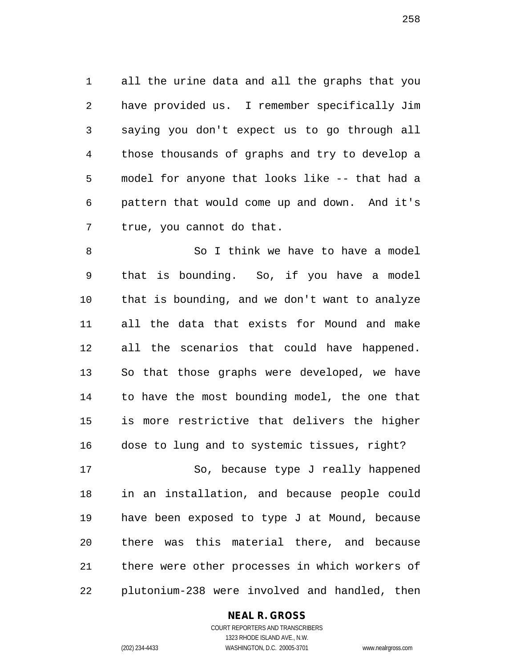all the urine data and all the graphs that you have provided us. I remember specifically Jim saying you don't expect us to go through all those thousands of graphs and try to develop a model for anyone that looks like -- that had a pattern that would come up and down. And it's true, you cannot do that.

8 So I think we have to have a model that is bounding. So, if you have a model that is bounding, and we don't want to analyze all the data that exists for Mound and make all the scenarios that could have happened. So that those graphs were developed, we have to have the most bounding model, the one that is more restrictive that delivers the higher dose to lung and to systemic tissues, right? So, because type J really happened

 in an installation, and because people could have been exposed to type J at Mound, because there was this material there, and because there were other processes in which workers of plutonium-238 were involved and handled, then

### **NEAL R. GROSS**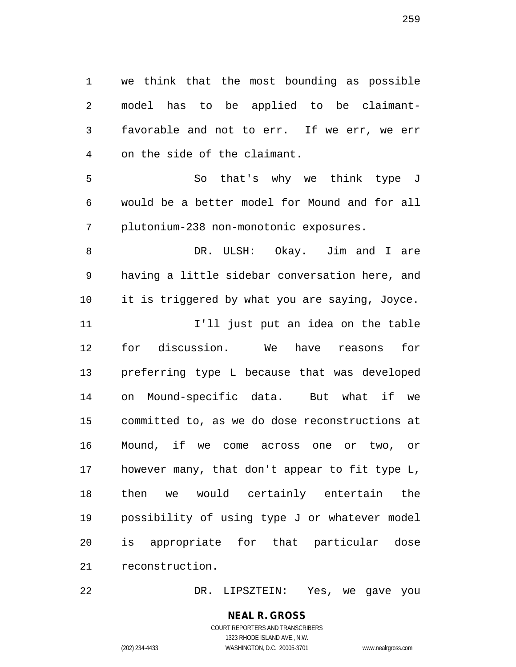we think that the most bounding as possible model has to be applied to be claimant- favorable and not to err. If we err, we err on the side of the claimant.

 So that's why we think type J would be a better model for Mound and for all plutonium-238 non-monotonic exposures.

 DR. ULSH: Okay. Jim and I are having a little sidebar conversation here, and it is triggered by what you are saying, Joyce.

**I'll** just put an idea on the table for discussion. We have reasons for preferring type L because that was developed on Mound-specific data. But what if we committed to, as we do dose reconstructions at Mound, if we come across one or two, or however many, that don't appear to fit type L, then we would certainly entertain the possibility of using type J or whatever model is appropriate for that particular dose reconstruction.

DR. LIPSZTEIN: Yes, we gave you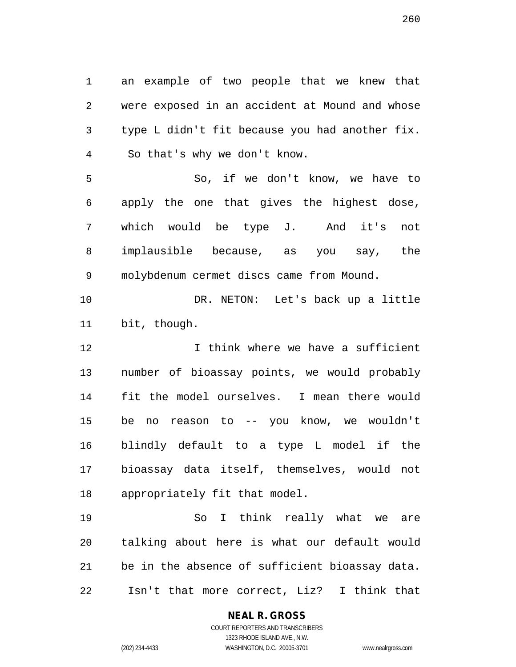an example of two people that we knew that were exposed in an accident at Mound and whose type L didn't fit because you had another fix. So that's why we don't know. So, if we don't know, we have to apply the one that gives the highest dose, which would be type J. And it's not implausible because, as you say, the molybdenum cermet discs came from Mound. DR. NETON: Let's back up a little bit, though. 12 12 I think where we have a sufficient number of bioassay points, we would probably fit the model ourselves. I mean there would be no reason to -- you know, we wouldn't blindly default to a type L model if the bioassay data itself, themselves, would not appropriately fit that model. So I think really what we are talking about here is what our default would

Isn't that more correct, Liz? I think that

be in the absence of sufficient bioassay data.

### **NEAL R. GROSS**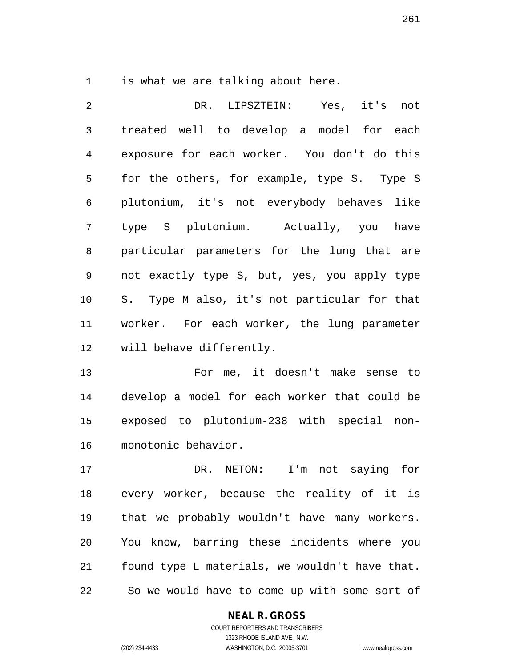is what we are talking about here.

 DR. LIPSZTEIN: Yes, it's not treated well to develop a model for each exposure for each worker. You don't do this for the others, for example, type S. Type S plutonium, it's not everybody behaves like type S plutonium. Actually, you have particular parameters for the lung that are not exactly type S, but, yes, you apply type S. Type M also, it's not particular for that worker. For each worker, the lung parameter will behave differently.

 For me, it doesn't make sense to develop a model for each worker that could be exposed to plutonium-238 with special non-monotonic behavior.

 DR. NETON: I'm not saying for every worker, because the reality of it is that we probably wouldn't have many workers. You know, barring these incidents where you found type L materials, we wouldn't have that. So we would have to come up with some sort of

### **NEAL R. GROSS**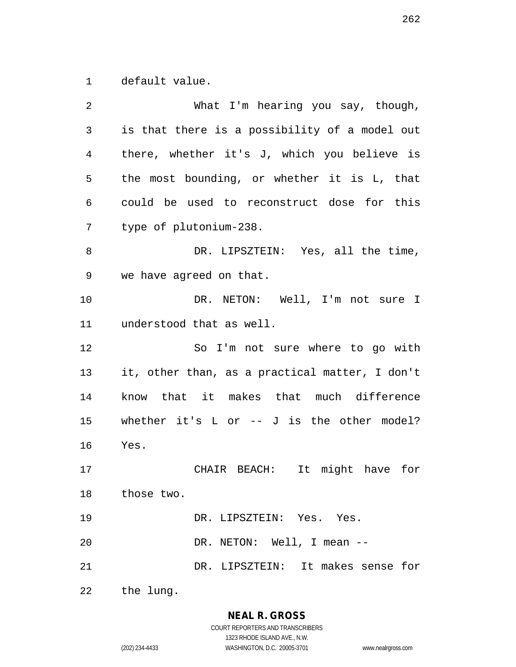default value.

| 2              | What I'm hearing you say, though,              |
|----------------|------------------------------------------------|
| $\mathfrak{Z}$ | is that there is a possibility of a model out  |
| 4              | there, whether it's J, which you believe is    |
| 5              | the most bounding, or whether it is L, that    |
| $\epsilon$     | could be used to reconstruct dose for this     |
| 7              | type of plutonium-238.                         |
| 8              | DR. LIPSZTEIN: Yes, all the time,              |
| 9              | we have agreed on that.                        |
| 10             | DR. NETON: Well, I'm not sure I                |
| 11             | understood that as well.                       |
| 12             | So I'm not sure where to go with               |
| 13             | it, other than, as a practical matter, I don't |
| 14             | know that it makes that much difference        |
| 15             | whether it's $L$ or $-$ J is the other model?  |
| 16             | Yes.                                           |
| 17             | CHAIR BEACH: It might have for                 |
|                | 18 those two.                                  |
| 19             | DR. LIPSZTEIN: Yes. Yes.                       |
| 20             | DR. NETON: Well, I mean --                     |
| 21             | DR. LIPSZTEIN: It makes sense for              |
| 22             | the lung.                                      |

**NEAL R. GROSS** COURT REPORTERS AND TRANSCRIBERS

1323 RHODE ISLAND AVE., N.W.

(202) 234-4433 WASHINGTON, D.C. 20005-3701 www.nealrgross.com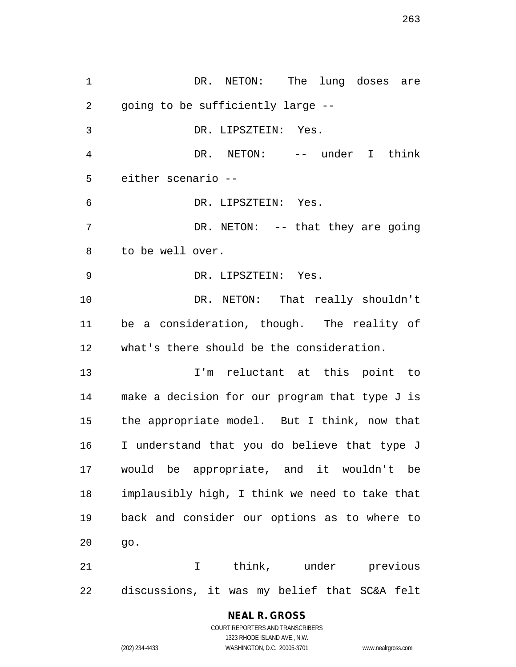1 DR. NETON: The lung doses are going to be sufficiently large -- DR. LIPSZTEIN: Yes. DR. NETON: -- under I think either scenario -- DR. LIPSZTEIN: Yes. 7 DR. NETON: -- that they are going to be well over. DR. LIPSZTEIN: Yes. DR. NETON: That really shouldn't be a consideration, though. The reality of what's there should be the consideration. I'm reluctant at this point to make a decision for our program that type J is the appropriate model. But I think, now that I understand that you do believe that type J would be appropriate, and it wouldn't be implausibly high, I think we need to take that back and consider our options as to where to go. I think, under previous discussions, it was my belief that SC&A felt

**NEAL R. GROSS**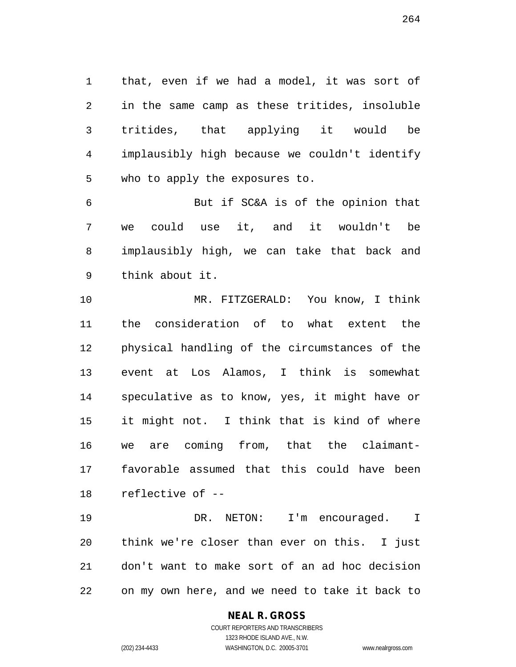that, even if we had a model, it was sort of in the same camp as these tritides, insoluble tritides, that applying it would be implausibly high because we couldn't identify who to apply the exposures to.

 But if SC&A is of the opinion that we could use it, and it wouldn't be implausibly high, we can take that back and think about it.

 MR. FITZGERALD: You know, I think the consideration of to what extent the physical handling of the circumstances of the event at Los Alamos, I think is somewhat speculative as to know, yes, it might have or it might not. I think that is kind of where we are coming from, that the claimant- favorable assumed that this could have been reflective of --

 DR. NETON: I'm encouraged. I think we're closer than ever on this. I just don't want to make sort of an ad hoc decision on my own here, and we need to take it back to

### **NEAL R. GROSS**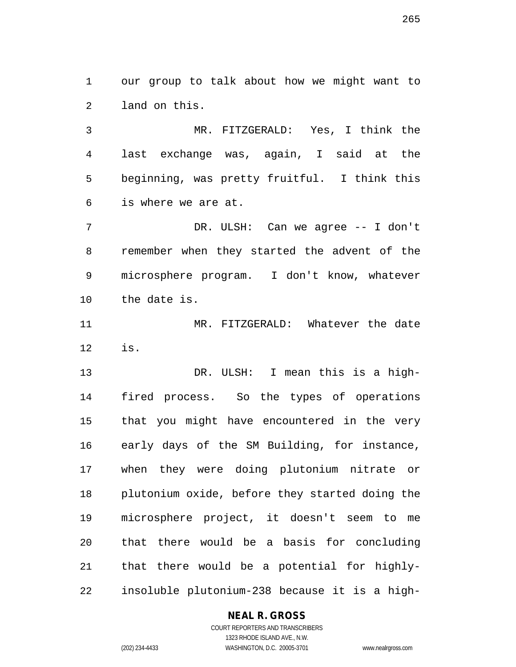our group to talk about how we might want to land on this.

 MR. FITZGERALD: Yes, I think the last exchange was, again, I said at the beginning, was pretty fruitful. I think this is where we are at.

 DR. ULSH: Can we agree -- I don't remember when they started the advent of the microsphere program. I don't know, whatever the date is.

 MR. FITZGERALD: Whatever the date is.

 DR. ULSH: I mean this is a high- fired process. So the types of operations that you might have encountered in the very early days of the SM Building, for instance, when they were doing plutonium nitrate or plutonium oxide, before they started doing the microsphere project, it doesn't seem to me that there would be a basis for concluding that there would be a potential for highly-insoluble plutonium-238 because it is a high-

### **NEAL R. GROSS**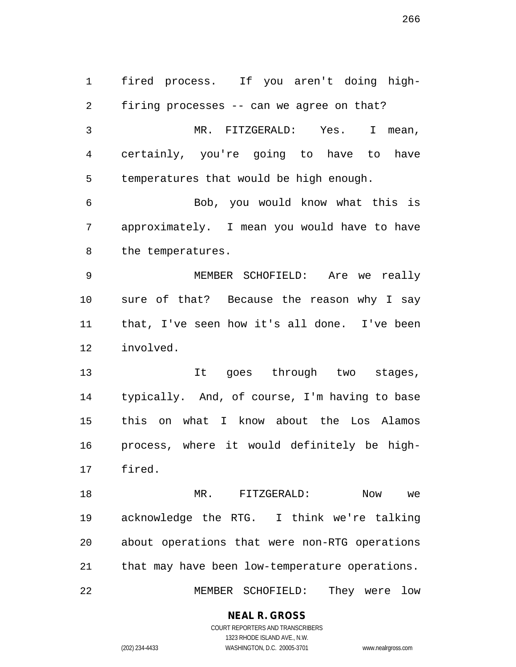fired process. If you aren't doing high- firing processes -- can we agree on that? MR. FITZGERALD: Yes. I mean, certainly, you're going to have to have temperatures that would be high enough. Bob, you would know what this is approximately. I mean you would have to have the temperatures. MEMBER SCHOFIELD: Are we really sure of that? Because the reason why I say that, I've seen how it's all done. I've been involved. It goes through two stages, typically. And, of course, I'm having to base this on what I know about the Los Alamos process, where it would definitely be high- fired. MR. FITZGERALD: Now we acknowledge the RTG. I think we're talking about operations that were non-RTG operations that may have been low-temperature operations. MEMBER SCHOFIELD: They were low

### **NEAL R. GROSS**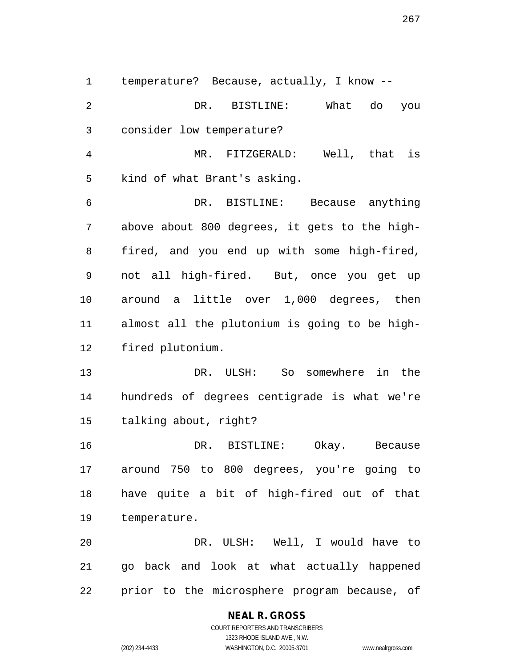temperature? Because, actually, I know -- DR. BISTLINE: What do you consider low temperature? MR. FITZGERALD: Well, that is kind of what Brant's asking. DR. BISTLINE: Because anything above about 800 degrees, it gets to the high- fired, and you end up with some high-fired, not all high-fired. But, once you get up around a little over 1,000 degrees, then almost all the plutonium is going to be high- fired plutonium. DR. ULSH: So somewhere in the hundreds of degrees centigrade is what we're

talking about, right?

 DR. BISTLINE: Okay. Because around 750 to 800 degrees, you're going to have quite a bit of high-fired out of that temperature.

 DR. ULSH: Well, I would have to go back and look at what actually happened prior to the microsphere program because, of

### **NEAL R. GROSS**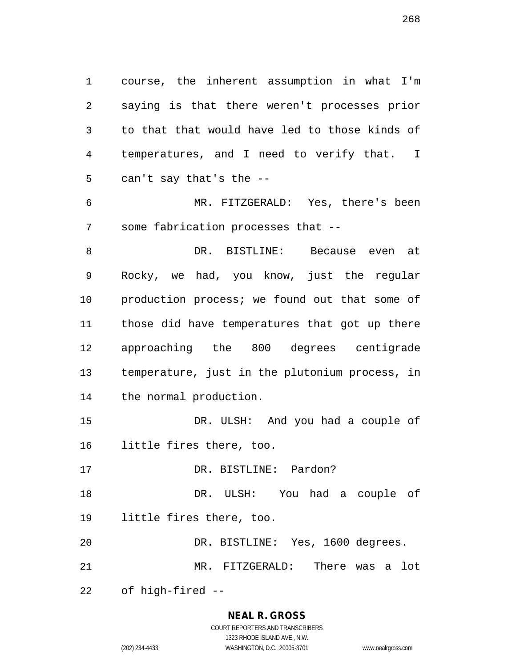course, the inherent assumption in what I'm saying is that there weren't processes prior to that that would have led to those kinds of temperatures, and I need to verify that. I can't say that's the --

 MR. FITZGERALD: Yes, there's been some fabrication processes that --

 DR. BISTLINE: Because even at Rocky, we had, you know, just the regular 10 production process; we found out that some of those did have temperatures that got up there approaching the 800 degrees centigrade temperature, just in the plutonium process, in the normal production.

 DR. ULSH: And you had a couple of little fires there, too.

DR. BISTLINE: Pardon?

 DR. ULSH: You had a couple of little fires there, too.

DR. BISTLINE: Yes, 1600 degrees.

MR. FITZGERALD: There was a lot

of high-fired --

#### **NEAL R. GROSS**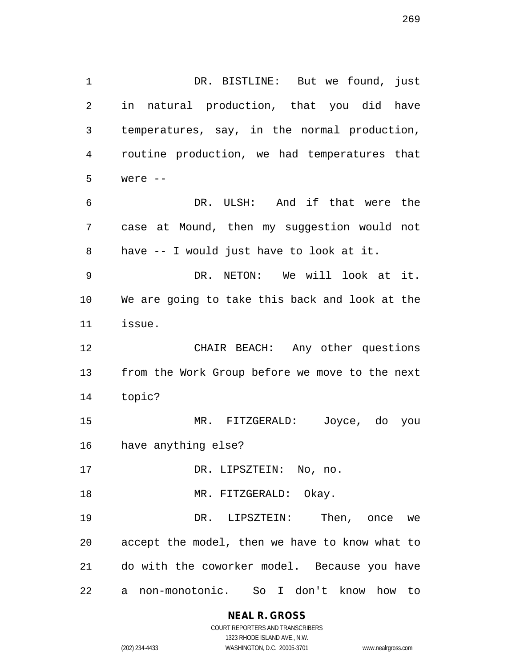1 DR. BISTLINE: But we found, just in natural production, that you did have temperatures, say, in the normal production, routine production, we had temperatures that were -- DR. ULSH: And if that were the case at Mound, then my suggestion would not have -- I would just have to look at it. DR. NETON: We will look at it. We are going to take this back and look at the issue. CHAIR BEACH: Any other questions from the Work Group before we move to the next topic? MR. FITZGERALD: Joyce, do you have anything else? 17 DR. LIPSZTEIN: No, no. 18 MR. FITZGERALD: Okay. DR. LIPSZTEIN: Then, once we accept the model, then we have to know what to do with the coworker model. Because you have

a non-monotonic. So I don't know how to

**NEAL R. GROSS** COURT REPORTERS AND TRANSCRIBERS

1323 RHODE ISLAND AVE., N.W. (202) 234-4433 WASHINGTON, D.C. 20005-3701 www.nealrgross.com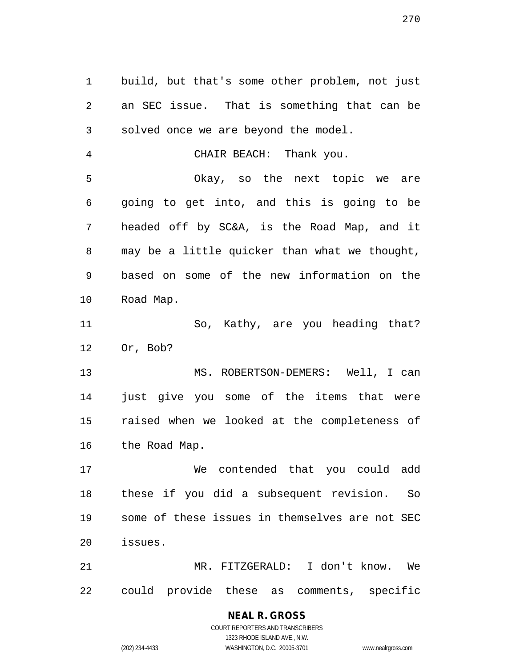build, but that's some other problem, not just an SEC issue. That is something that can be solved once we are beyond the model. CHAIR BEACH: Thank you. Okay, so the next topic we are going to get into, and this is going to be headed off by SC&A, is the Road Map, and it may be a little quicker than what we thought, based on some of the new information on the Road Map.

11 So, Kathy, are you heading that? Or, Bob?

 MS. ROBERTSON-DEMERS: Well, I can just give you some of the items that were raised when we looked at the completeness of the Road Map.

 We contended that you could add these if you did a subsequent revision. So some of these issues in themselves are not SEC issues.

 MR. FITZGERALD: I don't know. We could provide these as comments, specific

# **NEAL R. GROSS**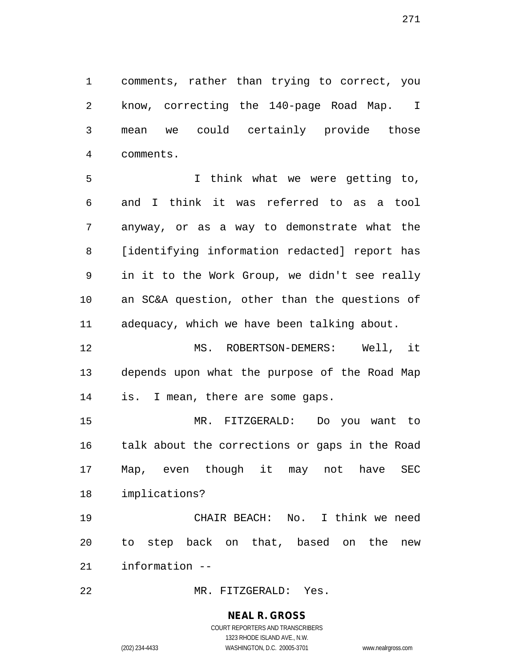comments, rather than trying to correct, you know, correcting the 140-page Road Map. I mean we could certainly provide those comments.

 I think what we were getting to, and I think it was referred to as a tool anyway, or as a way to demonstrate what the [identifying information redacted] report has in it to the Work Group, we didn't see really an SC&A question, other than the questions of adequacy, which we have been talking about.

 MS. ROBERTSON-DEMERS: Well, it depends upon what the purpose of the Road Map is. I mean, there are some gaps.

 MR. FITZGERALD: Do you want to talk about the corrections or gaps in the Road Map, even though it may not have SEC implications?

 CHAIR BEACH: No. I think we need to step back on that, based on the new information --

MR. FITZGERALD: Yes.

# **NEAL R. GROSS**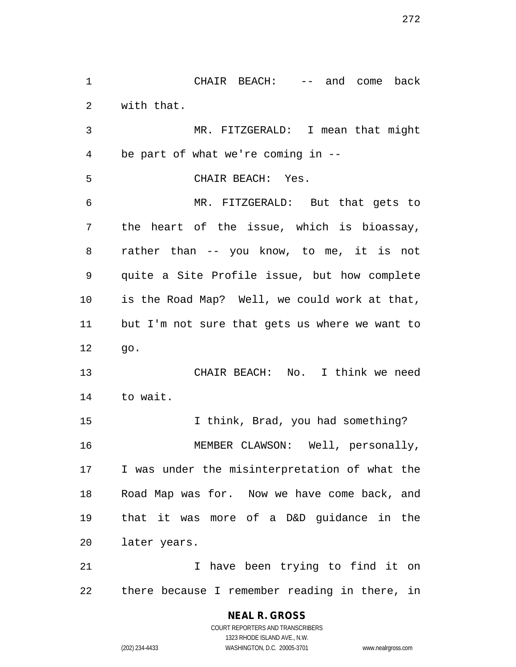with that. MR. FITZGERALD: I mean that might be part of what we're coming in -- CHAIR BEACH: Yes. MR. FITZGERALD: But that gets to the heart of the issue, which is bioassay, rather than -- you know, to me, it is not quite a Site Profile issue, but how complete is the Road Map? Well, we could work at that, but I'm not sure that gets us where we want to go. CHAIR BEACH: No. I think we need to wait. 15 I think, Brad, you had something? MEMBER CLAWSON: Well, personally, I was under the misinterpretation of what the Road Map was for. Now we have come back, and that it was more of a D&D guidance in the later years. I have been trying to find it on

CHAIR BEACH: -- and come back

there because I remember reading in there, in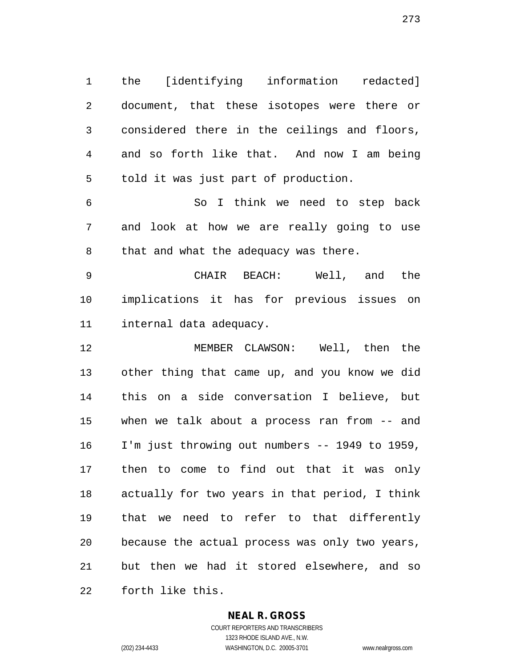the [identifying information redacted] document, that these isotopes were there or considered there in the ceilings and floors, and so forth like that. And now I am being told it was just part of production.

 So I think we need to step back and look at how we are really going to use that and what the adequacy was there.

 CHAIR BEACH: Well, and the implications it has for previous issues on internal data adequacy.

 MEMBER CLAWSON: Well, then the other thing that came up, and you know we did this on a side conversation I believe, but when we talk about a process ran from -- and I'm just throwing out numbers -- 1949 to 1959, then to come to find out that it was only actually for two years in that period, I think that we need to refer to that differently because the actual process was only two years, but then we had it stored elsewhere, and so forth like this.

#### **NEAL R. GROSS**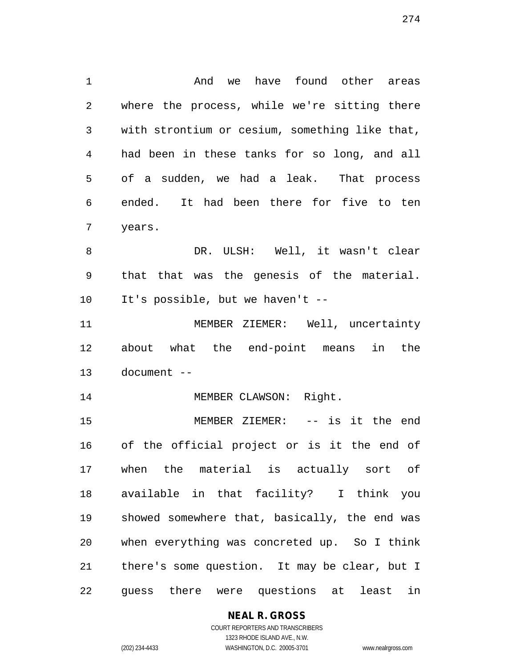And we have found other areas where the process, while we're sitting there with strontium or cesium, something like that, had been in these tanks for so long, and all of a sudden, we had a leak. That process ended. It had been there for five to ten years. 8 DR. ULSH: Well, it wasn't clear that that was the genesis of the material. It's possible, but we haven't -- MEMBER ZIEMER: Well, uncertainty about what the end-point means in the document -- 14 MEMBER CLAWSON: Right. MEMBER ZIEMER: -- is it the end of the official project or is it the end of when the material is actually sort of available in that facility? I think you showed somewhere that, basically, the end was when everything was concreted up. So I think there's some question. It may be clear, but I guess there were questions at least in

**NEAL R. GROSS**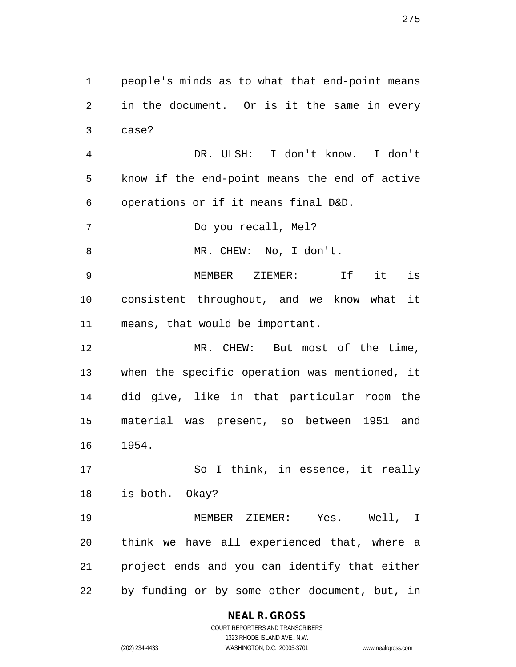people's minds as to what that end-point means in the document. Or is it the same in every case?

 DR. ULSH: I don't know. I don't know if the end-point means the end of active operations or if it means final D&D.

Do you recall, Mel?

MR. CHEW: No, I don't.

 MEMBER ZIEMER: If it is consistent throughout, and we know what it means, that would be important.

 MR. CHEW: But most of the time, when the specific operation was mentioned, it did give, like in that particular room the material was present, so between 1951 and 1954.

 So I think, in essence, it really is both. Okay?

 MEMBER ZIEMER: Yes. Well, I think we have all experienced that, where a project ends and you can identify that either by funding or by some other document, but, in

> **NEAL R. GROSS** COURT REPORTERS AND TRANSCRIBERS

> > 1323 RHODE ISLAND AVE., N.W.

(202) 234-4433 WASHINGTON, D.C. 20005-3701 www.nealrgross.com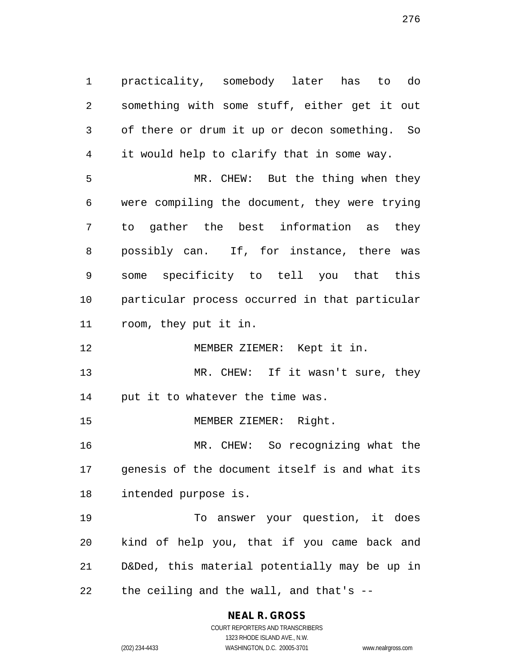practicality, somebody later has to do something with some stuff, either get it out of there or drum it up or decon something. So it would help to clarify that in some way. MR. CHEW: But the thing when they were compiling the document, they were trying to gather the best information as they possibly can. If, for instance, there was some specificity to tell you that this particular process occurred in that particular room, they put it in.

MEMBER ZIEMER: Kept it in.

13 MR. CHEW: If it wasn't sure, they put it to whatever the time was.

MEMBER ZIEMER: Right.

 MR. CHEW: So recognizing what the genesis of the document itself is and what its intended purpose is.

 To answer your question, it does kind of help you, that if you came back and D&Ded, this material potentially may be up in the ceiling and the wall, and that's --

> **NEAL R. GROSS** COURT REPORTERS AND TRANSCRIBERS

> > 1323 RHODE ISLAND AVE., N.W.

(202) 234-4433 WASHINGTON, D.C. 20005-3701 www.nealrgross.com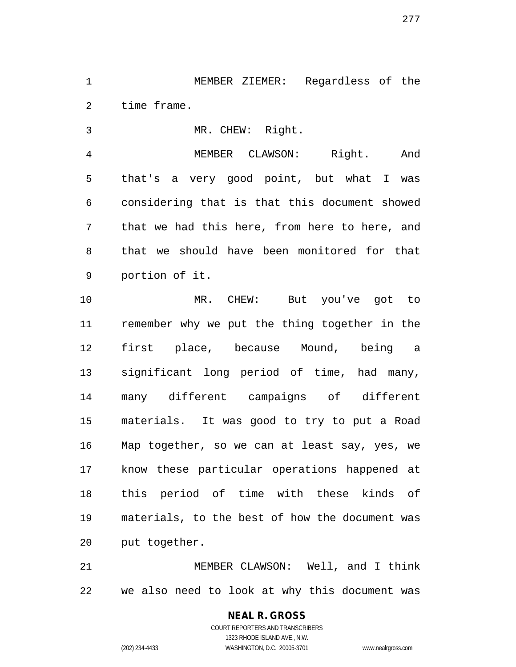MEMBER ZIEMER: Regardless of the time frame.

MR. CHEW: Right.

 MEMBER CLAWSON: Right. And that's a very good point, but what I was considering that is that this document showed that we had this here, from here to here, and that we should have been monitored for that portion of it.

 MR. CHEW: But you've got to remember why we put the thing together in the first place, because Mound, being a significant long period of time, had many, many different campaigns of different materials. It was good to try to put a Road Map together, so we can at least say, yes, we know these particular operations happened at this period of time with these kinds of materials, to the best of how the document was put together.

 MEMBER CLAWSON: Well, and I think we also need to look at why this document was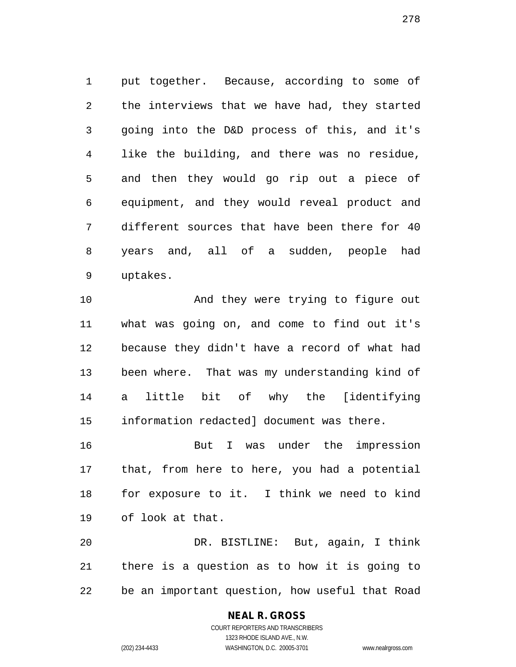put together. Because, according to some of the interviews that we have had, they started going into the D&D process of this, and it's like the building, and there was no residue, and then they would go rip out a piece of equipment, and they would reveal product and different sources that have been there for 40 years and, all of a sudden, people had uptakes.

10 And they were trying to figure out what was going on, and come to find out it's because they didn't have a record of what had been where. That was my understanding kind of a little bit of why the [identifying information redacted] document was there.

 But I was under the impression that, from here to here, you had a potential for exposure to it. I think we need to kind of look at that.

 DR. BISTLINE: But, again, I think there is a question as to how it is going to be an important question, how useful that Road

### **NEAL R. GROSS**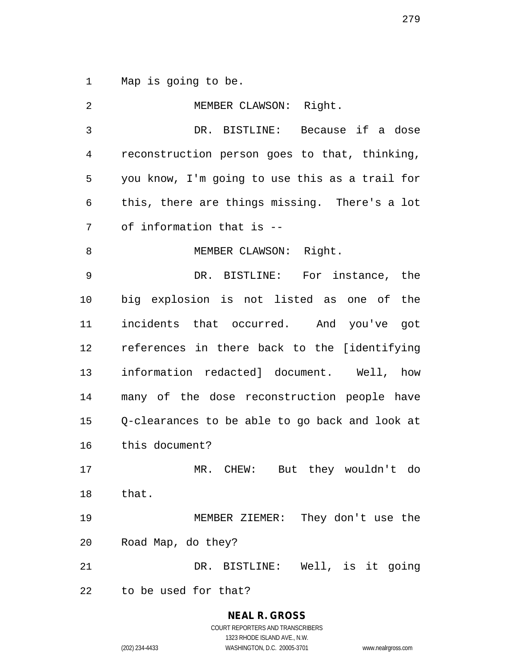Map is going to be.

| 2  | MEMBER CLAWSON: Right.                         |
|----|------------------------------------------------|
| 3  | DR. BISTLINE: Because if a dose                |
| 4  | reconstruction person goes to that, thinking,  |
| 5  | you know, I'm going to use this as a trail for |
| 6  | this, there are things missing. There's a lot  |
| 7  | of information that is --                      |
| 8  | MEMBER CLAWSON: Right.                         |
| 9  | DR. BISTLINE: For instance, the                |
| 10 | big explosion is not listed as one of the      |
| 11 | incidents that occurred. And you've got        |
| 12 | references in there back to the [identifying   |
| 13 | information redacted] document. Well, how      |
| 14 | many of the dose reconstruction people have    |
| 15 | Q-clearances to be able to go back and look at |
| 16 | this document?                                 |
| 17 | MR. CHEW: But they wouldn't do                 |
| 18 | that.                                          |
| 19 | MEMBER ZIEMER: They don't use the              |
| 20 | Road Map, do they?                             |
| 21 | DR. BISTLINE: Well, is it going                |
| 22 | to be used for that?                           |

**NEAL R. GROSS**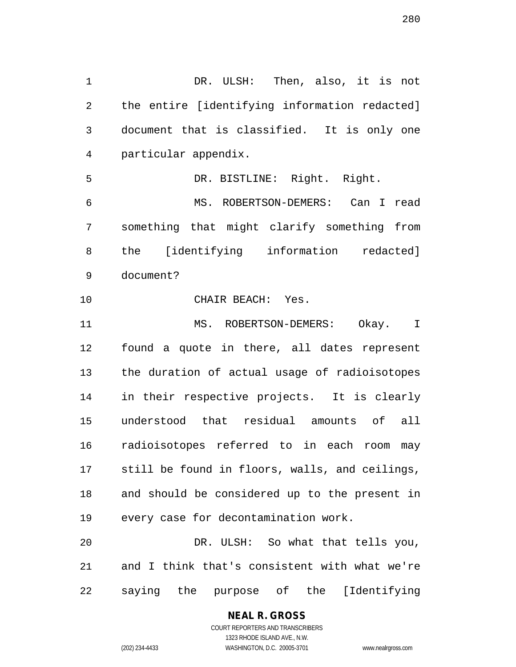DR. ULSH: Then, also, it is not the entire [identifying information redacted] document that is classified. It is only one particular appendix. DR. BISTLINE: Right. Right. MS. ROBERTSON-DEMERS: Can I read something that might clarify something from the [identifying information redacted] document? CHAIR BEACH: Yes. 11 MS. ROBERTSON-DEMERS: Okay. I found a quote in there, all dates represent the duration of actual usage of radioisotopes in their respective projects. It is clearly understood that residual amounts of all radioisotopes referred to in each room may still be found in floors, walls, and ceilings, and should be considered up to the present in every case for decontamination work. DR. ULSH: So what that tells you, and I think that's consistent with what we're

saying the purpose of the [Identifying

#### **NEAL R. GROSS** COURT REPORTERS AND TRANSCRIBERS

1323 RHODE ISLAND AVE., N.W.

(202) 234-4433 WASHINGTON, D.C. 20005-3701 www.nealrgross.com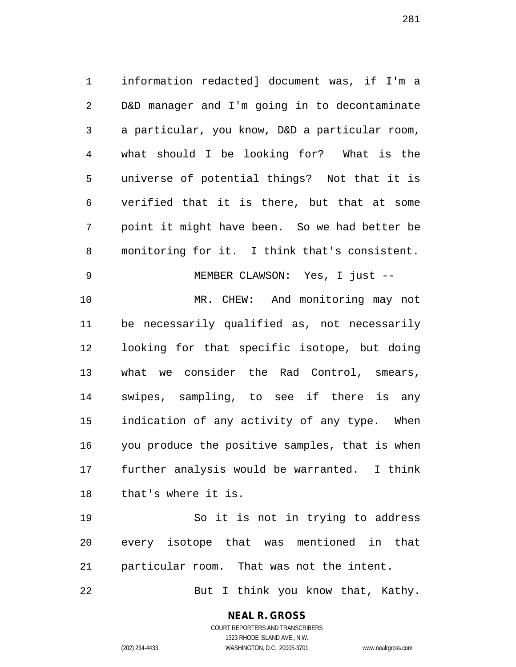information redacted] document was, if I'm a D&D manager and I'm going in to decontaminate a particular, you know, D&D a particular room, what should I be looking for? What is the universe of potential things? Not that it is verified that it is there, but that at some point it might have been. So we had better be monitoring for it. I think that's consistent. MEMBER CLAWSON: Yes, I just -- MR. CHEW: And monitoring may not be necessarily qualified as, not necessarily looking for that specific isotope, but doing what we consider the Rad Control, smears, swipes, sampling, to see if there is any indication of any activity of any type. When you produce the positive samples, that is when further analysis would be warranted. I think that's where it is.

 So it is not in trying to address every isotope that was mentioned in that particular room. That was not the intent.

But I think you know that, Kathy.

**NEAL R. GROSS** COURT REPORTERS AND TRANSCRIBERS

1323 RHODE ISLAND AVE., N.W.

(202) 234-4433 WASHINGTON, D.C. 20005-3701 www.nealrgross.com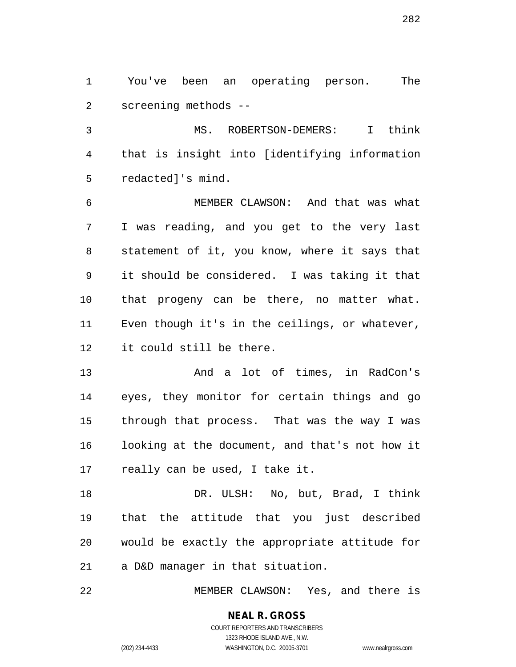You've been an operating person. The screening methods --

 MS. ROBERTSON-DEMERS: I think that is insight into [identifying information redacted]'s mind.

 MEMBER CLAWSON: And that was what I was reading, and you get to the very last statement of it, you know, where it says that it should be considered. I was taking it that that progeny can be there, no matter what. Even though it's in the ceilings, or whatever, it could still be there.

 And a lot of times, in RadCon's eyes, they monitor for certain things and go through that process. That was the way I was looking at the document, and that's not how it really can be used, I take it.

 DR. ULSH: No, but, Brad, I think that the attitude that you just described would be exactly the appropriate attitude for a D&D manager in that situation.

MEMBER CLAWSON: Yes, and there is

# **NEAL R. GROSS**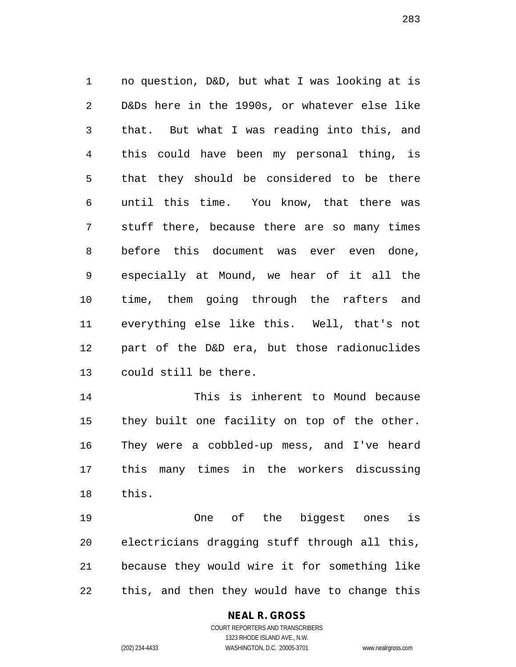no question, D&D, but what I was looking at is D&Ds here in the 1990s, or whatever else like that. But what I was reading into this, and this could have been my personal thing, is that they should be considered to be there until this time. You know, that there was stuff there, because there are so many times before this document was ever even done, especially at Mound, we hear of it all the time, them going through the rafters and everything else like this. Well, that's not part of the D&D era, but those radionuclides could still be there.

 This is inherent to Mound because they built one facility on top of the other. They were a cobbled-up mess, and I've heard this many times in the workers discussing this.

 One of the biggest ones is electricians dragging stuff through all this, because they would wire it for something like this, and then they would have to change this

#### **NEAL R. GROSS** COURT REPORTERS AND TRANSCRIBERS

1323 RHODE ISLAND AVE., N.W.

(202) 234-4433 WASHINGTON, D.C. 20005-3701 www.nealrgross.com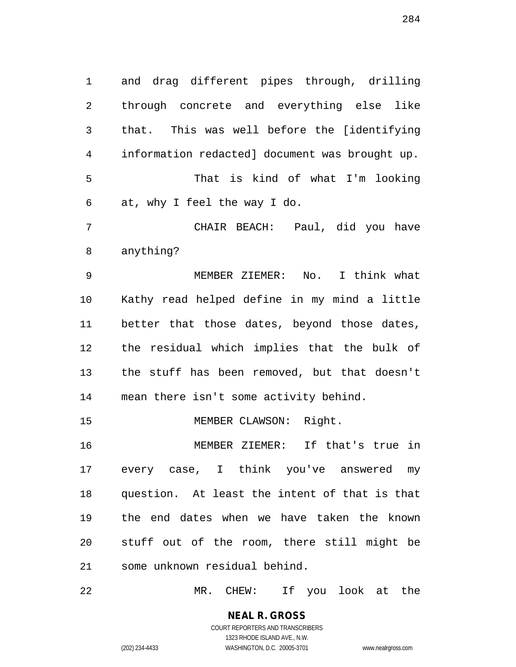and drag different pipes through, drilling through concrete and everything else like that. This was well before the [identifying information redacted] document was brought up. That is kind of what I'm looking at, why I feel the way I do. CHAIR BEACH: Paul, did you have anything? MEMBER ZIEMER: No. I think what Kathy read helped define in my mind a little better that those dates, beyond those dates, the residual which implies that the bulk of the stuff has been removed, but that doesn't mean there isn't some activity behind. 15 MEMBER CLAWSON: Right. MEMBER ZIEMER: If that's true in every case, I think you've answered my question. At least the intent of that is that the end dates when we have taken the known stuff out of the room, there still might be some unknown residual behind.

MR. CHEW: If you look at the

**NEAL R. GROSS** COURT REPORTERS AND TRANSCRIBERS 1323 RHODE ISLAND AVE., N.W.

(202) 234-4433 WASHINGTON, D.C. 20005-3701 www.nealrgross.com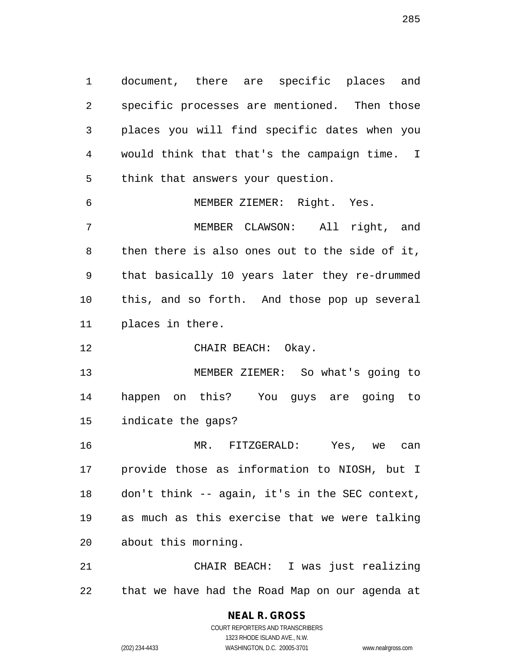document, there are specific places and specific processes are mentioned. Then those places you will find specific dates when you would think that that's the campaign time. I think that answers your question.

 MEMBER ZIEMER: Right. Yes. MEMBER CLAWSON: All right, and then there is also ones out to the side of it, that basically 10 years later they re-drummed this, and so forth. And those pop up several places in there.

12 CHAIR BEACH: Okay.

 MEMBER ZIEMER: So what's going to happen on this? You guys are going to indicate the gaps?

 MR. FITZGERALD: Yes, we can provide those as information to NIOSH, but I don't think -- again, it's in the SEC context, as much as this exercise that we were talking about this morning.

 CHAIR BEACH: I was just realizing that we have had the Road Map on our agenda at

> COURT REPORTERS AND TRANSCRIBERS 1323 RHODE ISLAND AVE., N.W. (202) 234-4433 WASHINGTON, D.C. 20005-3701 www.nealrgross.com

**NEAL R. GROSS**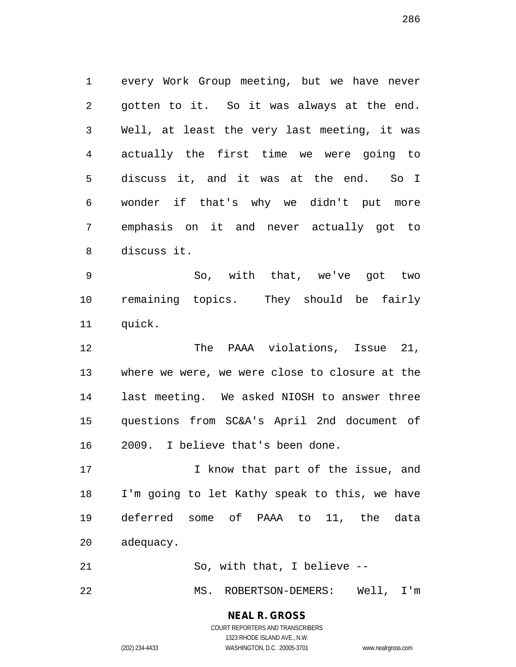every Work Group meeting, but we have never gotten to it. So it was always at the end. Well, at least the very last meeting, it was actually the first time we were going to discuss it, and it was at the end. So I wonder if that's why we didn't put more emphasis on it and never actually got to discuss it.

 So, with that, we've got two remaining topics. They should be fairly quick.

 The PAAA violations, Issue 21, where we were, we were close to closure at the last meeting. We asked NIOSH to answer three questions from SC&A's April 2nd document of 2009. I believe that's been done.

17 17 I know that part of the issue, and I'm going to let Kathy speak to this, we have deferred some of PAAA to 11, the data adequacy.

21 So, with that, I believe --

MS. ROBERTSON-DEMERS: Well, I'm

**NEAL R. GROSS** COURT REPORTERS AND TRANSCRIBERS

1323 RHODE ISLAND AVE., N.W. (202) 234-4433 WASHINGTON, D.C. 20005-3701 www.nealrgross.com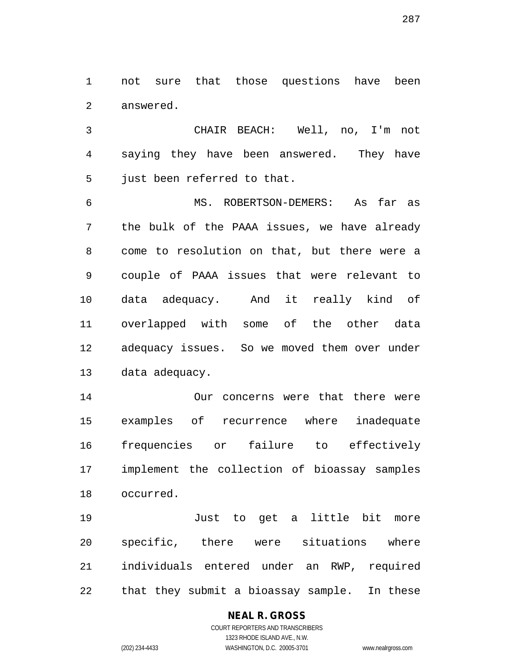not sure that those questions have been answered.

 CHAIR BEACH: Well, no, I'm not saying they have been answered. They have just been referred to that.

 MS. ROBERTSON-DEMERS: As far as the bulk of the PAAA issues, we have already come to resolution on that, but there were a couple of PAAA issues that were relevant to data adequacy. And it really kind of overlapped with some of the other data adequacy issues. So we moved them over under data adequacy.

 Our concerns were that there were examples of recurrence where inadequate frequencies or failure to effectively implement the collection of bioassay samples occurred.

 Just to get a little bit more specific, there were situations where individuals entered under an RWP, required that they submit a bioassay sample. In these

### **NEAL R. GROSS** COURT REPORTERS AND TRANSCRIBERS

1323 RHODE ISLAND AVE., N.W. (202) 234-4433 WASHINGTON, D.C. 20005-3701 www.nealrgross.com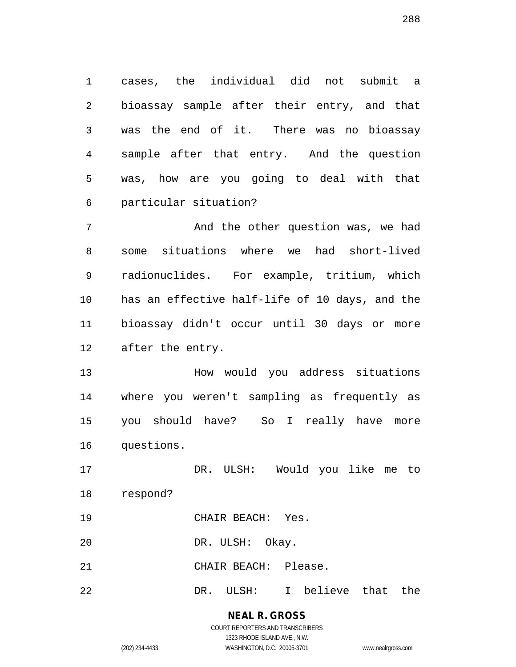cases, the individual did not submit a bioassay sample after their entry, and that was the end of it. There was no bioassay sample after that entry. And the question was, how are you going to deal with that particular situation?

 And the other question was, we had some situations where we had short-lived radionuclides. For example, tritium, which has an effective half-life of 10 days, and the bioassay didn't occur until 30 days or more after the entry.

 How would you address situations where you weren't sampling as frequently as you should have? So I really have more questions.

 DR. ULSH: Would you like me to respond?

- CHAIR BEACH: Yes.
- DR. ULSH: Okay.
- CHAIR BEACH: Please.
- DR. ULSH: I believe that the

# **NEAL R. GROSS**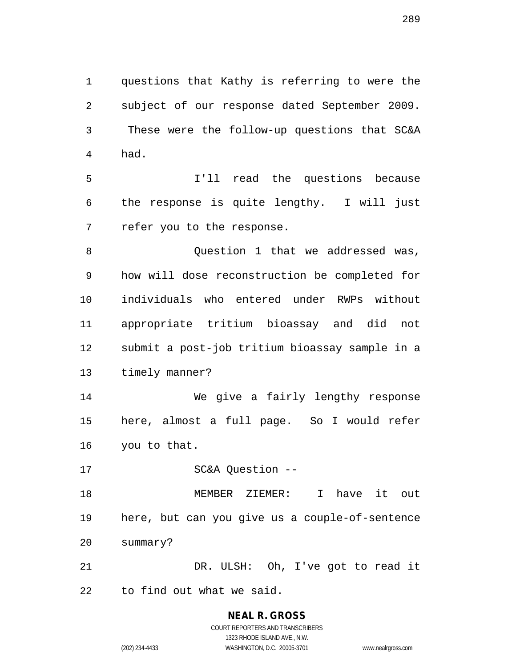questions that Kathy is referring to were the subject of our response dated September 2009. These were the follow-up questions that SC&A had.

 I'll read the questions because the response is quite lengthy. I will just refer you to the response.

8 and 2011 Question 1 that we addressed was, how will dose reconstruction be completed for individuals who entered under RWPs without appropriate tritium bioassay and did not submit a post-job tritium bioassay sample in a timely manner?

 We give a fairly lengthy response here, almost a full page. So I would refer you to that.

SC&A Question --

 MEMBER ZIEMER: I have it out here, but can you give us a couple-of-sentence summary?

 DR. ULSH: Oh, I've got to read it to find out what we said.

# **NEAL R. GROSS**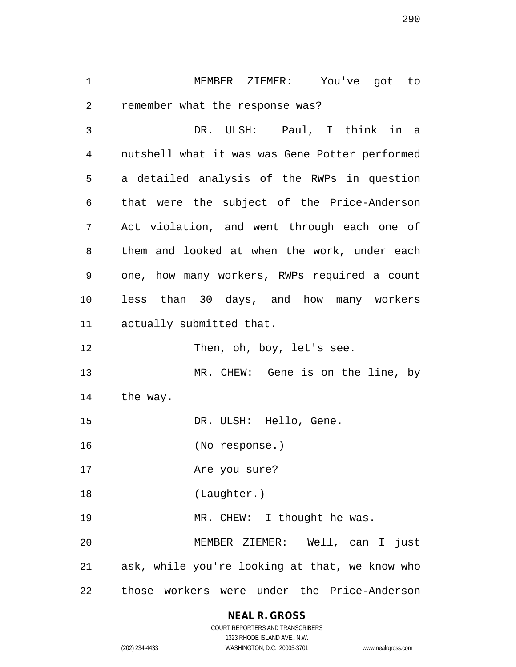MEMBER ZIEMER: You've got to remember what the response was? DR. ULSH: Paul, I think in a nutshell what it was was Gene Potter performed a detailed analysis of the RWPs in question that were the subject of the Price-Anderson Act violation, and went through each one of them and looked at when the work, under each one, how many workers, RWPs required a count less than 30 days, and how many workers actually submitted that.

12 Then, oh, boy, let's see.

 MR. CHEW: Gene is on the line, by the way.

DR. ULSH: Hello, Gene.

(No response.)

Are you sure?

(Laughter.)

19 MR. CHEW: I thought he was.

 MEMBER ZIEMER: Well, can I just ask, while you're looking at that, we know who those workers were under the Price-Anderson

## **NEAL R. GROSS**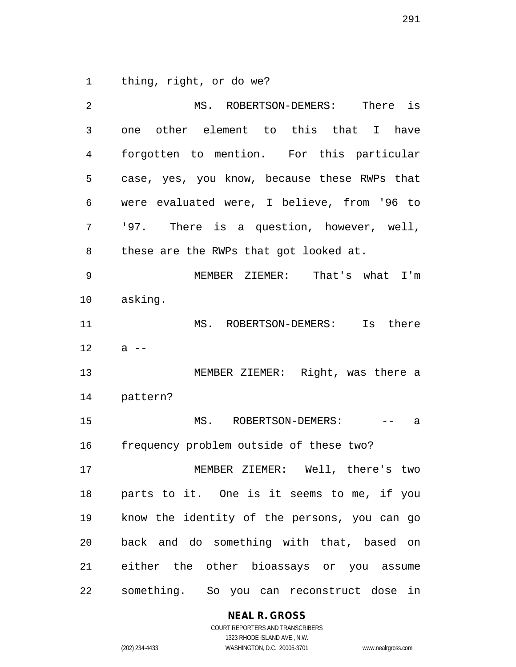thing, right, or do we?

 MS. ROBERTSON-DEMERS: There is one other element to this that I have forgotten to mention. For this particular case, yes, you know, because these RWPs that were evaluated were, I believe, from '96 to '97. There is a question, however, well, these are the RWPs that got looked at. MEMBER ZIEMER: That's what I'm asking. MS. ROBERTSON-DEMERS: Is there a  $-$  MEMBER ZIEMER: Right, was there a pattern? 15 MS. ROBERTSON-DEMERS: -- a frequency problem outside of these two? MEMBER ZIEMER: Well, there's two parts to it. One is it seems to me, if you know the identity of the persons, you can go back and do something with that, based on either the other bioassays or you assume something. So you can reconstruct dose in

#### **NEAL R. GROSS** COURT REPORTERS AND TRANSCRIBERS

1323 RHODE ISLAND AVE., N.W.

(202) 234-4433 WASHINGTON, D.C. 20005-3701 www.nealrgross.com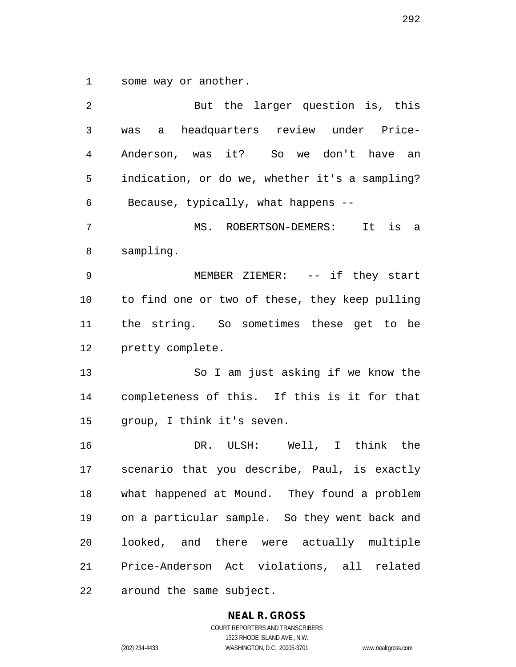some way or another.

| 2  | But the larger question is, this               |
|----|------------------------------------------------|
| 3  | headquarters review under Price-<br>was<br>a   |
| 4  | Anderson, was it? So we don't have an          |
| 5  | indication, or do we, whether it's a sampling? |
| 6  | Because, typically, what happens --            |
| 7  | MS. ROBERTSON-DEMERS: It is a                  |
| 8  | sampling.                                      |
| 9  | MEMBER ZIEMER: -- if they start                |
| 10 | to find one or two of these, they keep pulling |
| 11 | the string. So sometimes these get to be       |
| 12 | pretty complete.                               |
| 13 | So I am just asking if we know the             |
| 14 | completeness of this. If this is it for that   |
| 15 | group, I think it's seven.                     |
| 16 | DR. ULSH: Well, I think the                    |
| 17 | scenario that you describe, Paul, is exactly   |
| 18 | what happened at Mound. They found a problem   |
| 19 | on a particular sample. So they went back and  |
| 20 | looked, and there were actually multiple       |
| 21 | Price-Anderson Act violations, all related     |
| 22 | around the same subject.                       |

#### **NEAL R. GROSS**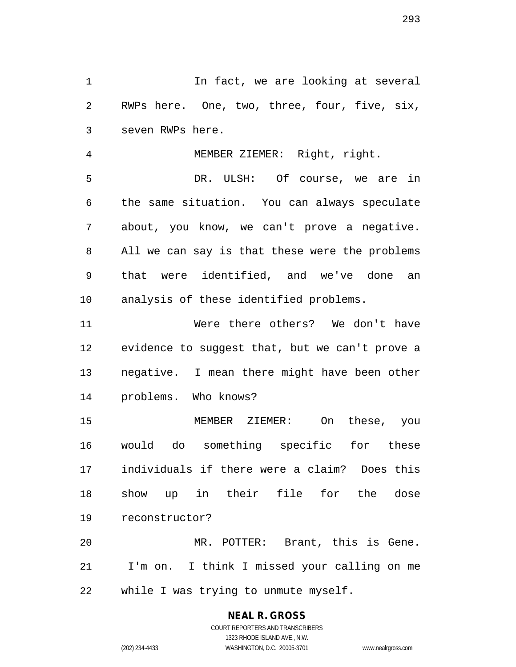1 1 In fact, we are looking at several RWPs here. One, two, three, four, five, six, seven RWPs here.

 MEMBER ZIEMER: Right, right. DR. ULSH: Of course, we are in the same situation. You can always speculate about, you know, we can't prove a negative. All we can say is that these were the problems that were identified, and we've done an analysis of these identified problems.

 Were there others? We don't have evidence to suggest that, but we can't prove a negative. I mean there might have been other problems. Who knows?

 MEMBER ZIEMER: On these, you would do something specific for these individuals if there were a claim? Does this show up in their file for the dose reconstructor?

 MR. POTTER: Brant, this is Gene. I'm on. I think I missed your calling on me while I was trying to unmute myself.

#### **NEAL R. GROSS**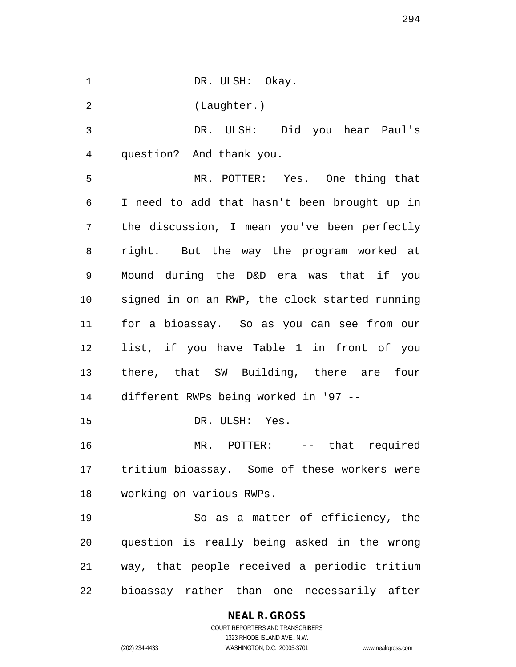1 DR. ULSH: Okay.

(Laughter.)

 DR. ULSH: Did you hear Paul's question? And thank you.

 MR. POTTER: Yes. One thing that I need to add that hasn't been brought up in the discussion, I mean you've been perfectly right. But the way the program worked at Mound during the D&D era was that if you signed in on an RWP, the clock started running for a bioassay. So as you can see from our list, if you have Table 1 in front of you there, that SW Building, there are four different RWPs being worked in '97 --

DR. ULSH: Yes.

 MR. POTTER: -- that required tritium bioassay. Some of these workers were working on various RWPs.

 So as a matter of efficiency, the question is really being asked in the wrong way, that people received a periodic tritium bioassay rather than one necessarily after

## **NEAL R. GROSS**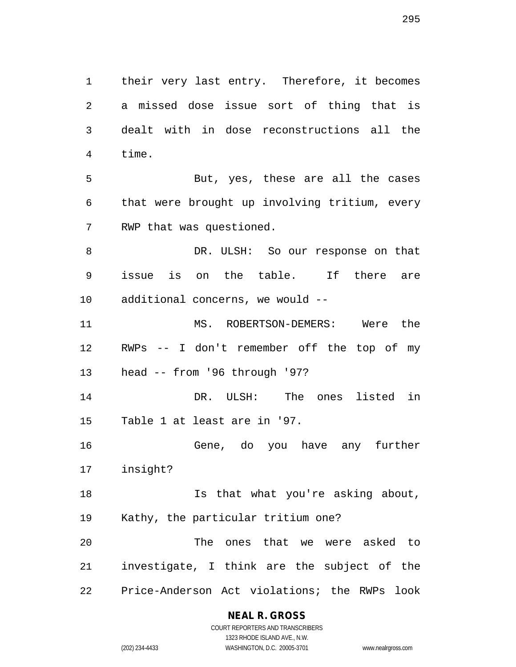their very last entry. Therefore, it becomes a missed dose issue sort of thing that is dealt with in dose reconstructions all the time. But, yes, these are all the cases that were brought up involving tritium, every RWP that was questioned. DR. ULSH: So our response on that issue is on the table. If there are additional concerns, we would -- MS. ROBERTSON-DEMERS: Were the RWPs -- I don't remember off the top of my head -- from '96 through '97? DR. ULSH: The ones listed in Table 1 at least are in '97. Gene, do you have any further insight? Is that what you're asking about, Kathy, the particular tritium one? The ones that we were asked to investigate, I think are the subject of the Price-Anderson Act violations; the RWPs look

> **NEAL R. GROSS** COURT REPORTERS AND TRANSCRIBERS

1323 RHODE ISLAND AVE., N.W. (202) 234-4433 WASHINGTON, D.C. 20005-3701 www.nealrgross.com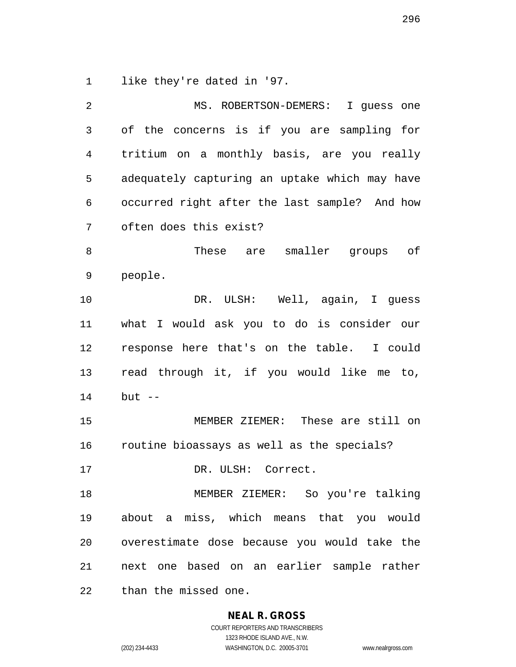like they're dated in '97.

 MS. ROBERTSON-DEMERS: I guess one of the concerns is if you are sampling for tritium on a monthly basis, are you really adequately capturing an uptake which may have occurred right after the last sample? And how often does this exist? These are smaller groups of people. DR. ULSH: Well, again, I guess what I would ask you to do is consider our response here that's on the table. I could read through it, if you would like me to, but -- MEMBER ZIEMER: These are still on routine bioassays as well as the specials? 17 DR. ULSH: Correct. MEMBER ZIEMER: So you're talking about a miss, which means that you would overestimate dose because you would take the next one based on an earlier sample rather than the missed one.

**NEAL R. GROSS**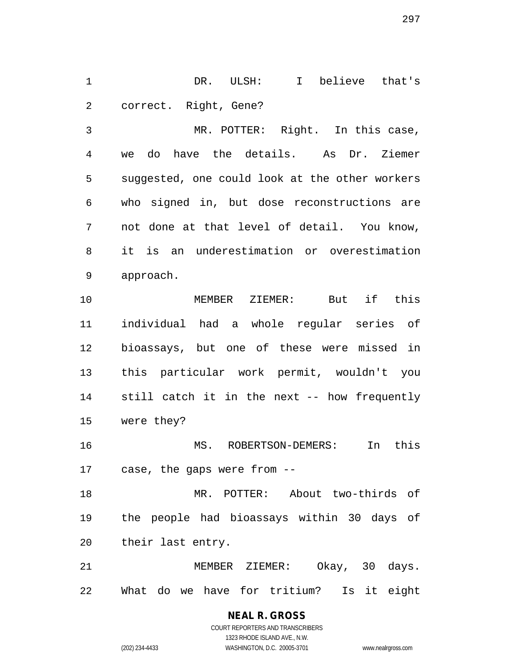DR. ULSH: I believe that's correct. Right, Gene?

 MR. POTTER: Right. In this case, we do have the details. As Dr. Ziemer suggested, one could look at the other workers who signed in, but dose reconstructions are not done at that level of detail. You know, it is an underestimation or overestimation approach.

 MEMBER ZIEMER: But if this individual had a whole regular series of bioassays, but one of these were missed in this particular work permit, wouldn't you still catch it in the next -- how frequently were they?

 MS. ROBERTSON-DEMERS: In this case, the gaps were from --

 MR. POTTER: About two-thirds of the people had bioassays within 30 days of their last entry.

 MEMBER ZIEMER: Okay, 30 days. What do we have for tritium? Is it eight

> **NEAL R. GROSS** COURT REPORTERS AND TRANSCRIBERS

> > 1323 RHODE ISLAND AVE., N.W.

(202) 234-4433 WASHINGTON, D.C. 20005-3701 www.nealrgross.com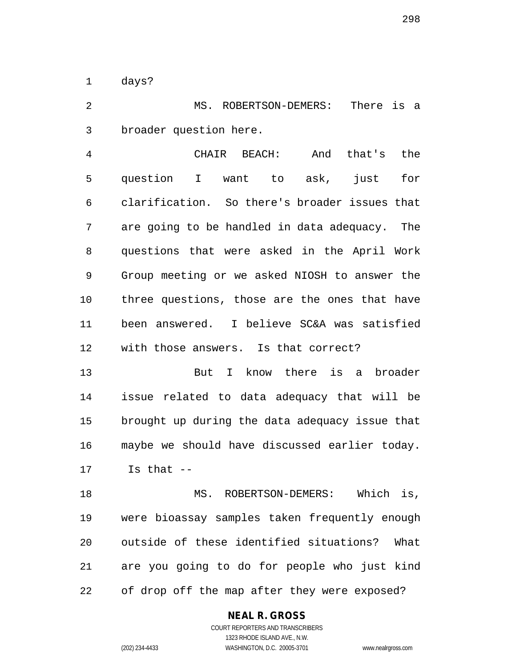days?

 MS. ROBERTSON-DEMERS: There is a broader question here.

 CHAIR BEACH: And that's the question I want to ask, just for clarification. So there's broader issues that are going to be handled in data adequacy. The questions that were asked in the April Work Group meeting or we asked NIOSH to answer the three questions, those are the ones that have been answered. I believe SC&A was satisfied with those answers. Is that correct?

 But I know there is a broader issue related to data adequacy that will be brought up during the data adequacy issue that maybe we should have discussed earlier today. Is that --

 MS. ROBERTSON-DEMERS: Which is, were bioassay samples taken frequently enough outside of these identified situations? What are you going to do for people who just kind of drop off the map after they were exposed?

#### **NEAL R. GROSS**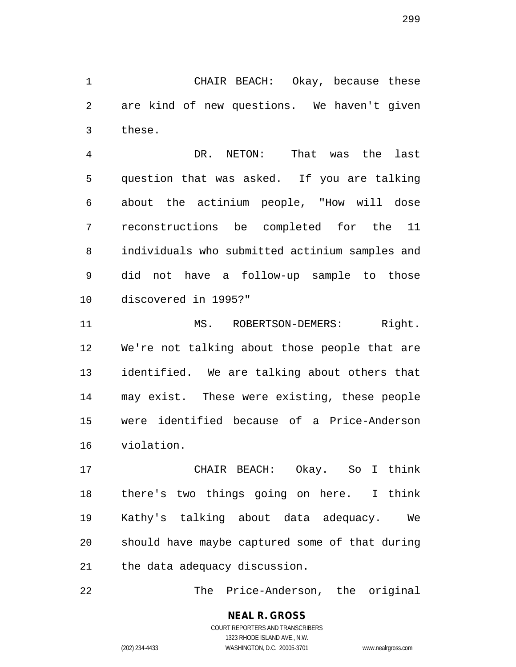CHAIR BEACH: Okay, because these are kind of new questions. We haven't given these.

 DR. NETON: That was the last question that was asked. If you are talking about the actinium people, "How will dose reconstructions be completed for the 11 individuals who submitted actinium samples and did not have a follow-up sample to those discovered in 1995?"

11 MS. ROBERTSON-DEMERS: Right. We're not talking about those people that are identified. We are talking about others that may exist. These were existing, these people were identified because of a Price-Anderson violation.

 CHAIR BEACH: Okay. So I think there's two things going on here. I think Kathy's talking about data adequacy. We should have maybe captured some of that during the data adequacy discussion.

The Price-Anderson, the original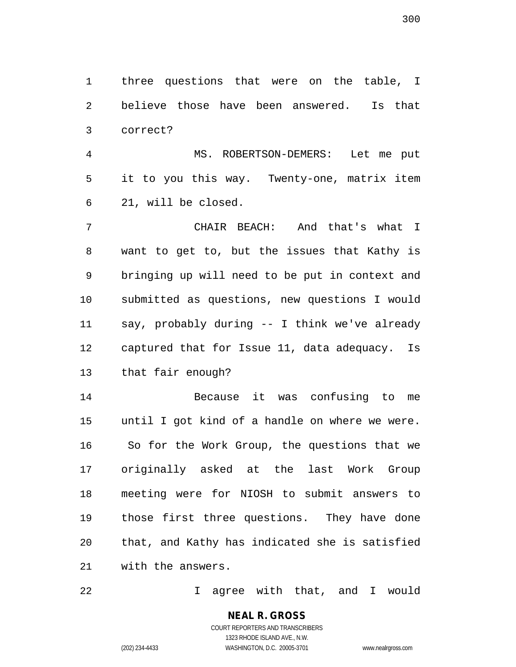three questions that were on the table, I believe those have been answered. Is that correct?

 MS. ROBERTSON-DEMERS: Let me put it to you this way. Twenty-one, matrix item 21, will be closed.

 CHAIR BEACH: And that's what I want to get to, but the issues that Kathy is bringing up will need to be put in context and submitted as questions, new questions I would say, probably during -- I think we've already captured that for Issue 11, data adequacy. Is that fair enough?

 Because it was confusing to me until I got kind of a handle on where we were. So for the Work Group, the questions that we originally asked at the last Work Group meeting were for NIOSH to submit answers to those first three questions. They have done that, and Kathy has indicated she is satisfied with the answers.

I agree with that, and I would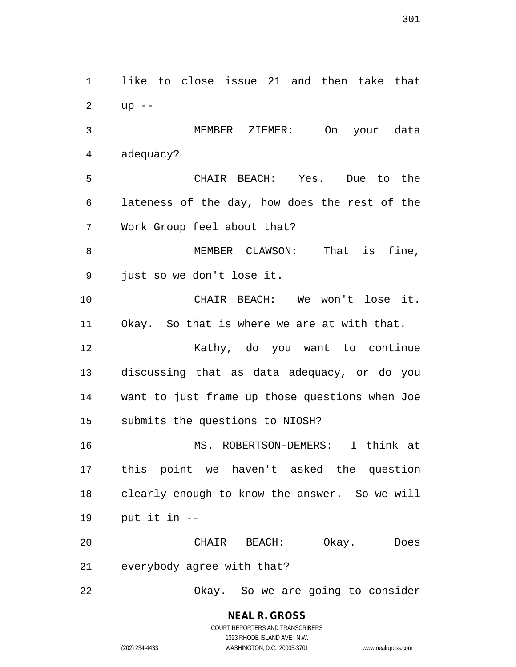like to close issue 21 and then take that up -- MEMBER ZIEMER: On your data adequacy? CHAIR BEACH: Yes. Due to the lateness of the day, how does the rest of the Work Group feel about that? MEMBER CLAWSON: That is fine, just so we don't lose it. CHAIR BEACH: We won't lose it. Okay. So that is where we are at with that. Kathy, do you want to continue discussing that as data adequacy, or do you want to just frame up those questions when Joe submits the questions to NIOSH? MS. ROBERTSON-DEMERS: I think at this point we haven't asked the question clearly enough to know the answer. So we will put it in -- CHAIR BEACH: Okay. Does everybody agree with that? Okay. So we are going to consider

> **NEAL R. GROSS** COURT REPORTERS AND TRANSCRIBERS 1323 RHODE ISLAND AVE., N.W. (202) 234-4433 WASHINGTON, D.C. 20005-3701 www.nealrgross.com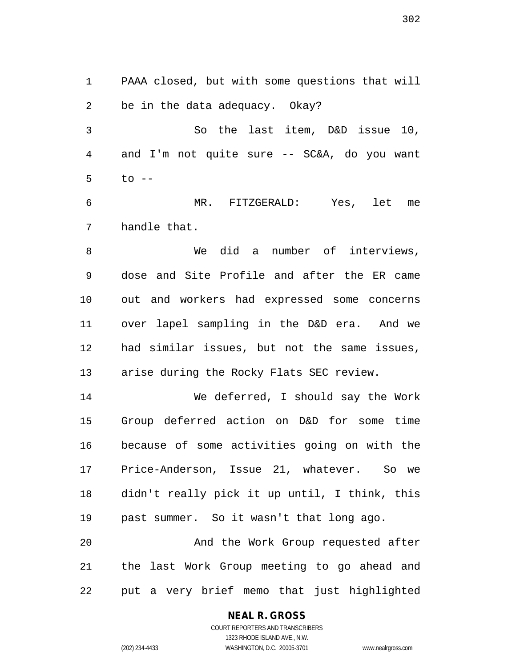PAAA closed, but with some questions that will be in the data adequacy. Okay?

 So the last item, D&D issue 10, and I'm not quite sure -- SC&A, do you want to  $-$ 

 MR. FITZGERALD: Yes, let me handle that.

 We did a number of interviews, dose and Site Profile and after the ER came out and workers had expressed some concerns over lapel sampling in the D&D era. And we had similar issues, but not the same issues, arise during the Rocky Flats SEC review.

 We deferred, I should say the Work Group deferred action on D&D for some time because of some activities going on with the Price-Anderson, Issue 21, whatever. So we didn't really pick it up until, I think, this past summer. So it wasn't that long ago.

 And the Work Group requested after the last Work Group meeting to go ahead and put a very brief memo that just highlighted

#### **NEAL R. GROSS**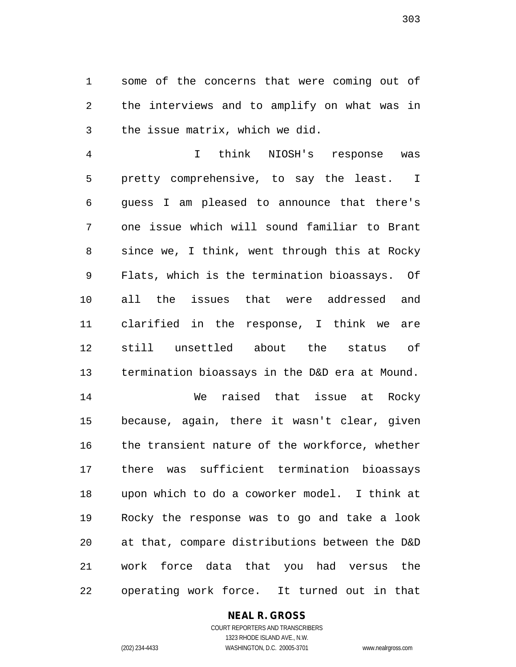some of the concerns that were coming out of the interviews and to amplify on what was in the issue matrix, which we did.

 I think NIOSH's response was pretty comprehensive, to say the least. I guess I am pleased to announce that there's one issue which will sound familiar to Brant since we, I think, went through this at Rocky Flats, which is the termination bioassays. Of all the issues that were addressed and clarified in the response, I think we are still unsettled about the status of termination bioassays in the D&D era at Mound. We raised that issue at Rocky

 because, again, there it wasn't clear, given the transient nature of the workforce, whether there was sufficient termination bioassays upon which to do a coworker model. I think at Rocky the response was to go and take a look at that, compare distributions between the D&D work force data that you had versus the operating work force. It turned out in that

#### **NEAL R. GROSS**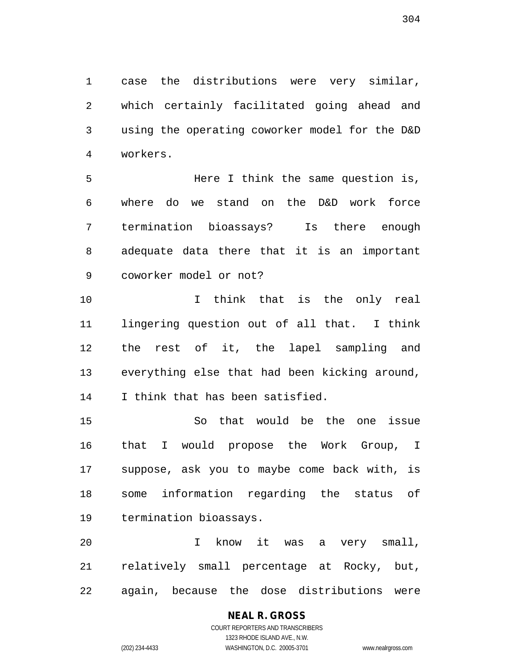case the distributions were very similar, which certainly facilitated going ahead and using the operating coworker model for the D&D workers.

 Here I think the same question is, where do we stand on the D&D work force termination bioassays? Is there enough adequate data there that it is an important coworker model or not?

 I think that is the only real lingering question out of all that. I think the rest of it, the lapel sampling and everything else that had been kicking around, I think that has been satisfied.

 So that would be the one issue that I would propose the Work Group, I suppose, ask you to maybe come back with, is some information regarding the status of termination bioassays.

 I know it was a very small, relatively small percentage at Rocky, but, again, because the dose distributions were

## **NEAL R. GROSS**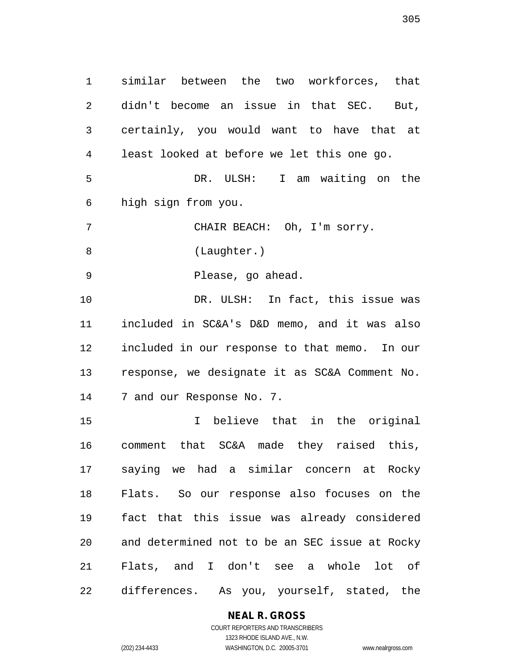similar between the two workforces, that didn't become an issue in that SEC. But, certainly, you would want to have that at least looked at before we let this one go. DR. ULSH: I am waiting on the high sign from you. CHAIR BEACH: Oh, I'm sorry. (Laughter.) Please, go ahead. 10 DR. ULSH: In fact, this issue was included in SC&A's D&D memo, and it was also included in our response to that memo. In our response, we designate it as SC&A Comment No. 7 and our Response No. 7. I believe that in the original comment that SC&A made they raised this, saying we had a similar concern at Rocky Flats. So our response also focuses on the fact that this issue was already considered and determined not to be an SEC issue at Rocky Flats, and I don't see a whole lot of differences. As you, yourself, stated, the

**NEAL R. GROSS**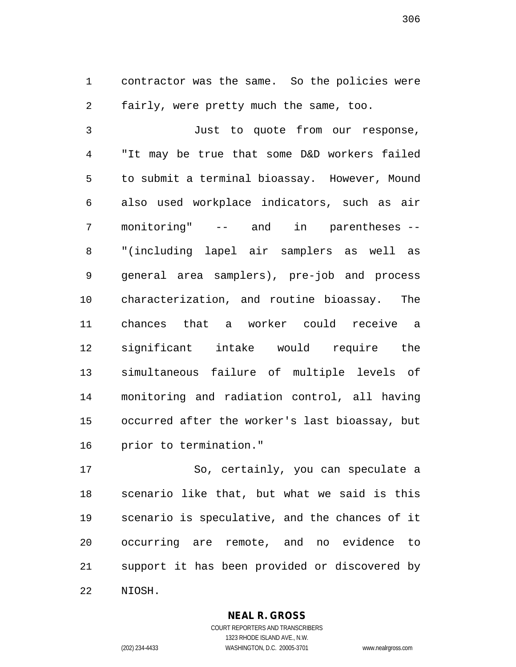contractor was the same. So the policies were fairly, were pretty much the same, too.

 Just to quote from our response, "It may be true that some D&D workers failed to submit a terminal bioassay. However, Mound also used workplace indicators, such as air monitoring" -- and in parentheses -- "(including lapel air samplers as well as general area samplers), pre-job and process characterization, and routine bioassay. The chances that a worker could receive a significant intake would require the simultaneous failure of multiple levels of monitoring and radiation control, all having occurred after the worker's last bioassay, but prior to termination."

 So, certainly, you can speculate a scenario like that, but what we said is this scenario is speculative, and the chances of it occurring are remote, and no evidence to support it has been provided or discovered by NIOSH.

> **NEAL R. GROSS** COURT REPORTERS AND TRANSCRIBERS

1323 RHODE ISLAND AVE., N.W. (202) 234-4433 WASHINGTON, D.C. 20005-3701 www.nealrgross.com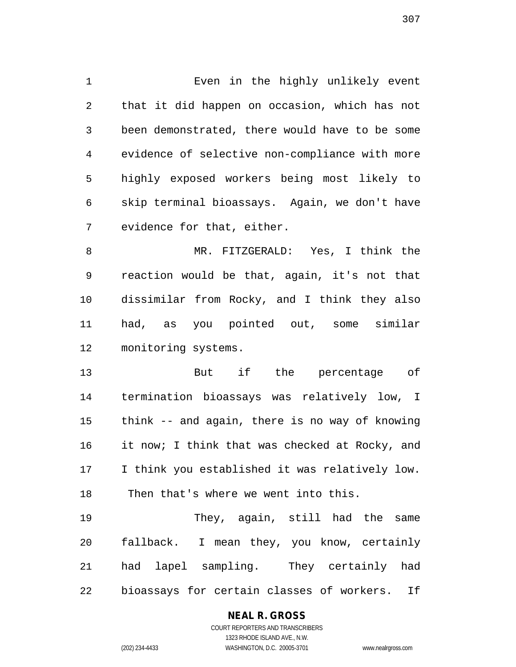Even in the highly unlikely event that it did happen on occasion, which has not been demonstrated, there would have to be some evidence of selective non-compliance with more highly exposed workers being most likely to skip terminal bioassays. Again, we don't have evidence for that, either.

 MR. FITZGERALD: Yes, I think the reaction would be that, again, it's not that dissimilar from Rocky, and I think they also had, as you pointed out, some similar monitoring systems.

 But if the percentage of termination bioassays was relatively low, I think -- and again, there is no way of knowing 16 it now; I think that was checked at Rocky, and I think you established it was relatively low. Then that's where we went into this.

 They, again, still had the same fallback. I mean they, you know, certainly had lapel sampling. They certainly had bioassays for certain classes of workers. If

#### **NEAL R. GROSS**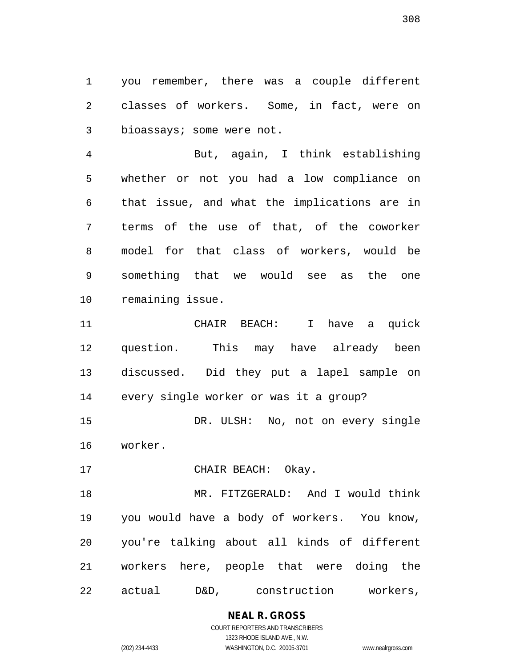you remember, there was a couple different classes of workers. Some, in fact, were on bioassays; some were not.

 But, again, I think establishing whether or not you had a low compliance on that issue, and what the implications are in terms of the use of that, of the coworker model for that class of workers, would be something that we would see as the one remaining issue.

 CHAIR BEACH: I have a quick question. This may have already been discussed. Did they put a lapel sample on every single worker or was it a group?

 DR. ULSH: No, not on every single worker.

17 CHAIR BEACH: Okay.

 MR. FITZGERALD: And I would think you would have a body of workers. You know, you're talking about all kinds of different workers here, people that were doing the actual D&D, construction workers,

> **NEAL R. GROSS** COURT REPORTERS AND TRANSCRIBERS

> > 1323 RHODE ISLAND AVE., N.W.

(202) 234-4433 WASHINGTON, D.C. 20005-3701 www.nealrgross.com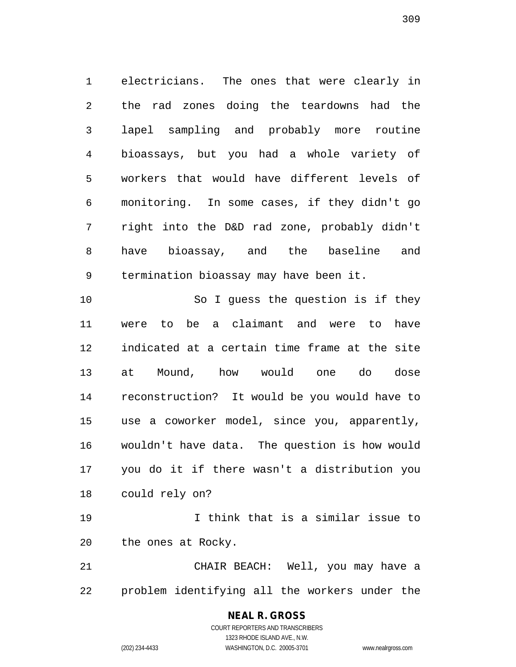electricians. The ones that were clearly in the rad zones doing the teardowns had the lapel sampling and probably more routine bioassays, but you had a whole variety of workers that would have different levels of monitoring. In some cases, if they didn't go right into the D&D rad zone, probably didn't have bioassay, and the baseline and termination bioassay may have been it.

10 So I guess the question is if they were to be a claimant and were to have indicated at a certain time frame at the site at Mound, how would one do dose reconstruction? It would be you would have to use a coworker model, since you, apparently, wouldn't have data. The question is how would you do it if there wasn't a distribution you could rely on?

 I think that is a similar issue to the ones at Rocky.

 CHAIR BEACH: Well, you may have a problem identifying all the workers under the

#### **NEAL R. GROSS** COURT REPORTERS AND TRANSCRIBERS 1323 RHODE ISLAND AVE., N.W.

(202) 234-4433 WASHINGTON, D.C. 20005-3701 www.nealrgross.com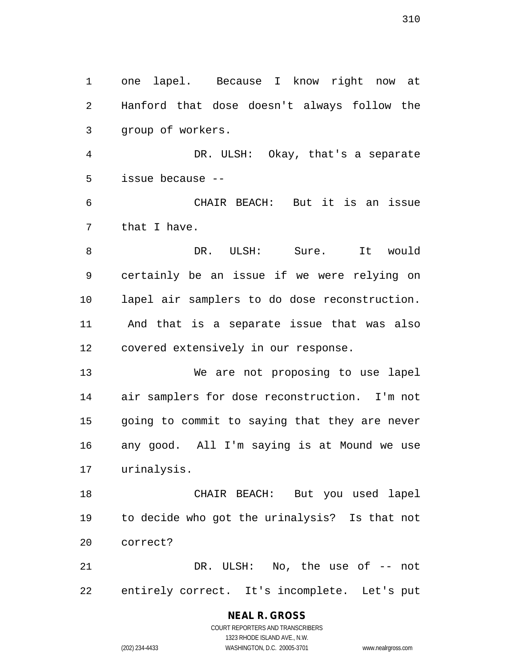one lapel. Because I know right now at Hanford that dose doesn't always follow the group of workers.

 DR. ULSH: Okay, that's a separate issue because --

 CHAIR BEACH: But it is an issue that I have.

 DR. ULSH: Sure. It would certainly be an issue if we were relying on lapel air samplers to do dose reconstruction. And that is a separate issue that was also covered extensively in our response.

 We are not proposing to use lapel air samplers for dose reconstruction. I'm not going to commit to saying that they are never any good. All I'm saying is at Mound we use urinalysis.

 CHAIR BEACH: But you used lapel to decide who got the urinalysis? Is that not correct?

 DR. ULSH: No, the use of -- not entirely correct. It's incomplete. Let's put

# **NEAL R. GROSS**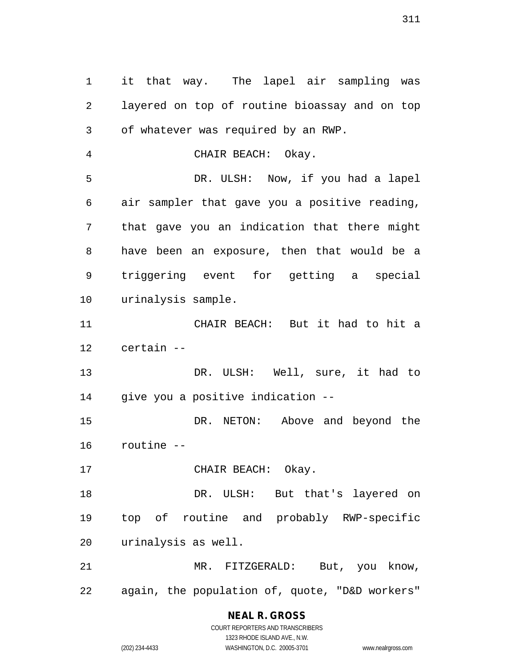it that way. The lapel air sampling was layered on top of routine bioassay and on top of whatever was required by an RWP. CHAIR BEACH: Okay. DR. ULSH: Now, if you had a lapel air sampler that gave you a positive reading, that gave you an indication that there might have been an exposure, then that would be a triggering event for getting a special urinalysis sample. CHAIR BEACH: But it had to hit a certain -- DR. ULSH: Well, sure, it had to give you a positive indication -- DR. NETON: Above and beyond the routine -- 17 CHAIR BEACH: Okay. DR. ULSH: But that's layered on top of routine and probably RWP-specific urinalysis as well. MR. FITZGERALD: But, you know, again, the population of, quote, "D&D workers"

> **NEAL R. GROSS** COURT REPORTERS AND TRANSCRIBERS 1323 RHODE ISLAND AVE., N.W.

(202) 234-4433 WASHINGTON, D.C. 20005-3701 www.nealrgross.com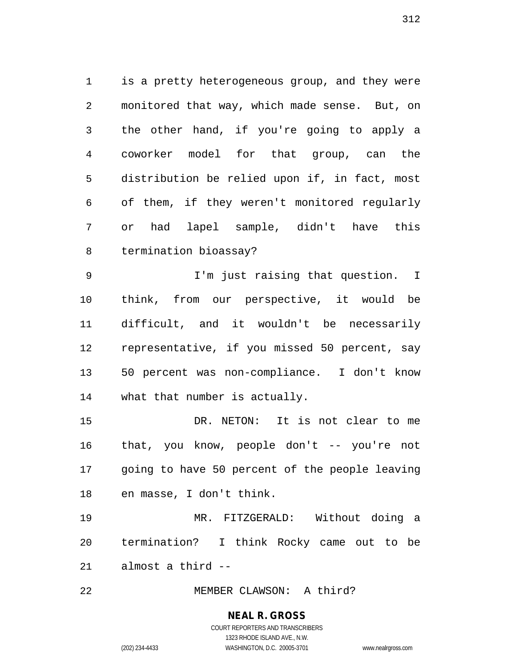is a pretty heterogeneous group, and they were monitored that way, which made sense. But, on the other hand, if you're going to apply a coworker model for that group, can the distribution be relied upon if, in fact, most of them, if they weren't monitored regularly or had lapel sample, didn't have this termination bioassay?

 I'm just raising that question. I think, from our perspective, it would be difficult, and it wouldn't be necessarily representative, if you missed 50 percent, say 50 percent was non-compliance. I don't know what that number is actually.

 DR. NETON: It is not clear to me that, you know, people don't -- you're not going to have 50 percent of the people leaving en masse, I don't think.

 MR. FITZGERALD: Without doing a termination? I think Rocky came out to be almost a third --

MEMBER CLAWSON: A third?

## **NEAL R. GROSS**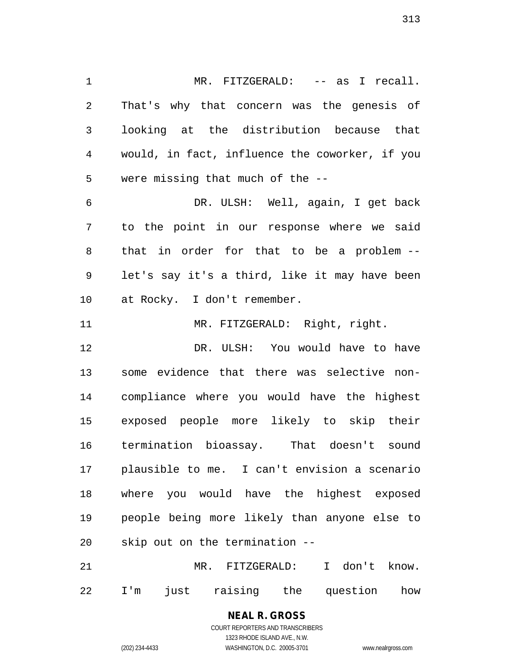1 MR. FITZGERALD: -- as I recall. That's why that concern was the genesis of looking at the distribution because that would, in fact, influence the coworker, if you were missing that much of the -- DR. ULSH: Well, again, I get back to the point in our response where we said that in order for that to be a problem -- let's say it's a third, like it may have been at Rocky. I don't remember. 11 MR. FITZGERALD: Right, right. DR. ULSH: You would have to have some evidence that there was selective non-compliance where you would have the highest

 exposed people more likely to skip their termination bioassay. That doesn't sound plausible to me. I can't envision a scenario where you would have the highest exposed people being more likely than anyone else to skip out on the termination --

 MR. FITZGERALD: I don't know. I'm just raising the question how

#### **NEAL R. GROSS** COURT REPORTERS AND TRANSCRIBERS

1323 RHODE ISLAND AVE., N.W. (202) 234-4433 WASHINGTON, D.C. 20005-3701 www.nealrgross.com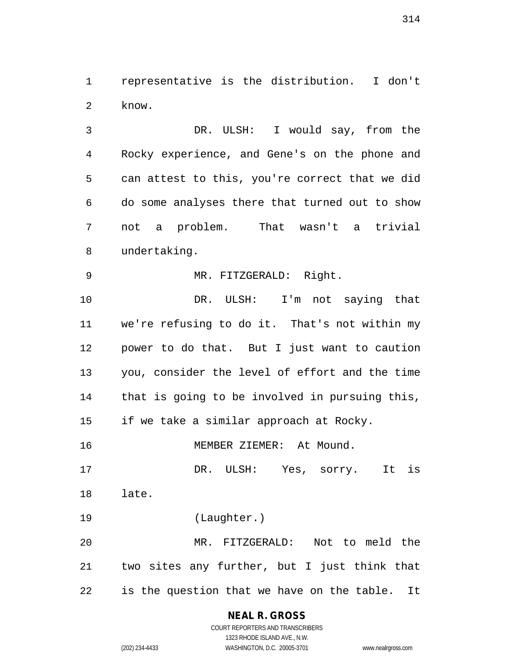representative is the distribution. I don't know.

 DR. ULSH: I would say, from the Rocky experience, and Gene's on the phone and can attest to this, you're correct that we did do some analyses there that turned out to show not a problem. That wasn't a trivial undertaking.

MR. FITZGERALD: Right.

 DR. ULSH: I'm not saying that we're refusing to do it. That's not within my power to do that. But I just want to caution you, consider the level of effort and the time that is going to be involved in pursuing this, if we take a similar approach at Rocky.

MEMBER ZIEMER: At Mound.

 DR. ULSH: Yes, sorry. It is late.

(Laughter.)

 MR. FITZGERALD: Not to meld the two sites any further, but I just think that is the question that we have on the table. It

## **NEAL R. GROSS**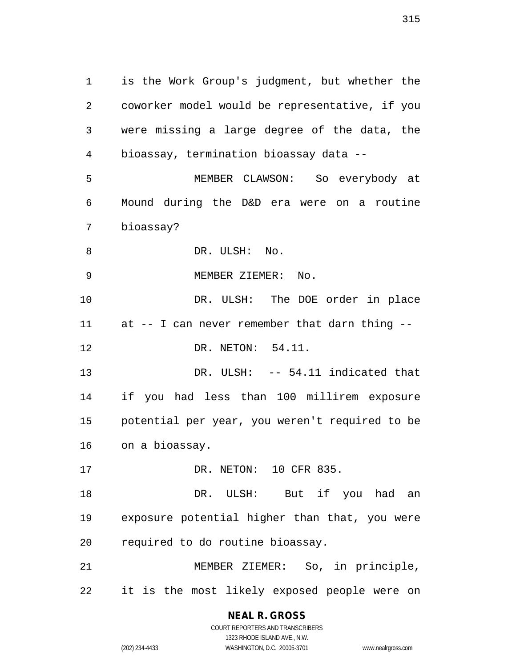is the Work Group's judgment, but whether the coworker model would be representative, if you were missing a large degree of the data, the bioassay, termination bioassay data -- MEMBER CLAWSON: So everybody at Mound during the D&D era were on a routine bioassay? 8 DR. ULSH: No. MEMBER ZIEMER: No. 10 DR. ULSH: The DOE order in place at -- I can never remember that darn thing -- 12 DR. NETON: 54.11. 13 DR. ULSH: -- 54.11 indicated that if you had less than 100 millirem exposure potential per year, you weren't required to be on a bioassay. DR. NETON: 10 CFR 835. 18 DR. ULSH: But if you had an exposure potential higher than that, you were required to do routine bioassay. MEMBER ZIEMER: So, in principle, it is the most likely exposed people were on

**NEAL R. GROSS**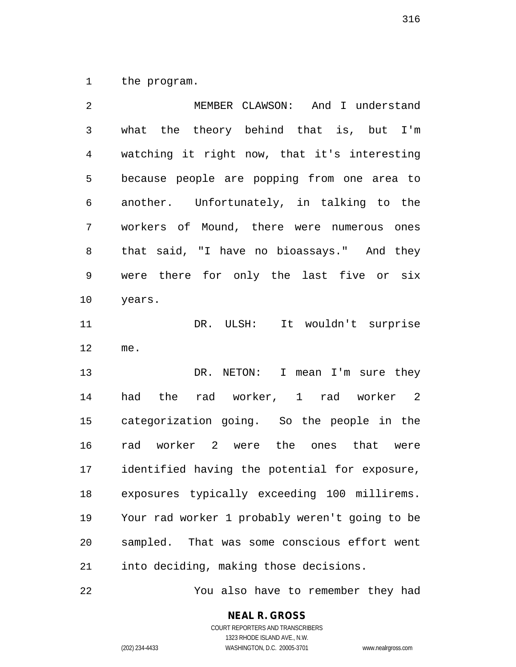the program.

 MEMBER CLAWSON: And I understand what the theory behind that is, but I'm watching it right now, that it's interesting because people are popping from one area to another. Unfortunately, in talking to the workers of Mound, there were numerous ones that said, "I have no bioassays." And they were there for only the last five or six years. DR. ULSH: It wouldn't surprise me. DR. NETON: I mean I'm sure they had the rad worker, 1 rad worker 2 categorization going. So the people in the rad worker 2 were the ones that were identified having the potential for exposure, exposures typically exceeding 100 millirems. Your rad worker 1 probably weren't going to be sampled. That was some conscious effort went into deciding, making those decisions.

You also have to remember they had

#### **NEAL R. GROSS** COURT REPORTERS AND TRANSCRIBERS

1323 RHODE ISLAND AVE., N.W. (202) 234-4433 WASHINGTON, D.C. 20005-3701 www.nealrgross.com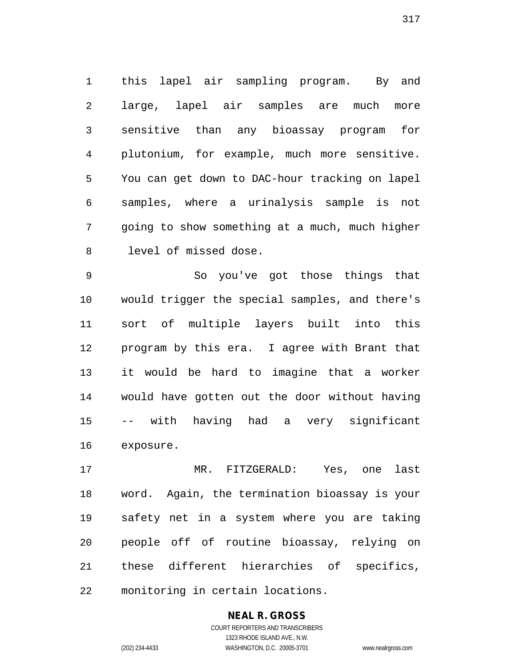this lapel air sampling program. By and large, lapel air samples are much more sensitive than any bioassay program for plutonium, for example, much more sensitive. You can get down to DAC-hour tracking on lapel samples, where a urinalysis sample is not going to show something at a much, much higher level of missed dose.

 So you've got those things that would trigger the special samples, and there's sort of multiple layers built into this program by this era. I agree with Brant that it would be hard to imagine that a worker would have gotten out the door without having -- with having had a very significant exposure.

 MR. FITZGERALD: Yes, one last word. Again, the termination bioassay is your safety net in a system where you are taking people off of routine bioassay, relying on these different hierarchies of specifics, monitoring in certain locations.

## **NEAL R. GROSS**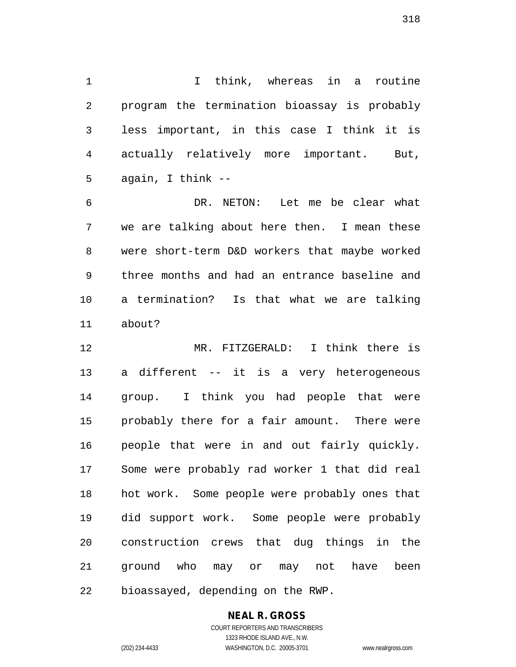I think, whereas in a routine program the termination bioassay is probably less important, in this case I think it is actually relatively more important. But, again, I think --

 DR. NETON: Let me be clear what we are talking about here then. I mean these were short-term D&D workers that maybe worked three months and had an entrance baseline and a termination? Is that what we are talking about?

 MR. FITZGERALD: I think there is a different -- it is a very heterogeneous group. I think you had people that were probably there for a fair amount. There were people that were in and out fairly quickly. Some were probably rad worker 1 that did real hot work. Some people were probably ones that did support work. Some people were probably construction crews that dug things in the ground who may or may not have been bioassayed, depending on the RWP.

## **NEAL R. GROSS**

COURT REPORTERS AND TRANSCRIBERS 1323 RHODE ISLAND AVE., N.W. (202) 234-4433 WASHINGTON, D.C. 20005-3701 www.nealrgross.com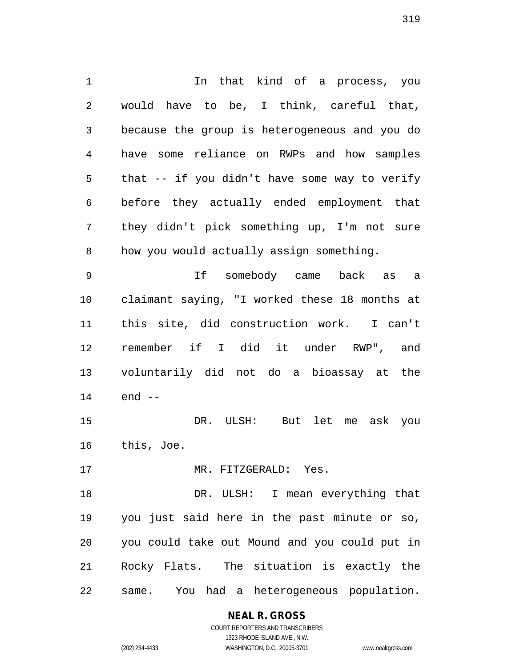In that kind of a process, you would have to be, I think, careful that, because the group is heterogeneous and you do have some reliance on RWPs and how samples that -- if you didn't have some way to verify before they actually ended employment that they didn't pick something up, I'm not sure how you would actually assign something.

 If somebody came back as a claimant saying, "I worked these 18 months at this site, did construction work. I can't remember if I did it under RWP", and voluntarily did not do a bioassay at the end --

 DR. ULSH: But let me ask you this, Joe.

MR. FITZGERALD: Yes.

 DR. ULSH: I mean everything that you just said here in the past minute or so, you could take out Mound and you could put in Rocky Flats. The situation is exactly the same. You had a heterogeneous population.

> **NEAL R. GROSS** COURT REPORTERS AND TRANSCRIBERS

1323 RHODE ISLAND AVE., N.W. (202) 234-4433 WASHINGTON, D.C. 20005-3701 www.nealrgross.com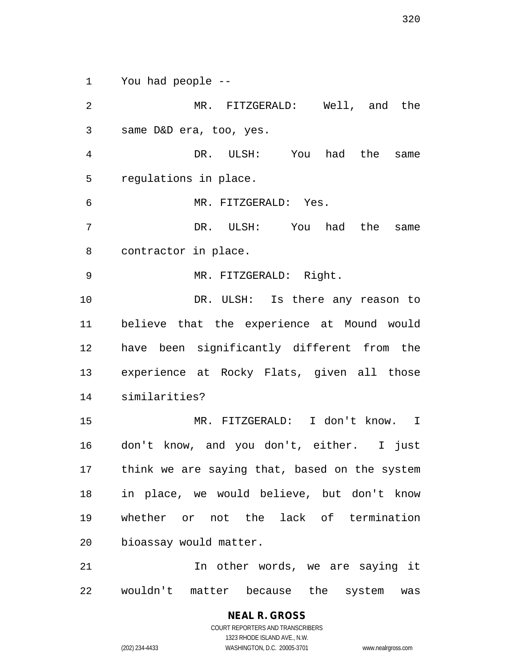You had people --

 MR. FITZGERALD: Well, and the same D&D era, too, yes. DR. ULSH: You had the same regulations in place. MR. FITZGERALD: Yes. DR. ULSH: You had the same contractor in place. MR. FITZGERALD: Right. 10 DR. ULSH: Is there any reason to believe that the experience at Mound would have been significantly different from the experience at Rocky Flats, given all those similarities? MR. FITZGERALD: I don't know. I don't know, and you don't, either. I just think we are saying that, based on the system in place, we would believe, but don't know whether or not the lack of termination bioassay would matter. 21 12 In other words, we are saying it

wouldn't matter because the system was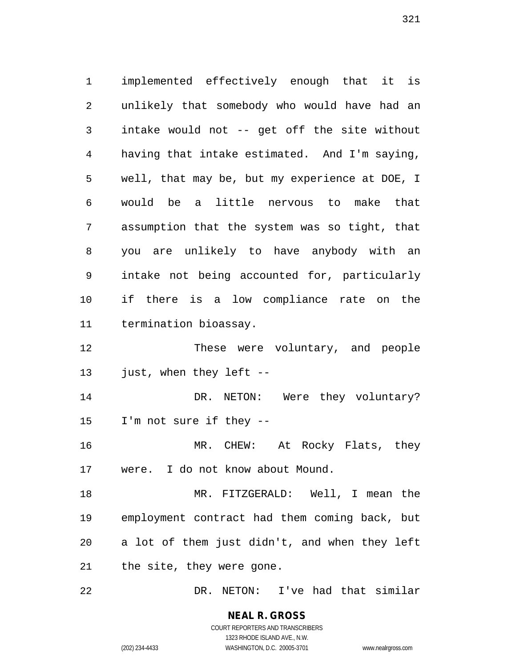implemented effectively enough that it is unlikely that somebody who would have had an intake would not -- get off the site without having that intake estimated. And I'm saying, well, that may be, but my experience at DOE, I would be a little nervous to make that assumption that the system was so tight, that you are unlikely to have anybody with an intake not being accounted for, particularly if there is a low compliance rate on the termination bioassay. These were voluntary, and people just, when they left -- 14 DR. NETON: Were they voluntary? I'm not sure if they -- MR. CHEW: At Rocky Flats, they were. I do not know about Mound. MR. FITZGERALD: Well, I mean the employment contract had them coming back, but a lot of them just didn't, and when they left the site, they were gone.

DR. NETON: I've had that similar

**NEAL R. GROSS** COURT REPORTERS AND TRANSCRIBERS

1323 RHODE ISLAND AVE., N.W.

(202) 234-4433 WASHINGTON, D.C. 20005-3701 www.nealrgross.com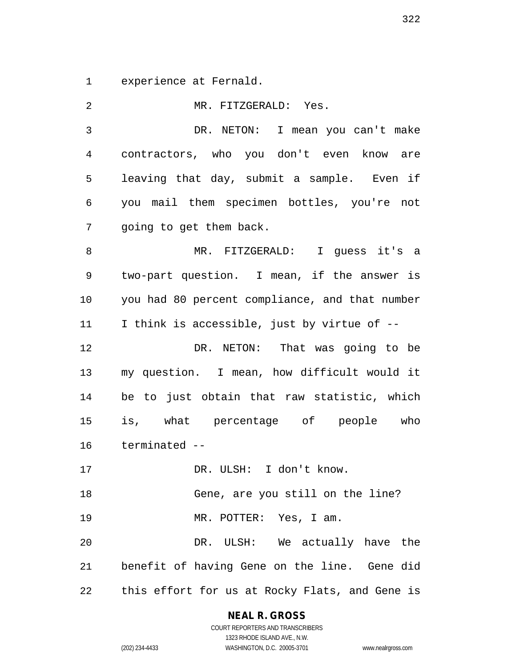experience at Fernald.

| 2              | MR. FITZGERALD: Yes.                           |
|----------------|------------------------------------------------|
| $\mathfrak{Z}$ | DR. NETON: I mean you can't make               |
| 4              | contractors, who you don't even know are       |
| 5              | leaving that day, submit a sample. Even if     |
| 6              | you mail them specimen bottles, you're not     |
| 7              | going to get them back.                        |
| 8              | MR. FITZGERALD: I guess it's a                 |
| 9              | two-part question. I mean, if the answer is    |
| 10             | you had 80 percent compliance, and that number |
| 11             | I think is accessible, just by virtue of --    |
| 12             | DR. NETON: That was going to be                |
| 13             | my question. I mean, how difficult would it    |
| 14             | be to just obtain that raw statistic, which    |
| 15             | is, what percentage of people who              |
| 16             | terminated --                                  |
| 17             | DR. ULSH: I don't know.                        |
| 18             | Gene, are you still on the line?               |
| 19             | MR. POTTER: Yes, I am.                         |
| 20             | DR. ULSH: We actually have the                 |
| 21             | benefit of having Gene on the line. Gene did   |
| 22             | this effort for us at Rocky Flats, and Gene is |

**NEAL R. GROSS**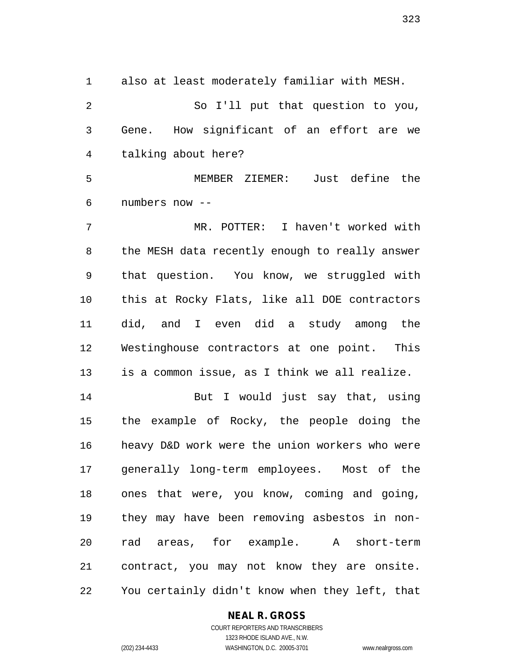also at least moderately familiar with MESH.

 So I'll put that question to you, Gene. How significant of an effort are we talking about here?

 MEMBER ZIEMER: Just define the numbers now --

 MR. POTTER: I haven't worked with the MESH data recently enough to really answer that question. You know, we struggled with this at Rocky Flats, like all DOE contractors did, and I even did a study among the Westinghouse contractors at one point. This is a common issue, as I think we all realize.

 But I would just say that, using the example of Rocky, the people doing the heavy D&D work were the union workers who were generally long-term employees. Most of the ones that were, you know, coming and going, they may have been removing asbestos in non- rad areas, for example. A short-term contract, you may not know they are onsite. You certainly didn't know when they left, that

#### **NEAL R. GROSS**

COURT REPORTERS AND TRANSCRIBERS 1323 RHODE ISLAND AVE., N.W. (202) 234-4433 WASHINGTON, D.C. 20005-3701 www.nealrgross.com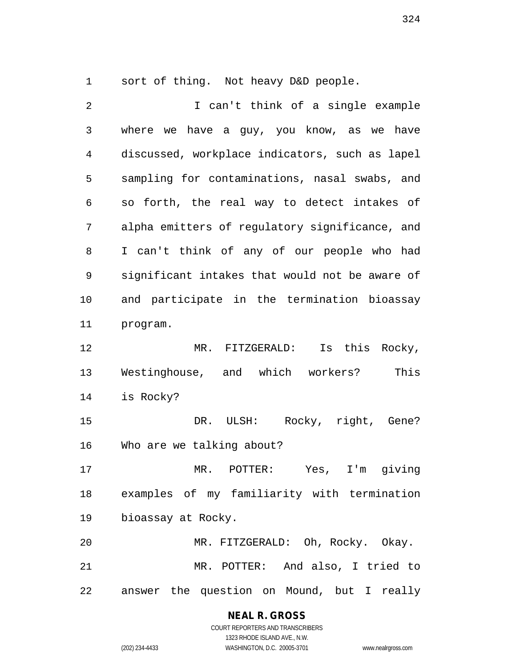sort of thing. Not heavy D&D people.

 I can't think of a single example where we have a guy, you know, as we have discussed, workplace indicators, such as lapel sampling for contaminations, nasal swabs, and so forth, the real way to detect intakes of alpha emitters of regulatory significance, and I can't think of any of our people who had significant intakes that would not be aware of and participate in the termination bioassay program. MR. FITZGERALD: Is this Rocky, Westinghouse, and which workers? This is Rocky? 15 DR. ULSH: Rocky, right, Gene? Who are we talking about? MR. POTTER: Yes, I'm giving examples of my familiarity with termination bioassay at Rocky. MR. FITZGERALD: Oh, Rocky. Okay. MR. POTTER: And also, I tried to answer the question on Mound, but I really

**NEAL R. GROSS**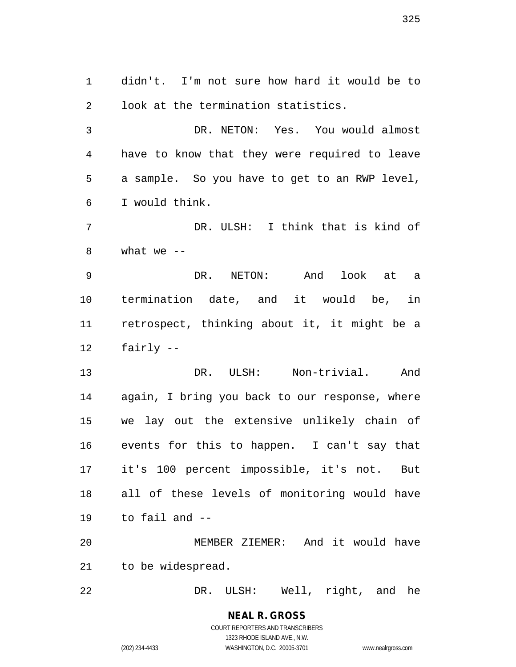didn't. I'm not sure how hard it would be to look at the termination statistics.

 DR. NETON: Yes. You would almost have to know that they were required to leave a sample. So you have to get to an RWP level, I would think.

 DR. ULSH: I think that is kind of 8 what we  $-$ 

 DR. NETON: And look at a termination date, and it would be, in retrospect, thinking about it, it might be a fairly --

 DR. ULSH: Non-trivial. And again, I bring you back to our response, where we lay out the extensive unlikely chain of events for this to happen. I can't say that it's 100 percent impossible, it's not. But all of these levels of monitoring would have to fail and --

 MEMBER ZIEMER: And it would have to be widespread.

DR. ULSH: Well, right, and he

# **NEAL R. GROSS**

COURT REPORTERS AND TRANSCRIBERS 1323 RHODE ISLAND AVE., N.W. (202) 234-4433 WASHINGTON, D.C. 20005-3701 www.nealrgross.com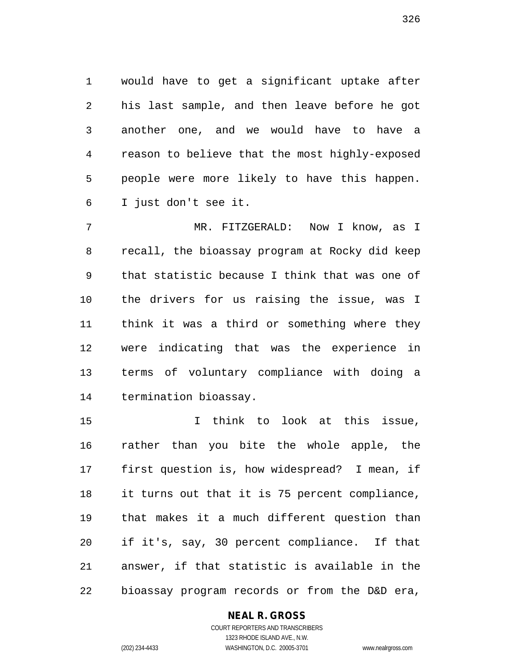would have to get a significant uptake after his last sample, and then leave before he got another one, and we would have to have a reason to believe that the most highly-exposed people were more likely to have this happen. I just don't see it.

 MR. FITZGERALD: Now I know, as I recall, the bioassay program at Rocky did keep that statistic because I think that was one of the drivers for us raising the issue, was I think it was a third or something where they were indicating that was the experience in terms of voluntary compliance with doing a termination bioassay.

 I think to look at this issue, rather than you bite the whole apple, the first question is, how widespread? I mean, if it turns out that it is 75 percent compliance, that makes it a much different question than if it's, say, 30 percent compliance. If that answer, if that statistic is available in the bioassay program records or from the D&D era,

#### **NEAL R. GROSS**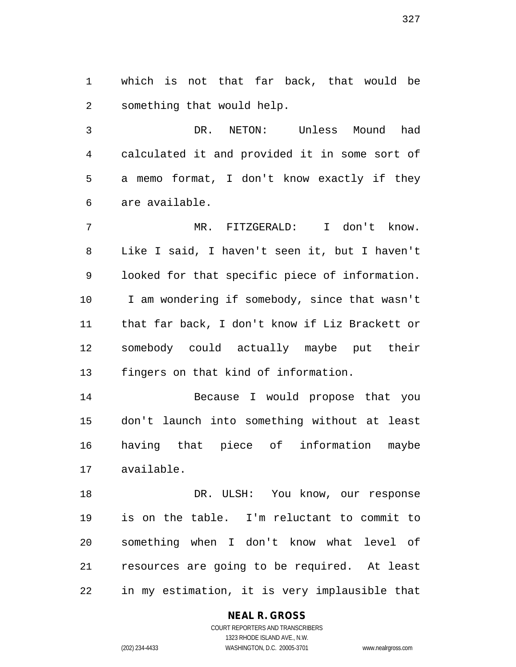which is not that far back, that would be something that would help.

 DR. NETON: Unless Mound had calculated it and provided it in some sort of a memo format, I don't know exactly if they are available.

 MR. FITZGERALD: I don't know. Like I said, I haven't seen it, but I haven't looked for that specific piece of information. I am wondering if somebody, since that wasn't that far back, I don't know if Liz Brackett or somebody could actually maybe put their fingers on that kind of information.

 Because I would propose that you don't launch into something without at least having that piece of information maybe available.

18 DR. ULSH: You know, our response is on the table. I'm reluctant to commit to something when I don't know what level of resources are going to be required. At least in my estimation, it is very implausible that

#### **NEAL R. GROSS** COURT REPORTERS AND TRANSCRIBERS

1323 RHODE ISLAND AVE., N.W. (202) 234-4433 WASHINGTON, D.C. 20005-3701 www.nealrgross.com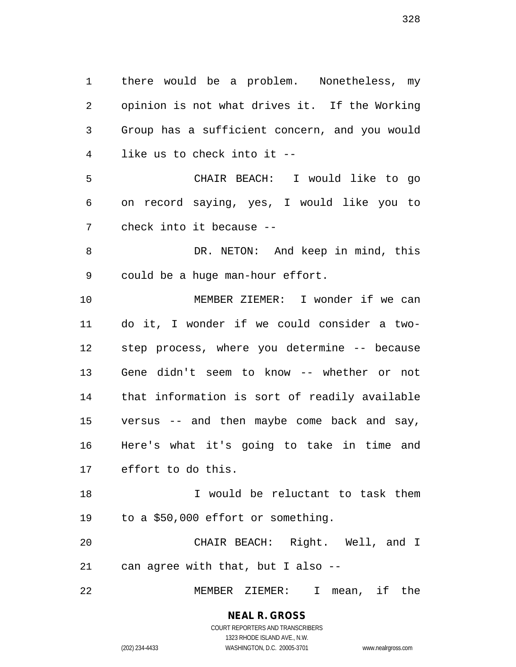there would be a problem. Nonetheless, my opinion is not what drives it. If the Working Group has a sufficient concern, and you would like us to check into it -- CHAIR BEACH: I would like to go on record saying, yes, I would like you to check into it because -- DR. NETON: And keep in mind, this could be a huge man-hour effort. MEMBER ZIEMER: I wonder if we can do it, I wonder if we could consider a two- step process, where you determine -- because Gene didn't seem to know -- whether or not that information is sort of readily available versus -- and then maybe come back and say, Here's what it's going to take in time and effort to do this. I would be reluctant to task them to a \$50,000 effort or something. CHAIR BEACH: Right. Well, and I can agree with that, but I also -- MEMBER ZIEMER: I mean, if the

COURT REPORTERS AND TRANSCRIBERS 1323 RHODE ISLAND AVE., N.W.

**NEAL R. GROSS**

(202) 234-4433 WASHINGTON, D.C. 20005-3701 www.nealrgross.com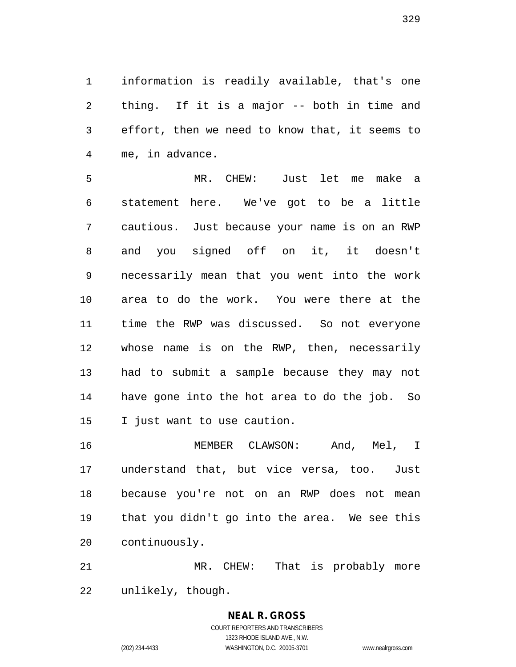information is readily available, that's one thing. If it is a major -- both in time and effort, then we need to know that, it seems to me, in advance.

 MR. CHEW: Just let me make a statement here. We've got to be a little cautious. Just because your name is on an RWP and you signed off on it, it doesn't necessarily mean that you went into the work area to do the work. You were there at the time the RWP was discussed. So not everyone whose name is on the RWP, then, necessarily had to submit a sample because they may not have gone into the hot area to do the job. So I just want to use caution.

 MEMBER CLAWSON: And, Mel, I understand that, but vice versa, too. Just because you're not on an RWP does not mean that you didn't go into the area. We see this continuously.

 MR. CHEW: That is probably more unlikely, though.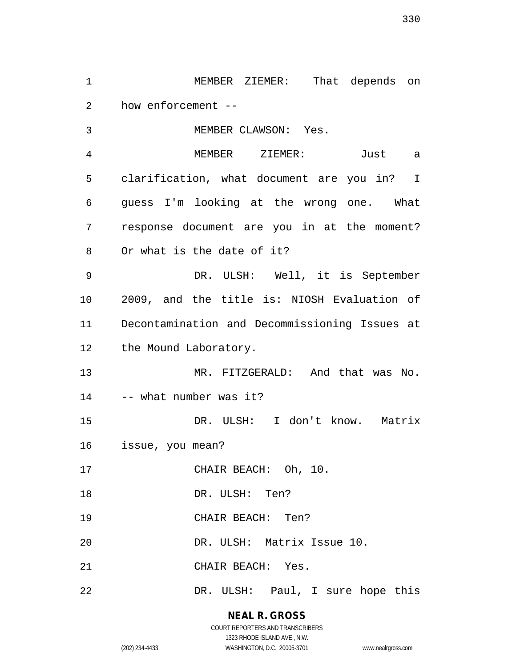how enforcement -- MEMBER CLAWSON: Yes. MEMBER ZIEMER: Just a clarification, what document are you in? I guess I'm looking at the wrong one. What response document are you in at the moment? Or what is the date of it? DR. ULSH: Well, it is September 2009, and the title is: NIOSH Evaluation of Decontamination and Decommissioning Issues at 12 the Mound Laboratory. MR. FITZGERALD: And that was No. -- what number was it? DR. ULSH: I don't know. Matrix issue, you mean? 17 CHAIR BEACH: Oh, 10. 18 DR. ULSH: Ten? CHAIR BEACH: Ten? DR. ULSH: Matrix Issue 10. CHAIR BEACH: Yes.

MEMBER ZIEMER: That depends on

DR. ULSH: Paul, I sure hope this

#### **NEAL R. GROSS**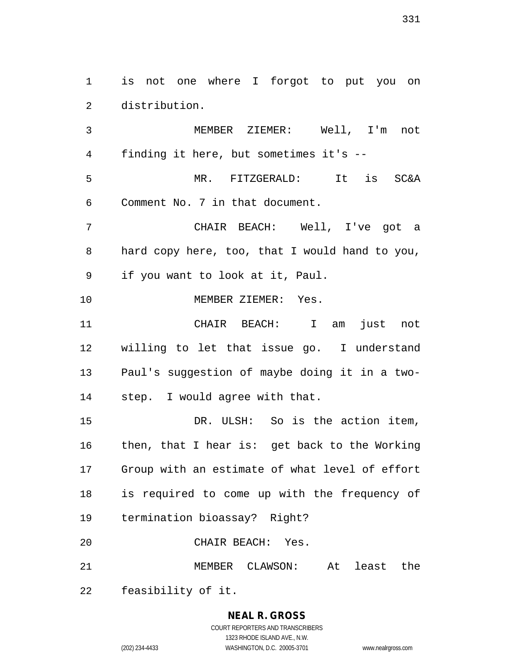is not one where I forgot to put you on distribution.

 MEMBER ZIEMER: Well, I'm not finding it here, but sometimes it's -- MR. FITZGERALD: It is SC&A Comment No. 7 in that document. CHAIR BEACH: Well, I've got a hard copy here, too, that I would hand to you, if you want to look at it, Paul. 10 MEMBER ZIEMER: Yes. CHAIR BEACH: I am just not willing to let that issue go. I understand Paul's suggestion of maybe doing it in a two- step. I would agree with that. DR. ULSH: So is the action item, then, that I hear is: get back to the Working Group with an estimate of what level of effort

is required to come up with the frequency of

termination bioassay? Right?

CHAIR BEACH: Yes.

MEMBER CLAWSON: At least the

feasibility of it.

# **NEAL R. GROSS**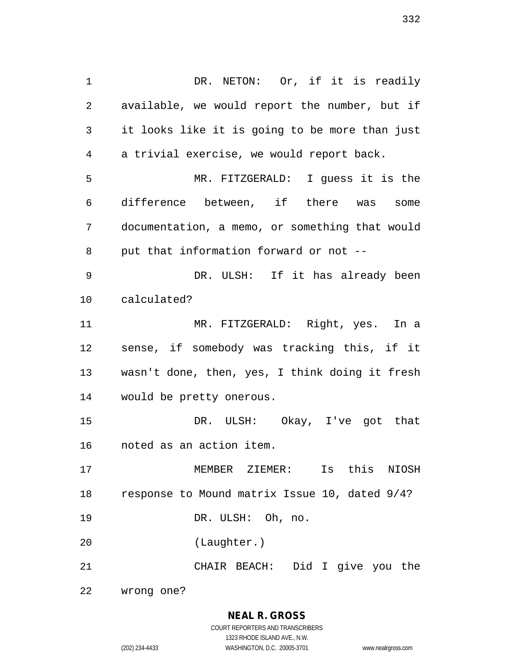1 DR. NETON: Or, if it is readily available, we would report the number, but if it looks like it is going to be more than just a trivial exercise, we would report back. MR. FITZGERALD: I guess it is the difference between, if there was some documentation, a memo, or something that would put that information forward or not -- DR. ULSH: If it has already been calculated? MR. FITZGERALD: Right, yes. In a sense, if somebody was tracking this, if it wasn't done, then, yes, I think doing it fresh would be pretty onerous. DR. ULSH: Okay, I've got that noted as an action item. MEMBER ZIEMER: Is this NIOSH response to Mound matrix Issue 10, dated 9/4? DR. ULSH: Oh, no. (Laughter.) CHAIR BEACH: Did I give you the

wrong one?

**NEAL R. GROSS** COURT REPORTERS AND TRANSCRIBERS 1323 RHODE ISLAND AVE., N.W. (202) 234-4433 WASHINGTON, D.C. 20005-3701 www.nealrgross.com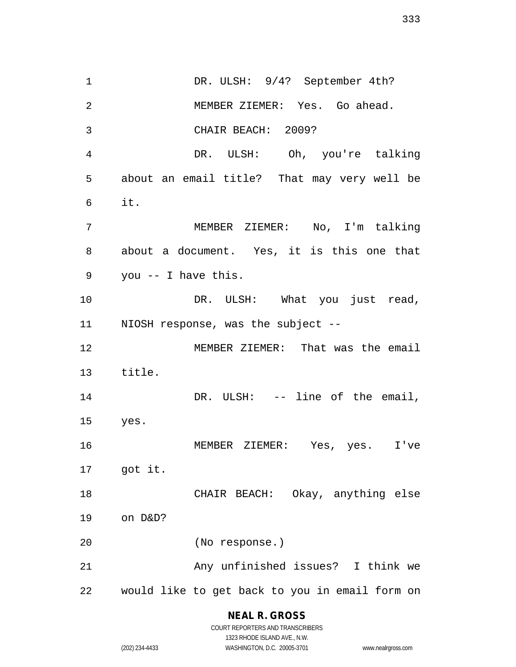1 DR. ULSH: 9/4? September 4th? MEMBER ZIEMER: Yes. Go ahead. CHAIR BEACH: 2009? DR. ULSH: Oh, you're talking about an email title? That may very well be it. MEMBER ZIEMER: No, I'm talking about a document. Yes, it is this one that you -- I have this. 10 DR. ULSH: What you just read, NIOSH response, was the subject -- MEMBER ZIEMER: That was the email title. 14 DR. ULSH: -- line of the email, yes. MEMBER ZIEMER: Yes, yes. I've got it. CHAIR BEACH: Okay, anything else on D&D? (No response.) Any unfinished issues? I think we would like to get back to you in email form on

> **NEAL R. GROSS** COURT REPORTERS AND TRANSCRIBERS

1323 RHODE ISLAND AVE., N.W. (202) 234-4433 WASHINGTON, D.C. 20005-3701 www.nealrgross.com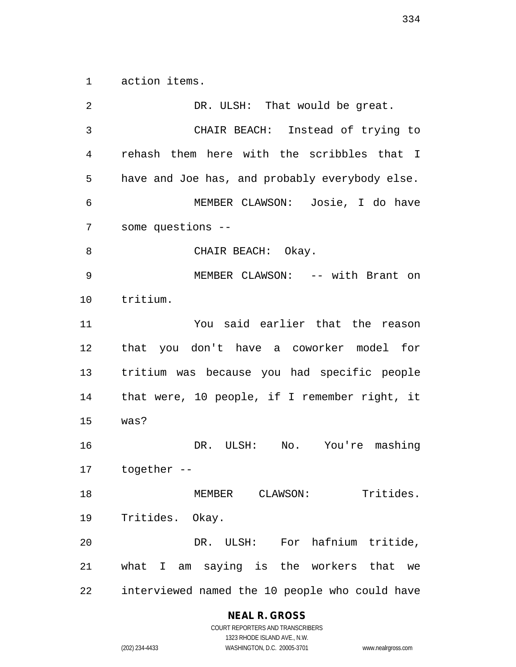action items.

2 DR. ULSH: That would be great. CHAIR BEACH: Instead of trying to rehash them here with the scribbles that I have and Joe has, and probably everybody else. MEMBER CLAWSON: Josie, I do have some questions -- 8 CHAIR BEACH: Okay. MEMBER CLAWSON: -- with Brant on tritium. You said earlier that the reason that you don't have a coworker model for tritium was because you had specific people that were, 10 people, if I remember right, it was? DR. ULSH: No. You're mashing together -- MEMBER CLAWSON: Tritides. Tritides. Okay. DR. ULSH: For hafnium tritide, what I am saying is the workers that we interviewed named the 10 people who could have

### **NEAL R. GROSS**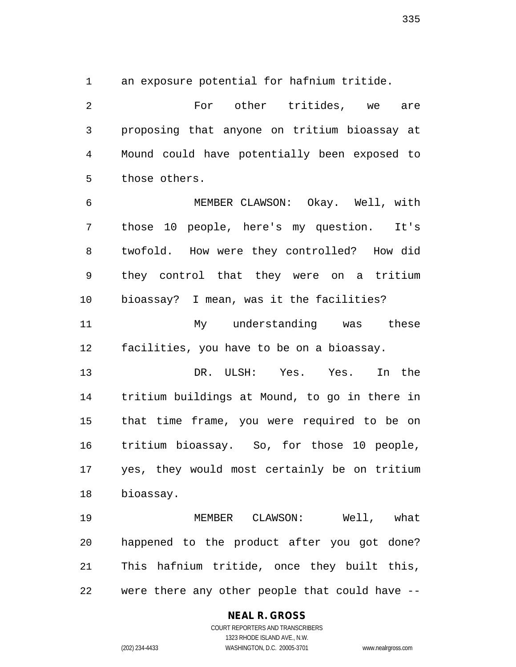an exposure potential for hafnium tritide.

 For other tritides, we are proposing that anyone on tritium bioassay at Mound could have potentially been exposed to those others.

 MEMBER CLAWSON: Okay. Well, with those 10 people, here's my question. It's twofold. How were they controlled? How did they control that they were on a tritium bioassay? I mean, was it the facilities?

11 My understanding was these facilities, you have to be on a bioassay.

 DR. ULSH: Yes. Yes. In the tritium buildings at Mound, to go in there in that time frame, you were required to be on tritium bioassay. So, for those 10 people, yes, they would most certainly be on tritium bioassay.

 MEMBER CLAWSON: Well, what happened to the product after you got done? This hafnium tritide, once they built this, were there any other people that could have --

#### **NEAL R. GROSS**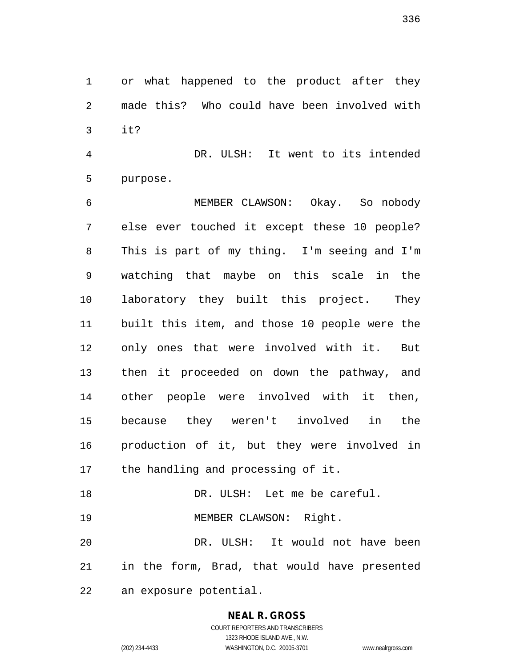or what happened to the product after they made this? Who could have been involved with it?

 DR. ULSH: It went to its intended purpose.

 MEMBER CLAWSON: Okay. So nobody else ever touched it except these 10 people? This is part of my thing. I'm seeing and I'm watching that maybe on this scale in the laboratory they built this project. They built this item, and those 10 people were the only ones that were involved with it. But then it proceeded on down the pathway, and other people were involved with it then, because they weren't involved in the production of it, but they were involved in the handling and processing of it.

 DR. ULSH: Let me be careful. 19 MEMBER CLAWSON: Right.

 DR. ULSH: It would not have been in the form, Brad, that would have presented an exposure potential.

#### **NEAL R. GROSS**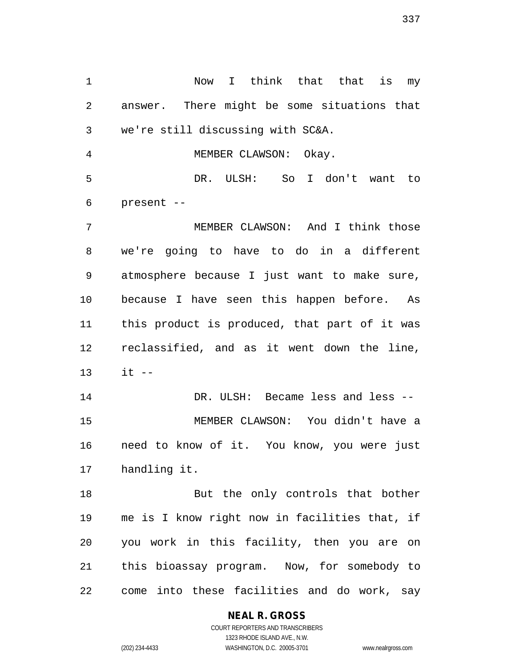Now I think that that is my answer. There might be some situations that we're still discussing with SC&A.

 DR. ULSH: So I don't want to present --

MEMBER CLAWSON: Okay.

 MEMBER CLAWSON: And I think those we're going to have to do in a different atmosphere because I just want to make sure, because I have seen this happen before. As this product is produced, that part of it was reclassified, and as it went down the line, it --

 DR. ULSH: Became less and less -- MEMBER CLAWSON: You didn't have a need to know of it. You know, you were just handling it.

18 But the only controls that bother me is I know right now in facilities that, if you work in this facility, then you are on this bioassay program. Now, for somebody to come into these facilities and do work, say

#### **NEAL R. GROSS**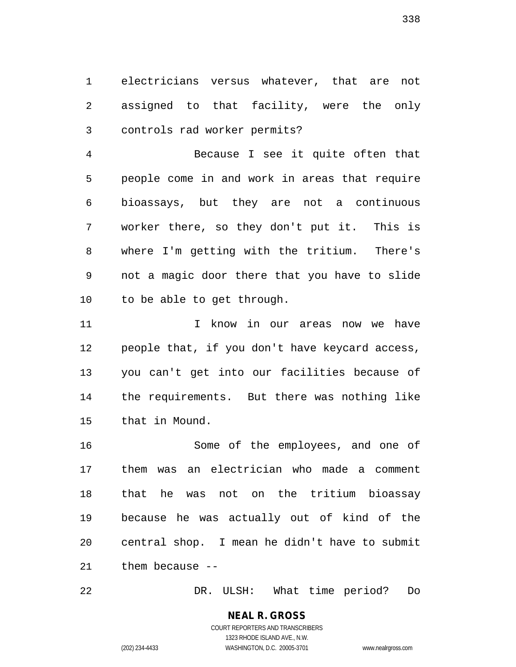electricians versus whatever, that are not assigned to that facility, were the only controls rad worker permits?

 Because I see it quite often that people come in and work in areas that require bioassays, but they are not a continuous worker there, so they don't put it. This is where I'm getting with the tritium. There's not a magic door there that you have to slide to be able to get through.

11 1 I know in our areas now we have people that, if you don't have keycard access, you can't get into our facilities because of the requirements. But there was nothing like that in Mound.

 Some of the employees, and one of them was an electrician who made a comment that he was not on the tritium bioassay because he was actually out of kind of the central shop. I mean he didn't have to submit them because --

DR. ULSH: What time period? Do

**NEAL R. GROSS** COURT REPORTERS AND TRANSCRIBERS

1323 RHODE ISLAND AVE., N.W.

(202) 234-4433 WASHINGTON, D.C. 20005-3701 www.nealrgross.com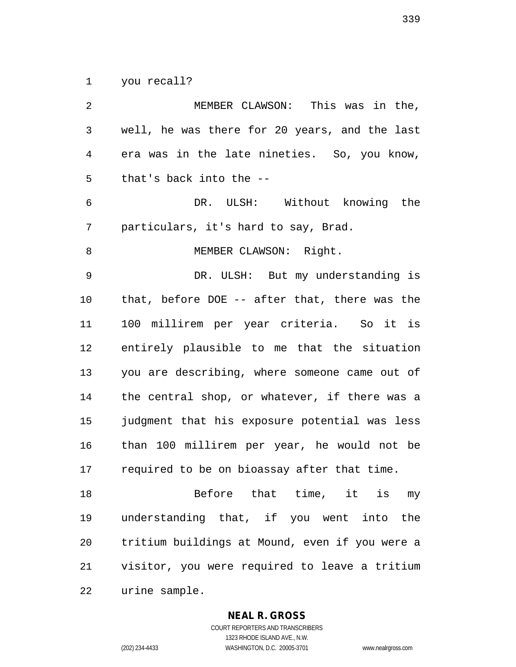you recall?

| 2              | MEMBER CLAWSON: This was in the,               |
|----------------|------------------------------------------------|
| $\mathfrak{Z}$ | well, he was there for 20 years, and the last  |
| 4              | era was in the late nineties. So, you know,    |
| 5              | that's back into the --                        |
| 6              | DR. ULSH: Without knowing the                  |
| 7              | particulars, it's hard to say, Brad.           |
| 8              | MEMBER CLAWSON: Right.                         |
| $\mathsf 9$    | DR. ULSH: But my understanding is              |
| 10             | that, before DOE -- after that, there was the  |
| 11             | 100 millirem per year criteria. So it is       |
| 12             | entirely plausible to me that the situation    |
| 13             | you are describing, where someone came out of  |
| 14             | the central shop, or whatever, if there was a  |
| 15             | judgment that his exposure potential was less  |
| 16             | than 100 millirem per year, he would not be    |
| 17             | required to be on bioassay after that time.    |
| 18             | Before that time, it is my                     |
| 19             | understanding that, if you went into the       |
| 20             | tritium buildings at Mound, even if you were a |
| 21             | visitor, you were required to leave a tritium  |
| 22             | urine sample.                                  |

**NEAL R. GROSS**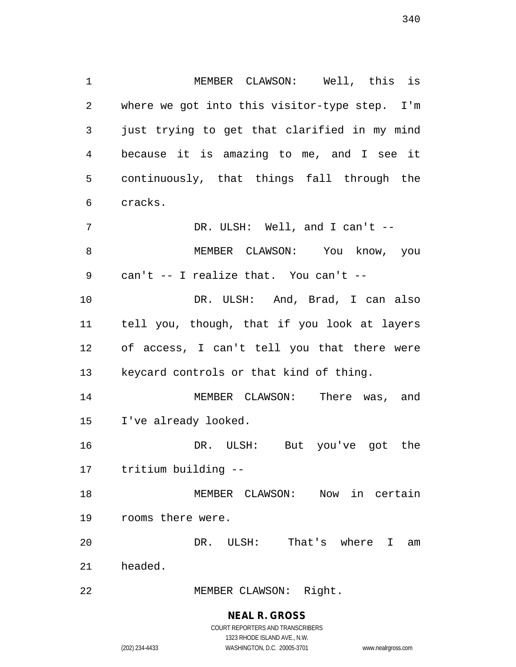MEMBER CLAWSON: Well, this is where we got into this visitor-type step. I'm just trying to get that clarified in my mind because it is amazing to me, and I see it continuously, that things fall through the cracks. 7 DR. ULSH: Well, and I can't -- MEMBER CLAWSON: You know, you can't -- I realize that. You can't -- DR. ULSH: And, Brad, I can also tell you, though, that if you look at layers of access, I can't tell you that there were keycard controls or that kind of thing. MEMBER CLAWSON: There was, and I've already looked. DR. ULSH: But you've got the tritium building -- MEMBER CLAWSON: Now in certain rooms there were. DR. ULSH: That's where I am headed.

MEMBER CLAWSON: Right.

#### **NEAL R. GROSS**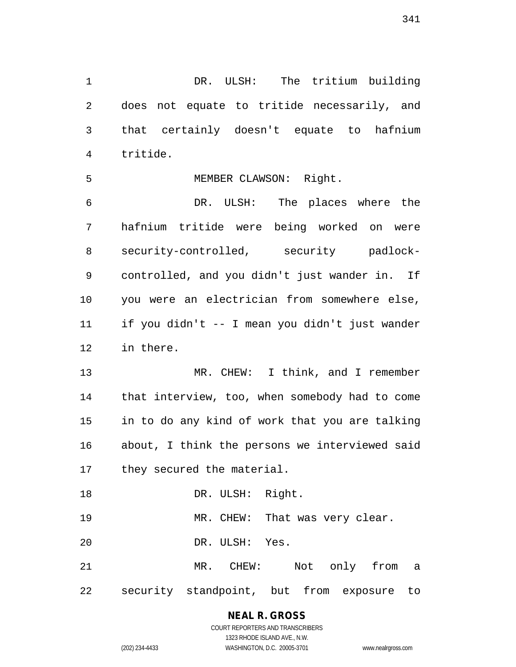DR. ULSH: The tritium building does not equate to tritide necessarily, and that certainly doesn't equate to hafnium tritide.

MEMBER CLAWSON: Right.

 DR. ULSH: The places where the hafnium tritide were being worked on were security-controlled, security padlock- controlled, and you didn't just wander in. If you were an electrician from somewhere else, if you didn't -- I mean you didn't just wander in there.

13 MR. CHEW: I think, and I remember that interview, too, when somebody had to come in to do any kind of work that you are talking about, I think the persons we interviewed said they secured the material.

DR. ULSH: Right.

19 MR. CHEW: That was very clear.

DR. ULSH: Yes.

 MR. CHEW: Not only from a security standpoint, but from exposure to

# **NEAL R. GROSS**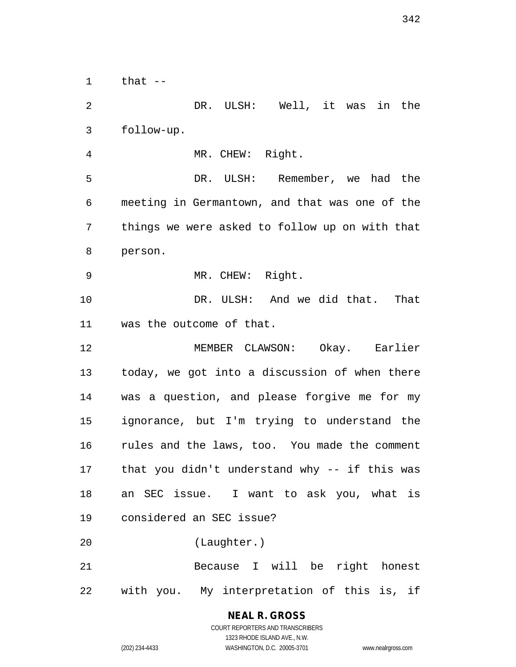that  $-$  DR. ULSH: Well, it was in the follow-up. MR. CHEW: Right. DR. ULSH: Remember, we had the meeting in Germantown, and that was one of the things we were asked to follow up on with that person. MR. CHEW: Right. DR. ULSH: And we did that. That was the outcome of that. MEMBER CLAWSON: Okay. Earlier today, we got into a discussion of when there was a question, and please forgive me for my ignorance, but I'm trying to understand the rules and the laws, too. You made the comment that you didn't understand why -- if this was an SEC issue. I want to ask you, what is considered an SEC issue? (Laughter.) Because I will be right honest with you. My interpretation of this is, if

## **NEAL R. GROSS**

COURT REPORTERS AND TRANSCRIBERS 1323 RHODE ISLAND AVE., N.W. (202) 234-4433 WASHINGTON, D.C. 20005-3701 www.nealrgross.com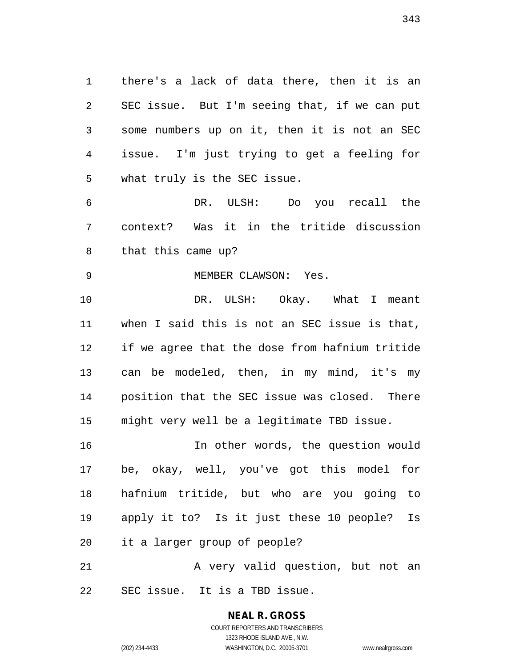there's a lack of data there, then it is an SEC issue. But I'm seeing that, if we can put some numbers up on it, then it is not an SEC issue. I'm just trying to get a feeling for what truly is the SEC issue.

 DR. ULSH: Do you recall the context? Was it in the tritide discussion that this came up?

9 MEMBER CLAWSON: Yes. DR. ULSH: Okay. What I meant when I said this is not an SEC issue is that, if we agree that the dose from hafnium tritide can be modeled, then, in my mind, it's my position that the SEC issue was closed. There might very well be a legitimate TBD issue.

 In other words, the question would be, okay, well, you've got this model for hafnium tritide, but who are you going to apply it to? Is it just these 10 people? Is it a larger group of people?

21 A very valid question, but not an SEC issue. It is a TBD issue.

## **NEAL R. GROSS**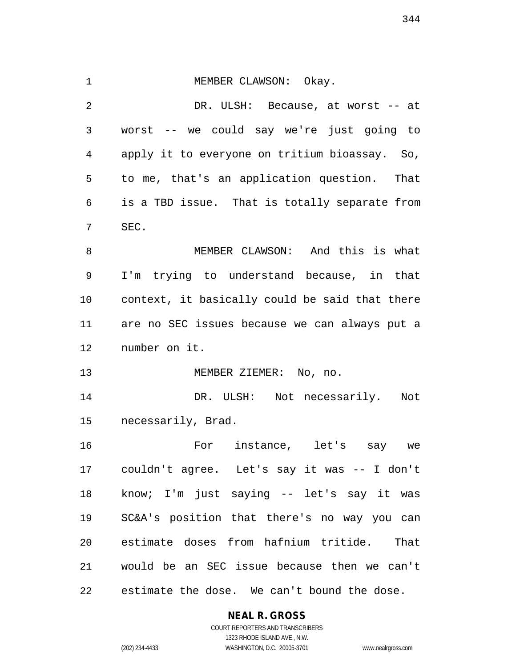1 MEMBER CLAWSON: Okay. DR. ULSH: Because, at worst -- at worst -- we could say we're just going to apply it to everyone on tritium bioassay. So, to me, that's an application question. That is a TBD issue. That is totally separate from SEC. MEMBER CLAWSON: And this is what I'm trying to understand because, in that context, it basically could be said that there are no SEC issues because we can always put a number on it. 13 MEMBER ZIEMER: No, no. DR. ULSH: Not necessarily. Not necessarily, Brad. For instance, let's say we couldn't agree. Let's say it was -- I don't know; I'm just saying -- let's say it was SC&A's position that there's no way you can estimate doses from hafnium tritide. That would be an SEC issue because then we can't estimate the dose. We can't bound the dose.

#### **NEAL R. GROSS**

COURT REPORTERS AND TRANSCRIBERS 1323 RHODE ISLAND AVE., N.W. (202) 234-4433 WASHINGTON, D.C. 20005-3701 www.nealrgross.com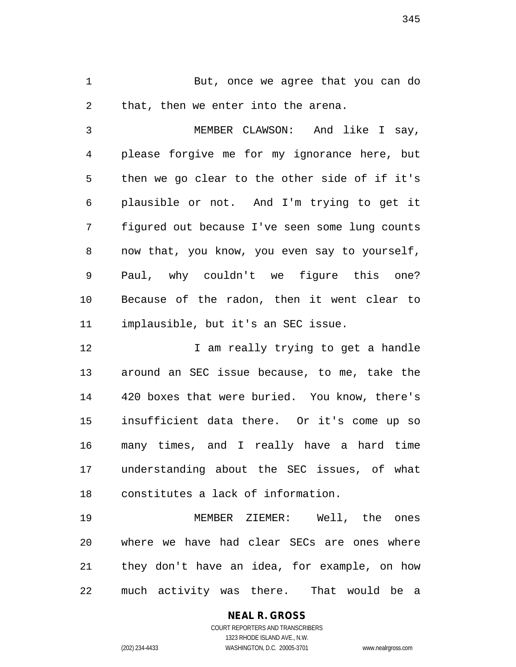But, once we agree that you can do that, then we enter into the arena.

 MEMBER CLAWSON: And like I say, please forgive me for my ignorance here, but then we go clear to the other side of if it's plausible or not. And I'm trying to get it figured out because I've seen some lung counts now that, you know, you even say to yourself, Paul, why couldn't we figure this one? Because of the radon, then it went clear to implausible, but it's an SEC issue.

12 12 I am really trying to get a handle around an SEC issue because, to me, take the 420 boxes that were buried. You know, there's insufficient data there. Or it's come up so many times, and I really have a hard time understanding about the SEC issues, of what constitutes a lack of information.

 MEMBER ZIEMER: Well, the ones where we have had clear SECs are ones where they don't have an idea, for example, on how much activity was there. That would be a

> **NEAL R. GROSS** COURT REPORTERS AND TRANSCRIBERS 1323 RHODE ISLAND AVE., N.W. (202) 234-4433 WASHINGTON, D.C. 20005-3701 www.nealrgross.com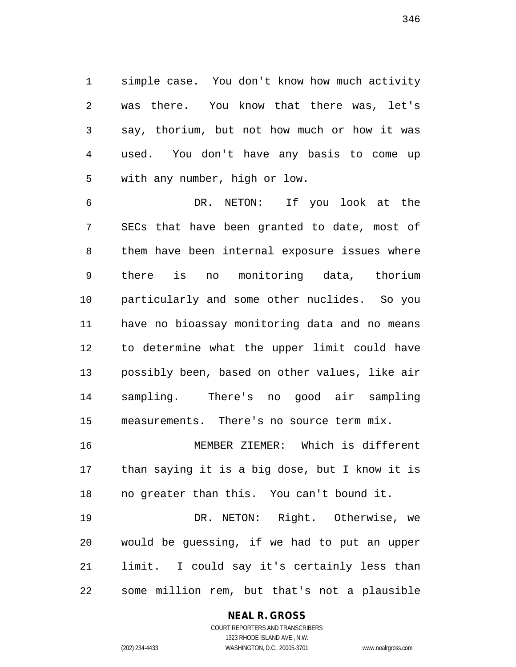simple case. You don't know how much activity was there. You know that there was, let's say, thorium, but not how much or how it was used. You don't have any basis to come up with any number, high or low.

 DR. NETON: If you look at the SECs that have been granted to date, most of them have been internal exposure issues where there is no monitoring data, thorium particularly and some other nuclides. So you have no bioassay monitoring data and no means to determine what the upper limit could have possibly been, based on other values, like air sampling. There's no good air sampling measurements. There's no source term mix.

 MEMBER ZIEMER: Which is different than saying it is a big dose, but I know it is no greater than this. You can't bound it.

 DR. NETON: Right. Otherwise, we would be guessing, if we had to put an upper limit. I could say it's certainly less than some million rem, but that's not a plausible

#### **NEAL R. GROSS**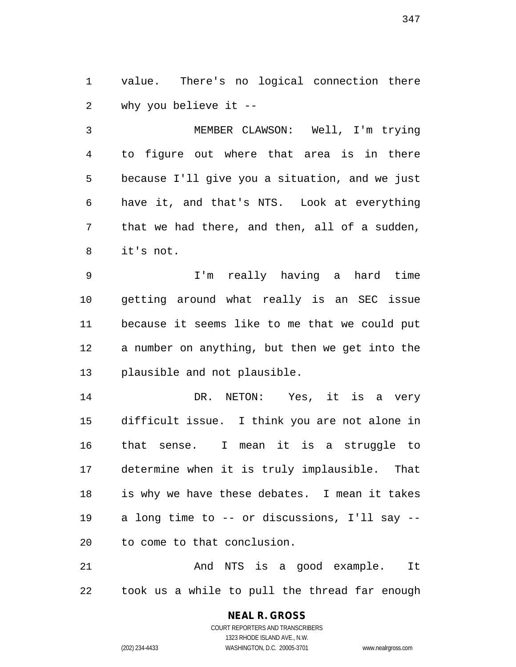value. There's no logical connection there why you believe it --

 MEMBER CLAWSON: Well, I'm trying to figure out where that area is in there because I'll give you a situation, and we just have it, and that's NTS. Look at everything that we had there, and then, all of a sudden, it's not.

 I'm really having a hard time getting around what really is an SEC issue because it seems like to me that we could put a number on anything, but then we get into the plausible and not plausible.

 DR. NETON: Yes, it is a very difficult issue. I think you are not alone in that sense. I mean it is a struggle to determine when it is truly implausible. That is why we have these debates. I mean it takes a long time to -- or discussions, I'll say -- to come to that conclusion.

21 And NTS is a good example. It took us a while to pull the thread far enough

# **NEAL R. GROSS**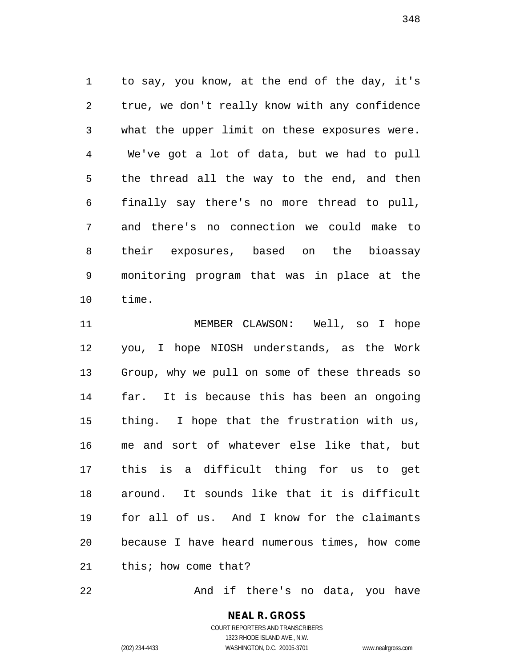to say, you know, at the end of the day, it's true, we don't really know with any confidence what the upper limit on these exposures were. We've got a lot of data, but we had to pull the thread all the way to the end, and then finally say there's no more thread to pull, and there's no connection we could make to their exposures, based on the bioassay monitoring program that was in place at the time.

 MEMBER CLAWSON: Well, so I hope you, I hope NIOSH understands, as the Work Group, why we pull on some of these threads so far. It is because this has been an ongoing thing. I hope that the frustration with us, me and sort of whatever else like that, but this is a difficult thing for us to get around. It sounds like that it is difficult for all of us. And I know for the claimants because I have heard numerous times, how come this; how come that?

And if there's no data, you have

COURT REPORTERS AND TRANSCRIBERS 1323 RHODE ISLAND AVE., N.W. (202) 234-4433 WASHINGTON, D.C. 20005-3701 www.nealrgross.com

**NEAL R. GROSS**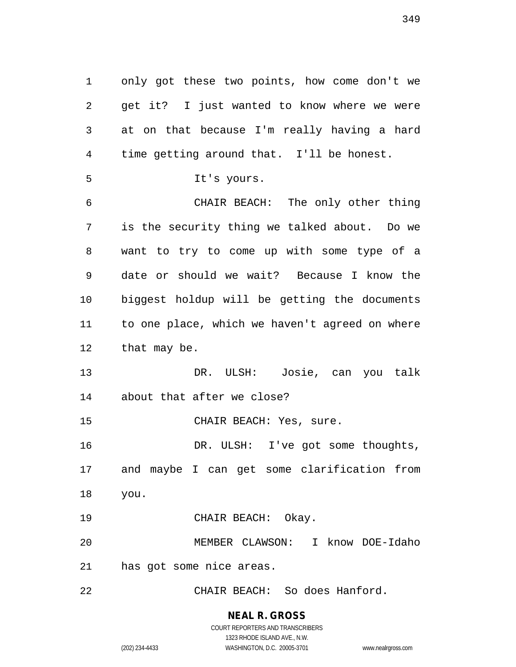only got these two points, how come don't we get it? I just wanted to know where we were at on that because I'm really having a hard time getting around that. I'll be honest. It's yours. CHAIR BEACH: The only other thing is the security thing we talked about. Do we want to try to come up with some type of a date or should we wait? Because I know the biggest holdup will be getting the documents to one place, which we haven't agreed on where that may be. DR. ULSH: Josie, can you talk about that after we close? CHAIR BEACH: Yes, sure. DR. ULSH: I've got some thoughts, and maybe I can get some clarification from you. 19 CHAIR BEACH: Okay. MEMBER CLAWSON: I know DOE-Idaho has got some nice areas. CHAIR BEACH: So does Hanford.

(202) 234-4433 WASHINGTON, D.C. 20005-3701 www.nealrgross.com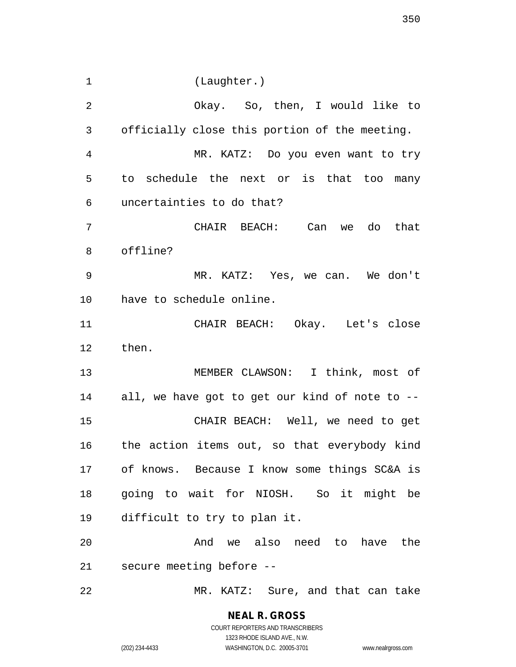(Laughter.)

 Okay. So, then, I would like to officially close this portion of the meeting. MR. KATZ: Do you even want to try to schedule the next or is that too many uncertainties to do that? CHAIR BEACH: Can we do that offline? MR. KATZ: Yes, we can. We don't have to schedule online. CHAIR BEACH: Okay. Let's close then. MEMBER CLAWSON: I think, most of all, we have got to get our kind of note to -- CHAIR BEACH: Well, we need to get the action items out, so that everybody kind of knows. Because I know some things SC&A is going to wait for NIOSH. So it might be difficult to try to plan it. And we also need to have the secure meeting before -- MR. KATZ: Sure, and that can take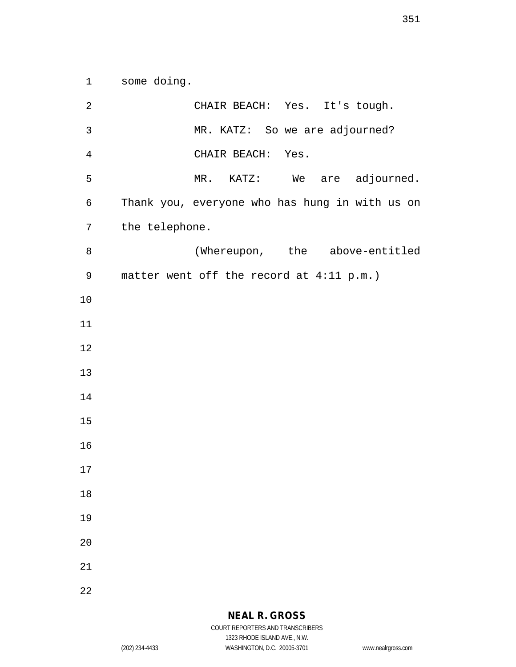some doing.

| 2              | CHAIR BEACH: Yes. It's tough.                  |
|----------------|------------------------------------------------|
| $\mathsf{3}$   | MR. KATZ: So we are adjourned?                 |
| $\overline{4}$ | CHAIR BEACH: Yes.                              |
| 5              | MR. KATZ: We are adjourned.                    |
| 6              | Thank you, everyone who has hung in with us on |
| 7              | the telephone.                                 |
| 8              | (Whereupon, the above-entitled                 |
| 9              | matter went off the record at 4:11 p.m.)       |
| 10             |                                                |
| 11             |                                                |
| 12             |                                                |
| 13             |                                                |
| 14             |                                                |
| 15             |                                                |
| 16             |                                                |
| 17             |                                                |
| 18             |                                                |
| 19             |                                                |
| 20             |                                                |
| 21             |                                                |
| 22             |                                                |